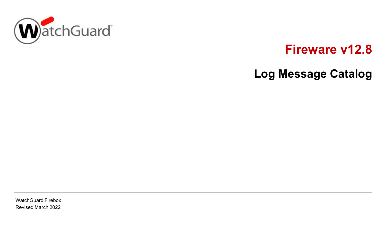

# **Fireware v12.8**

# **Log Message Catalog**

WatchGuard Firebox Revised March 2022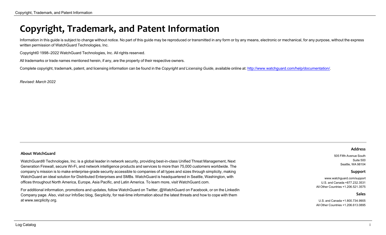## <span id="page-1-0"></span>**Copyright, Trademark, and Patent Information**

Information in this guide is subject to change without notice. No part of this guide may be reproduced or transmitted in any form or by any means, electronic or mechanical, for any purpose, without the express written permission of WatchGuard Technologies, Inc.

Copyright© 1998–2022 WatchGuard Technologies, Inc. All rights reserved.

All trademarks or trade names mentioned herein, if any, are the property of their respective owners.

Complete copyright, trademark, patent, and licensing information can be found in the *Copyright and Licensing Guide*, available online at: [http://www.watchguard.com/help/documentation/.](http://www.watchguard.com/help/documentation)

*Revised: March 2022*

#### **About WatchGuard**

WatchGuard® Technologies, Inc. is a global leader in network security, providing best-in-class Unified Threat Management, Next Generation Firewall, secure Wi-Fi, and network intelligence products and services to more than 75,000 customers worldwide. The company's mission is to make enterprise-grade security accessible to companies of all types and sizes through simplicity, making WatchGuard an ideal solution for Distributed Enterprises and SMBs. WatchGuard is headquartered in Seattle, Washington, with offices throughout North America, Europe, Asia Pacific, and Latin America. To learn more, visit WatchGuard.com.

For additional information, promotions and updates, follow WatchGuard on Twitter, @WatchGuard on Facebook, or on the LinkedIn Company page. Also, visit our InfoSec blog, Secplicity, for real-time information about the latest threats and how to cope with them at www.secplicity.org.

#### **Address**

505 Fifth Avenue South Suite 500 Seattle, WA 98104

#### **Support**

www.watchguard.com/support U.S. and Canada +877.232.3531 All Other Countries +1.206.521.3575

#### **Sales**

U.S. and Canada +1.800.734.9905 All Other Countries +1.206.613.0895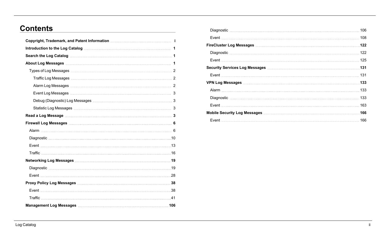## **Contents**

| Copyright, Trademark, and Patent Information [11] Copyright, Trademark, and Patent Information [11] Copyright, |
|----------------------------------------------------------------------------------------------------------------|
|                                                                                                                |
|                                                                                                                |
|                                                                                                                |
|                                                                                                                |
|                                                                                                                |
|                                                                                                                |
|                                                                                                                |
|                                                                                                                |
|                                                                                                                |
|                                                                                                                |
|                                                                                                                |
|                                                                                                                |
|                                                                                                                |
|                                                                                                                |
|                                                                                                                |
|                                                                                                                |
|                                                                                                                |
|                                                                                                                |
|                                                                                                                |
|                                                                                                                |
|                                                                                                                |
|                                                                                                                |

| .122 |
|------|
| 122  |
|      |
|      |
|      |
|      |
|      |
|      |
|      |
| 166  |
|      |
|      |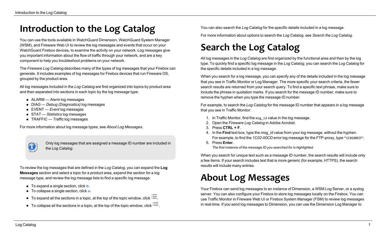# <span id="page-3-0"></span>**Introduction to the Log Catalog**

You can use the tools available in WatchGuard Dimension, WatchGuard System Manager (WSM), and Fireware Web UI to review the log messages and events that occur on your WatchGuard Firebox devices, to examine the activity on your network. Log messages give you important information about the flow of traffic through your network, and are a key component to help you troubleshoot problems on your network.

The *Fireware Log Catalog* describes many of the types of log messages that your Firebox can generate. It includes examples of log messages for Firebox devices that run Fireware OS, grouped by the product area.

All log messages included in the *Log Catalog* are first organized into topics by product area and then separated into sections in each topic by the log message type:

- ALARM  *Alarm* log messages
- DIAG *Debug (Diagnostics)* log messages
- EVENT *Event* log messages
- STAT *Statistics* log messages
- TRAFFIC *Traffic* log messages

For more information about log message types, see *About Log [Messages](#page-3-2)*.

 $\bf (i)$ 

Only log messages that are assigned a message ID number are included in the *Log Catalog*.

To review the log messages that are defined in the *Log Catalog*, you can expand the **Log Messages** section and select a topic for a product area, expand the section for a log message type, and review the log message lists to find a specific log message.

- $\blacksquare$  To expand a single section, click  $\odot$ .
- $\blacksquare$  To collapse a single section, click  $\odot$ .
- $\blacksquare$  To expand all the sections in a topic, at the top of the topic window, click  $\blacksquare$
- $\blacksquare$  To collapse all the sections in a topic, at the top of the topic window, click  $\blacksquare$ .

<span id="page-3-1"></span>You can also search the *Log Catalog* for the specific details included in a log message.

For more information about options to search the *Log Catalog*, see *Search the Log [Catalog](#page-3-1)*.

# **Search the Log Catalog**

All log messages in the *Log Catalog* are first organized by the functional area and then by the log type. To quickly find a specific log message in the *Log Catalog*, you can search the *Log Catalog* for the specific details included in a log message.

When you search for a log message, you can specify any of the details included in the log message that you see in Traffic Monitor or Log Manager. The more specific your search criteria, the fewer search results are returned from your search query. To find a specific text phrase, make sure to include the phrase in quotation marks. If you search for the message ID number, make sure to remove the hyphen when you type the message ID number.

For example, to search the *Log Catalog* for the message ID number that appears in a log message that you see in Traffic Monitor:

- 1. In Traffic Monitor, find the msg\_id value in the log message.
- 2. Open the *Fireware Log Catalog* in Adobe Acrobat.
- 3. Press **CTRL + F**.
- 4. In the **Find** text box, type the *msg\_id* value from your log message, without the hyphen. For example, to find the *1C02-00CD* error log message for the FTP-proxy, type "1C0200CD".
- 5. Press **Enter**.

*The first instance of the message ID you searched for is highlighted.*

<span id="page-3-2"></span>When you search for unique text such as a message ID number, the search results will include only a few items. If your search includes text that is more generic (for example, HTTPS), the search results will include many entries.

# **About Log Messages**

Your Firebox can send log messages to an instance of Dimension, a WSM Log Server, or a syslog server. You can also configure your Firebox to store log messages locally on the Firebox. You can use Traffic Monitor in Fireware Web UI or Firebox System Manager (FSM) to review log messages in real-time. If you send log messages to Dimension, you can use the Dimension Log Manager to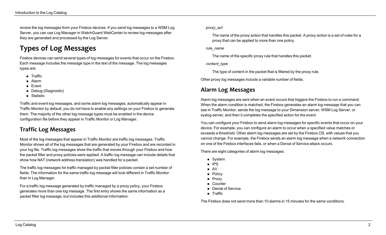<span id="page-4-0"></span>review the log messages from your Firebox devices. If you send log messages to a WSM Log Server, you can use Log Manager in WatchGuard WebCenter to review log messages after they are generated and processed by the Log Server.

## **Types of Log Messages**

Firebox devices can send several types of log messages for events that occur on the Firebox. Each message includes the message type in the text of the message. The log messages types are:

- **n** Traffic
- <sup>n</sup> Alarm
- $\blacksquare$  Event
- Debug (Diagnostic)
- Statistic

Traffic and event log messages, and some alarm log messages, automatically appear in Traffic Monitor by default; you do not have to enable any settings on your Firebox to generate them. The majority of the other log message types must be enabled in the device configuration file before they appear in Traffic Monitor or Log Manager.

### <span id="page-4-1"></span>**Traffic Log Messages**

Most of the log messages that appear in Traffic Monitor are traffic log messages. Traffic Monitor shows all of the log messages that are generated by your Firebox and are recorded in your log file. Traffic log messages show the traffic that moves through your Firebox and how the packet filter and proxy policies were applied. A traffic log message can include details that show how NAT (network address translation) was handled for a packet.

The traffic log messages for traffic managed by packet filter policies contain a set number of fields. The information for the same traffic log message will look different in Traffic Monitor than in Log Manager.

For a traffic log message generated by traffic managed by a proxy policy, your Firebox generates more than one log message. The first entry shows the same information as a packet filter log message, but includes this additional information:

#### *proxy\_act*

The name of the proxy action that handles this packet. A proxy action is a set of rules for a proxy that can be applied to more than one policy.

#### *rule\_name*

The name of the specific proxy rule that handles this packet.

#### *content\_type*

The type of content in the packet that is filtered by the proxy rule.

<span id="page-4-2"></span>Other proxy log messages include a variable number of fields.

### **Alarm Log Messages**

Alarm log messages are sent when an event occurs that triggers the Firebox to run a command. When the alarm condition is matched, the Firebox generates an alarm log message that you can see in Traffic Monitor, sends the log message to your Dimension server, WSM Log Server, or syslog server, and then it completes the specified action for the event.

You can configure your Firebox to send alarm log messages for specific events that occur on your device. For example, you can configure an alarm to occur when a specified value matches or exceeds a threshold. Other alarm log messages are set by the Firebox OS, with values that you cannot change. For example, the Firebox sends an alarm log message when a network connection on one of the Firebox interfaces fails, or when a Denial of Service attack occurs.

There are eight categories of alarm log messages:

- System
- <sup>n</sup> IPS
- $\blacksquare$  AV
- **n** Policy
- **n** Proxy
- **n** Counter
- **Denial of Service**
- **n** Traffic

The Firebox does not send more than 10 alarms in 15 minutes for the same conditions.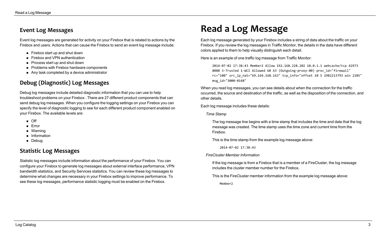### <span id="page-5-0"></span>**Event Log Messages**

Event log messages are generated for activity on your Firebox that is related to actions by the Firebox and users. Actions that can cause the Firebox to send an event log message include:

- $\blacksquare$  Firebox start up and shut down
- Firebox and VPN authentication
- Process start up and shut down
- $\blacksquare$  Problems with Firebox hardware components
- <span id="page-5-1"></span>■ Any task completed by a device administrator

### **Debug (Diagnostic) Log Messages**

Debug log messages include detailed diagnostic information that you can use to help troubleshoot problems on your Firebox . There are 27 different product components that can send debug log messages. When you configure the logging settings on your Firebox you can specify the level of diagnostic logging to see for each different product component enabled on your Firebox. The available levels are:

- $\blacksquare$  Off
- <sup>n</sup> Error
- **n** Warning
- **n** Information
- <span id="page-5-2"></span>**n** Debug

### **Statistic Log Messages**

Statistic log messages include information about the performance of your Firebox. You can configure your Firebox to generate log messages about external interface performance, VPN bandwidth statistics, and Security Services statistics. You can review these log messages to determine what changes are necessary in your Firebox settings to improve performance. To see these log messages, performance statistic logging must be enabled on the Firebox.

## <span id="page-5-3"></span>**Read a Log Message**

Each log message generated by your Firebox includes a string of data about the traffic on your Firebox. If you review the log messages in Traffic Monitor, the details in the data have different colors applied to them to help visually distinguish each detail.

Here is an example of one traffic log message from Traffic Monitor:

2014-07-02 17:38:43 Member2 Allow 192.168.228.202 10.0.1.1 webcache/tcp 42973 8080 3-Trusted 1-WCI Allowed 60 63 (Outgoing-proxy-00) proc\_id="firewall" rc="100" src\_ip\_nat="69.164.168.163" tcp\_info="offset 10 S 2982213793 win 2105" msg\_id="3000-0148"

When you read log messages, you can see details about when the connection for the traffic occurred, the source and destination of the traffic, as well as the disposition of the connection, and other details.

Each log message includes these details:

*Time Stamp*

The log message line begins with a time stamp that includes the time and date that the log message was created. The time stamp uses the time zone and current time from the Firebox.

This is the time stamp from the example log message above:

2014-07-02 17:38:43

#### *FireCluster Member Information*

If the log message is from a Firebox that is a member of a FireCluster, the log message includes the cluster member number for the Firebox.

This is the FireCluster member information from the example log message above:

Member2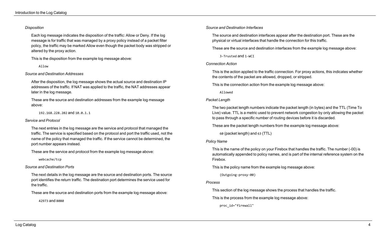#### *Disposition*

Each log message indicates the disposition of the traffic: Allow or Deny. If the log message is for traffic that was managed by a proxy policy instead of a packet filter policy, the traffic may be marked Allow even though the packet body was stripped or altered by the proxy action.

This is the disposition from the example log message above:

Allow

#### *Source and Destination Addresses*

After the disposition, the log message shows the actual source and destination IP addresses of the traffic. If NAT was applied to the traffic, the NAT addresses appear later in the log message.

These are the source and destination addresses from the example log message above:

192.168.228.202 and 10.0.1.1

#### *Service and Protocol*

The next entries in the log message are the service and protocol that managed the traffic. The service is specified based on the protocol and port the traffic used, not the name of the policy that managed the traffic. If the service cannot be determined, the port number appears instead.

These are the service and protocol from the example log message above:

webcache/tcp

*Source and Destination Ports*

The next details in the log message are the source and destination ports. The source port identifies the return traffic. The destination port determines the service used for the traffic.

These are the source and destination ports from the example log message above:

42973 and 8080

#### *Source and Destination Interfaces*

The source and destination interfaces appear after the destination port. These are the physical or virtual interfaces that handle the connection for this traffic.

These are the source and destination interfaces from the example log message above:

3-Trusted and 1-WCI

#### *Connection Action*

This is the action applied to the traffic connection. For proxy actions, this indicates whether the contents of the packet are allowed, dropped, or stripped.

This is the connection action from the example log message above:

Allowed

#### *Packet Length*

The two packet length numbers indicate the packet length (in bytes) and the TTL (Time To Live) value. TTL is a metric used to prevent network congestion by only allowing the packet to pass through a specific number of routing devices before it is discarded.

These are the packet length numbers from the example log message above:

60 (packet length) and 63 (TTL)

#### *Policy Name*

This is the name of the policy on your Firebox that handles the traffic. The number (-00) is automatically appended to policy names, and is part of the internal reference system on the Firebox.

This is the policy name from the example log message above:

(Outgoing-proxy-00)

#### *Process*

This section of the log message shows the process that handles the traffic.

This is the process from the example log message above:

proc\_id="firewall"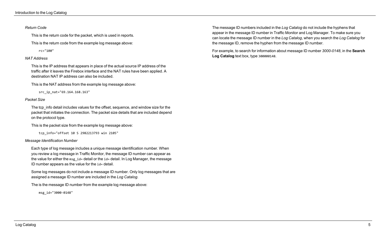#### *Return Code*

This is the return code for the packet, which is used in reports.

This is the return code from the example log message above:

rc="100"

#### *NAT Address*

This is the IP address that appears in place of the actual source IP address of the traffic after it leaves the Firebox interface and the NAT rules have been applied. A destination NAT IP address can also be included.

This is the NAT address from the example log message above:

src\_ip\_nat="69.164.168.163"

#### *Packet Size*

The tcp\_info detail includes values for the offset, sequence, and window size for the packet that initiates the connection. The packet size details that are included depend on the protocol type.

This is the packet size from the example log message above:

tcp\_info="offset 10 S 2982213793 win 2105"

#### *Message Identification Number*

Each type of log message includes a unique message identification number. When you review a log message in Traffic Monitor, the message ID number can appear as the value for either the msg\_id= detail or the id= detail. In Log Manager, the message ID number appears as the value for the id= detail.

Some log messages do not include a message ID number. Only log messages that are assigned a message ID number are included in the *Log Catalog*.

The is the message ID number from the example log message above:

msg\_id="3000-0148"

The message ID numbers included in the *Log Catalog* do not include the hyphens that appear in the message ID number in Traffic Monitor and Log Manager. To make sure you can locate the message ID number in the *Log Catalog*, when you search the *Log Catalog* for the message ID, remove the hyphen from the message ID number.

For example, to search for information about message ID number *3000-0148*, in the **Search Log Catalog** text box, type 300000148.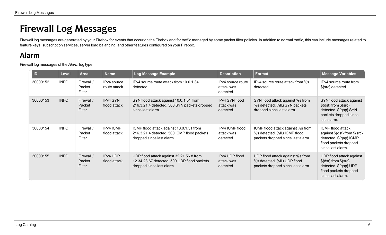# <span id="page-8-0"></span>**Firewall Log Messages**

<span id="page-8-1"></span>Firewall log messages are generated by your Firebox for events that occur on the Firebox and for traffic managed by some packet filter policies. In addition to normal traffic, this can include messages related to feature keys, subscription services, server load balancing, and other features configured on your Firebox.

## **Alarm**

Firewall log messages of the *Alarm* log type.

| ID       | <b>Level</b> | <b>Area</b>                    | <b>Name</b>                 | Log Message Example                                                                                                  | <b>Description</b>                           | <b>Format</b>                                                                                          | <b>Message Variables</b>                                                                                                    |
|----------|--------------|--------------------------------|-----------------------------|----------------------------------------------------------------------------------------------------------------------|----------------------------------------------|--------------------------------------------------------------------------------------------------------|-----------------------------------------------------------------------------------------------------------------------------|
| 30000152 | <b>INFO</b>  | Firewall /<br>Packet<br>Filter | IPv4 source<br>route attack | IPv4 source route attack from 10.0.1.34<br>detected.                                                                 | IPv4 source route<br>attack was<br>detected. | IPv4 source route attack from %s<br>detected.                                                          | IPv4 source route from<br>\${src} detected.                                                                                 |
| 30000153 | <b>INFO</b>  | Firewall /<br>Packet<br>Filter | IPv4 SYN<br>flood attack    | SYN flood attack against 10.0.1.51 from<br>216.3.21.4 detected. 500 SYN packets dropped<br>since last alarm.         | IPv4 SYN flood<br>attack was<br>detected.    | SYN flood attack against %s from<br>%s detected. %llu SYN packets<br>dropped since last alarm.         | SYN flood attack against<br>$\{(dst\}$ from $\{src\}$<br>detected. \${gap} SYN<br>packets dropped since<br>last alarm.      |
| 30000154 | <b>INFO</b>  | Firewall /<br>Packet<br>Filter | IPv4 ICMP<br>flood attack   | ICMP flood attack against 10.0.1.51 from<br>216.3.21.4 detected. 500 ICMP flood packets<br>dropped since last alarm. | IPv4 ICMP flood<br>attack was<br>detected.   | ICMP flood attack against %s from<br>%s detected. %IIu ICMP flood<br>packets dropped since last alarm. | ICMP flood attack<br>against \${dst} from \${src}<br>detected. \${gap} ICMP<br>flood packets dropped<br>since last alarm.   |
| 30000155 | <b>INFO</b>  | Firewall /<br>Packet<br>Filter | IPv4 UDP<br>flood attack    | UDP flood attack against 32.21.56.8 from<br>12.34.23.67 detected. 500 UDP flood packets<br>dropped since last alarm. | IPv4 UDP flood<br>attack was<br>detected.    | UDP flood attack against %s from<br>%s detected. %IIu UDP flood<br>packets dropped since last alarm.   | UDP flood attack against<br>$\{dst\}$ from $\{src\}$<br>detected. \${gap} UDP<br>flood packets dropped<br>since last alarm. |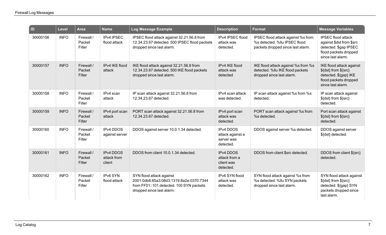| ID       | <b>Level</b> | Area                           | <b>Name</b>                               | Log Message Example                                                                                                                          | <b>Description</b>                                              | Format                                                                                                   | <b>Message Variables</b>                                                                                                     |
|----------|--------------|--------------------------------|-------------------------------------------|----------------------------------------------------------------------------------------------------------------------------------------------|-----------------------------------------------------------------|----------------------------------------------------------------------------------------------------------|------------------------------------------------------------------------------------------------------------------------------|
| 30000156 | <b>INFO</b>  | Firewall /<br>Packet<br>Filter | IPv4 IPSEC<br>flood attack                | IPSEC flood attack against 32.21.56.8 from<br>12.34.23.67 detected. 500 IPSEC flood packets<br>dropped since last alarm.                     | IPv4 IPSEC flood<br>attack was<br>detected.                     | IPSEC flood attack against %s from<br>%s detected. %llu IPSEC flood<br>packets dropped since last alarm. | <b>IPSEC flood attack</b><br>against \$dst from \$src<br>detected. \$gap IPSEC<br>flood packets dropped<br>since last alarm. |
| 30000157 | <b>INFO</b>  | Firewall /<br>Packet<br>Filter | IPv4 IKE flood<br>attack                  | IKE flood attack against 32.21.56.8 from<br>12.34.23.67 detected. 500 IKE flood packets<br>dropped since last alarm.                         | IPv4 IKE flood<br>attack was<br>detected                        | IKE flood attack against %s from %s<br>detected. %llu IKE flood packets<br>dropped since last alarm.     | IKE flood attack against<br>\${dst} from \${src}<br>detected. \${gap} IKE<br>flood packets dropped<br>since last alarm.      |
| 30000158 | <b>INFO</b>  | Firewall /<br>Packet<br>Filter | IPv4 scan<br>attack                       | IP scan attack against 32.21.56.8 from<br>12.34.23.67 detected.                                                                              | IPv4 scan attack<br>was detected.                               | IP scan attack against %s from %s<br>detected.                                                           | IP scan attack against<br>\${dst} from \${src}<br>detected.                                                                  |
| 30000159 | <b>INFO</b>  | Firewall /<br>Packet<br>Filter | IPv4 port scan<br>attack                  | PORT scan attack against 32.21.56.8 from<br>12.34.23.67 detected.                                                                            | IPv4 port scan<br>attack was<br>detected.                       | PORT scan attack against %s from<br>%s detected.                                                         | Port scan attack against<br>\${dst} from \${src}<br>detected.                                                                |
| 30000160 | <b>INFO</b>  | Firewall /<br>Packet<br>Filter | <b>IPv4 DDOS</b><br>against server        | DDOS against server 10.0.1.34 detected.                                                                                                      | <b>IPv4 DDOS</b><br>attack against a<br>server was<br>detected. | DDOS against server %s detected.                                                                         | DDOS against server<br>\${dst} detected.                                                                                     |
| 30000161 | <b>INFO</b>  | Firewall /<br>Packet<br>Filter | <b>IPv4 DDOS</b><br>attack from<br>client | DDOS from client 10.0.1.34 detected.                                                                                                         | <b>IPv4 DDOS</b><br>attack from a<br>client was<br>detected.    | DDOS from client \$src detected.                                                                         | DDOS from client \${src}<br>detected.                                                                                        |
| 30000162 | <b>INFO</b>  | Firewall /<br>Packet<br>Filter | IPv6 SYN<br>flood attack                  | SYN flood attack against<br>2001:0db8:85a3:08d3:1319:8a2e:0370:7344<br>from FF01::101 detected. 100 SYN packets<br>dropped since last alarm. | IPv6 SYN flood<br>attack was<br>detected.                       | SYN flood attack against %s from<br>%s detected. %llu SYN packets<br>dropped since last alarm.           | SYN flood attack against<br>\${dst} from \${src}<br>detected. \${gap} SYN<br>packets dropped since<br>last alarm.            |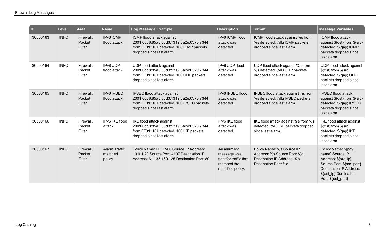| <b>ID</b> | Level       | <b>Area</b>                    | <b>Name</b>                               | Log Message Example                                                                                                                              | <b>Description</b>                                                                       | Format                                                                                                         | <b>Message Variables</b>                                                                                                                                                     |
|-----------|-------------|--------------------------------|-------------------------------------------|--------------------------------------------------------------------------------------------------------------------------------------------------|------------------------------------------------------------------------------------------|----------------------------------------------------------------------------------------------------------------|------------------------------------------------------------------------------------------------------------------------------------------------------------------------------|
| 30000163  | <b>INFO</b> | Firewall /<br>Packet<br>Filter | IPv6 ICMP<br>flood attack                 | ICMP flood attack against<br>2001:0db8:85a3:08d3:1319:8a2e:0370:7344<br>from FF01::101 detected. 100 ICMP packets<br>dropped since last alarm.   | IPv6 ICMP flood<br>attack was<br>detected.                                               | ICMP flood attack against %s from<br>%s detected. %llu ICMP packets<br>dropped since last alarm.               | <b>ICMP</b> flood attack<br>against \${dst} from \${src}<br>detected. \${gap} ICMP<br>packets dropped since<br>last alarm.                                                   |
| 30000164  | <b>INFO</b> | Firewall /<br>Packet<br>Filter | IPv6 UDP<br>flood attack                  | UDP flood attack against<br>2001:0db8:85a3:08d3:1319:8a2e:0370:7344<br>from FF01::101 detected. 100 UDP packets<br>dropped since last alarm.     | IPv6 UDP flood<br>attack was<br>detected.                                                | UDP flood attack against %s from<br>%s detected. %llu UDP packets<br>dropped since last alarm.                 | UDP flood attack against<br>\${dst} from \${src}<br>detected. \${gap} UDP<br>packets dropped since<br>last alarm.                                                            |
| 30000165  | <b>INFO</b> | Firewall /<br>Packet<br>Filter | IPv6 IPSEC<br>flood attack                | IPSEC flood attack against<br>2001:0db8:85a3:08d3:1319:8a2e:0370:7344<br>from FF01::101 detected. 100 IPSEC packets<br>dropped since last alarm. | IPv6 IPSEC flood<br>attack was<br>detected.                                              | IPSEC flood attack against %s from<br>%s detected. %llu IPSEC packets<br>dropped since last alarm.             | <b>IPSEC flood attack</b><br>against \${dst} from \${src}<br>detected. \${gap} IPSEC<br>packets dropped since<br>last alarm.                                                 |
| 30000166  | <b>INFO</b> | Firewall /<br>Packet<br>Filter | IPv6 IKE flood<br>attack                  | IKE flood attack against<br>2001:0db8:85a3:08d3:1319:8a2e:0370:7344<br>from FF01::101 detected. 100 IKE packets<br>dropped since last alarm.     | IPv6 IKE flood<br>attack was<br>detected.                                                | IKE flood attack against %s from %s<br>detected. %llu IKE packets dropped<br>since last alarm.                 | IKE flood attack against<br>\${dst} from \${src}<br>detected. \${gap} IKE<br>packets dropped since<br>last alarm.                                                            |
| 30000167  | <b>INFO</b> | Firewall /<br>Packet<br>Filter | <b>Alarm Traffic</b><br>matched<br>policy | Policy Name: HTTP-00 Source IP Address:<br>10.0.1.20 Source Port: 4107 Destination IP<br>Address: 61.135.169.125 Destination Port: 80            | An alarm log<br>message was<br>sent for traffic that<br>matched the<br>specified policy. | Policy Name: %s Source IP<br>Address: %s Source Port: %d<br>Destination IP Address: %s<br>Destination Port: %d | Policy Name: \${pcy<br>name} Source IP<br>Address: \${src_ip}<br>Source Port: \${src port}<br><b>Destination IP Address:</b><br>\${dst_ip} Destination<br>Port: \${dst_port} |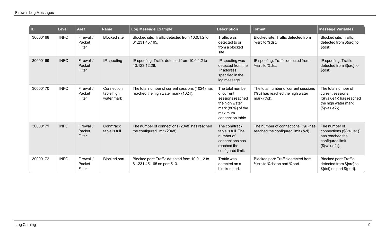| D        | <b>Level</b> | <b>Area</b>                    | <b>Name</b>                            | Log Message Example                                                                    | <b>Description</b>                                                                                                        | <b>Format</b>                                                                         | <b>Message Variables</b>                                                                                     |
|----------|--------------|--------------------------------|----------------------------------------|----------------------------------------------------------------------------------------|---------------------------------------------------------------------------------------------------------------------------|---------------------------------------------------------------------------------------|--------------------------------------------------------------------------------------------------------------|
| 30000168 | <b>INFO</b>  | Firewall /<br>Packet<br>Filter | <b>Blocked</b> site                    | Blocked site: Traffic detected from 10.0.1.2 to<br>61.231.45.165.                      | Traffic was<br>detected to or<br>from a blocked<br>site.                                                                  | Blocked site: Traffic detected from<br>%src to %dst.                                  | <b>Blocked site: Traffic</b><br>detected from \${src} to<br>$$$ {dst}.                                       |
| 30000169 | <b>INFO</b>  | Firewall /<br>Packet<br>Filter | IP spoofing                            | IP spoofing: Traffic detected from 10.0.1.2 to<br>43.123.12.26.                        | IP spoofing was<br>detected from the<br>IP address<br>specified in the<br>log message.                                    | IP spoofing: Traffic detected from<br>%src to %dst.                                   | IP spoofing: Traffic<br>detected from \${src} to<br>$$$ {dst}.                                               |
| 30000170 | <b>INFO</b>  | Firewall /<br>Packet<br>Filter | Connection<br>table high<br>water mark | The total number of current sessions (1024) has<br>reached the high water mark (1024). | The total number<br>of current<br>sessions reached<br>the high water<br>mark (80%) of the<br>maximum<br>connection table. | The total number of current sessions<br>(%u) has reached the high water<br>mark (%d). | The total number of<br>current sessions<br>(\${value1}) has reached<br>the high water mark<br>$(${value2}).$ |
| 30000171 | <b>INFO</b>  | Firewall /<br>Packet<br>Filter | Conntrack<br>table is full             | The number of connections (2048) has reached<br>the configured limit (2048).           | The conntrack<br>table is full. The<br>number of<br>connections has<br>reached the<br>configured limit.                   | The number of connections (%u) has<br>reached the configured limit (%d).              | The number of<br>connections (\${value1})<br>has reached the<br>configured limit<br>$(${value2}).$           |
| 30000172 | <b>INFO</b>  | Firewall /<br>Packet<br>Filter | <b>Blocked port</b>                    | Blocked port: Traffic detected from 10.0.1.2 to<br>61.231.45.165 on port 513.          | <b>Traffic was</b><br>detected on a<br>blocked port.                                                                      | Blocked port: Traffic detected from<br>%src to %dst on port %port.                    | Blocked port: Traffic<br>detected from \${src} to<br>\${dst} on port \${port}.                               |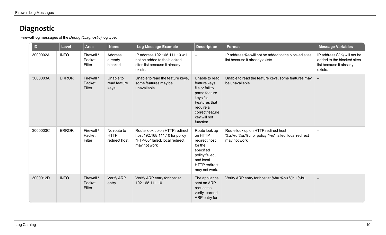## <span id="page-12-0"></span>**Diagnostic**

Firewall log messages of the *Debug (Diagnostic)* log type.

| ID       | <b>Level</b> | <b>Area</b>                    | <b>Name</b>                                 | Log Message Example                                                                                                 | <b>Description</b>                                                                                                                                             | <b>Format</b>                                                                                             | <b>Message Variables</b>                                                                          |
|----------|--------------|--------------------------------|---------------------------------------------|---------------------------------------------------------------------------------------------------------------------|----------------------------------------------------------------------------------------------------------------------------------------------------------------|-----------------------------------------------------------------------------------------------------------|---------------------------------------------------------------------------------------------------|
| 3000002A | <b>INFO</b>  | Firewall /<br>Packet<br>Filter | Address<br>already<br>blocked               | IP address 192.168.111.10 will<br>not be added to the blocked<br>sites list because it already<br>exists.           | $\equiv$                                                                                                                                                       | IP address %s will not be added to the blocked sites<br>list because it already exists.                   | IP address \${ip} will not be<br>added to the blocked sites<br>list because it already<br>exists. |
| 3000003A | <b>ERROR</b> | Firewall /<br>Packet<br>Filter | Unable to<br>read feature<br>keys           | Unable to read the feature keys,<br>some features may be<br>unavailable                                             | Unable to read<br>feature keys<br>file or fail to<br>parse feature<br>keys file.<br>Features that<br>require a<br>correct feature<br>key will not<br>function. | Unable to read the feature keys, some features may<br>be unavailable                                      | $\overline{\phantom{m}}$                                                                          |
| 3000003C | <b>ERROR</b> | Firewall /<br>Packet<br>Filter | No route to<br><b>HTTP</b><br>redirect host | Route look up on HTTP redirect<br>host 192.168.111.10 for policy<br>"FTP-00" failed, local redirect<br>may not work | Route look up<br>on HTTP<br>redirect host<br>for the<br>specified<br>policy failed,<br>and local<br><b>HTTP</b> redirect<br>may not work.                      | Route look up on HTTP redirect host<br>%u.%u.%u.%u for policy "%s" failed, local redirect<br>may not work | $\qquad \qquad -$                                                                                 |
| 3000012D | <b>INFO</b>  | Firewall /<br>Packet<br>Filter | Verify ARP<br>entry                         | Verify ARP entry for host at<br>192.168.111.10                                                                      | The appliance<br>sent an ARP<br>request to<br>verify learned<br>ARP entry for                                                                                  | Verify ARP entry for host at %hu.%hu.%hu.%hu                                                              | $\overline{\phantom{m}}$                                                                          |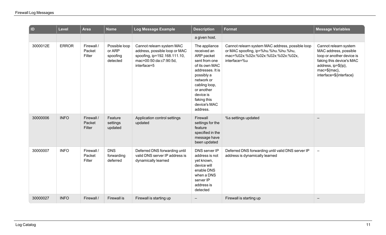| D        | <b>Level</b> | <b>Area</b>                    | <b>Name</b>                                     | Log Message Example                                                                                                                 | <b>Description</b>                                                                                                                                                                                                   | <b>Format</b>                                                                                                                                  | <b>Message Variables</b>                                                                                                                                                  |
|----------|--------------|--------------------------------|-------------------------------------------------|-------------------------------------------------------------------------------------------------------------------------------------|----------------------------------------------------------------------------------------------------------------------------------------------------------------------------------------------------------------------|------------------------------------------------------------------------------------------------------------------------------------------------|---------------------------------------------------------------------------------------------------------------------------------------------------------------------------|
|          |              |                                |                                                 |                                                                                                                                     | a given host.                                                                                                                                                                                                        |                                                                                                                                                |                                                                                                                                                                           |
| 3000012E | <b>ERROR</b> | Firewall /<br>Packet<br>Filter | Possible loop<br>or ARP<br>spoofing<br>detected | Cannot relearn system MAC<br>address, possible loop or MAC<br>spoofing, ip=192.168.111.10,<br>mac=00:50:da:c7:90:5d,<br>interface=5 | The appliance<br>received an<br>ARP packet<br>sent from one<br>of its own MAC<br>addresses. It is<br>possibly a<br>network or<br>cabling loop,<br>or another<br>device is<br>faking this<br>device's MAC<br>address. | Cannot relearn system MAC address, possible loop<br>or MAC spoofing, ip=%hu.%hu.%hu.%hu,<br>mac=%02x:%02x:%02x:%02x:%02x:%02x,<br>interface=%u | Cannot relearn system<br>MAC address, possible<br>loop or another device is<br>faking this device's MAC<br>address, ip=\${ip},<br>mac=\${mac},<br>interface=\${interface} |
| 30000006 | <b>INFO</b>  | Firewall /<br>Packet<br>Filter | Feature<br>settings<br>updated                  | Application control settings<br>updated                                                                                             | Firewall<br>settings for the<br>feature<br>specified in the<br>message have<br>been updated                                                                                                                          | %s settings updated                                                                                                                            |                                                                                                                                                                           |
| 30000007 | <b>INFO</b>  | Firewall /<br>Packet<br>Filter | <b>DNS</b><br>forwarding<br>deferred            | Deferred DNS forwarding until<br>valid DNS server IP address is<br>dynamically learned                                              | DNS server IP<br>address is not<br>yet known,<br>device will<br>enable DNS<br>when a DNS<br>server IP<br>address is<br>detected                                                                                      | Deferred DNS forwarding until valid DNS server IP<br>address is dynamically learned                                                            | $\overline{\phantom{m}}$                                                                                                                                                  |
| 30000027 | <b>INFO</b>  | Firewall /                     | Firewall is                                     | Firewall is starting up                                                                                                             |                                                                                                                                                                                                                      | Firewall is starting up                                                                                                                        |                                                                                                                                                                           |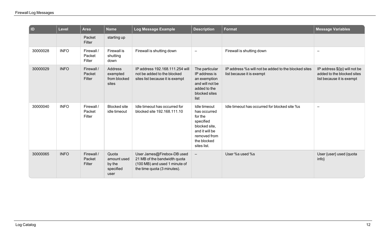| $\overline{a}$ | Level       | <b>Area</b>                    | <b>Name</b>                                         | Log Message Example                                                                                                        | <b>Description</b>                                                                                                                    | <b>Format</b>                                                                    | <b>Message Variables</b>                                                                 |
|----------------|-------------|--------------------------------|-----------------------------------------------------|----------------------------------------------------------------------------------------------------------------------------|---------------------------------------------------------------------------------------------------------------------------------------|----------------------------------------------------------------------------------|------------------------------------------------------------------------------------------|
|                |             | Packet<br>Filter               | starting up                                         |                                                                                                                            |                                                                                                                                       |                                                                                  |                                                                                          |
| 30000028       | <b>INFO</b> | Firewall /<br>Packet<br>Filter | Firewall is<br>shutting<br>down                     | Firewall is shutting down                                                                                                  | $\overline{\phantom{a}}$                                                                                                              | Firewall is shutting down                                                        | $\overline{\phantom{0}}$                                                                 |
| 30000029       | <b>INFO</b> | Firewall /<br>Packet<br>Filter | Address<br>exempted<br>from blocked<br>sites        | IP address 192.168.111.254 will<br>not be added to the blocked<br>sites list because it is exempt                          | The particular<br>IP address is<br>an exemption<br>and will not be<br>added to the<br>blocked sites<br>list                           | IP address % will not be added to the blocked sites<br>list because it is exempt | IP address \${ip} will not be<br>added to the blocked sites<br>list because it is exempt |
| 30000040       | <b>INFO</b> | Firewall /<br>Packet<br>Filter | <b>Blocked site</b><br>idle timeout                 | Idle timeout has occurred for<br>blocked site 192.168.111.10                                                               | Idle timeout<br>has occurred<br>for the<br>specified<br>blocked site,<br>and it will be<br>removed from<br>the blocked<br>sites list. | Idle timeout has occurred for blocked site %s                                    | $\overline{\phantom{0}}$                                                                 |
| 30000065       | <b>INFO</b> | Firewall /<br>Packet<br>Filter | Quota<br>amount used<br>by the<br>specified<br>user | User James@Firebox-DB used<br>21 MB of the bandwidth quota<br>(100 MB) and used 1 minute of<br>the time quota (3 minutes). | $\overline{\phantom{0}}$                                                                                                              | User %s used %s                                                                  | User {user} used {quota<br>$info\}$                                                      |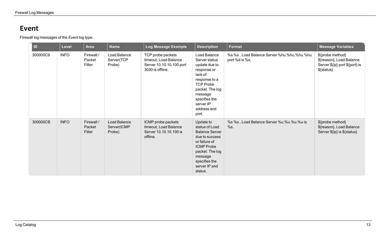### <span id="page-15-0"></span>**Event**

Firewall log messages of the *Event* log type.

| ID       | <b>Level</b> | Area                           | <b>Name</b>                           | Log Message Example                                                                        | <b>Description</b>                                                                                                                                                                                | <b>Format</b>                                                | <b>Message Variables</b>                                                                     |
|----------|--------------|--------------------------------|---------------------------------------|--------------------------------------------------------------------------------------------|---------------------------------------------------------------------------------------------------------------------------------------------------------------------------------------------------|--------------------------------------------------------------|----------------------------------------------------------------------------------------------|
| 300000C9 | <b>INFO</b>  | Firewall /<br>Packet<br>Filter | Load Balance<br>Server(TCP<br>Probe)  | TCP probe packets<br>timeout, Load Balance<br>Server 10.10.10.100 port<br>3030 is offline. | Load Balance<br>Server status<br>update due to<br>response or<br>lack of<br>response to a<br><b>TCP Probe</b><br>packet. The log<br>message<br>specifies the<br>server IP<br>address and<br>port. | %s %s, Load Balance Server %hu.%hu.%hu.%hu<br>port %d is %s. | \${probe method}<br>\${reason}, Load Balance<br>Server \${ip} port \${port} is<br>\${status} |
| 300000CB | <b>INFO</b>  | Firewall /<br>Packet<br>Filter | Load Balance<br>Server(ICMP<br>Probe) | ICMP probe packets<br>timeout, Load Balance<br>Server 10.10.10.100 is<br>offline.          | Update to<br>status of Load<br><b>Balance Server</b><br>due to success<br>or failure of<br><b>ICMP Probe</b><br>packet. The log<br>message<br>specifies the<br>server IP and<br>status.           | %s %s, Load Balance Server %u.%u.%u.%u is<br>%s.             | \${probe method}<br>\${reason}, Load Balance<br>Server \${ip} is \${status}                  |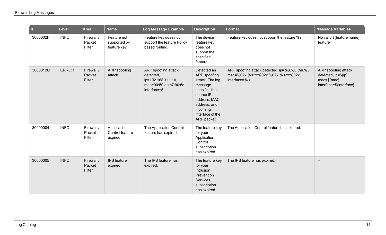| $\overline{a}$ | Level        | <b>Area</b>                    | <b>Name</b>                                | Log Message Example                                                                             | <b>Description</b>                                                                                                                                                     | <b>Format</b>                                                                                       | <b>Message Variables</b>                                                               |
|----------------|--------------|--------------------------------|--------------------------------------------|-------------------------------------------------------------------------------------------------|------------------------------------------------------------------------------------------------------------------------------------------------------------------------|-----------------------------------------------------------------------------------------------------|----------------------------------------------------------------------------------------|
| 3000002F       | <b>INFO</b>  | Firewall /<br>Packet<br>Filter | Feature not<br>supported by<br>feature key | Feature key does not<br>support the feature Policy<br>based routing.                            | The device<br>feature key<br>does not<br>support the<br>specified<br>feature.                                                                                          | Feature key does not support the feature %s.                                                        | No valid \${feature name}<br>feature                                                   |
| 3000012C       | <b>ERROR</b> | Firewall /<br>Packet<br>Filter | ARP spoofing<br>attack                     | ARP spoofing attack<br>detected,<br>ip=192.168.111.10,<br>mac=00:50:da:c7:90:5d,<br>interface=5 | Detected an<br>ARP spoofing<br>attack. The log<br>message<br>specifies the<br>source IP<br>address, MAC<br>address, and<br>incoming<br>interface of the<br>ARP packet. | ARP spoofing attack detected, ip=%u.%u.%u.%u,<br>mac=%02x:%02x:%02x:%02x:%02x:%02x,<br>interface=%u | ARP spoofing attack<br>detected, ip=\${ip},<br>mac=\${mac},<br>interface=\${interface} |
| 30000004       | <b>INFO</b>  | Firewall /<br>Packet<br>Filter | Application<br>Control feature<br>expired  | The Application Control<br>feature has expired.                                                 | The feature key<br>for your<br>Application<br>Control<br>subscription<br>has expired.                                                                                  | The Application Control feature has expired.                                                        | $\qquad \qquad \blacksquare$                                                           |
| 30000005       | <b>INFO</b>  | Firewall /<br>Packet<br>Filter | IPS feature<br>expired                     | The IPS feature has<br>expired.                                                                 | The feature key<br>for your<br>Intrusion<br>Prevention<br>Services<br>subscription<br>has expired.                                                                     | The IPS feature has expired.                                                                        |                                                                                        |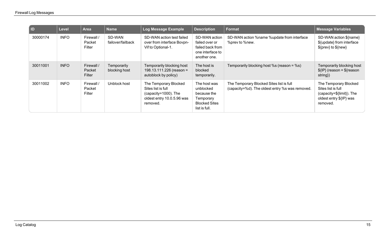| I ID     | <b>Level</b> | <b>Area</b>                    | <b>Name</b>                  | Log Message Example                                                                                           | <b>Description</b>                                                                             | <b>Format</b>                                                                               | <b>Message Variables</b>                                                                                        |
|----------|--------------|--------------------------------|------------------------------|---------------------------------------------------------------------------------------------------------------|------------------------------------------------------------------------------------------------|---------------------------------------------------------------------------------------------|-----------------------------------------------------------------------------------------------------------------|
| 30000174 | <b>INFO</b>  | Firewall /<br>Packet<br>Filter | SD-WAN<br>failover/failback  | SD-WAN action test failed<br>over from interface Bovpn-<br>Vif to Optional-1.                                 | SD-WAN action<br>failed over or<br>failed back from<br>one interface to<br>another one.        | SD-WAN action %name %update from interface<br>%prev to %new.                                | SD-WAN action \${name}<br>\${update} from interface<br>${\cal S}$ {prev} to ${\cal S}$ {new}                    |
| 30011001 | <b>INFO</b>  | Firewall /<br>Packet<br>Filter | Temporarily<br>blocking host | Temporarily blocking host<br>198.13.111.226 (reason =<br>autoblock by policy)                                 | The host is<br>blocked<br>temporarily.                                                         | Temporarily blocking host %s (reason = %s)                                                  | Temporarily blocking host<br>$\{IP\}$ (reason = $\frac{1}{2}$ reason<br>string {}                               |
| 30011002 | <b>INFO</b>  | Firewall /<br>Packet<br>Filter | Unblock host                 | The Temporary Blocked<br>Sites list is full<br>(capacity=1000). The<br>oldest entry 10.0.5.96 was<br>removed. | The host was<br>unblocked<br>because the<br>Temporary<br><b>Blocked Sites</b><br>list is full. | The Temporary Blocked Sites list is full<br>(capacity=%d). The oldest entry %s was removed. | The Temporary Blocked<br>Sites list is full<br>(capacity=\${limit}). The<br>oldest entry \${IP} was<br>removed. |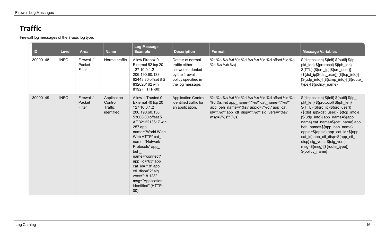## <span id="page-18-0"></span>**Traffic**

Firewall log messages of the *Traffic* log type.

| ID       | <b>Level</b> | <b>Area</b>                    | <b>Name</b>                                     | <b>Log Message</b><br><b>Example</b>                                                                                                                                                                                                                                                                                                                          | <b>Description</b>                                                                                                     | <b>Format</b>                                                                                                                                                                                              | Message Variables                                                                                                                                                                                                                                                                                                                                                                                                             |
|----------|--------------|--------------------------------|-------------------------------------------------|---------------------------------------------------------------------------------------------------------------------------------------------------------------------------------------------------------------------------------------------------------------------------------------------------------------------------------------------------------------|------------------------------------------------------------------------------------------------------------------------|------------------------------------------------------------------------------------------------------------------------------------------------------------------------------------------------------------|-------------------------------------------------------------------------------------------------------------------------------------------------------------------------------------------------------------------------------------------------------------------------------------------------------------------------------------------------------------------------------------------------------------------------------|
| 30000148 | <b>INFO</b>  | Firewall /<br>Packet<br>Filter | Normal traffic                                  | Allow Firebox 0-<br>External 52 tcp 20<br>127 10.0.1.2<br>206.190.60.138<br>62443 80 offset 8 S<br>832026162 win<br>8192 (HTTP-00)                                                                                                                                                                                                                            | Details of normal<br>traffic either<br>allowed or denied<br>by the firewall<br>policy specified in<br>the log message. | %s %s %s %d %s %d %s %s %d %d offset %d %s<br>%d %s %d(%s)                                                                                                                                                 | \${disposition} \${inif} \${outif} \${ip_<br>pkt_len} \${protocol} \${iph_len}<br>\${TTL} {\${src_ip} \${src_user}}<br>{\${dst_ip \${dst_user}} [\${tcp_info}]<br>[\${udp_info}] [\${icmp_info}] [\${route_<br>type}] \${policy_name}                                                                                                                                                                                         |
| 30000149 | <b>INFO</b>  | Firewall /<br>Packet<br>Filter | Application<br>Control<br>Traffic<br>identified | Allow 1-Trusted 0-<br>External 40 tcp 20<br>127 10.0.1.2<br>206.190.60.138<br>53008 80 offset 5<br>AF 3212213617 win<br>257 app<br>name="World Wide<br>Web HTTP" cat<br>name="Network<br>Protocols" app<br>beh<br>name="connect"<br>app id="63" app<br>cat_id="18" app_<br>ctl_disp="2" sig<br>vers="18.123"<br>msg="Application<br>identified" (HTTP-<br>00) | <b>Application Control</b><br>identified traffic for<br>an application.                                                | %s %s %s %d %s %d %s %s %d %d offset %d %s<br>%d %s %d app name=\"%s\" cat name=\"%s\"<br>app_beh_name=\"%s\" appid=\"%d\" app_cat_<br>id=\"%d\" app ctl disp=\"%d\" sig vers=\"%s\"<br>$msg=\H\%s'\H(%s)$ | \${disposition} \${inif} \${outif} \${ip_<br>pkt_len} \${protocol} \${iph_len}<br>\${TTL} {\${src_ip} \${src_user}}<br>{\${dst_ip \${dst_user}} [\${tcp_info}]<br>[\${udp_info}] app_name=\${app_<br>name} cat_name=\${cat_name} app_<br>beh_name=\${app_beh_name}<br>appid=\${appid} app_cat_id=\${app_<br>cat_id} app_ctl_disp=\${app_ctl<br>disp} sig_vers=\${sig_vers}<br>msg=\${msg} [\${route_type}]<br>\${policy_name} |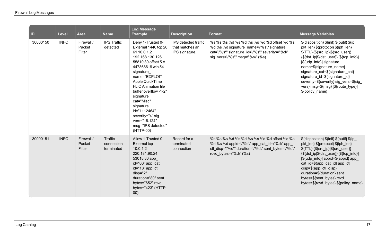| $\overline{\mathsf{I}}$ | <b>Level</b> | <b>Area</b>                    | <b>Name</b>                         | <b>Log Message</b><br><b>Example</b>                                                                                                                                                                                                                                                                                                                           | <b>Description</b>                                        | <b>Format</b>                                                                                                                                                                 | <b>Message Variables</b>                                                                                                                                                                                                                                                                                                                                                                      |
|-------------------------|--------------|--------------------------------|-------------------------------------|----------------------------------------------------------------------------------------------------------------------------------------------------------------------------------------------------------------------------------------------------------------------------------------------------------------------------------------------------------------|-----------------------------------------------------------|-------------------------------------------------------------------------------------------------------------------------------------------------------------------------------|-----------------------------------------------------------------------------------------------------------------------------------------------------------------------------------------------------------------------------------------------------------------------------------------------------------------------------------------------------------------------------------------------|
| 30000150                | <b>INFO</b>  | Firewall /<br>Packet<br>Filter | <b>IPS Traffic</b><br>detected      | Deny 1-Trusted 0-<br>External 1440 tcp 20<br>61 10.0.1.2<br>192.168.130.126<br>55810 80 offset 5 A<br>447868619 win 54<br>signature<br>name="EXPLOIT<br>Apple QuickTime<br><b>FLIC Animation file</b><br>buffer overflow -1-2"<br>signature<br>cat="Misc"<br>signature<br>id="1112464"<br>severity="4" sig<br>vers="18.124"<br>msg="IPS detected"<br>(HTTP-00) | IPS detected traffic<br>that matches an<br>IPS signature. | %s %s %s %d %s %d %s %s %d %d offset %d %s<br>%d %s %d signature_name=\"%s\" signature<br>cat=\"%s\" signature id=\"%s\" severity=\"%d\"<br>sig vers= $\%s\$ msg= $\%s\$ (%s) | \${disposition} \${inif} \${outif} \${ip_<br>pkt_len} \${protocol} \${iph_len}<br>\${TTL} {\${src_ip} \${src_user}}<br>{\${dst_ip \${dst_user}} [\${tcp_info}]<br>[\${udp_info}] signature_<br>name=\${signature_name}<br>signature_cat=\${signature_cat}<br>signature_id=\${signature_id}<br>severity=\${severity} sig_vers=\${sig_<br>vers} msg=\${msg} [\${route_type}]<br>\${policy_name} |
| 30000151                | <b>INFO</b>  | Firewall /<br>Packet<br>Filter | Traffic<br>connection<br>terminated | Allow 1-Trusted 0-<br><b>External tcp</b><br>10.0.1.2<br>220.181.90.24<br>53018 80 app_<br>id="63" app_cat_<br>id="18" app_ctl_<br>$disp="2"$<br>duration="80" sent<br>bytes="652" rcvd<br>bytes="423" (HTTP-<br>00)                                                                                                                                           | Record for a<br>terminated<br>connection                  | %s %s %s %d %s %d %s %s %d %d offset %d %s<br>%d %s %d appid=\"%d\" app_cat_id=\"%d\" app_<br>ctl disp=\"%d\" duration=\"%d\" sent bytes=\"%d\"<br>rcvd_bytes=\"%d\" (%s)     | \${disposition} \${inif} \${outif} \${ip_<br>pkt_len} \${protocol} \${iph_len}<br>\${TTL} {\${src_ip} \${src_user}}<br>{\${dst_ip \${dst_user}} [\${tcp_info}]<br>[\${udp_info}] appid=\${appid} app_<br>cat_id=\${app_cat_id} app_ctl_<br>disp=\${app_ctl_disp}<br>duration=\${duration} sent<br>bytes=\${sent_bytes} rcvd<br>bytes=\${rcvd_bytes} \${policy_name}                           |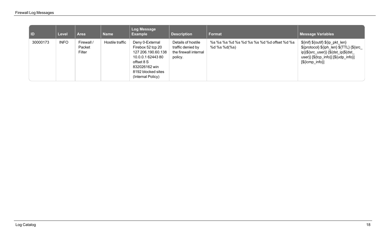| <b>IID</b> | Level       | <b>Area</b>                    | Name            | Log Message<br><b>Example</b>                                                                                                                             | <b>Description</b>                                                          | <b>Format</b>                                              | <b>Message Variables</b>                                                                                                                                                                                                                                                                                                                                                       |
|------------|-------------|--------------------------------|-----------------|-----------------------------------------------------------------------------------------------------------------------------------------------------------|-----------------------------------------------------------------------------|------------------------------------------------------------|--------------------------------------------------------------------------------------------------------------------------------------------------------------------------------------------------------------------------------------------------------------------------------------------------------------------------------------------------------------------------------|
| 30000173   | <b>INFO</b> | Firewall /<br>Packet<br>Filter | Hostile traffic | Deny 0-External<br>Firebox 52 tcp 20<br>127 206.190.60.138<br>10.0.0.1 62443 80<br>offset 8 S<br>832026162 win<br>8192 blocked sites<br>(Internal Policy) | Details of hostile<br>traffic denied by<br>the firewall internal<br>policy. | %s %s %s %d %s %d %s %s %d %d offset %d %s<br>%d %s %d(%s) | \${inif} \${outif} \${ip_pkt_len}<br>\${protocol} \${iph_len} \${TTL} {\${src_<br>ip} \${src_user}} {\${dst_ip \${dst_<br>user}} $[$ $[$ $[$ $]$ $[$ $[$ $]$ $[$ $[$ $]$ $[$ $]$ $[$ $]$ $[$ $]$ $[$ $]$ $[$ $]$ $[$ $]$ $[$ $]$ $[$ $]$ $[$ $]$ $[$ $]$ $[$ $]$ $[$ $]$ $[$ $]$ $[$ $]$ $[$ $]$ $[$ $]$ $[$ $]$ $[$ $]$ $[$ $]$ $[$ $]$ $[$ $]$ $[$ $]$<br>$[\${icmp_info}\]$ |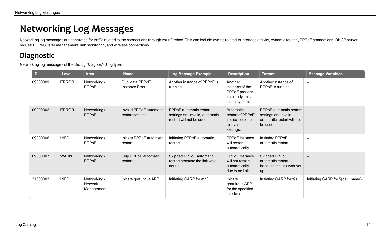# <span id="page-21-0"></span>**Networking Log Messages**

<span id="page-21-1"></span>Networking log messages are generated for traffic related to the connections through your Firebox. This can include events related to interface activity, dynamic routing, PPPoE connections, DHCP server requests, FireCluster management, link monitoring, and wireless connections.

## **Diagnostic**

Networking log messages of the *Debug (Diagnostic)* log type.

| ID       | <b>Level</b> | <b>Area</b>                                  | <b>Name</b>                                 | Log Message Example                                                                           | <b>Description</b>                                                                 | <b>Format</b>                                                                             | <b>Message Variables</b>         |
|----------|--------------|----------------------------------------------|---------------------------------------------|-----------------------------------------------------------------------------------------------|------------------------------------------------------------------------------------|-------------------------------------------------------------------------------------------|----------------------------------|
| 09000001 | <b>ERROR</b> | Networking /<br>PPPoE                        | Duplicate PPPoE<br><b>Instance Error</b>    | Another instance of PPPoE is<br>running                                                       | Another<br>instance of the<br>PPPoE process<br>is already active<br>in the system. | Another instance of<br>PPPoE is running                                                   |                                  |
| 09000002 | <b>ERROR</b> | Networking /<br><b>PPPoE</b>                 | Invalid PPPoE automatic<br>restart settings | <b>PPPoE</b> automatic restart<br>settings are invalid, automatic<br>restart will not be used | Automatic<br>restart of PPPoE<br>is disabled due<br>to invalid<br>settings.        | PPPoE automatic restart<br>settings are invalid,<br>automatic restart will not<br>be used | $\overline{\phantom{a}}$         |
| 09000006 | <b>INFO</b>  | Networking /<br>PPPoE                        | Initiate PPPoE automatic<br>restart         | Initiating PPPoE automatic<br>restart                                                         | PPPoE instance<br>will restart<br>automatically.                                   | Initiating PPPoE<br>automatic restart                                                     |                                  |
| 09000007 | <b>WARN</b>  | Networking /<br><b>PPPoE</b>                 | Skip PPPoE automatic<br>restart             | Skipped PPPoE automatic<br>restart because the link was<br>not up                             | PPPoE instance<br>will not restart<br>automatically<br>due to no link.             | Skipped PPPoE<br>automatic restart<br>because the link was not<br>up                      |                                  |
| 31000003 | <b>INFO</b>  | Networking /<br><b>Network</b><br>Management | Initiate gratuitous ARP                     | Initiating GARP for eth0                                                                      | Initiate<br>gratuitous ARP<br>for the specified<br>interface.                      | Initiating GARP for %s                                                                    | Initiating GARP for \${dev_name} |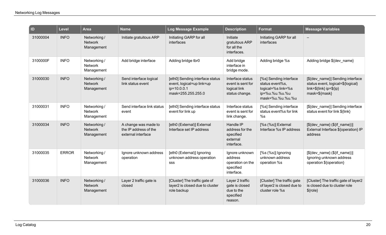| $\overline{1}$ | <b>Level</b> | Area                                         | <b>Name</b>                                                         | Log Message Example                                                                               | <b>Description</b>                                                       | <b>Format</b>                                                                                         | <b>Message Variables</b>                                                                                               |
|----------------|--------------|----------------------------------------------|---------------------------------------------------------------------|---------------------------------------------------------------------------------------------------|--------------------------------------------------------------------------|-------------------------------------------------------------------------------------------------------|------------------------------------------------------------------------------------------------------------------------|
| 31000004       | <b>INFO</b>  | Networking /<br><b>Network</b><br>Management | Initiate gratuitous ARP                                             | Initiating GARP for all<br>interfaces                                                             | Initiate<br>gratuitous ARP<br>for all the<br>interfaces.                 | Initiating GARP for all<br>interfaces                                                                 | $\qquad \qquad -$                                                                                                      |
| 3100000F       | <b>INFO</b>  | Networking /<br><b>Network</b><br>Management | Add bridge interface                                                | Adding bridge tbr0                                                                                | Add bridge<br>interface in<br>bridge mode.                               | Adding bridge %s                                                                                      | Adding bridge \${dev_name}                                                                                             |
| 31000030       | <b>INFO</b>  | Networking /<br><b>Network</b><br>Management | Send interface logical<br>link status event                         | [eth0] Sending interface status<br>event, logical=up link=up<br>ip=10.0.0.1<br>mask=255.255.255.0 | Interface status<br>event is sent for<br>logical link<br>status change.  | [%s] Sending interface<br>status event%s,<br>logical=%s link=%s<br>ip=%u.%u.%u.%u<br>mask=%u.%u.%u.%u | [\${dev_name}] Sending interface<br>status event, logical=\${logical}<br>$link = ${link}$ ip= $${ip}$<br>mask=\${mask} |
| 31000031       | <b>INFO</b>  | Networking/<br><b>Network</b><br>Management  | Send interface link status<br>event                                 | [eth0] Sending interface status<br>event for link up                                              | Interface status<br>event is sent for<br>link change.                    | [%s] Sending interface<br>status event%s for link<br>%s                                               | [\${dev_name}] Sending interface<br>status event for link \${link}                                                     |
| 31000034       | <b>INFO</b>  | Networking /<br><b>Network</b><br>Management | A change was made to<br>the IP address of the<br>external interface | [eth0 (External)] External<br>Interface set IP address                                            | Handle IP<br>address for the<br>specified<br>external<br>interface.      | [%s (%s)] External<br>Interface %s IP address                                                         | $[$(dev_name) ($(if_name))]$<br>External Interface \${operation} IP<br>address                                         |
| 31000035       | <b>ERROR</b> | Networking /<br><b>Network</b><br>Management | Ignore unknown address<br>operation                                 | [eth0 (External)] Ignoring<br>unknown address operation<br>SSS                                    | Ignore unknown<br>address<br>operation on the<br>specified<br>interface. | [%s (%s)] Ignoring<br>unknown address<br>operation %s                                                 | $[$(dev_name) ($(if_name))]$<br>Ignoring unknown address<br>operation \${operation}                                    |
| 31000036       | <b>INFO</b>  | Networking /<br><b>Network</b><br>Management | Layer 2 traffic gate is<br>closed                                   | [Cluster] The traffic gate of<br>layer2 is closed due to cluster<br>role backup                   | Layer 2 traffic<br>gate is closed<br>due to the<br>specified<br>reason.  | [Cluster] The traffic gate<br>of layer2 is closed due to<br>cluster role %s                           | [Cluster] The traffic gate of layer2<br>is closed due to cluster role<br>$$$ {role}                                    |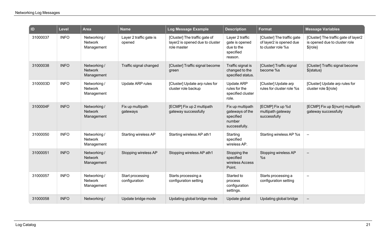| $\vert$ ID | <b>Level</b> | <b>Area</b>                                  | <b>Name</b>                       | <b>Log Message Example</b>                                                      | <b>Description</b>                                                          | <b>Format</b>                                                               | <b>Message Variables</b>                                                            |
|------------|--------------|----------------------------------------------|-----------------------------------|---------------------------------------------------------------------------------|-----------------------------------------------------------------------------|-----------------------------------------------------------------------------|-------------------------------------------------------------------------------------|
| 31000037   | <b>INFO</b>  | Networking /<br><b>Network</b><br>Management | Layer 2 traffic gate is<br>opened | [Cluster] The traffic gate of<br>layer2 is opened due to cluster<br>role master | Layer 2 traffic<br>gate is opened<br>due to the<br>specified<br>reason.     | [Cluster] The traffic gate<br>of layer2 is opened due<br>to cluster role %s | [Cluster] The traffic gate of layer2<br>is opened due to cluster role<br>$$$ {role} |
| 31000038   | <b>INFO</b>  | Networking /<br><b>Network</b><br>Management | Traffic signal changed            | [Cluster] Traffic signal become<br>green                                        | Traffic signal is<br>changed to the<br>specified status.                    | [Cluster] Traffic signal<br>become %s                                       | [Cluster] Traffic signal become<br>\${status}                                       |
| 3100003D   | <b>INFO</b>  | Networking /<br><b>Network</b><br>Management | Update ARP rules                  | [Cluster] Update arp rules for<br>cluster role backup                           | <b>Update ARP</b><br>rules for the<br>specified cluster<br>role.            | [Cluster] Update arp<br>rules for cluster role %s                           | [Cluster] Update arp rules for<br>cluster role \${role}                             |
| 3100004F   | <b>INFO</b>  | Networking /<br><b>Network</b><br>Management | Fix up multipath<br>gateways      | [ECMP] Fix up 2 multipath<br>gateway successfully                               | Fix up multipath<br>gateways of the<br>specified<br>number<br>successfully. | [ECMP] Fix up %d<br>multipath gateway<br>successfully                       | [ECMP] Fix up \${num} multipath<br>gateway successfully                             |
| 31000050   | <b>INFO</b>  | Networking /<br><b>Network</b><br>Management | <b>Starting wireless AP</b>       | Starting wireless AP ath1                                                       | Starting<br>specified<br>wireless AP.                                       | Starting wireless AP %s                                                     |                                                                                     |
| 31000051   | <b>INFO</b>  | Networking /<br><b>Network</b><br>Management | Stopping wireless AP              | Stopping wireless AP ath1                                                       | Stopping the<br>specified<br>wireless Access<br>Point.                      | Stopping wireless AP<br>%s                                                  |                                                                                     |
| 31000057   | <b>INFO</b>  | Networking /<br><b>Network</b><br>Management | Start processing<br>configuration | Starts processing a<br>configuration setting                                    | Started to<br>process<br>configuration<br>settings.                         | Starts processing a<br>configuration setting                                | $\overline{\phantom{0}}$                                                            |
| 31000058   | <b>INFO</b>  | Networking /                                 | Update bridge mode                | Updating global bridge mode                                                     | Update global                                                               | Updating global bridge                                                      |                                                                                     |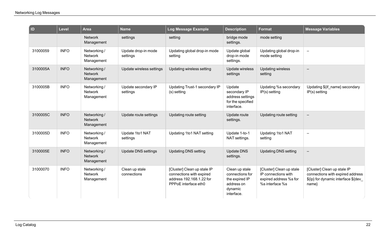| $\overline{a}$ | <b>Level</b> | <b>Area</b>                                  | <b>Name</b>                     | Log Message Example                                                                                         | <b>Description</b>                                                                         | <b>Format</b>                                                                                | <b>Message Variables</b>                                                                                         |
|----------------|--------------|----------------------------------------------|---------------------------------|-------------------------------------------------------------------------------------------------------------|--------------------------------------------------------------------------------------------|----------------------------------------------------------------------------------------------|------------------------------------------------------------------------------------------------------------------|
|                |              | <b>Network</b><br>Management                 | settings                        | setting                                                                                                     | bridge mode<br>settings.                                                                   | mode setting                                                                                 |                                                                                                                  |
| 31000059       | <b>INFO</b>  | Networking /<br><b>Network</b><br>Management | Update drop-in mode<br>settings | Updating global drop-in mode<br>setting                                                                     | Update global<br>drop-in mode<br>settings.                                                 | Updating global drop-in<br>mode setting                                                      | $\qquad \qquad -$                                                                                                |
| 3100005A       | <b>INFO</b>  | Networking /<br><b>Network</b><br>Management | Update wireless settings        | Updating wireless setting                                                                                   | Update wireless<br>settings                                                                | <b>Updating wireless</b><br>setting                                                          |                                                                                                                  |
| 3100005B       | <b>INFO</b>  | Networking /<br><b>Network</b><br>Management | Update secondary IP<br>settings | Updating Trust-1 secondary IP<br>(s) setting                                                                | Update<br>secondary IP<br>address settings<br>for the specified<br>interface.              | Updating %s secondary<br>$IP(s)$ setting                                                     | Updating \${if name} secondary<br>$IP(s)$ setting                                                                |
| 3100005C       | <b>INFO</b>  | Networking /<br><b>Network</b><br>Management | Update route settings           | Updating route setting                                                                                      | Update route<br>settings.                                                                  | Updating route setting                                                                       |                                                                                                                  |
| 3100005D       | <b>INFO</b>  | Networking /<br><b>Network</b><br>Management | Update 1to1 NAT<br>settings     | Updating 1to1 NAT setting                                                                                   | Update 1-to-1<br>NAT settings.                                                             | Updating 1to1 NAT<br>setting                                                                 | $\overline{\phantom{0}}$                                                                                         |
| 3100005E       | <b>INFO</b>  | Networking /<br><b>Network</b><br>Management | <b>Update DNS settings</b>      | <b>Updating DNS setting</b>                                                                                 | <b>Update DNS</b><br>settings.                                                             | <b>Updating DNS setting</b>                                                                  |                                                                                                                  |
| 31000070       | <b>INFO</b>  | Networking/<br><b>Network</b><br>Management  | Clean up stale<br>connections   | [Cluster] Clean up stale IP<br>connections with expired<br>address 192.168.1.22 for<br>PPPoE interface eth0 | Clean up stale<br>connections for<br>the expired IP<br>address on<br>dynamic<br>interface. | [Cluster] Clean up stale<br>IP connections with<br>expired address %s for<br>%s interface %s | [Cluster] Clean up stale IP<br>connections with expired address<br>\${ip} for dynamic interface \${dev_<br>name} |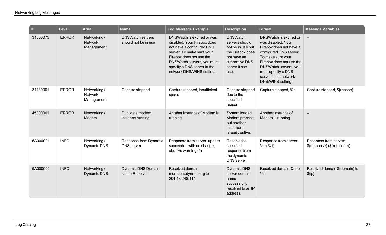| ID       | <b>Level</b> | <b>Area</b>                                  | <b>Name</b>                                     | <b>Log Message Example</b>                                                                                                                                                                                                                 | <b>Description</b>                                                                                                                    | <b>Format</b>                                                                                                                                                                                                                                    | <b>Message Variables</b>                             |
|----------|--------------|----------------------------------------------|-------------------------------------------------|--------------------------------------------------------------------------------------------------------------------------------------------------------------------------------------------------------------------------------------------|---------------------------------------------------------------------------------------------------------------------------------------|--------------------------------------------------------------------------------------------------------------------------------------------------------------------------------------------------------------------------------------------------|------------------------------------------------------|
| 31000075 | <b>ERROR</b> | Networking /<br><b>Network</b><br>Management | <b>DNSWatch servers</b><br>should not be in use | DNSWatch is expired or was<br>disabled. Your Firebox does<br>not have a configured DNS<br>server. To make sure your<br>Firebox does not use the<br>DNSWatch servers, you must<br>specify a DNS server in the<br>network DNS/WINS settings. | <b>DNSWatch</b><br>servers should<br>not be in use but<br>the Firebox does<br>not have an<br>alternative DNS<br>server it can<br>use. | DNSWatch is expired or<br>was disabled. Your<br>Firebox does not have a<br>configured DNS server.<br>To make sure your<br>Firebox does not use the<br>DNSWatch servers, you<br>must specify a DNS<br>server in the network<br>DNS/WINS settings. |                                                      |
| 31130001 | <b>ERROR</b> | Networking /<br>Network<br>Management        | Capture stopped                                 | Capture stopped, insufficient<br>space                                                                                                                                                                                                     | Capture stopped<br>due to the<br>specified<br>reason.                                                                                 | Capture stopped, %s                                                                                                                                                                                                                              | Capture stopped, \${reason}                          |
| 45000001 | <b>ERROR</b> | Networking /<br>Modem                        | Duplicate modem<br>instance running             | Another instance of Modem is<br>running                                                                                                                                                                                                    | System loaded<br>Modem process,<br>but another<br>instance is<br>already active.                                                      | Another instance of<br>Modem is running                                                                                                                                                                                                          | $\qquad \qquad -$                                    |
| 5A000001 | <b>INFO</b>  | Networking /<br>Dynamic DNS                  | Response from Dynamic<br><b>DNS</b> server      | Response from server: update<br>succeeded with no change,<br>abusive warning (1)                                                                                                                                                           | Receive the<br>specified<br>response from<br>the dynamic<br>DNS server.                                                               | Response from server:<br>%s(%d)                                                                                                                                                                                                                  | Response from server:<br>\${response} (\${ret_code}) |
| 5A000002 | <b>INFO</b>  | Networking /<br>Dynamic DNS                  | <b>Dynamic DNS Domain</b><br>Name Resolved      | Resolved domain<br>members.dyndns.org to<br>204.13.248.111                                                                                                                                                                                 | Dynamic DNS<br>server domain<br>name<br>successfully<br>resolved to an IP<br>address.                                                 | Resolved domain %s to<br>%s                                                                                                                                                                                                                      | Resolved domain \${domain} to<br>$$$ {ip}            |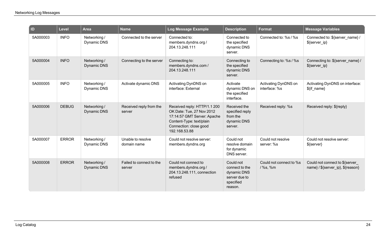| $\overline{D}$ | <b>Level</b> | <b>Area</b>                 | <b>Name</b>                        | Log Message Example                                                                                                                                             | <b>Description</b>                                                                  | <b>Format</b>                         | <b>Message Variables</b>                                          |
|----------------|--------------|-----------------------------|------------------------------------|-----------------------------------------------------------------------------------------------------------------------------------------------------------------|-------------------------------------------------------------------------------------|---------------------------------------|-------------------------------------------------------------------|
| 5A000003       | <b>INFO</b>  | Networking /<br>Dynamic DNS | Connected to the server            | Connected to:<br>members.dyndns.org /<br>204.13.248.111                                                                                                         | Connected to<br>the specified<br>dynamic DNS<br>server.                             | Connected to: %s / %s                 | Connected to: \${server_name} /<br>\${server_ip}                  |
| 5A000004       | <b>INFO</b>  | Networking /<br>Dynamic DNS | Connecting to the server           | Connecting to:<br>members.dyndns.com/<br>204.13.248.111                                                                                                         | Connecting to<br>the specified<br>dynamic DNS<br>server.                            | Connecting to: %s / %s                | Connecting to: \${server name}/<br>\${server ip}                  |
| 5A000005       | <b>INFO</b>  | Networking /<br>Dynamic DNS | Activate dynamic DNS               | Activating DynDNS on<br>interface: External                                                                                                                     | Activate<br>dynamic DNS on<br>the specified<br>interface.                           | Activating DynDNS on<br>interface: %s | Activating DynDNS on interface:<br>$$$ {if_name}                  |
| 5A000006       | <b>DEBUG</b> | Networking /<br>Dynamic DNS | Received reply from the<br>server  | Received reply: HTTP/1.1 200<br>OK Date: Tue, 27 Nov 2012<br>17:14:57 GMT Server: Apache<br>Content-Type: text/plain<br>Connection: close good<br>192.168.53.88 | Received the<br>specified reply<br>from the<br>dynamic DNS<br>server.               | Received reply: %s                    | Received reply: \${reply}                                         |
| 5A000007       | <b>ERROR</b> | Networking /<br>Dynamic DNS | Unable to resolve<br>domain name   | Could not resolve server:<br>members.dyndns.org                                                                                                                 | Could not<br>resolve domain<br>for dynamic<br>DNS server.                           | Could not resolve<br>server: %s       | Could not resolve server:<br>\${server}                           |
| 5A000008       | <b>ERROR</b> | Networking /<br>Dynamic DNS | Failed to connect to the<br>server | Could not connect to<br>members.dyndns.org /<br>204.13.248.111, connection<br>refused                                                                           | Could not<br>connect to the<br>dynamic DNS<br>server due to<br>specified<br>reason. | Could not connect to %s<br>/%s, %m    | Could not connect to \${server<br>name}/\${server_ip}, \${reason} |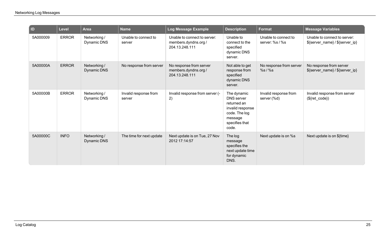| $\overline{\phantom{a}}$ ID | Level        | <b>Area</b>                        | <b>Name</b>                     | Log Message Example                                                    | <b>Description</b>                                                                                                         | <b>Format</b>                           | <b>Message Variables</b>                                        |
|-----------------------------|--------------|------------------------------------|---------------------------------|------------------------------------------------------------------------|----------------------------------------------------------------------------------------------------------------------------|-----------------------------------------|-----------------------------------------------------------------|
| 5A000009                    | <b>ERROR</b> | Networking /<br>Dynamic DNS        | Unable to connect to<br>server  | Unable to connect to server:<br>members.dyndns.org /<br>204.13.248.111 | Unable to<br>connect to the<br>specified<br>dynamic DNS<br>server.                                                         | Unable to connect to<br>server: %s / %s | Unable to connect to server:<br>\${server_name} / \${server_ip} |
| 5A00000A                    | <b>ERROR</b> | Networking /<br><b>Dynamic DNS</b> | No response from server         | No response from server<br>members.dyndns.org /<br>204.13.248.111      | Not able to get<br>response from<br>specified<br>dynamic DNS<br>server.                                                    | No response from server<br>$%s/$ %s     | No response from server<br>\${server_name} / \${server_ip}      |
| 5A00000B                    | <b>ERROR</b> | Networking /<br>Dynamic DNS        | Invalid response from<br>server | Invalid response from server (-<br>2)                                  | The dynamic<br><b>DNS</b> server<br>returned an<br>invalid response<br>code. The log<br>message<br>specifies that<br>code. | Invalid response from<br>server (%d)    | Invalid response from server<br>$($[ret_code]\)$                |
| 5A00000C                    | <b>INFO</b>  | Networking /<br><b>Dynamic DNS</b> | The time for next update        | Next update is on Tue, 27 Nov<br>2012 17:14:57                         | The log<br>message<br>specifies the<br>next update time<br>for dynamic<br>DNS.                                             | Next update is on %s                    | Next update is on \${time}                                      |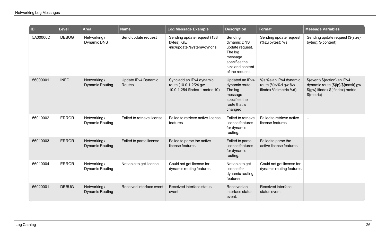| $\overline{a}$ | <b>Level</b> | <b>Area</b>                            | <b>Name</b>                   | Log Message Example                                                                  | <b>Description</b>                                                                                                      | <b>Format</b>                                                        | <b>Message Variables</b>                                                                                               |
|----------------|--------------|----------------------------------------|-------------------------------|--------------------------------------------------------------------------------------|-------------------------------------------------------------------------------------------------------------------------|----------------------------------------------------------------------|------------------------------------------------------------------------------------------------------------------------|
| 5A00000D       | <b>DEBUG</b> | Networking /<br>Dynamic DNS            | Send update request           | Sending update request (138<br>bytes): GET<br>/nic/update?system=dyndns              | Sending<br>dynamic DNS<br>update request.<br>The log<br>message<br>specifies the<br>size and content<br>of the request. | Sending update request<br>(%zu bytes): %s                            | Sending update request (\${size}<br>bytes): \${content}                                                                |
| 56000001       | <b>INFO</b>  | Networking /<br><b>Dynamic Routing</b> | Update IPv4 Dynamic<br>Routes | Sync add an IPv4 dynamic<br>route (10.0.1.2/24 gw<br>10.0.1.254 ifindex 1 metric 10) | Updated an IPv4<br>dynamic route.<br>The log<br>message<br>specifies the<br>route that is<br>changed.                   | %s %s an IPv4 dynamic<br>route (%s/%d gw %s<br>ifindex %d metric %d) | \${event} \${action} an IPv4<br>dynamic route (\${ip}/\${mask} gw<br>\${gw} ifindex \${ifindex} metric<br>$$$ {metric} |
| 56010002       | <b>ERROR</b> | Networking /<br><b>Dynamic Routing</b> | Failed to retrieve license    | Failed to retrieve active license<br>features                                        | Failed to retrieve<br>license features<br>for dynamic<br>routing.                                                       | Failed to retrieve active<br>license features                        | $\overline{\phantom{m}}$                                                                                               |
| 56010003       | <b>ERROR</b> | Networking /<br><b>Dynamic Routing</b> | Failed to parse license       | Failed to parse the active<br>license features                                       | Failed to parse<br>license features<br>for dynamic<br>routing.                                                          | Failed to parse the<br>active license features                       |                                                                                                                        |
| 56010004       | <b>ERROR</b> | Networking /<br><b>Dynamic Routing</b> | Not able to get license       | Could not get license for<br>dynamic routing features                                | Not able to get<br>license for<br>dynamic routing<br>features.                                                          | Could not get license for<br>dynamic routing features                | $\equiv$                                                                                                               |
| 56020001       | <b>DEBUG</b> | Networking /<br><b>Dynamic Routing</b> | Received interface event      | Received interface status<br>event                                                   | Received an<br>interface status<br>event.                                                                               | Received interface<br>status event                                   |                                                                                                                        |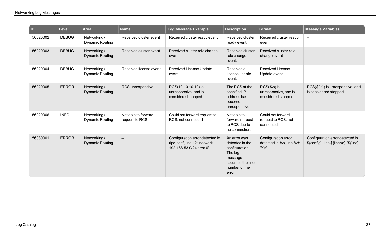| $\blacksquare$ | <b>Level</b> | <b>Area</b>                            | <b>Name</b>                           | Log Message Example                                                                        | <b>Description</b>                                                                                                       | <b>Format</b>                                               | <b>Message Variables</b>                                                   |
|----------------|--------------|----------------------------------------|---------------------------------------|--------------------------------------------------------------------------------------------|--------------------------------------------------------------------------------------------------------------------------|-------------------------------------------------------------|----------------------------------------------------------------------------|
| 56020002       | <b>DEBUG</b> | Networking /<br><b>Dynamic Routing</b> | Received cluster event                | Received cluster ready event                                                               | Received cluster<br>ready event.                                                                                         | Received cluster ready<br>event                             | $\overline{\phantom{m}}$                                                   |
| 56020003       | <b>DEBUG</b> | Networking /<br><b>Dynamic Routing</b> | Received cluster event                | Received cluster role change<br>event                                                      | <b>Received cluster</b><br>role change<br>event.                                                                         | Received cluster role<br>change event                       |                                                                            |
| 56020004       | <b>DEBUG</b> | Networking /<br><b>Dynamic Routing</b> | Received license event                | Received License Update<br>event                                                           | Received a<br>license update<br>event.                                                                                   | <b>Received License</b><br>Update event                     |                                                                            |
| 56020005       | <b>ERROR</b> | Networking /<br><b>Dynamic Routing</b> | RCS unresponsive                      | RCS(10.10.10.10) is<br>unresponsive, and is<br>considered stopped                          | The RCS at the<br>specified IP<br>address has<br>become<br>unresponsive                                                  | $RCS$ (%s) is<br>unresponsive, and is<br>considered stopped | RCS(\${ip}) is unresponsive, and<br>is considered stopped                  |
| 56020006       | <b>INFO</b>  | Networking /<br><b>Dynamic Routing</b> | Not able to forward<br>request to RCS | Could not forward request to<br>RCS, not connected                                         | Not able to<br>forward request<br>to RCS due to<br>no connection.                                                        | Could not forward<br>request to RCS, not<br>connected       | $\overline{\phantom{0}}$                                                   |
| 56030001       | <b>ERROR</b> | Networking /<br><b>Dynamic Routing</b> |                                       | Configuration error detected in<br>ripd.conf, line 12: 'network<br>192.168.53.0/24 area 0' | An error was<br>detected in the<br>configuration.<br>The log<br>message<br>specifies the line<br>number of the<br>error. | Configuration error<br>detected in %s, line %d:<br>'%s'     | Configuration error detected in<br>\${config}, line \${lineno}: '\${line}' |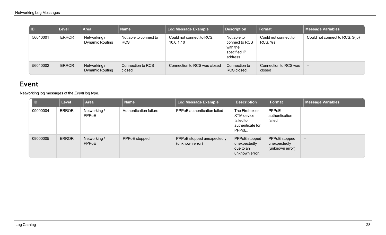| $\overline{a}$ | <b>Level</b> | <b>Area</b>                            | Name                                 | <b>Log Message Example</b>             | <b>Description</b>                                                    | <b>Format</b>                   | <b>Message Variables</b>         |
|----------------|--------------|----------------------------------------|--------------------------------------|----------------------------------------|-----------------------------------------------------------------------|---------------------------------|----------------------------------|
| 56040001       | <b>ERROR</b> | Networking /<br><b>Dynamic Routing</b> | Not able to connect to<br><b>RCS</b> | Could not connect to RCS,<br>10.0.1.10 | Not able to<br>connect to RCS<br>with the<br>specified IP<br>address. | Could not connect to<br>RCS, %s | Could not connect to RCS, \${ip} |
| 56040002       | <b>ERROR</b> | Networking /<br><b>Dynamic Routing</b> | Connection to RCS<br>closed          | Connection to RCS was closed           | Connection to<br>RCS closed.                                          | Connection to RCS was<br>closed | —                                |

## <span id="page-30-0"></span>**Event**

Networking log messages of the *Event* log type.

| D        | Level        | <b>Area</b>                  | <b>Name</b>            | <b>Log Message Example</b>                    | <b>Description</b>                                                      | Format                                           | <b>Message Variables</b> |
|----------|--------------|------------------------------|------------------------|-----------------------------------------------|-------------------------------------------------------------------------|--------------------------------------------------|--------------------------|
| 09000004 | <b>ERROR</b> | Networking /<br>PPPoE        | Authentication failure | <b>PPPoE</b> authentication failed            | The Firebox or<br>XTM device<br>failed to<br>authenticate for<br>PPPoE. | <b>PPPoE</b><br>authentication<br>failed         | $\overline{\phantom{0}}$ |
| 09000005 | <b>ERROR</b> | Networking /<br><b>PPPoE</b> | PPPoE stopped          | PPPoE stopped unexpectedly<br>(unknown error) | PPPoE stopped<br>unexpectedly<br>due to an<br>unknown error.            | PPPoE stopped<br>unexpectedly<br>(unknown error) | $\overline{\phantom{m}}$ |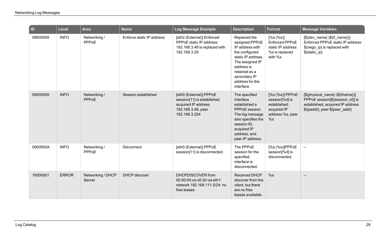| $\blacksquare$ | <b>Level</b> | <b>Area</b>                  | <b>Name</b>               | Log Message Example                                                                                                  | <b>Description</b>                                                                                                                                                                           | Format                                                                                     | <b>Message Variables</b>                                                                                                                   |
|----------------|--------------|------------------------------|---------------------------|----------------------------------------------------------------------------------------------------------------------|----------------------------------------------------------------------------------------------------------------------------------------------------------------------------------------------|--------------------------------------------------------------------------------------------|--------------------------------------------------------------------------------------------------------------------------------------------|
| 09000008       | <b>INFO</b>  | Networking /<br>PPPoE        | Enforce static IP address | [eth2 (External)] Enforced<br>PPPoE static IP address:<br>192.168.3.48 is replaced with<br>192.168.3.29              | Replaced the<br>assigned PPPoE<br>IP address with<br>the configured<br>static IP address.<br>The assigned IP<br>address is<br>retained as a<br>secondary IP<br>address for the<br>interface. | [%s (%s)]<br>Enforced PPPoE<br>static IP address:<br>%s is replaced<br>with %s             | $[$(dev_name) ($(if_name))]$<br>Enforced PPPoE static IP address:<br>\${nego_ip} is replaced with<br>\${static_ip}                         |
| 09000009       | <b>INFO</b>  | Networking /<br><b>PPPoE</b> | Session established       | [eth0 (External)] PPPoE<br>session[11] is established,<br>acquired IP address<br>192.168.3.48, peer<br>192.168.3.254 | The specified<br>interface<br>established a<br>PPPoE session.<br>The log message<br>also specifies the<br>session ID,<br>acquired IP<br>address, and<br>peer IP address.                     | [%s (%s)] PPPoE<br>session[%d] is<br>established,<br>acquired IP<br>address %s, peer<br>%s | [\${physical_name} (\${ifname})]<br>PPPoE session[\${session_id}] is<br>established, acquired IP address<br>\${ipaddr}, peer \${peer_addr} |
| 0900000A       | <b>INFO</b>  | Networking /<br>PPPoE        | <b>Disconnect</b>         | [eth0 (External)] PPPoE<br>session[11] is disconnected.                                                              | The PPPoE<br>session for the<br>specified<br>interface is<br>disconnected.                                                                                                                   | $[%s (%s)]$ PPPoE<br>session[%d] is<br>disconnected.                                       | $\equiv$                                                                                                                                   |
| 16000001       | <b>ERROR</b> | Networking / DHCP<br>Server  | <b>DHCP</b> discover      | <b>DHCPDISCOVER</b> from<br>00:50:04:ce:c6:3d via eth1:<br>network 192.168.111.0/24: no<br>free leases               | <b>Received DHCP</b><br>discover from the<br>client, but there<br>are no free<br>leases available.                                                                                           | %s                                                                                         |                                                                                                                                            |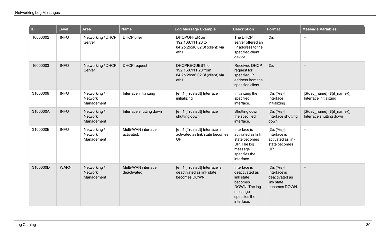| ID       | Level       | <b>Area</b>                                  | <b>Name</b>                        | <b>Log Message Example</b>                                                       | <b>Description</b>                                                                                                 | Format                                                                     | <b>Message Variables</b>                                |
|----------|-------------|----------------------------------------------|------------------------------------|----------------------------------------------------------------------------------|--------------------------------------------------------------------------------------------------------------------|----------------------------------------------------------------------------|---------------------------------------------------------|
| 16000002 | <b>INFO</b> | Networking / DHCP<br>Server                  | DHCP offer                         | DHCPOFFER on<br>192.168.111.20 to<br>84:2b:2b:a6:02:3f (client) via<br>eth1      | The DHCP<br>server offered an<br>IP address to the<br>specified client<br>device.                                  | %s                                                                         | $\equiv$                                                |
| 16000003 | <b>INFO</b> | Networking / DHCP<br>Server                  | <b>DHCP</b> request                | DHCPREQUEST for<br>192.168.111.20 from<br>84:2b:2b:a6:02:3f (client) via<br>eth1 | <b>Received DHCP</b><br>request for<br>specified IP<br>address from the<br>specified client.                       | %s                                                                         |                                                         |
| 31000009 | <b>INFO</b> | Networking /<br><b>Network</b><br>Management | Interface initializing             | [eth1 (Trusted)] Interface<br>initializing                                       | Initializing the<br>specified<br>interface.                                                                        | [%s (%s)]<br>Interface<br>initializing                                     | $[$(dev_name) ($(if_name))]$<br>Interface initializing  |
| 3100000A | <b>INFO</b> | Networking /<br><b>Network</b><br>Management | Interface shutting down            | [eth1 (Trusted)] Interface<br>shutting down                                      | Shutting down<br>the specified<br>interface.                                                                       | [%s (%s)]<br>Interface shutting<br>down                                    | $[$(dev_name) ($(if_name))]$<br>Interface shutting down |
| 3100000B | <b>INFO</b> | Networking /<br><b>Network</b><br>Management | Multi-WAN interface<br>activated.  | [eth1 (Trusted)] Interface is<br>activated as link state becomes<br>UP.          | Interface is<br>activated as link<br>state becomes<br>UP. The log<br>message<br>specifies the<br>interface.        | [%s (%s)]<br>Interface is<br>activated as link<br>state becomes<br>UP.     | $\overline{\phantom{m}}$                                |
| 3100000D | <b>WARN</b> | Networking /<br>Network<br>Management        | Multi-WAN interface<br>deactivated | [eth1 (Trusted)] Interface is<br>deactivated as link state<br>becomes DOWN.      | Interface is<br>deactivated as<br>link state<br>becomes<br>DOWN. The log<br>message<br>specifies the<br>interface. | [%s (%s)]<br>Interface is<br>deactivated as<br>link state<br>becomes DOWN. |                                                         |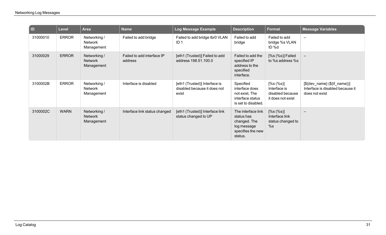| D        | <b>Level</b> | <b>Area</b>                                  | <b>Name</b>                           | <b>Log Message Example</b>                                             | <b>Description</b>                                                                              | <b>Format</b>                                                      | <b>Message Variables</b>                                                              |
|----------|--------------|----------------------------------------------|---------------------------------------|------------------------------------------------------------------------|-------------------------------------------------------------------------------------------------|--------------------------------------------------------------------|---------------------------------------------------------------------------------------|
| 31000010 | <b>ERROR</b> | Networking /<br>Network<br>Management        | Failed to add bridge                  | Failed to add bridge tbr0 VLAN<br>ID 1                                 | Failed to add<br>bridge                                                                         | Failed to add<br>bridge %s VLAN<br>ID %d                           | $\overline{\phantom{a}}$                                                              |
| 31000029 | <b>ERROR</b> | Networking /<br><b>Network</b><br>Management | Failed to add interface IP<br>address | [eth1 (Trusted)] Failed to add<br>address 198.51.100.0                 | Failed to add the<br>specified IP<br>address to the<br>specified<br>interface.                  | [%s (%s)] Failed<br>to %s address %s                               | $\qquad \qquad -$                                                                     |
| 3100002B | <b>ERROR</b> | Networking /<br>Network<br>Management        | Interface is disabled                 | [eth1 (Trusted)] Interface is<br>disabled because it does not<br>exist | Specified<br>interface does<br>not exist, The<br>interface status<br>is set to disabled.        | [%s (%s)]<br>Interface is<br>disabled because<br>it does not exist | $[\$(dev_name) \ (\$(if_name)]$<br>Interface is disabled because it<br>does not exist |
| 3100002C | <b>WARN</b>  | Networking /<br>Network<br>Management        | Interface link status changed         | [eth1 (Trusted)] Interface link<br>status changed to UP                | The interface link<br>status has<br>changed. The<br>log message<br>specifies the new<br>status. | $[%s ($\%s$)]$<br>Interface link<br>status changed to<br>%s        | $\overline{\phantom{m}}$                                                              |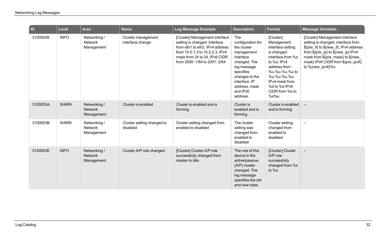| $\overline{a}$ | <b>Level</b> | <b>Area</b>                                  | <b>Name</b>                            | Log Message Example                                                                                                                                                                                     | <b>Description</b>                                                                                                                                                                         | <b>Format</b>                                                                                                                                                                                                  | <b>Message Variables</b>                                                                                                                                                                                                                           |
|----------------|--------------|----------------------------------------------|----------------------------------------|---------------------------------------------------------------------------------------------------------------------------------------------------------------------------------------------------------|--------------------------------------------------------------------------------------------------------------------------------------------------------------------------------------------|----------------------------------------------------------------------------------------------------------------------------------------------------------------------------------------------------------------|----------------------------------------------------------------------------------------------------------------------------------------------------------------------------------------------------------------------------------------------------|
| 31000039       | <b>INFO</b>  | Networking /<br><b>Network</b><br>Management | Cluster management<br>interface change | [Cluster] Management interface<br>setting is changed: interface<br>from eth1 to eth2, IPv4 address<br>from 10.0.1.3 to 10.0.2.3, IPv4<br>mask from 24 to 24, IPv6 CIDR<br>from 2000::1/64 to 2001::2/64 | The<br>configuration for<br>the cluster<br>management<br>interface<br>changed. The<br>log message<br>specifies<br>changes to the<br>interface, IP<br>address, mask<br>and IPv6<br>address. | [Cluster]<br>Management<br>interface setting<br>is changed:<br>interface from %s<br>to %s, IPv4<br>address from<br>%u.%u.%u.%u to<br>%u.%u.%u.%u<br>IPv4 mask from<br>%d to %d IPv6<br>CIDR from %s to<br>%s%s | [Cluster] Management interface<br>setting is changed: interface from<br>\${pre_if} to \${new_if}, IPv4 address<br>from \${pre_ip} to \${new_ip} IPv4<br>mask from \${pre_mask} to \${new_<br>mask} IPv6 CIDR from \${pre_ipv6}<br>to %{new ipv6}%s |
| 3100003A       | <b>WARN</b>  | Networking /<br><b>Network</b><br>Management | Cluster is enabled                     | Cluster is enabled and is<br>forming                                                                                                                                                                    | Cluster is<br>enabled and is<br>forming.                                                                                                                                                   | Cluster is enabled<br>and is forming                                                                                                                                                                           | $\overline{\phantom{m}}$                                                                                                                                                                                                                           |
| 3100003B       | <b>WARN</b>  | Networking /<br><b>Network</b><br>Management | Cluster setting changed to<br>disabled | Cluster setting changed from<br>enabled to disabled                                                                                                                                                     | The cluster<br>setting was<br>changed from<br>enabled to<br>disabled.                                                                                                                      | <b>Cluster setting</b><br>changed from<br>enabled to<br>disabled                                                                                                                                               | $\qquad \qquad -$                                                                                                                                                                                                                                  |
| 3100003E       | <b>INFO</b>  | Networking /<br><b>Network</b><br>Management | Cluster A/P role changed               | [Cluster] Cluster A/P role<br>successfully changed from<br>master to idle.                                                                                                                              | The role of this<br>device in the<br>active/passive<br>(A/P) cluster<br>changed. The<br>log message<br>specifies the old<br>and new roles.                                                 | [Cluster] Cluster<br>A/P role<br>successfully<br>changed from %s<br>to %s.                                                                                                                                     | $\overline{\phantom{m}}$                                                                                                                                                                                                                           |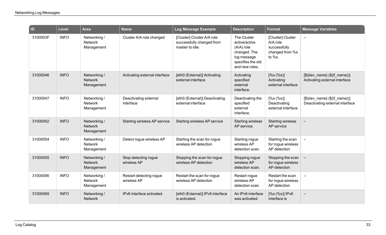| $\blacksquare$ | Level       | <b>Area</b>                                  | <b>Name</b>                            | Log Message Example                                                        | <b>Description</b>                                                                                                 | <b>Format</b>                                                              | <b>Message Variables</b>                                                |
|----------------|-------------|----------------------------------------------|----------------------------------------|----------------------------------------------------------------------------|--------------------------------------------------------------------------------------------------------------------|----------------------------------------------------------------------------|-------------------------------------------------------------------------|
| 3100003F       | <b>INFO</b> | Networking /<br>Network<br>Management        | Cluster A/A role changed               | [Cluster] Cluster A/A role<br>successfully changed from<br>master to idle. | The Cluster<br>active/active<br>$(A/A)$ role<br>changed. The<br>log message<br>specifies the old<br>and new roles. | [Cluster] Cluster<br>A/A role<br>successfully<br>changed from %s<br>to %s. | $\overline{\phantom{a}}$                                                |
| 31000046       | <b>INFO</b> | Networking /<br><b>Network</b><br>Management | Activating external interface          | [eth0 (External)] Activating<br>external interface                         | Activating<br>specified<br>external<br>interface.                                                                  | [%s (%s)]<br>Activating<br>external interface                              | $[\$(\&\{dev_name\} \ (\$(if_name\})]$<br>Activating external interface |
| 31000047       | <b>INFO</b> | Networking /<br>Network<br>Management        | Deactivating external<br>interface     | [eth0 (External)] Deactivating<br>external interface                       | Deactivating the<br>specified<br>external<br>interface.                                                            | [%s (%s)]<br>Deactivating<br>external interface                            | $[$(dev_name) ($(if_name))]$<br>Deactivating external interface         |
| 31000052       | <b>INFO</b> | Networking /<br>Network<br>Management        | Starting wireless AP service           | Starting wireless AP service                                               | <b>Starting wireless</b><br>AP service.                                                                            | <b>Starting wireless</b><br>AP service                                     | $-$                                                                     |
| 31000054       | <b>INFO</b> | Networking /<br><b>Network</b><br>Management | Detect rogue wireless AP               | Starting the scan for rogue<br>wireless AP detection                       | Starting rogue<br>wireless AP<br>detection scan.                                                                   | Starting the scan<br>for rogue wireless<br>AP detection                    | $\equiv$                                                                |
| 31000055       | <b>INFO</b> | Networking /<br><b>Network</b><br>Management | Stop detecting rogue<br>wireless AP    | Stopping the scan for rogue<br>wireless AP detection                       | Stopping rogue<br>wireless AP<br>detection scan.                                                                   | Stopping the scan<br>for rogue wireless<br>AP detection                    |                                                                         |
| 31000056       | <b>INFO</b> | Networking /<br><b>Network</b><br>Management | Restart detecting rogue<br>wireless AP | Restart the scan for rogue<br>wireless AP detection                        | Restart rogue<br>wireless AP<br>detection scan.                                                                    | Restart the scan<br>for rogue wireless<br>AP detection                     | $\overline{\phantom{m}}$                                                |
| 31000069       | <b>INFO</b> | Networking /<br><b>Network</b>               | IPv6 interface activated.              | [eth0 (External)] IPv6 interface<br>is activated.                          | An IPv6 interface<br>was activated.                                                                                | [%s (%s)] IPv6<br>interface is                                             | $\overline{\phantom{m}}$                                                |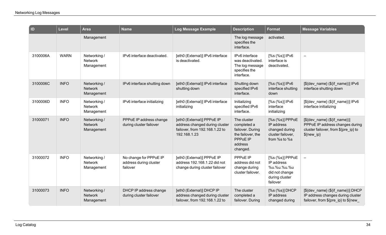| ID       | <b>Level</b> | <b>Area</b>                                  | <b>Name</b>                                                  | Log Message Example                                                                                            | <b>Description</b>                                                                                     | Format                                                                                       | <b>Message Variables</b>                                                                                               |
|----------|--------------|----------------------------------------------|--------------------------------------------------------------|----------------------------------------------------------------------------------------------------------------|--------------------------------------------------------------------------------------------------------|----------------------------------------------------------------------------------------------|------------------------------------------------------------------------------------------------------------------------|
|          |              | Management                                   |                                                              |                                                                                                                | The log message<br>specifies the<br>interface.                                                         | activated.                                                                                   |                                                                                                                        |
| 3100006A | <b>WARN</b>  | Networking /<br><b>Network</b><br>Management | IPv6 interface deactivated.                                  | [eth0 (External)] IPv6 interface<br>is deactivated.                                                            | IPv6 interface<br>was deactivated.<br>The log message<br>specifies the<br>interface.                   | [%s (%s)] IPv6<br>interface is<br>deactivated.                                               | $\equiv$                                                                                                               |
| 3100006C | <b>INFO</b>  | Networking /<br><b>Network</b><br>Management | IPv6 interface shutting down                                 | [eth0 (External)] IPv6 interface<br>shutting down                                                              | Shutting down<br>specified IPv6<br>interface.                                                          | [%s (%s)] IPv6<br>interface shutting<br>down                                                 | [\${dev_name} (\${if_name})] IPv6<br>interface shutting down                                                           |
| 3100006D | <b>INFO</b>  | Networking /<br><b>Network</b><br>Management | IPv6 interface initializing                                  | [eth0 (External)] IPv6 interface<br>initializing                                                               | Initializing<br>specified IPv6<br>interface.                                                           | [%s (%s)] IPv6<br>interface<br>initializing                                                  | [\${dev_name} (\${if_name})] IPv6<br>interface initializing                                                            |
| 31000071 | <b>INFO</b>  | Networking /<br><b>Network</b><br>Management | PPPoE IP address change<br>during cluster failover           | [eth0 (External)] PPPoE IP<br>address changed during cluster<br>failover, from 192.168.1.22 to<br>192.168.1.23 | The cluster<br>completed a<br>failover. During<br>the failover, the<br>PPPoE IP<br>address<br>changed. | [%s (%s)] PPPoE<br>IP address<br>changed during<br>cluster failover,<br>from %s to %s        | $[$(dev_name) ($(if name))]$<br>PPPoE IP address changes during<br>cluster failover, from \${pre_ip} to<br>$\{new$ ip} |
| 31000072 | <b>INFO</b>  | Networking /<br><b>Network</b><br>Management | No change for PPPoE IP<br>address during cluster<br>failover | [eth0 (External)] PPPoE IP<br>address 192.168.1.22 did not<br>change during cluster failover                   | PPPoE IP<br>address did not<br>change during<br>cluster failover.                                      | [%s (%s)] PPPoE<br>IP address<br>%u.%u.%u.%u<br>did not change<br>during cluster<br>failover | $\overline{\phantom{a}}$                                                                                               |
| 31000073 | <b>INFO</b>  | Networking /<br><b>Network</b><br>Management | DHCP IP address change<br>during cluster failover            | [eth0 (External)] DHCP IP<br>address changed during cluster<br>failover, from 192.168.1.22 to                  | The cluster<br>completed a<br>failover. During                                                         | $[%s (%s)]$ DHCP<br>IP address<br>changed during                                             | [\${dev_name} (\${if_name})] DHCP<br>IP address changes during cluster<br>failover, from $\S$ {pre ip} to $\S$ {new    |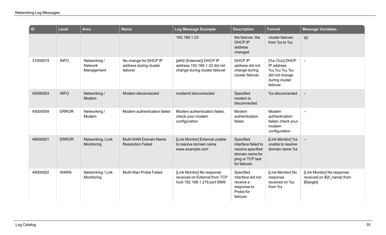| ID       | Level        | <b>Area</b>                                  | <b>Name</b>                                                 | <b>Log Message Example</b>                                                                  | <b>Description</b>                                                                                            | <b>Format</b>                                                                               | <b>Message Variables</b>                                                 |
|----------|--------------|----------------------------------------------|-------------------------------------------------------------|---------------------------------------------------------------------------------------------|---------------------------------------------------------------------------------------------------------------|---------------------------------------------------------------------------------------------|--------------------------------------------------------------------------|
|          |              |                                              |                                                             | 192.168.1.23                                                                                | the failover, the<br>DHCP IP<br>address<br>changed.                                                           | cluster failover,<br>from %s to %s                                                          | ip}                                                                      |
| 31000074 | <b>INFO</b>  | Networking /<br><b>Network</b><br>Management | No change for DHCP IP<br>address during cluster<br>failover | [eth0 (External)] DHCP IP<br>address 192.168.1.22 did not<br>change during cluster failover | DHCP IP<br>address did not<br>change during<br>cluster failover.                                              | [%s (%s)] DHCP<br>IP address<br>%u.%u.%u.%u<br>did not change<br>during cluster<br>failover | $\overline{\phantom{m}}$                                                 |
| 45000003 | <b>INFO</b>  | Networking /<br>Modem                        | Modem disconnected                                          | modem0 disconnected                                                                         | Specified<br>modem is<br>disconnected.                                                                        | %s disconnected                                                                             | $\overline{\phantom{m}}$                                                 |
| 45000004 | <b>ERROR</b> | Networking /<br>Modem                        | Modem authentication failed                                 | Modem authentication failed,<br>check your modem<br>configuration                           | Modem<br>authentication<br>failed.                                                                            | Modem<br>authentication<br>failed, check your<br>modem<br>configuration                     | $\equiv$                                                                 |
| 49000001 | <b>ERROR</b> | Networking / Link<br>Monitoring              | Multi-WAN Domain Name<br><b>Resolution Failed</b>           | [Link Monitor] External unable<br>to resolve domain name<br>www.example.com                 | Specified<br>interface failed to<br>resolve specified<br>domain name for<br>ping or TCP test<br>for failover. | [Link Monitor] %s<br>unable to resolve<br>domain name %s                                    | $\overline{\phantom{m}}$                                                 |
| 49000002 | <b>WARN</b>  | Networking / Link<br>Monitoring              | Multi-Wan Probe Failed                                      | [Link Monitor] No response<br>received on External from TCP<br>host 192.168.1.218 port 9999 | Specified<br>interface did not<br>receive a<br>response to<br>Probe for<br>failover.                          | [Link Monitor] No<br>response<br>received on %s<br>from %s                                  | [Link Monitor] No response<br>received on \${if_name} from<br>\${target} |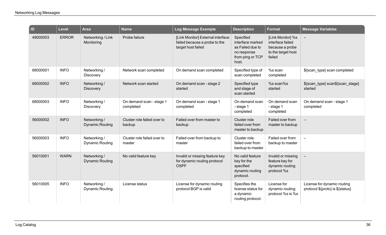| <b>ID</b> | <b>Level</b> | <b>Area</b>                            | <b>Name</b>                           | Log Message Example                                                                      | <b>Description</b>                                                                            | <b>Format</b>                                                                            | <b>Message Variables</b>                                        |
|-----------|--------------|----------------------------------------|---------------------------------------|------------------------------------------------------------------------------------------|-----------------------------------------------------------------------------------------------|------------------------------------------------------------------------------------------|-----------------------------------------------------------------|
| 49000003  | <b>ERROR</b> | Networking / Link<br>Monitoring        | Probe failure                         | [Link Monitor] External interface<br>failed because a probe to the<br>target host failed | Specified<br>interface marked<br>as Failed due to<br>no response<br>from ping or TCP<br>host. | [Link Monitor] %s<br>interface failed<br>because a probe<br>to the target host<br>failed | $\equiv$                                                        |
| 68000001  | <b>INFO</b>  | Networking /<br>Discovery              | Network scan completed                | On demand scan completed                                                                 | Specified type of<br>scan completed                                                           | %s scan<br>completed                                                                     | \${scan_type} scan completed                                    |
| 68000002  | <b>INFO</b>  | Networking /<br>Discovery              | Network scan started                  | On demand scan - stage 2<br>started                                                      | Specified type<br>and stage of<br>scan started                                                | %s scan%s<br>started                                                                     | \${scan_type} scan\${scan_stage}<br>started                     |
| 68000003  | <b>INFO</b>  | Networking /<br>Discovery              | On demand scan - stage 1<br>completed | On demand scan - stage 1<br>completed                                                    | On demand scan<br>- stage 1<br>completed                                                      | On demand scan<br>- stage 1<br>completed                                                 | On demand scan - stage 1<br>completed                           |
| 56000002  | <b>INFO</b>  | Networking /<br><b>Dynamic Routing</b> | Cluster role failed over to<br>backup | Failed over from master to<br>backup                                                     | Cluster role<br>failed over from<br>master to backup                                          | Failed over from<br>master to backup                                                     | $\qquad \qquad -$                                               |
| 56000003  | <b>INFO</b>  | Networking /<br><b>Dynamic Routing</b> | Cluster role failed over to<br>master | Failed over from backup to<br>master                                                     | Cluster role<br>failed over from<br>backup to master                                          | Failed over from<br>backup to master                                                     | $\overline{\phantom{m}}$                                        |
| 56010001  | <b>WARN</b>  | Networking /<br><b>Dynamic Routing</b> | No valid feature key                  | Invalid or missing feature key<br>for dynamic routing protocol<br><b>OSPF</b>            | No valid feature<br>key for the<br>specified<br>dynamic routing<br>protocol.                  | Invalid or missing<br>feature key for<br>dynamic routing<br>protocol %s                  | $\overline{\phantom{0}}$                                        |
| 56010005  | <b>INFO</b>  | Networking /<br><b>Dynamic Routing</b> | License status                        | License for dynamic routing<br>protocol BGP is valid                                     | Specifies the<br>license status for<br>a dynamic<br>routing protocol.                         | License for<br>dynamic routing<br>protocol %s is %s                                      | License for dynamic routing<br>protocol \${proto} is \${status} |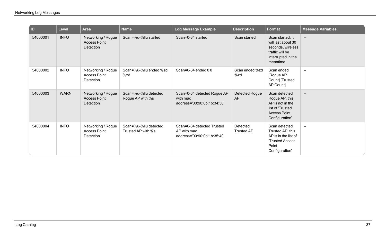| $\overline{a}$ | <b>Level</b> | <b>Area</b>                                            | <b>Name</b>                                 | Log Message Example                                                      | <b>Description</b>            | Format                                                                                                           | <b>Message Variables</b> |
|----------------|--------------|--------------------------------------------------------|---------------------------------------------|--------------------------------------------------------------------------|-------------------------------|------------------------------------------------------------------------------------------------------------------|--------------------------|
| 54000001       | <b>INFO</b>  | Networking / Rogue<br><b>Access Point</b><br>Detection | Scan=%u-%llu started                        | Scan=0-34 started                                                        | Scan started                  | Scan started, it<br>will last about 30<br>seconds, wireless<br>traffic will be<br>interrupted in the<br>meantime | $\overline{\phantom{m}}$ |
| 54000002       | <b>INFO</b>  | Networking / Rogue<br><b>Access Point</b><br>Detection | Scan=%u-%llu ended %zd<br>%zd               | Scan=0-34 ended $00$                                                     | Scan ended %zd<br>%zd         | Scan ended<br>[Rogue AP<br>Count] [Trusted<br>AP Count]                                                          | $\equiv$                 |
| 54000003       | <b>WARN</b>  | Networking / Rogue<br><b>Access Point</b><br>Detection | Scan=%u-%llu detected<br>Rogue AP with %s   | Scan=0-34 detected Rogue AP<br>with mac<br>address='00:90:0b:1b:34:30'   | Detected Rogue<br>AP          | Scan detected<br>Rogue AP, this<br>AP is not in the<br>list of 'Trusted<br><b>Access Point</b><br>Configuration' | $\overline{\phantom{0}}$ |
| 54000004       | <b>INFO</b>  | Networking / Rogue<br><b>Access Point</b><br>Detection | Scan=%u-%llu detected<br>Trusted AP with %s | Scan=0-34 detected Trusted<br>AP with mac<br>address='00:90:0b:1b:35:40' | Detected<br><b>Trusted AP</b> | Scan detected<br>Trusted AP, this<br>AP is in the list of<br><b>Trusted Access</b><br>Point<br>Configuration'    | $\equiv$                 |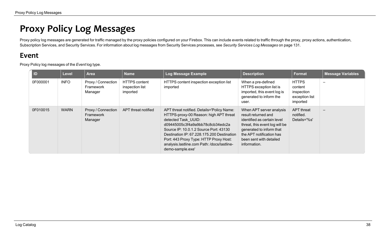## **Proxy Policy Log Messages**

Proxy policy log messages are generated for traffic managed by the proxy policies configured on your Firebox. This can include events related to traffic through the proxy, proxy actions, authentication, Subscription Services, and Security Services. For information about log messages from Security Services processes, see *Security Services Log [Messages](#page-133-0)* on page 131.

## **Event**

Proxy Policy log messages of the *Event* log type.

| $\blacksquare$ | Level       | <b>Area</b>                                | <b>Name</b>                                         | Log Message Example                                                                                                                                                                                                                                                                                                                                  | <b>Description</b>                                                                                                                                                                                                  | Format                                                              | <b>Message Variables</b> |
|----------------|-------------|--------------------------------------------|-----------------------------------------------------|------------------------------------------------------------------------------------------------------------------------------------------------------------------------------------------------------------------------------------------------------------------------------------------------------------------------------------------------------|---------------------------------------------------------------------------------------------------------------------------------------------------------------------------------------------------------------------|---------------------------------------------------------------------|--------------------------|
| 0F000001       | <b>INFO</b> | Proxy / Connection<br>Framework<br>Manager | <b>HTTPS content</b><br>inspection list<br>imported | HTTPS content inspection exception list<br>imported                                                                                                                                                                                                                                                                                                  | When a pre-defined<br>HTTPS exception list is<br>imported, this event log is<br>generated to inform the<br>user.                                                                                                    | <b>HTTPS</b><br>content<br>inspection<br>exception list<br>imported |                          |
| 0F010015       | <b>WARN</b> | Proxy / Connection<br>Framework<br>Manager | APT threat notified                                 | APT threat notified. Details='Policy Name:<br>HTTPS-proxy-00 Reason: high APT threat<br>detected Task UUID:<br>d09445005c3f4a9a9bb78c8cb34edc2a<br>Source IP: 10.0.1.2 Source Port: 43130<br>Destination IP: 67.228.175.200 Destination<br>Port: 443 Proxy Type: HTTP Proxy Host:<br>analysis.lastline.com Path: /docs/lastline-<br>demo-sample.exe' | When APT server analysis<br>result returned and<br>identified as certain level<br>threat, this event log will be<br>generated to inform that<br>the APT notification has<br>been sent with detailed<br>information. | APT threat<br>notified.<br>Details='%s'                             | $\overline{\phantom{0}}$ |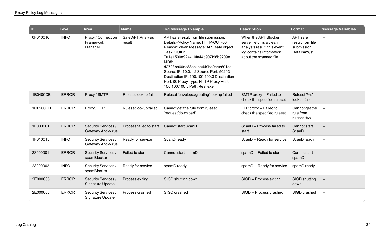| ID       | <b>Level</b> | <b>Area</b>                                    | <b>Name</b>                 | <b>Log Message Example</b>                                                                                                                                                                                                                                                                                                                                                           | <b>Description</b>                                                                                                                   | <b>Format</b>                                               | <b>Message Variables</b> |
|----------|--------------|------------------------------------------------|-----------------------------|--------------------------------------------------------------------------------------------------------------------------------------------------------------------------------------------------------------------------------------------------------------------------------------------------------------------------------------------------------------------------------------|--------------------------------------------------------------------------------------------------------------------------------------|-------------------------------------------------------------|--------------------------|
| 0F010016 | <b>INFO</b>  | Proxy / Connection<br>Framework<br>Manager     | Safe APT Analysis<br>result | APT safe result from file submission.<br>Details='Policy Name: HTTP-OUT-00<br>Reason: clean Message: APT safe object<br>Task UUID:<br>7a1e1500e92a410fa44d907f96b9209e<br>MD5:<br>d2723ba60dc88ec1ea449be9eee601cc<br>Source IP: 10.0.1.2 Source Port: 50293<br>Destination IP: 100.100.100.3 Destination<br>Port: 80 Proxy Type: HTTP Proxy Host:<br>100.100.100.3 Path: /test.exe' | When the APT Blocker<br>server returns a clean<br>analysis result, this event<br>log contains information<br>about the scanned file. | APT safe<br>result from file<br>submission.<br>Details='%s' | $\overline{\phantom{m}}$ |
| 1B0400CE | <b>ERROR</b> | Proxy / SMTP                                   | Ruleset lookup failed       | Ruleset 'envelope/greeting' lookup failed                                                                                                                                                                                                                                                                                                                                            | SMTP proxy -- Failed to<br>check the specified ruleset                                                                               | Ruleset '%s'<br>lookup failed                               | $\overline{\phantom{m}}$ |
| 1C0200CD | <b>ERROR</b> | Proxy / FTP                                    | Ruleset lookup failed       | Cannot get the rule from ruleset<br>'request/download'                                                                                                                                                                                                                                                                                                                               | FTP proxy -- Failed to<br>check the specified ruleset                                                                                | Cannot get the<br>rule from<br>ruleset '%s'                 | $\overline{\phantom{a}}$ |
| 1F000001 | <b>ERROR</b> | Security Services /<br>Gateway Anti-Virus      | Process failed to start     | Cannot start ScanD                                                                                                                                                                                                                                                                                                                                                                   | ScanD -- Process failed to<br>start                                                                                                  | Cannot start<br>ScanD                                       | $\overline{\phantom{m}}$ |
| 1F010015 | <b>INFO</b>  | Security Services /<br>Gateway Anti-Virus      | Ready for service           | ScanD ready                                                                                                                                                                                                                                                                                                                                                                          | ScanD -- Ready for service                                                                                                           | ScanD ready                                                 | $\overline{\phantom{m}}$ |
| 23000001 | <b>ERROR</b> | Security Services /<br>spamBlocker             | Failed to start             | Cannot start spamD                                                                                                                                                                                                                                                                                                                                                                   | spamD -- Failed to start                                                                                                             | Cannot start<br>spamD                                       | $\overline{\phantom{m}}$ |
| 23000002 | <b>INFO</b>  | Security Services /<br>spamBlocker             | Ready for service           | spamD ready                                                                                                                                                                                                                                                                                                                                                                          | spamD -- Ready for service                                                                                                           | spamD ready                                                 | $\overline{\phantom{m}}$ |
| 2E000005 | <b>ERROR</b> | <b>Security Services /</b><br>Signature Update | Process exiting             | SIGD shutting down                                                                                                                                                                                                                                                                                                                                                                   | SIGD -- Process exiting                                                                                                              | SIGD shutting<br>down                                       | $\overline{\phantom{m}}$ |
| 2E000006 | <b>ERROR</b> | Security Services /<br>Signature Update        | Process crashed             | SIGD crashed                                                                                                                                                                                                                                                                                                                                                                         | SIGD -- Process crashed                                                                                                              | SIGD crashed                                                | $\overline{\phantom{m}}$ |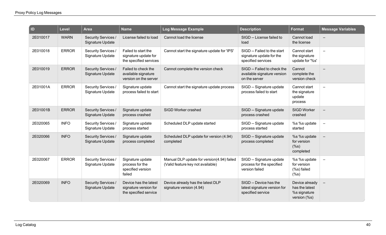| ID       | <b>Level</b> | <b>Area</b>                                    | <b>Name</b>                                                             | Log Message Example                                                             | <b>Description</b>                                                            | <b>Format</b>                                                    | <b>Message Variables</b> |
|----------|--------------|------------------------------------------------|-------------------------------------------------------------------------|---------------------------------------------------------------------------------|-------------------------------------------------------------------------------|------------------------------------------------------------------|--------------------------|
| 2E010017 | <b>WARN</b>  | Security Services /<br>Signature Update        | License failed to load                                                  | Cannot load the license                                                         | SIGD -- License failed to<br>load                                             | Cannot load<br>the license                                       | $\overline{\phantom{m}}$ |
| 2E010018 | <b>ERROR</b> | Security Services /<br>Signature Update        | Failed to start the<br>signature update for<br>the specified services   | Cannot start the signature update for 'IPS'                                     | SIGD -- Failed to the start<br>signature update for the<br>specified services | Cannot start<br>the signature<br>update for '%s'                 | $\equiv$                 |
| 2E010019 | <b>ERROR</b> | Security Services /<br>Signature Update        | Failed to check the<br>available signature<br>version on the server     | Cannot complete the version check                                               | SIGD -- Failed to check the<br>available signature version<br>on the server   | Cannot<br>complete the<br>version check                          | $\overline{\phantom{m}}$ |
| 2E01001A | <b>ERROR</b> | Security Services /<br>Signature Update        | Signature update<br>process failed to start                             | Cannot start the signature update process                                       | SIGD -- Signature update<br>process failed to start                           | Cannot start<br>the signature<br>update<br>process               | $\overline{\phantom{m}}$ |
| 2E01001B | <b>ERROR</b> | Security Services /<br>Signature Update        | Signature update<br>process crashed                                     | SIGD Worker crashed                                                             | SIGD -- Signature update<br>process crashed                                   | <b>SIGD Worker</b><br>crashed                                    | $\overline{\phantom{m}}$ |
| 2E020065 | <b>INFO</b>  | Security Services /<br>Signature Update        | Signature update<br>process started                                     | Scheduled DLP update started                                                    | SIGD -- Signature update<br>process started                                   | %s %s update<br>started                                          | $\overline{\phantom{m}}$ |
| 2E020066 | <b>INFO</b>  | <b>Security Services /</b><br>Signature Update | Signature update<br>process completed                                   | Scheduled DLP update for version (4.94)<br>completed                            | SIGD -- Signature update<br>process completed                                 | %s %s update<br>for version<br>$(\%s)$<br>completed              | $\overline{\phantom{m}}$ |
| 2E020067 | <b>ERROR</b> | Security Services /<br>Signature Update        | Signature update<br>process for the<br>specified version<br>failed      | Manual DLP update for version(4.94) failed<br>(Valid feature key not available) | SIGD -- Signature update<br>process for the specified<br>version failed       | %s %s update<br>for version<br>(%s) failed<br>$(\%s)$            | $\overline{\phantom{a}}$ |
| 2E020069 | <b>INFO</b>  | Security Services /<br>Signature Update        | Device has the latest<br>signature version for<br>the specified service | Device already has the latest DLP<br>signature version (4.94)                   | SIGD -- Device has the<br>latest signature version for<br>specified service   | Device already<br>has the latest<br>%s signature<br>version (%s) | $\overline{\phantom{m}}$ |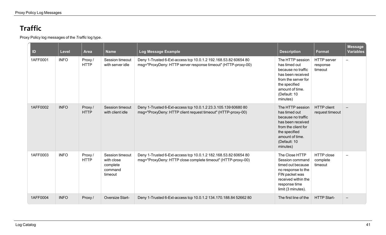## **Traffic**

Proxy Policy log messages of the *Traffic* log type.

| D        | Level       | <b>Area</b>           | <b>Name</b>                                                     | Log Message Example                                                                                                              | <b>Description</b>                                                                                                                                                  | Format                                    | <b>Message</b><br><b>Variables</b> |
|----------|-------------|-----------------------|-----------------------------------------------------------------|----------------------------------------------------------------------------------------------------------------------------------|---------------------------------------------------------------------------------------------------------------------------------------------------------------------|-------------------------------------------|------------------------------------|
| 1AFF0001 | <b>INFO</b> | Proxy/<br><b>HTTP</b> | Session timeout<br>with server idle                             | Deny 1-Trusted 6-Ext-access tcp 10.0.1.2 192.168.53.82 60654 80<br>msg="ProxyDeny: HTTP server response timeout" (HTTP-proxy-00) | The HTTP session<br>has timed out<br>because no traffic<br>has been received<br>from the server for<br>the specified<br>amount of time.<br>(Default: 10<br>minutes) | <b>HTTP</b> server<br>response<br>timeout | $\qquad \qquad -$                  |
| 1AFF0002 | <b>INFO</b> | Proxy/<br><b>HTTP</b> | Session timeout<br>with client idle                             | Deny 1-Trusted 6-Ext-access tcp 10.0.1.2 23.3.105.139 60680 80<br>msg="ProxyDeny: HTTP client request timeout" (HTTP-proxy-00)   | The HTTP session<br>has timed out<br>because no traffic<br>has been received<br>from the client for<br>the specified<br>amount of time.<br>(Default: 10<br>minutes) | <b>HTTP</b> client<br>request timeout     |                                    |
| 1AFF0003 | <b>INFO</b> | Proxy/<br><b>HTTP</b> | Session timeout<br>with close<br>complete<br>command<br>timeout | Deny 1-Trusted 6-Ext-access tcp 10.0.1.2 182.168.53.82 60654 80<br>msg="ProxyDeny: HTTP close complete timeout" (HTTP-proxy-00)  | The Close HTTP<br>Session command<br>timed out because<br>no response to the<br>FIN packet was<br>received within the<br>response time<br>limit (3 minutes).        | <b>HTTP</b> close<br>complete<br>timeout  | $\overline{\phantom{m}}$           |
| 1AFF0004 | <b>INFO</b> | Proxy /               | Oversize Start-                                                 | Deny 1-Trusted 6-Ext-access tcp 10.0.1.2 134.170.188.84 52662 80                                                                 | The first line of the                                                                                                                                               | <b>HTTP Start-</b>                        |                                    |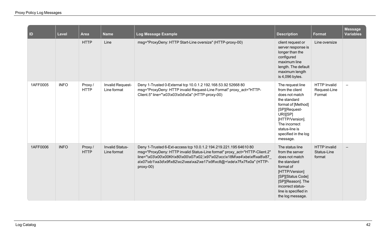| $\vert$ ID | Level       | <b>Area</b>            | <b>Name</b>                            | Log Message Example                                                                                                                                                                                                                                                                                                     | <b>Description</b>                                                                                                                                                                                                 | <b>Format</b>                                 | <b>Message</b><br><b>Variables</b> |
|------------|-------------|------------------------|----------------------------------------|-------------------------------------------------------------------------------------------------------------------------------------------------------------------------------------------------------------------------------------------------------------------------------------------------------------------------|--------------------------------------------------------------------------------------------------------------------------------------------------------------------------------------------------------------------|-----------------------------------------------|------------------------------------|
|            |             | <b>HTTP</b>            | Line                                   | msg="ProxyDeny: HTTP Start-Line oversize" (HTTP-proxy-00)                                                                                                                                                                                                                                                               | client request or<br>server response is<br>longer than the<br>configured<br>maximum line<br>length. The default<br>maximum length<br>is 4,096 bytes.                                                               | Line oversize                                 |                                    |
| 1AFF0005   | <b>INFO</b> | Proxy /<br><b>HTTP</b> | <b>Invalid Request-</b><br>Line format | Deny 1-Trusted 0-External tcp 10.0.1.2 192.168.53.92 52668 80<br>msg="ProxyDeny: HTTP invalid Request-Line Format" proxy_act="HTTP-<br>Client.5" line="\x03\x03\x0d\x0a" (HTTP-proxy-00)                                                                                                                                | The request line<br>from the client<br>does not match<br>the standard<br>format of [Method]<br>[SP][Request-<br>URI][SP]<br>[HTTP/Version].<br>The incorrect<br>status-line is<br>specified in the log<br>message. | <b>HTTP Invalid</b><br>Request-Line<br>Format | $\overline{\phantom{0}}$           |
| 1AFF0006   | <b>INFO</b> | Proxy /<br><b>HTTP</b> | Invalid Status-<br>Line format         | Deny 1-Trusted 6-Ext-access tcp 10.0.1.2 194.219.221.195 64610 80<br>msg="ProxyDeny: HTTP invalid Status-Line format" proxy_act="HTTP-Client.2"<br>line="\x03\x00\x00Kh\x80\x00\x07\x02,\x97\x02\xcc\x18M\xe4\xbe\xff\xa8\x87<br>a\x07\xb1\xa3d\x9f\x82\xc2\xea\xa2\xe17\x9f\xc8@+\xde\x7f\x7f\x0a" (HTTP-<br>proxy-00) | The status line<br>from the server<br>does not match<br>the standard<br>format of<br>[HTTP/Version]<br>[SP][Status Code]<br>[SP][Reason]. The<br>incorrect status-<br>line is specified in<br>the log message.     | <b>HTTP</b> invalid<br>Status-Line<br>format  |                                    |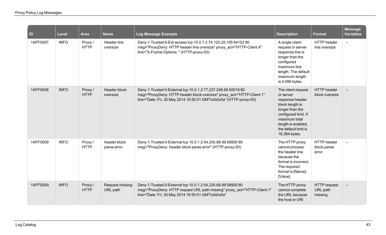| <b>ID</b>       | <b>Level</b> | <b>Area</b>            | <b>Name</b>                 | Log Message Example                                                                                                                                                                                          | <b>Description</b>                                                                                                                                                                               | Format                                     | <b>Message</b><br><b>Variables</b> |
|-----------------|--------------|------------------------|-----------------------------|--------------------------------------------------------------------------------------------------------------------------------------------------------------------------------------------------------------|--------------------------------------------------------------------------------------------------------------------------------------------------------------------------------------------------|--------------------------------------------|------------------------------------|
| 1AFF0007        | <b>INFO</b>  | Proxy/<br><b>HTTP</b>  | Header line<br>oversize     | Deny 1-Trusted 6-Ext-access tcp 10.0.1.2 74.125.25.105 64152 80<br>msg="ProxyDeny: HTTP header line oversize" proxy_act="HTTP-Client.4"<br>line="X-Frame-Options: " (HTTP-proxy-00)                          | A single client<br>request or server<br>response line is<br>longer than the<br>configured<br>maximum line<br>length. The default<br>maximum length<br>is 4,096 bytes.                            | <b>HTTP</b> header<br>line oversize        | $\overline{\phantom{m}}$           |
| 1AFF0008        | <b>INFO</b>  | Proxy/<br><b>HTTP</b>  | Header block<br>oversize    | Deny 1-Trusted 0-External tcp 10.0.1.2 77.237.248.69 50019 80<br>msg="ProxyDeny: HTTP header block oversize" proxy_act="HTTP-Client.1"<br>line="Date: Fri, 30 May 2014 16:50:51 GMT\x0d\x0a" (HTTP-proxy-00) | The client request<br>or server<br>response header<br>block length is<br>longer than the<br>configured limit. If<br>maximum total<br>length is enabled,<br>the default limit is<br>16,384 bytes. | <b>HTTP</b> header<br>block oversize       |                                    |
| 1AFF0009        | <b>INFO</b>  | Proxy /<br><b>HTTP</b> | header block<br>parse error | Deny 1-Trusted 0-External tcp 10.0.1.2 54.230.68.99 58900 80<br>msg="ProxyDeny: header block parse error" (HTTP-proxy-00)                                                                                    | The HTTP proxy<br>cannot process<br>the header line<br>because the<br>format is incorrect.<br>The required<br>format is [Name]:<br>[Value].                                                      | HTTP header<br>block parse<br>error        |                                    |
| <b>1AFF000A</b> | <b>INFO</b>  | Proxy/<br><b>HTTP</b>  | Request missing<br>URL path | Deny 1-Trusted 0-External tcp 10.0.1.2 54.230.68.99 58900 80<br>msg="ProxyDeny: HTTP request URL path missing" proxy_act="HTTP-Client.1"<br>line="Date: Fri, 30 May 2014 18:50:51 GMT\x0d\x0a"               | The HTTP proxy<br>cannot complete<br>the URL because<br>the host or URI                                                                                                                          | <b>HTTP</b> request<br>URL path<br>missing |                                    |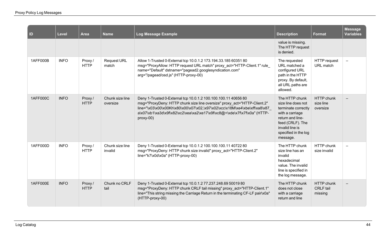| $\blacksquare$ | <b>Level</b> | <b>Area</b>           | <b>Name</b>                 | Log Message Example                                                                                                                                                                                                                                                                                                | <b>Description</b>                                                                                                                                                            | <b>Format</b>                                    | <b>Message</b><br><b>Variables</b> |
|----------------|--------------|-----------------------|-----------------------------|--------------------------------------------------------------------------------------------------------------------------------------------------------------------------------------------------------------------------------------------------------------------------------------------------------------------|-------------------------------------------------------------------------------------------------------------------------------------------------------------------------------|--------------------------------------------------|------------------------------------|
|                |              |                       |                             |                                                                                                                                                                                                                                                                                                                    | value is missing.<br>The HTTP request<br>is denied.                                                                                                                           |                                                  |                                    |
| 1AFF000B       | <b>INFO</b>  | Proxy/<br><b>HTTP</b> | <b>Request URL</b><br>match | Allow 1-Trusted 0-External tcp 10.0.1.2 173.194.33.185 60351 80<br>msg="ProxyAllow: HTTP request URL match" proxy_act="HTTP-Client.1" rule_<br>name="Default" dstname="pagead2.googlesyndication.com"<br>arg="/pagead/osd.js" (HTTP-proxy-00)                                                                      | The requested<br>URL matched a<br>configured URL<br>path in the HTTP<br>proxy. By default,<br>all URL paths are<br>allowed.                                                   | <b>HTTP</b> request<br>URL match                 |                                    |
| 1AFF000C       | <b>INFO</b>  | Proxy/<br><b>HTTP</b> | Chunk size line<br>oversize | Deny 1-Trusted 0-External tcp 10.0.1.2 100.100.100.11 40656 80<br>msg="ProxyDeny: HTTP chunk size line oversize" proxy_act="HTTP-Client.2"<br>line="\x03\x00\x00Kh\x80\x00\x07\x02,\x97\x02\xcc\x18M\xe4\xbe\xff\xa8\x87<br>a\x07\xb1\xa3d\x9f\x82\xc2\xea\xa2\xe17\x9f\xc8@+\xde\x7f\x7f\x0a" (HTTP-<br>proxy-00) | The HTTP chunk<br>size line does not<br>terminate correctly<br>with a carriage<br>return and line-<br>feed (CRLF). The<br>invalid line is<br>specified in the log<br>message. | <b>HTTP</b> chunk<br>size line<br>oversize       |                                    |
| 1AFF000D       | <b>INFO</b>  | Proxy/<br><b>HTTP</b> | Chunk size line<br>invalid  | Deny 1-Trusted 0-External tcp 10.0.1.2 100.100.100.11 40722 80<br>msg="ProxyDeny: HTTP chunk size invalid" proxy act="HTTP-Client.2"<br>line="k7\x0d\x0a" (HTTP-proxy-00)                                                                                                                                          | The HTTP chunk<br>size line has an<br>invalid<br>hexadecimal<br>value. The invalid<br>line is specified in<br>the log message.                                                | HTTP chunk<br>size invalid                       |                                    |
| 1AFF000E       | <b>INFO</b>  | Proxy/<br><b>HTTP</b> | Chunk no CRLF<br>tail       | Deny 1-Trusted 0-External tcp 10.0.1.2 77.237.248.69 50019 80<br>msg="ProxyDeny: HTTP chunk CRLF tail missing" proxy_act="HTTP-Client.1"<br>line="This string missing the Carriage Return in the terminating CF-LF pair\x0a"<br>(HTTP-proxy-00)                                                                    | The HTTP chunk<br>does not close<br>with a carriage<br>return and line                                                                                                        | <b>HTTP</b> chunk<br><b>CRLF</b> tail<br>missing |                                    |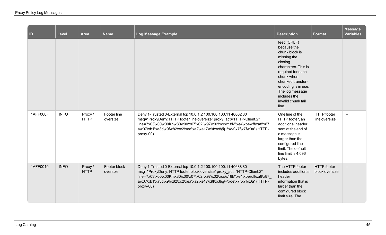| $\vert$ ID | Level       | Area                   | <b>Name</b>              | Log Message Example                                                                                                                                                                                                                                                                                             | <b>Description</b>                                                                                                                                                                                                                             | Format                               | <b>Message</b><br><b>Variables</b> |
|------------|-------------|------------------------|--------------------------|-----------------------------------------------------------------------------------------------------------------------------------------------------------------------------------------------------------------------------------------------------------------------------------------------------------------|------------------------------------------------------------------------------------------------------------------------------------------------------------------------------------------------------------------------------------------------|--------------------------------------|------------------------------------|
|            |             |                        |                          |                                                                                                                                                                                                                                                                                                                 | feed (CRLF)<br>because the<br>chunk block is<br>missing the<br>closing<br>characters. This is<br>required for each<br>chunk when<br>chunked transfer-<br>encoding is in use.<br>The log message<br>includes the<br>invalid chunk tail<br>line. |                                      |                                    |
| 1AFF000F   | <b>INFO</b> | Proxy /<br><b>HTTP</b> | Footer line<br>oversize  | Deny 1-Trusted 0-External tcp 10.0.1.2 100.100.100.11 40662 80<br>msg="ProxyDeny: HTTP footer line oversize" proxy_act="HTTP-Client.2"<br>line="\x03\x00\x00Kh\x80\x00\x07\x02,\x97\x02\xcc\x18M\xe4\xbe\xff\xa8\x87_<br>a\x07\xb1\xa3d\x9f\x82\xc2\xea\xa2\xe17\x9f\xc8@+\xde\x7f\x7f\x0a" (HTTP-<br>proxy-00) | One line of the<br>HTTP footer, an<br>additional header<br>sent at the end of<br>a message is<br>larger than the<br>configured line<br>limit. The default<br>line limit is 4,096<br>bytes.                                                     | <b>HTTP</b> footer<br>line oversize  |                                    |
| 1AFF0010   | <b>INFO</b> | Proxy /<br><b>HTTP</b> | Footer block<br>oversize | Deny 1-Trusted 0-External tcp 10.0.1.2 100.100.100.11 40688 80<br>msg="ProxyDeny: HTTP footer block oversize" proxy_act="HTTP-Client.2"<br>line="\x03\x00\x00Kh\x80\x00\x07\x02,\x97\x02\xcc\x18M\xe4\xbe\xff\xa8\x87<br>a\x07\xb1\xa3d\x9f\x82\xc2\xea\xa2\xe17\x9f\xc8@+\xde\x7f\x7f\x0a" (HTTP-<br>proxy-00) | The HTTP footer<br>includes additional<br>header<br>information that is<br>larger than the<br>configured block<br>limit size. The                                                                                                              | <b>HTTP</b> footer<br>block oversize |                                    |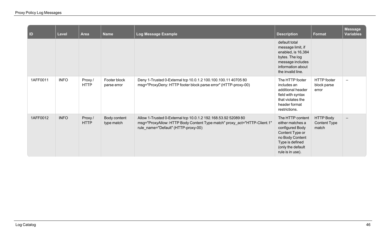| $\vert$ ID | Level       | Area                   | <b>Name</b>                 | Log Message Example                                                                                                                                                               | <b>Description</b>                                                                                                                                        | Format                                           | <b>Message</b><br>Variables |
|------------|-------------|------------------------|-----------------------------|-----------------------------------------------------------------------------------------------------------------------------------------------------------------------------------|-----------------------------------------------------------------------------------------------------------------------------------------------------------|--------------------------------------------------|-----------------------------|
|            |             |                        |                             |                                                                                                                                                                                   | default total<br>message limit, if<br>enabled, is 16,384<br>bytes. The log<br>message includes<br>information about<br>the invalid line.                  |                                                  |                             |
| 1AFF0011   | <b>INFO</b> | Proxy/<br><b>HTTP</b>  | Footer block<br>parse error | Deny 1-Trusted 0-External tcp 10.0.1.2 100.100.100.11 40705 80<br>msg="ProxyDeny: HTTP footer block parse error" (HTTP-proxy-00)                                                  | The HTTP footer<br>includes an<br>additional header<br>field with syntax<br>that violates the<br>header format<br>restrictions.                           | <b>HTTP</b> footer<br>block parse<br>error       |                             |
| 1AFF0012   | <b>INFO</b> | Proxy /<br><b>HTTP</b> | Body content<br>type match  | Allow 1-Trusted 0-External tcp 10.0.1.2 192.168.53.92 52089 80<br>msg="ProxyAllow: HTTP Body Content Type match" proxy_act="HTTP-Client.1"<br>rule_name="Default" (HTTP-proxy-00) | The HTTP content<br>either matches a<br>configured Body<br>Content Type or<br>no Body Content<br>Type is defined<br>(only the default<br>rule is in use). | <b>HTTP Body</b><br><b>Content Type</b><br>match |                             |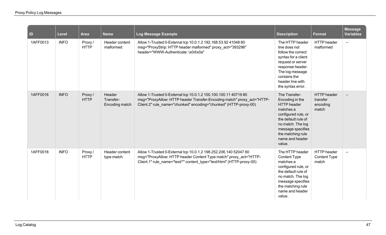| ID       | <b>Level</b> | Area                  | <b>Name</b>                           | Log Message Example                                                                                                                                                                                            | <b>Description</b>                                                                                                                                                                                            | Format                                              | <b>Message</b><br><b>Variables</b> |
|----------|--------------|-----------------------|---------------------------------------|----------------------------------------------------------------------------------------------------------------------------------------------------------------------------------------------------------------|---------------------------------------------------------------------------------------------------------------------------------------------------------------------------------------------------------------|-----------------------------------------------------|------------------------------------|
| 1AFF0013 | <b>INFO</b>  | Proxy/<br><b>HTTP</b> | Header content<br>malformed           | Allow 1-Trusted 0-External tcp 10.0.1.2 192.168.53.92 41048 80<br>msg="ProxyStrip: HTTP header malformed" proxy_act="393296"<br>header="WWW-Authenticate: \x0d\x0a"                                            | The HTTP header<br>line does not<br>follow the correct<br>syntax for a client<br>request or server<br>response header.<br>The log message<br>contains the<br>header line with<br>the syntax error.            | HTTP header<br>malformed                            | $\equiv$                           |
| 1AFF0016 | <b>INFO</b>  | Proxy/<br><b>HTTP</b> | Header<br>Transfer-<br>Encoding match | Allow 1-Trusted 0-External tcp 10.0.1.2 100.100.100.11 40719 80<br>msg="ProxyAllow: HTTP header Transfer-Encoding match" proxy_act="HTTP-<br>Client.2" rule name="chunked" encoding="chunked" (HTTP-proxy-00)  | The Transfer-<br>Encoding in the<br><b>HTTP</b> header<br>matches a<br>configured rule, or<br>the default rule of<br>no match. The log<br>message specifies<br>the matching rule<br>name and header<br>value. | <b>HTTP</b> header<br>transfer<br>encoding<br>match |                                    |
| 1AFF0018 | <b>INFO</b>  | Proxy/<br><b>HTTP</b> | Header content<br>type match          | Allow 1-Trusted 0-External tcp 10.0.1.2 198.252.206.140 52047 80<br>msg="ProxyAllow: HTTP header Content Type match" proxy act="HTTP-<br>Client.1" rule_name="text/*" content_type="text/html" (HTTP-proxy-00) | The HTTP header<br><b>Content Type</b><br>matches a<br>configured rule, or<br>the default rule of<br>no match. The log<br>message specifies<br>the matching rule<br>name and header<br>value.                 | <b>HTTP</b> header<br><b>Content Type</b><br>match  | $\equiv$                           |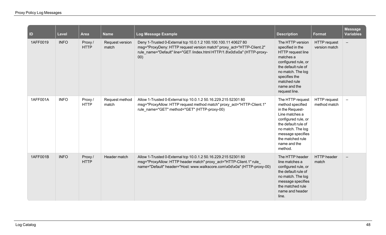| $\vert$ ID | <b>Level</b> | <b>Area</b>           | <b>Name</b>              | <b>Log Message Example</b>                                                                                                                                                                                                 | <b>Description</b>                                                                                                                                                                                               | Format                               | <b>Message</b><br><b>Variables</b> |
|------------|--------------|-----------------------|--------------------------|----------------------------------------------------------------------------------------------------------------------------------------------------------------------------------------------------------------------------|------------------------------------------------------------------------------------------------------------------------------------------------------------------------------------------------------------------|--------------------------------------|------------------------------------|
| 1AFF0019   | <b>INFO</b>  | Proxy/<br><b>HTTP</b> | Request version<br>match | Deny 1-Trusted 0-External tcp 10.0.1.2 100.100.100.11 40627 80<br>msg="ProxyDeny: HTTP request version match" proxy_act="HTTP-Client.2"<br>rule name="Default" line="GET /index.html HTTP/1.8\x0d\x0a" (HTTP-proxy-<br>00) | The HTTP version<br>specified in the<br>HTTP request line<br>matches a<br>configured rule, or<br>the default rule of<br>no match. The log<br>specifies the<br>matched rule<br>name and the<br>request line.      | <b>HTTP</b> request<br>version match |                                    |
| 1AFF001A   | <b>INFO</b>  | Proxy/<br><b>HTTP</b> | Request method<br>match  | Allow 1-Trusted 0-External tcp 10.0.1.2 50.16.229.215 52301 80<br>msg="ProxyAllow: HTTP request method match" proxy_act="HTTP-Client.1"<br>rule_name="GET" method="GET" (HTTP-proxy-00)                                    | The HTTP request<br>method specified<br>in the Request-<br>Line matches a<br>configured rule, or<br>the default rule of<br>no match. The log<br>message specifies<br>the matched rule<br>name and the<br>method. | <b>HTTP</b> request<br>method match  |                                    |
| 1AFF001B   | <b>INFO</b>  | Proxy/<br><b>HTTP</b> | Header match             | Allow 1-Trusted 0-External tcp 10.0.1.2 50.16.229.215 52301 80<br>msg="ProxyAllow: HTTP header match" proxy_act="HTTP-Client.1" rule<br>name="Default" header="Host: www.walkscore.com\x0d\x0a" (HTTP-proxy-00)            | The HTTP header<br>line matches a<br>configured rule, or<br>the default rule of<br>no match. The log<br>message specifies<br>the matched rule<br>name and header<br>line.                                        | <b>HTTP</b> header<br>match          |                                    |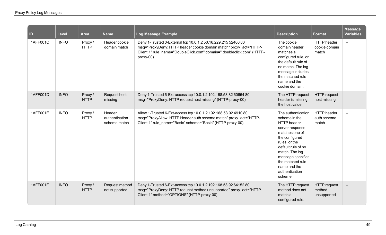| $\vert$ ID | <b>Level</b> | <b>Area</b>            | <b>Name</b>                              | Log Message Example                                                                                                                                                                                                       | <b>Description</b>                                                                                                                                                                                                                                              | <b>Format</b>                                | <b>Message</b><br><b>Variables</b> |
|------------|--------------|------------------------|------------------------------------------|---------------------------------------------------------------------------------------------------------------------------------------------------------------------------------------------------------------------------|-----------------------------------------------------------------------------------------------------------------------------------------------------------------------------------------------------------------------------------------------------------------|----------------------------------------------|------------------------------------|
| 1AFF001C   | <b>INFO</b>  | Proxy/<br><b>HTTP</b>  | Header cookie<br>domain match            | Deny 1-Trusted 0-External tcp 10.0.1.2 50.16.229.215 52466 80<br>msg="ProxyDeny: HTTP header cookie domain match" proxy act="HTTP-<br>Client.1" rule_name="DoubleClick.com" domain=".doubleclick.com" (HTTP-<br>proxy-00) | The cookie<br>domain header<br>matches a<br>configured rule, or<br>the default rule of<br>no match. The log<br>message includes<br>the matched rule<br>name and the<br>cookie domain.                                                                           | <b>HTTP</b> header<br>cookie domain<br>match | $\equiv$                           |
| 1AFF001D   | <b>INFO</b>  | Proxy/<br><b>HTTP</b>  | Request host<br>missing                  | Deny 1-Trusted 6-Ext-access tcp 10.0.1.2 192.168.53.82 60654 80<br>msg="ProxyDeny: HTTP request host missing" (HTTP-proxy-00)                                                                                             | The HTTP request<br>header is missing<br>the host value.                                                                                                                                                                                                        | <b>HTTP</b> request<br>host missing          |                                    |
| 1AFF001E   | <b>INFO</b>  | Proxy /<br><b>HTTP</b> | Header<br>authentication<br>scheme match | Allow 1-Trusted 6-Ext-access tcp 10.0.1.2 192.168.53.92 4910 80<br>msg="ProxyAllow: HTTP Header auth scheme match" proxy_act="HTTP-<br>Client.1" rule name="Basic" scheme="Basic" (HTTP-proxy-00)                         | The authentication<br>scheme in the<br><b>HTTP</b> header<br>server response<br>matches one of<br>the configured<br>rules, or the<br>default rule of no<br>match. The log<br>message specifies<br>the matched rule<br>name and the<br>authentication<br>scheme. | <b>HTTP</b> header<br>auth scheme<br>match   |                                    |
| 1AFF001F   | <b>INFO</b>  | Proxy/<br><b>HTTP</b>  | Request method<br>not supported          | Deny 1-Trusted 6-Ext-access tcp 10.0.1.2 192.168.53.92 64152 80<br>msg="ProxyDeny: HTTP request method unsupported" proxy_act="HTTP-<br>Client.1" method="OPTIONS" (HTTP-proxy-00)                                        | The HTTP request<br>method does not<br>match a<br>configured rule.                                                                                                                                                                                              | <b>HTTP</b> request<br>method<br>unsupported |                                    |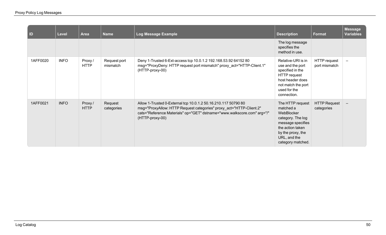| $\vert$ ID | Level       | <b>Area</b>            | <b>Name</b>              | <b>Log Message Example</b>                                                                                                                                                                                                          | <b>Description</b>                                                                                                                                                  | Format                            | <b>Message</b><br><b>Variables</b> |
|------------|-------------|------------------------|--------------------------|-------------------------------------------------------------------------------------------------------------------------------------------------------------------------------------------------------------------------------------|---------------------------------------------------------------------------------------------------------------------------------------------------------------------|-----------------------------------|------------------------------------|
|            |             |                        |                          |                                                                                                                                                                                                                                     | The log message<br>specifies the<br>method in use.                                                                                                                  |                                   |                                    |
| 1AFF0020   | <b>INFO</b> | Proxy /<br><b>HTTP</b> | Request port<br>mismatch | Deny 1-Trusted 6-Ext-access tcp 10.0.1.2 192.168.53.92 64152 80<br>msg="ProxyDeny: HTTP request port mismatch" proxy act="HTTP-Client.1"<br>(HTTP-proxy-00)                                                                         | Relative-URI is in<br>use and the port<br>specified in the<br><b>HTTP</b> request<br>host header does<br>not match the port<br>used for the<br>connection.          | HTTP request<br>port mismatch     | $\overline{\phantom{m}}$           |
| 1AFF0021   | <b>INFO</b> | Proxy /<br><b>HTTP</b> | Request<br>categories    | Allow 1-Trusted 0-External tcp 10.0.1.2 50.16.210.117 50790 80<br>msg="ProxyAllow: HTTP Request categories" proxy_act="HTTP-Client.2"<br>cats="Reference Materials" op="GET" dstname="www.walkscore.com" arg="/"<br>(HTTP-proxy-00) | The HTTP request<br>matched a<br>WebBlocker<br>category. The log<br>message specifies<br>the action taken<br>by the proxy, the<br>URL, and the<br>category matched. | <b>HTTP Request</b><br>categories | $\overline{\phantom{m}}$           |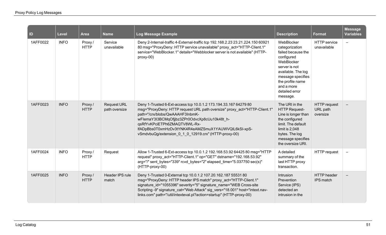| <b>ID</b> | <b>Level</b> | <b>Area</b>            | <b>Name</b>                         | Log Message Example                                                                                                                                                                                                                                                                                                                                                             | <b>Description</b>                                                                                                                                                                                         | Format                                      | <b>Message</b><br><b>Variables</b> |
|-----------|--------------|------------------------|-------------------------------------|---------------------------------------------------------------------------------------------------------------------------------------------------------------------------------------------------------------------------------------------------------------------------------------------------------------------------------------------------------------------------------|------------------------------------------------------------------------------------------------------------------------------------------------------------------------------------------------------------|---------------------------------------------|------------------------------------|
| 1AFF0022  | <b>INFO</b>  | Proxy /<br><b>HTTP</b> | Service<br>unavailable              | Deny 2-Internal-traffic 4-External-traffic tcp 192.168.2.23 23.21.224.150 60921<br>80 msg="ProxyDeny: HTTP service unavailable" proxy_act="HTTP-Client.1"<br>service="WebBlocker.1" details="Webblocker server is not available" (HTTP-<br>proxy-00)                                                                                                                            | WebBlocker<br>categorization<br>failed because the<br>configured<br>WebBlocker<br>server is not<br>available. The log<br>message specifies<br>the profile name<br>and a more<br>detailed error<br>message. | <b>HTTP</b> service<br>unavailable          | $\qquad \qquad -$                  |
| 1AFF0023  | <b>INFO</b>  | Proxy/<br><b>HTTP</b>  | <b>Request URL</b><br>path oversize | Deny 1-Trusted 6-Ext-access tcp 10.0.1.2 173.194.33.167 64279 80<br>msg="ProxyDeny: HTTP request URL path oversize" proxy act="HTTP-Client.1'<br>path="/crx/blobs/QwAAAHF3InbmK-<br>wFlemaY3I3BCMqOfjjbz3ZPr0OdvcXp8cUu10k48t h-<br>qsRfYvKPciETPh6ZMAQTV8WL-Rx-<br>IfADpBbs0T0xmHzDv3tYNK4R4eAMZSmuX1YAUWVQIL6kSI-xpS-<br>vSmdvbuQg/extension 0 1 0 12919.crx" (HTTP-proxy-00) | The URI in the<br><b>HTTP Request-</b><br>Line is longer than<br>the configured<br>limit. The default<br>limit is 2,048<br>bytes. The log<br>message specifies<br>the oversize URI.                        | <b>HTTP</b> request<br>URL path<br>oversize |                                    |
| 1AFF0024  | <b>INFO</b>  | Proxy/<br><b>HTTP</b>  | Request                             | Allow 1-Trusted 6-Ext-access tcp 10.0.1.2 192.168.53.92 64425 80 msg="HTTP<br>request" proxy act="HTTP-Client.1" op="GET" dstname="192.168.53.92"<br>arg="/" sent bytes="339" rcvd bytes="2" elapsed time="5.037750 sec(s)"<br>(HTTP-proxy-00)                                                                                                                                  | A detailed<br>summary of the<br>last HTTP proxy<br>transaction.                                                                                                                                            | HTTP request                                | $\overline{\phantom{m}}$           |
| 1AFF0025  | <b>INFO</b>  | Proxy/<br><b>HTTP</b>  | Header IPS rule<br>match            | Deny 1-Trusted 0-External tcp 10.0.1.2 107.20.162.187 55531 80<br>msg="ProxyDeny: HTTP header IPS match" proxy act="HTTP-Client.1"<br>signature_id="1055396" severity="5" signature_name="WEB Cross-site<br>Scripting -9" signature_cat="Web Attack" sig_vers="18.001" host="intext.nav-<br>links.com" path="/util/intexteval.pl?action=startup" (HTTP-proxy-00)                | Intrusion<br>Prevention<br>Service (IPS)<br>detected an<br>intrusion in the                                                                                                                                | <b>HTTP</b> header<br>IPS match             |                                    |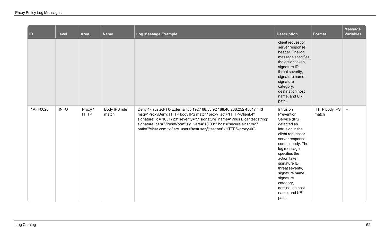| $\vert$ ID | Level       | <b>Area</b>           | <b>Name</b>            | Log Message Example                                                                                                                                                                                                                                                                                                                                                     | <b>Description</b>                                                                                                                                                                                                                                                                                                        | <b>Format</b>          | <b>Message</b><br><b>Variables</b> |
|------------|-------------|-----------------------|------------------------|-------------------------------------------------------------------------------------------------------------------------------------------------------------------------------------------------------------------------------------------------------------------------------------------------------------------------------------------------------------------------|---------------------------------------------------------------------------------------------------------------------------------------------------------------------------------------------------------------------------------------------------------------------------------------------------------------------------|------------------------|------------------------------------|
|            |             |                       |                        |                                                                                                                                                                                                                                                                                                                                                                         | client request or<br>server response<br>header. The log<br>message specifies<br>the action taken,<br>signature ID,<br>threat severity,<br>signature name,<br>signature<br>category,<br>destination host<br>name, and URI<br>path.                                                                                         |                        |                                    |
| 1AFF0026   | <b>INFO</b> | Proxy/<br><b>HTTP</b> | Body IPS rule<br>match | Deny 4-Trusted-1 0-External tcp 192.168.53.92 188.40.238.252 45617 443<br>msg="ProxyDeny: HTTP body IPS match" proxy_act="HTTP-Client.4"<br>signature_id="1051723" severity="5" signature_name="Virus Eicar test string"<br>signature_cat="Virus/Worm" sig_vers="18.001" host="secure.eicar.org"<br>path="/eicar.com.txt" src_user="testuser@test.net" (HTTPS-proxy-00) | Intrusion<br>Prevention<br>Service (IPS)<br>detected an<br>intrusion in the<br>client request or<br>server response<br>content body. The<br>log message<br>specifies the<br>action taken,<br>signature ID,<br>threat severity,<br>signature name,<br>signature<br>category,<br>destination host<br>name, and URI<br>path. | HTTP body IPS<br>match | $\overline{\phantom{a}}$           |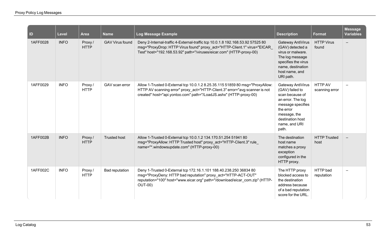| ID       | <b>Level</b> | <b>Area</b>           | <b>Name</b>            | Log Message Example                                                                                                                                                                                                                  | <b>Description</b>                                                                                                                                                           | Format                      | <b>Message</b><br><b>Variables</b> |
|----------|--------------|-----------------------|------------------------|--------------------------------------------------------------------------------------------------------------------------------------------------------------------------------------------------------------------------------------|------------------------------------------------------------------------------------------------------------------------------------------------------------------------------|-----------------------------|------------------------------------|
| 1AFF0028 | <b>INFO</b>  | Proxy/<br><b>HTTP</b> | <b>GAV Virus found</b> | Deny 2-Internal-traffic 4-External-traffic tcp 10.0.1.8 192.168.53.92 57525 80<br>msg="ProxyDrop: HTTP Virus found" proxy_act="HTTP-Client.1" virus="EICAR<br>Test" host="192.168.53.92" path="/viruses/eicar.com" (HTTP-proxy-00)   | Gateway AntiVirus<br>(GAV) detected a<br>virus or malware.<br>The log message<br>specifies the virus<br>name, destination<br>host name, and<br>URI path.                     | <b>HTTP Virus</b><br>found  |                                    |
| 1AFF0029 | <b>INFO</b>  | Proxy/<br><b>HTTP</b> | GAV scan error         | Allow 1-Trusted 0-External tcp 10.0.1.2 8.25.35.115 51859 80 msg="ProxyAllow:<br>HTTP AV scanning error" proxy_act="HTTP-Client.3" error="avg scanner is not<br>created" host="api.yontoo.com" path="/LoadJS.ashx" (HTTP-proxy-00)   | Gateway AntiVirus<br>(GAV) failed to<br>scan because of<br>an error. The log<br>message specifies<br>the error<br>message, the<br>destination host<br>name, and URI<br>path. | HTTP AV<br>scanning error   |                                    |
| 1AFF002B | <b>INFO</b>  | Proxy/<br><b>HTTP</b> | <b>Trusted host</b>    | Allow 1-Trusted 0-External tcp 10.0.1.2 134.170.51.254 51941 80<br>msg="ProxyAllow: HTTP Trusted host" proxy act="HTTP-Client.3" rule<br>name="*.windowsupdate.com" (HTTP-proxy-00)                                                  | The destination<br>host name<br>matches a proxy<br>exception<br>configured in the<br>HTTP proxy.                                                                             | <b>HTTP Trusted</b><br>host |                                    |
| 1AFF002C | <b>INFO</b>  | Proxy/<br><b>HTTP</b> | <b>Bad reputation</b>  | Deny 1-Trusted 0-External tcp 172.16.1.101 188.40.238.250 36834 80<br>msg="ProxyDeny: HTTP bad reputation" proxy act="HTTP-ACT-OUT"<br>reputation="100" host="www.eicar.org" path="/download/eicar_com.zip" (HTTP-<br><b>OUT-00)</b> | The HTTP proxy<br>blocked access to<br>the destination<br>address because<br>of a bad reputation<br>score for the URL.                                                       | HTTP bad<br>reputation      |                                    |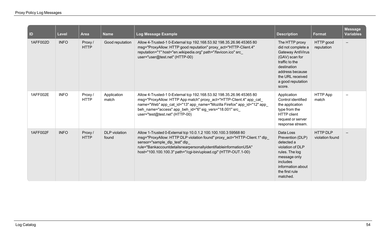| ID       | <b>Level</b> | <b>Area</b>           | <b>Name</b>                   | Log Message Example                                                                                                                                                                                                                                                                                                  | <b>Description</b>                                                                                                                                                                 | <b>Format</b>                      | <b>Message</b><br><b>Variables</b> |
|----------|--------------|-----------------------|-------------------------------|----------------------------------------------------------------------------------------------------------------------------------------------------------------------------------------------------------------------------------------------------------------------------------------------------------------------|------------------------------------------------------------------------------------------------------------------------------------------------------------------------------------|------------------------------------|------------------------------------|
| 1AFF002D | <b>INFO</b>  | Proxy/<br><b>HTTP</b> | Good reputation               | Allow 4-Trusted-1 0-External tcp 192.168.53.92 198.35.26.96 45365 80<br>msg="ProxyAllow: HTTP good reputation" proxy_act="HTTP-Client.4"<br>reputation="1" host="en.wikipedia.org" path="/favicon.ico" src<br>user="user@test.net" (HTTP-00)                                                                         | The HTTP proxy<br>did not complete a<br>Gateway AntiVirus<br>(GAV) scan for<br>traffic to the<br>destination<br>address because<br>the URL received<br>a good reputation<br>score. | HTTP good<br>reputation            |                                    |
| 1AFF002E | <b>INFO</b>  | Proxy/<br><b>HTTP</b> | Application<br>match          | Allow 4-Trusted-1 0-External tcp 192.168.53.92 198.35.26.96 45365 80<br>msg="ProxyAllow: HTTP App match" proxy_act="HTTP-Client.4" app_cat_<br>name="Web" app_cat_id="13" app_name="Mozilla Firefox" app_id="12" app_<br>beh_name="access" app_beh_id="6" sig_vers="18.001" src_<br>user="test@test.net" (HTTP-00)   | Application<br>Control identified<br>the application<br>type from the<br><b>HTTP</b> client<br>request or server<br>response stream.                                               | HTTP App<br>match                  |                                    |
| 1AFF002F | <b>INFO</b>  | Proxy/<br><b>HTTP</b> | <b>DLP</b> violation<br>found | Allow 1-Trusted 0-External tcp 10.0.1.2 100.100.100.3 59568 80<br>msg="ProxyAllow: HTTP DLP violation found" proxy_act="HTTP-Client.1" dlp_<br>sensor="sample_dlp_test" dlp_<br>rule="BankaccountdetailsnearpersonallyidentifiableinformationUSA"<br>host="100.100.100.3" path="/cgi-bin/upload.cgi" (HTTP-OUT.1-00) | Data Loss<br>Prevention (DLP)<br>detected a<br>violation of DLP<br>rules. The log<br>message only<br>includes<br>information about<br>the first rule<br>matched.                   | <b>HTTP DLP</b><br>violation found |                                    |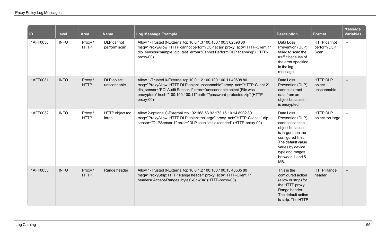| ID       | <b>Level</b> | <b>Area</b>            | <b>Name</b>                | Log Message Example                                                                                                                                                                                                                                                                                        | <b>Description</b>                                                                                                                                                                                     | <b>Format</b>                       | <b>Message</b><br><b>Variables</b> |
|----------|--------------|------------------------|----------------------------|------------------------------------------------------------------------------------------------------------------------------------------------------------------------------------------------------------------------------------------------------------------------------------------------------------|--------------------------------------------------------------------------------------------------------------------------------------------------------------------------------------------------------|-------------------------------------|------------------------------------|
| 1AFF0030 | <b>INFO</b>  | Proxy/<br><b>HTTP</b>  | DLP cannot<br>perform scan | Allow 1-Trusted 0-External tcp 10.0.1.3 100.100.100.3 62398 80<br>msg="ProxyAllow: HTTP cannot perform DLP scan" proxy_act="HTTP-Client.1"<br>dlp sensor="sample dlp test" error="Cannot Perform DLP scanning" (HTTP-<br>proxy-00)                                                                         | Data Loss<br>Prevention (DLP)<br>failed to scan the<br>traffic because of<br>the error specified<br>in the log<br>message.                                                                             | HTTP cannot<br>perform DLP<br>Scan  | $-$                                |
| 1AFF0031 | <b>INFO</b>  | Proxy/<br><b>HTTP</b>  | DLP object<br>unscannable  | Allow 1-Trusted 0-External tcp 10.0.1.2 100.100.100.11 40608 80<br>msg="ProxyAllow: HTTP DLP object unscannable" proxy_act="HTTP-Client.2"<br>dlp_sensor="PCI Audit Sensor.1" error="unscannable object (File was<br>encrypted)" host="100.100.100.11" path="/password-protected.zip" (HTTP-<br>$proxy-00$ | Data Loss<br>Prevention (DLP)<br>cannot extract<br>data from an<br>object because it<br>is encrypted.                                                                                                  | HTTP DLP<br>object<br>unscannable   |                                    |
| 1AFF0032 | <b>INFO</b>  | Proxy /<br><b>HTTP</b> | HTTP object too<br>large   | Allow 2-optional 0-External tcp 192.168.53.92 172.16.10.14 8902 80<br>msg="ProxyAllow: HTTP DLP object too large" proxy_act="HTTP-Client.1" dlp_<br>sensor="DLPSensor.1" error="DLP scan limit exceeded" (HTTP-proxy-00)                                                                                   | Data Loss<br>Prevention (DLP)<br>cannot scan the<br>object because it<br>is larger than the<br>configured limit.<br>The default value<br>varies by device<br>type and ranges<br>between 1 and 5<br>MB. | <b>HTTP DLP</b><br>object too large |                                    |
| 1AFF0033 | <b>INFO</b>  | Proxy/<br><b>HTTP</b>  | Range header               | Allow 1-Trusted 0-External tcp 10.0.1.2 100.100.100.15 40535 80<br>msg="ProxyStrip: HTTP Range header" proxy_act="HTTP-Client.1"<br>header="Accept-Ranges: bytes\x0d\x0a" (HTTP-proxy-00)                                                                                                                  | This is the<br>configured action<br>(allow or strip) for<br>the HTTP proxy<br>Range header.<br>The default action<br>is strip. The HTTP                                                                | <b>HTTP Range</b><br>header         |                                    |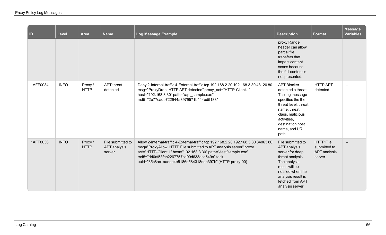| ID       | Level       | <b>Area</b>            | <b>Name</b>                                        | Log Message Example                                                                                                                                                                                                                                                                                                                   | <b>Description</b>                                                                                                                                                                                        | <b>Format</b>                                              | <b>Message</b><br><b>Variables</b> |
|----------|-------------|------------------------|----------------------------------------------------|---------------------------------------------------------------------------------------------------------------------------------------------------------------------------------------------------------------------------------------------------------------------------------------------------------------------------------------|-----------------------------------------------------------------------------------------------------------------------------------------------------------------------------------------------------------|------------------------------------------------------------|------------------------------------|
|          |             |                        |                                                    |                                                                                                                                                                                                                                                                                                                                       | proxy Range<br>header can allow<br>partial file<br>transfers that<br>impact content<br>scans because<br>the full content is<br>not presented.                                                             |                                                            |                                    |
| 1AFF0034 | <b>INFO</b> | Proxy /<br><b>HTTP</b> | <b>APT</b> threat<br>detected                      | Deny 2-Internal-traffic 4-External-traffic tcp 192.168.2.20 192.168.3.30 48120 80<br>msg="ProxyDrop: HTTP APT detected" proxy_act="HTTP-Client.1"<br>host="192.168.3.30" path="/apt_sample.exe"<br>md5="2e77cadb722944a3979571b444ed5183"                                                                                             | <b>APT Blocker</b><br>detected a threat.<br>The log message<br>specifies the the<br>threat level, threat<br>name, threat<br>class, malicious<br>activities,<br>destination host<br>name, and URI<br>path. | <b>HTTP APT</b><br>detected                                |                                    |
| 1AFF0036 | <b>INFO</b> | Proxy/<br><b>HTTP</b>  | File submitted to<br><b>APT</b> analysis<br>server | Allow 2-Internal-traffic 4-External-traffic tcp 192.168.2.20 192.168.3.30 34063 80<br>msg="ProxyAllow: HTTP File submitted to APT analysis server" proxy<br>act="HTTP-Client.1" host="192.168.3.30" path="/test/sample.exe"<br>md5="dd0af53fec2267757cd90d633acd549a" task<br>uuid="35c8ac1aaeee4e5186d584318deb397b" (HTTP-proxy-00) | File submitted to<br><b>APT</b> analysis<br>server for deep<br>threat analysis.<br>The analysis<br>result will be<br>notified when the<br>analysis result is<br>fetched from APT<br>analysis server.      | <b>HTTP File</b><br>submitted to<br>APT analysis<br>server |                                    |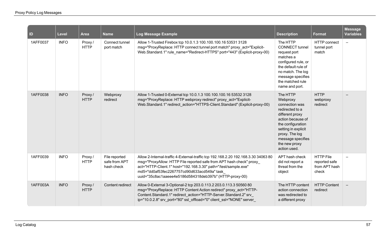| $\overline{\mathsf{I}}$ | <b>Level</b> | <b>Area</b>            | <b>Name</b>                                  | <b>Log Message Example</b>                                                                                                                                                                                                                                                                                                             | <b>Description</b>                                                                                                                                                                                                    | <b>Format</b>                                               | <b>Message</b><br><b>Variables</b> |
|-------------------------|--------------|------------------------|----------------------------------------------|----------------------------------------------------------------------------------------------------------------------------------------------------------------------------------------------------------------------------------------------------------------------------------------------------------------------------------------|-----------------------------------------------------------------------------------------------------------------------------------------------------------------------------------------------------------------------|-------------------------------------------------------------|------------------------------------|
| 1AFF0037                | <b>INFO</b>  | Proxy/<br><b>HTTP</b>  | Connect tunnel<br>port match                 | Allow 1-Trusted Firebox tcp 10.0.1.3 100.100.100.16 53531 3128<br>msg="ProxyReplace: HTTP connect tunnel port match" proxy act="Explicit-<br>Web.Standard.1" rule name="Redirect-HTTPS" port="443" (Explicit-proxy-00)                                                                                                                 | The HTTP<br><b>CONNECT</b> tunnel<br>request port<br>matches a<br>configured rule, or<br>the default rule of<br>no match. The log<br>message specifies<br>the matched rule<br>name and port.                          | <b>HTTP</b> connect<br>tunnel port<br>match                 | $\equiv$                           |
| 1AFF0038                | <b>INFO</b>  | Proxy/<br><b>HTTP</b>  | Webproxy<br>redirect                         | Allow 1-Trusted 0-External tcp 10.0.1.3 100.100.100.16 53532 3128<br>msg="ProxyReplace: HTTP webproxy redirect" proxy_act="Explicit-<br>Web.Standard.1" redirect action="HTTPS-Client.Standard" (Explicit-proxy-00)                                                                                                                    | The HTTP<br>Webproxy<br>connection was<br>redirected to a<br>different proxy<br>action because of<br>the configuration<br>setting in explicit<br>proxy. The log<br>message specifies<br>the new proxy<br>action used. | <b>HTTP</b><br>webproxy<br>redirect                         |                                    |
| 1AFF0039                | <b>INFO</b>  | Proxy /<br><b>HTTP</b> | File reported<br>safe from APT<br>hash check | Allow 2-Internal-traffic 4-External-traffic tcp 192.168.2.20 192.168.3.30 34063 80<br>msg="ProxyAllow: HTTP File reported safe from APT hash check" proxy<br>act="HTTP-Client.1" host="192.168.3.30" path="/test/sample.exe"<br>md5="dd0af53fec2267757cd90d633acd549a" task<br>uuid="35c8ac1aaeee4e5186d584318deb397b" (HTTP-proxy-00) | APT hash check<br>did not report a<br>threat from the<br>object                                                                                                                                                       | <b>HTTP File</b><br>reported safe<br>from APT hash<br>check |                                    |
| 1AFF003A                | <b>INFO</b>  | Proxy/<br><b>HTTP</b>  | Content redirect                             | Allow 0-External 3-Optional-2 tcp 203.0.113.2 203.0.113.3 50560 80<br>msg="ProxyReplace: HTTP Content Action redirect" proxy_act="HTTP-<br>Content.Standard.1" redirect action="HTTP-Server.Standard.2" srv<br>ip="10.0.2.8" srv_port="80" ssl_offload="0" client_ssl="NONE" server                                                    | The HTTP content<br>action connection<br>was redirected to<br>a different proxy                                                                                                                                       | <b>HTTP Content</b><br>redirect                             |                                    |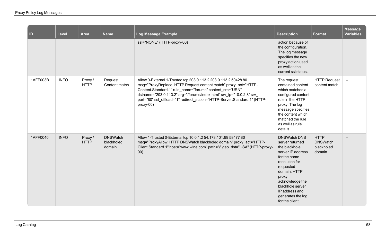| $\vert$ ID | <b>Level</b> | <b>Area</b>            | <b>Name</b>                             | Log Message Example                                                                                                                                                                                                                                                                                                                                               | <b>Description</b>                                                                                                                                                                                                                                   | <b>Format</b>                                          | <b>Message</b><br><b>Variables</b> |
|------------|--------------|------------------------|-----------------------------------------|-------------------------------------------------------------------------------------------------------------------------------------------------------------------------------------------------------------------------------------------------------------------------------------------------------------------------------------------------------------------|------------------------------------------------------------------------------------------------------------------------------------------------------------------------------------------------------------------------------------------------------|--------------------------------------------------------|------------------------------------|
|            |              |                        |                                         | ssl="NONE" (HTTP-proxy-00)                                                                                                                                                                                                                                                                                                                                        | action because of<br>the configuration.<br>The log message<br>specifies the new<br>proxy action used<br>as well as the<br>current ssl status.                                                                                                        |                                                        |                                    |
| 1AFF003B   | <b>INFO</b>  | Proxy /<br><b>HTTP</b> | Request<br>Content match                | Allow 0-External 1-Trusted tcp 203.0.113.2 203.0.113.2 50428 80<br>msg="ProxyReplace: HTTP Request content match" proxy act="HTTP-<br>Content.Standard.1" rule_name="forums" content_src="URN"<br>dstname="203.0.113.2" arg="/forums/index.html" srv_ip="10.0.2.8" srv_<br>port="80" ssl offload="1" redirect action="HTTP-Server.Standard.1" (HTTP-<br>proxy-00) | The request<br>contained content<br>which matched a<br>configured content<br>rule in the HTTP<br>proxy. The log<br>message specifies<br>the content which<br>matched the rule<br>as well as rule<br>details.                                         | <b>HTTP Request</b><br>content match                   | $\overline{\phantom{0}}$           |
| 1AFF0040   | <b>INFO</b>  | Proxy /<br><b>HTTP</b> | <b>DNSWatch</b><br>blackholed<br>domain | Allow 1-Trusted 0-External tcp 10.0.1.2 54.173.101.99 58477 80<br>msg="ProxyAllow: HTTP DNSWatch blackholed domain" proxy_act="HTTP-<br>Client.Standard.1" host="www.wine.com" path="/" geo_dst="USA" (HTTP-proxy-<br>00)                                                                                                                                         | <b>DNSWatch DNS</b><br>server returned<br>the blackhole<br>server IP address<br>for the name<br>resolution for<br>requested<br>domain. HTTP<br>proxy<br>acknowledge the<br>blackhole server<br>IP address and<br>generates the log<br>for the client | <b>HTTP</b><br><b>DNSWatch</b><br>blackholed<br>domain |                                    |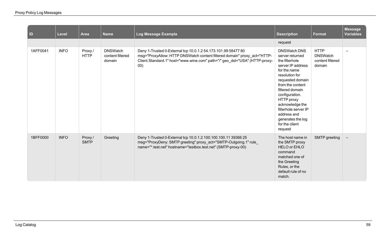| $\vert$ ID | <b>Level</b> | <b>Area</b>           | <b>Name</b>                                   | <b>Log Message Example</b>                                                                                                                                                                                                     | <b>Description</b>                                                                                                                                                                                                                                                                                                     | Format                                                       | Message<br><b>Variables</b> |
|------------|--------------|-----------------------|-----------------------------------------------|--------------------------------------------------------------------------------------------------------------------------------------------------------------------------------------------------------------------------------|------------------------------------------------------------------------------------------------------------------------------------------------------------------------------------------------------------------------------------------------------------------------------------------------------------------------|--------------------------------------------------------------|-----------------------------|
|            |              |                       |                                               |                                                                                                                                                                                                                                | request                                                                                                                                                                                                                                                                                                                |                                                              |                             |
| 1AFF0041   | <b>INFO</b>  | Proxy/<br><b>HTTP</b> | <b>DNSWatch</b><br>content filtered<br>domain | Deny 1-Trusted 0-External tcp 10.0.1.2 54.173.101.99 58477 80<br>msg="ProxyAllow: HTTP DNSWatch content filtered domain" proxy_act="HTTP-<br>Client.Standard.1" host="www.wine.com" path="/" geo_dst="USA" (HTTP-proxy-<br>00) | <b>DNSWatch DNS</b><br>server returned<br>the filterhole<br>server IP address<br>for the name<br>resolution for<br>requested domain<br>from the content<br>filtered domain<br>configuration.<br>HTTP proxy<br>acknowledge the<br>filterhole server IP<br>address and<br>generates the log<br>for the client<br>request | <b>HTTP</b><br><b>DNSWatch</b><br>content filtered<br>domain | $\overline{\phantom{m}}$    |
| 1BFF0000   | <b>INFO</b>  | Proxy/<br><b>SMTP</b> | Greeting                                      | Deny 1-Trusted 0-External tcp 10.0.1.2 100.100.100.11 39366 25<br>msg="ProxyDeny: SMTP greeting" proxy_act="SMTP-Outgoing.1" rule_<br>name="*.test.net" hostname="testbox.test.net" (SMTP-proxy-00)                            | The host name in<br>the SMTP proxy<br><b>HELO or EHLO</b><br>command<br>matched one of<br>the Greeting<br>Rules, or the<br>default rule of no<br>match.                                                                                                                                                                | SMTP greeting                                                | $\overline{\phantom{m}}$    |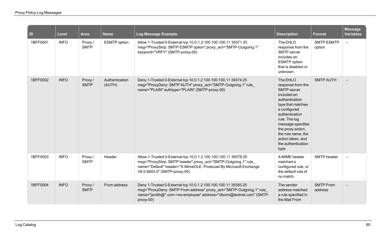| ID       | <b>Level</b> | <b>Area</b>            | <b>Name</b>              | <b>Log Message Example</b>                                                                                                                                                                                                            | <b>Description</b>                                                                                                                                                                                                                                                               | Format                      | <b>Message</b><br><b>Variables</b> |
|----------|--------------|------------------------|--------------------------|---------------------------------------------------------------------------------------------------------------------------------------------------------------------------------------------------------------------------------------|----------------------------------------------------------------------------------------------------------------------------------------------------------------------------------------------------------------------------------------------------------------------------------|-----------------------------|------------------------------------|
| 1BFF0001 | <b>INFO</b>  | Proxy /<br><b>SMTP</b> | <b>ESMTP</b> option      | Allow 1-Trusted 0-External tcp 10.0.1.2 100.100.100.11 39371 25<br>msg="ProxyStrip: SMTP ESMTP option" proxy act="SMTP-Outgoing.1"<br>keyword="VRFY" (SMTP-proxy-00)                                                                  | The EHLO<br>response from the<br>SMTP server<br>includes an<br><b>ESMTP</b> option<br>that is disabled or<br>unknown.                                                                                                                                                            | <b>SMTP ESMTP</b><br>option | $\equiv$                           |
| 1BFF0002 | <b>INFO</b>  | Proxy/<br><b>SMTP</b>  | Authentication<br>(AUTH) | Deny 1-Trusted 0-External tcp 10.0.1.2 100.100.100.11 39374 25<br>msg="ProxyDeny: SMTP AUTH" proxy_act="SMTP-Outgoing.1" rule<br>name="PLAIN" authtype="PLAIN" (SMTP-proxy-00)                                                        | The EHLO<br>response from the<br><b>SMTP</b> server<br>included an<br>authentication<br>type that matches<br>a configured<br>authentication<br>rule. The log<br>message specifies<br>the proxy action,<br>the rule name, the<br>action taken, and<br>the authentication<br>type. | <b>SMTP AUTH</b>            |                                    |
| 1BFF0003 | <b>INFO</b>  | Proxy/<br><b>SMTP</b>  | Header                   | Allow 1-Trusted 0-External tcp 10.0.1.2 100.100.100.11 39379 25<br>msg="ProxyStrip: SMTP header" proxy_act="SMTP-Outgoing.1" rule<br>name="Default" header="X-MimeOLE: Produced By Microsoft Exchange<br>V6.0.6603.0" (SMTP-proxy-00) | A MIME header<br>matched a<br>configured rule, or<br>the default rule of<br>no match.                                                                                                                                                                                            | SMTP header                 | $\overline{\phantom{m}}$           |
| 1BFF0004 | <b>INFO</b>  | Proxy/<br><b>SMTP</b>  | From address             | Deny 1-Trusted 0-External tcp 10.0.1.2 100.100.100.11 39383 25<br>msg="ProxyDeny: SMTP From address" proxy_act="SMTP-Outgoing.1" rule<br>name="jsmith@*.com->ex-employee" address="dbonn@testnet.com" (SMTP-<br>$proxy-00$            | The sender<br>address matched<br>a rule specified in<br>the Mail From                                                                                                                                                                                                            | <b>SMTP From</b><br>address |                                    |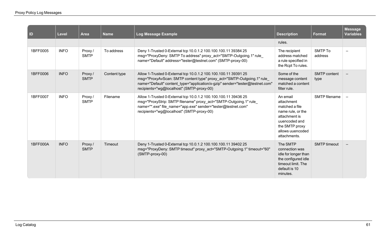| ID       | Level       | <b>Area</b>            | <b>Name</b>  | Log Message Example                                                                                                                                                                                                                                                    | <b>Description</b>                                                                                                                                    | <b>Format</b>               | <b>Message</b><br><b>Variables</b> |
|----------|-------------|------------------------|--------------|------------------------------------------------------------------------------------------------------------------------------------------------------------------------------------------------------------------------------------------------------------------------|-------------------------------------------------------------------------------------------------------------------------------------------------------|-----------------------------|------------------------------------|
|          |             |                        |              |                                                                                                                                                                                                                                                                        | rules.                                                                                                                                                |                             |                                    |
| 1BFF0005 | <b>INFO</b> | Proxy /<br><b>SMTP</b> | To address   | Deny 1-Trusted 0-External tcp 10.0.1.2 100.100.100.11 39384 25<br>msg="ProxyDeny: SMTP To address" proxy_act="SMTP-Outgoing.1" rule_<br>name="Default" address="tester@testnet.com" (SMTP-proxy-00)                                                                    | The recipient<br>address matched<br>a rule specified in<br>the Rcpt To rules.                                                                         | SMTP To<br>address          | $\overline{\phantom{0}}$           |
| 1BFF0006 | <b>INFO</b> | Proxy /<br><b>SMTP</b> | Content type | Allow 1-Trusted 0-External tcp 10.0.1.2 100.100.100.11 39391 25<br>msg="ProxyAvScan: SMTP content type" proxy_act="SMTP-Outgoing.1" rule_<br>name="Default" content_type="application/x-gzip" sender="tester@testnet.com"<br>recipients="wg@localhost" (SMTP-proxy-00) | Some of the<br>message content<br>matched a content<br>filter rule.                                                                                   | <b>SMTP</b> content<br>type | $\qquad \qquad -$                  |
| 1BFF0007 | <b>INFO</b> | Proxy /<br><b>SMTP</b> | Filename     | Allow 1-Trusted 0-External tcp 10.0.1.2 100.100.100.11 39436 25<br>msg="ProxyStrip: SMTP filename" proxy_act="SMTP-Outgoing.1" rule_<br>name="*.exe" file name="app.exe" sender="tester@testnet.com"<br>recipients="wg@localhost" (SMTP-proxy-00)                      | An email<br>attachment<br>matched a file<br>name rule, or the<br>attachment is<br>uuencoded and<br>the SMTP proxy<br>allows uuencoded<br>attachments. | SMTP filename               |                                    |
| 1BFF000A | <b>INFO</b> | Proxy/<br><b>SMTP</b>  | Timeout      | Deny 1-Trusted 0-External tcp 10.0.1.2 100.100.100.11 39402 25<br>msg="ProxyDeny: SMTP timeout" proxy act="SMTP-Outgoing.1" timeout="60"<br>(SMTP-proxy-00)                                                                                                            | The SMTP<br>connection was<br>idle for longer than<br>the configured idle<br>timeout limit. The<br>default is 10<br>minutes.                          | <b>SMTP</b> timeout         |                                    |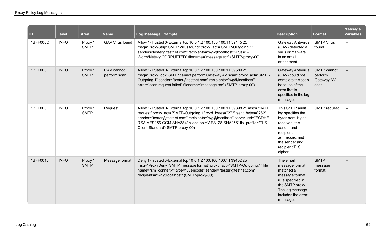| ID       | <b>Level</b> | <b>Area</b>           | <b>Name</b>                | Log Message Example                                                                                                                                                                                                                                                                                                                       | <b>Description</b>                                                                                                                                                    | Format                                       | <b>Message</b><br><b>Variables</b> |
|----------|--------------|-----------------------|----------------------------|-------------------------------------------------------------------------------------------------------------------------------------------------------------------------------------------------------------------------------------------------------------------------------------------------------------------------------------------|-----------------------------------------------------------------------------------------------------------------------------------------------------------------------|----------------------------------------------|------------------------------------|
| 1BFF000C | <b>INFO</b>  | Proxy/<br><b>SMTP</b> | <b>GAV Virus found</b>     | Allow 1-Trusted 0-External tcp 10.0.1.2 100.100.100.11 39445 25<br>msg="ProxyStrip: SMTP Virus found" proxy_act="SMTP-Outgoing.1"<br>sender="tester@testnet.com" recipients="wg@localhost" virus="I-<br>Worm/Netsky.CORRUPTED" filename="message.scr" (SMTP-proxy-00)                                                                     | Gateway AntiVirus<br>(GAV) detected a<br>virus or malware<br>in an email<br>attachment.                                                                               | <b>SMTP Virus</b><br>found                   | $\overline{\phantom{0}}$           |
| 1BFF000E | <b>INFO</b>  | Proxy/<br><b>SMTP</b> | GAV cannot<br>perform scan | Allow 1-Trusted 0-External tcp 10.0.1.2 100.100.100.11 39589 25<br>msg="ProxyLock: SMTP cannot perform Gateway AV scan" proxy_act="SMTP-<br>Outgoing.1" sender="tester@testnet.com" recipients="wg@localhost"<br>error="scan request failed" filename="message.scr" (SMTP-proxy-00)                                                       | Gateway AntiVirus<br>(GAV) could not<br>complete the scan<br>because of the<br>error that is<br>specified in the log<br>message.                                      | SMTP cannot<br>perform<br>Gateway AV<br>scan |                                    |
| 1BFF000F | <b>INFO</b>  | Proxy/<br><b>SMTP</b> | Request                    | Allow 1-Trusted 0-External tcp 10.0.1.2 100.100.100.11 39398 25 msg="SMTP<br>request" proxy_act="SMTP-Outgoing.1" rcvd_bytes="272" sent_bytes="282"<br>sender="tester@testnet.com" recipients="wg@localhost" server_ssl="ECDHE-<br>RSA-AES256-GCM-SHA384" client_ssl="AES128-SHA256" tls_profile="TLS-<br>Client.Standard"(SMTP-proxy-00) | This SMTP audit<br>log specifies the<br>bytes sent, bytes<br>received, the<br>sender and<br>recipient<br>addresses, and<br>the sender and<br>recipient TLS<br>cipher. | SMTP request                                 | $\overline{\phantom{0}}$           |
| 1BFF0010 | <b>INFO</b>  | Proxy/<br><b>SMTP</b> | Message format             | Deny 1-Trusted 0-External tcp 10.0.1.2 100.100.100.11 39452 25<br>msg="ProxyDeny: SMTP message format" proxy_act="SMTP-Outgoing.1" file<br>name="sm_conns.txt" type="uuencode" sender="tester@testnet.com"<br>recipients="wg@localhost" (SMTP-proxy-00)                                                                                   | The email<br>message format<br>matched a<br>message format<br>rule specified in<br>the SMTP proxy.<br>The log message<br>includes the error<br>message.               | <b>SMTP</b><br>message<br>format             |                                    |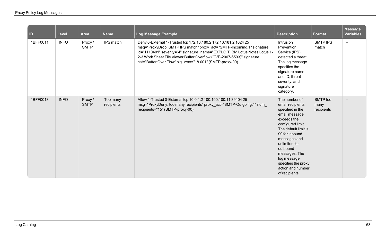| $\vert$ ID | Level       | <b>Area</b>            | <b>Name</b>            | Log Message Example                                                                                                                                                                                                                                                                                                                                          | <b>Description</b>                                                                                                                                                                                                                                                                              | Format                         | Message<br><b>Variables</b> |
|------------|-------------|------------------------|------------------------|--------------------------------------------------------------------------------------------------------------------------------------------------------------------------------------------------------------------------------------------------------------------------------------------------------------------------------------------------------------|-------------------------------------------------------------------------------------------------------------------------------------------------------------------------------------------------------------------------------------------------------------------------------------------------|--------------------------------|-----------------------------|
| 1BFF0011   | <b>INFO</b> | Proxy/<br><b>SMTP</b>  | IPS match              | Deny 0-External 1-Trusted tcp 172.16.180.2 172.16.181.2 1024 25<br>msg="ProxyDrop: SMTP IPS match" proxy_act="SMTP-Incoming.1" signature_<br>id="1110401" severity="4" signature_name="EXPLOIT IBM Lotus Notes Lotus 1-<br>2-3 Work Sheet File Viewer Buffer Overflow (CVE-2007-6593)" signature<br>cat="Buffer Over Flow" sig_vers="18.001" (SMTP-proxy-00) | Intrusion<br>Prevention<br>Service (IPS)<br>detected a threat.<br>The log message<br>specifies the<br>signature name<br>and ID, threat<br>severity, and<br>signature<br>category.                                                                                                               | <b>SMTP IPS</b><br>match       | $\overline{\phantom{0}}$    |
| 1BFF0013   | <b>INFO</b> | Proxy /<br><b>SMTP</b> | Too many<br>recipients | Allow 1-Trusted 0-External tcp 10.0.1.2 100.100.100.11 39404 25<br>msg="ProxyDeny: too many recipients" proxy_act="SMTP-Outgoing.1" num_<br>recipients="15" (SMTP-proxy-00)                                                                                                                                                                                  | The number of<br>email recipients<br>specified in the<br>email message<br>exceeds the<br>configured limit.<br>The default limit is<br>99 for inbound<br>messages and<br>unlimited for<br>outbound<br>messages. The<br>log message<br>specifies the proxy<br>action and number<br>of recipients. | SMTP too<br>many<br>recipients |                             |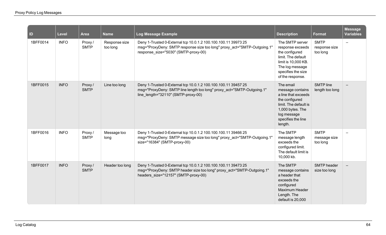| $\vert$ ID | <b>Level</b> | <b>Area</b>            | <b>Name</b>               | Log Message Example                                                                                                                                                                | <b>Description</b>                                                                                                                                                  | <b>Format</b>                            | <b>Message</b><br><b>Variables</b> |
|------------|--------------|------------------------|---------------------------|------------------------------------------------------------------------------------------------------------------------------------------------------------------------------------|---------------------------------------------------------------------------------------------------------------------------------------------------------------------|------------------------------------------|------------------------------------|
| 1BFF0014   | <b>INFO</b>  | Proxy/<br><b>SMTP</b>  | Response size<br>too long | Deny 1-Trusted 0-External tcp 10.0.1.2 100.100.100.11 39973 25<br>msg="ProxyDeny: SMTP response size too long" proxy_act="SMTP-Outgoing.1"<br>response_size="5030" (SMTP-proxy-00) | The SMTP server<br>response exceeds<br>the configured<br>limit. The default<br>limit is 10,000 KB.<br>The log message<br>specifies the size<br>of the response.     | <b>SMTP</b><br>response size<br>too long | $\equiv$                           |
| 1BFF0015   | <b>INFO</b>  | Proxy /<br><b>SMTP</b> | Line too long             | Deny 1-Trusted 0-External tcp 10.0.1.2 100.100.100.11 39457 25<br>msg="ProxyDeny: SMTP line length too long" proxy_act="SMTP-Outgoing.1"<br>line_length="32110" (SMTP-proxy-00)    | The email<br>message contains<br>a line that exceeds<br>the configured<br>limit. The default is<br>1,000 bytes. The<br>log message<br>specifies the line<br>length. | <b>SMTP</b> line<br>length too long      |                                    |
| 1BFF0016   | <b>INFO</b>  | Proxy /<br><b>SMTP</b> | Message too<br>long       | Deny 1-Trusted 0-External tcp 10.0.1.2 100.100.100.11 39466 25<br>msg="ProxyDeny: SMTP message size too long" proxy act="SMTP-Outgoing.1"<br>size="16384" (SMTP-proxy-00)          | The SMTP<br>message length<br>exceeds the<br>configured limit.<br>The default limit is<br>10,000 kb.                                                                | <b>SMTP</b><br>message size<br>too long  | $\overline{\phantom{0}}$           |
| 1BFF0017   | <b>INFO</b>  | Proxy/<br><b>SMTP</b>  | Header too long           | Deny 1-Trusted 0-External tcp 10.0.1.2 100.100.100.11 39473 25<br>msg="ProxyDeny: SMTP header size too long" proxy_act="SMTP-Outgoing.1"<br>headers_size="12157" (SMTP-proxy-00)   | The SMTP<br>message contains<br>a header that<br>exceeds the<br>configured<br><b>Maximum Header</b><br>Length. The<br>default is 20,000                             | <b>SMTP</b> header<br>size too long      |                                    |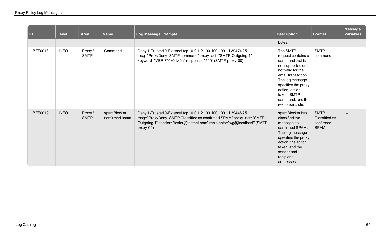| $\vert$ ID | Level       | <b>Area</b>            | <b>Name</b>                   | Log Message Example                                                                                                                                                                                                             | <b>Description</b>                                                                                                                                                                                                                   | Format                                                   | <b>Message</b><br><b>Variables</b> |
|------------|-------------|------------------------|-------------------------------|---------------------------------------------------------------------------------------------------------------------------------------------------------------------------------------------------------------------------------|--------------------------------------------------------------------------------------------------------------------------------------------------------------------------------------------------------------------------------------|----------------------------------------------------------|------------------------------------|
|            |             |                        |                               |                                                                                                                                                                                                                                 | bytes.                                                                                                                                                                                                                               |                                                          |                                    |
| 1BFF0018   | <b>INFO</b> | Proxy /<br><b>SMTP</b> | Command                       | Deny 1-Trusted 0-External tcp 10.0.1.2 100.100.100.11 39474 25<br>msg="ProxyDeny: SMTP command" proxy_act="SMTP-Outgoing.1"<br>keyword="VERIFY\x0d\x0a" response="500" (SMTP-proxy-00)                                          | The SMTP<br>request contains a<br>command that is<br>not supported or is<br>not valid for the<br>email transaction.<br>The log message<br>specifies the proxy<br>action, action<br>taken, SMTP<br>command, and the<br>response code. | <b>SMTP</b><br>command                                   |                                    |
| 1BFF0019   | <b>INFO</b> | Proxy /<br><b>SMTP</b> | spamBlocker<br>confirmed spam | Deny 1-Trusted 0-External tcp 10.0.1.2 100.100.100.11 39446 25<br>msg="ProxyDeny: SMTP Classified as confirmed SPAM" proxy_act="SMTP-<br>Outgoing.1" sender="tester@testnet.com" recipients="wg@localhost" (SMTP-<br>$proxy-00$ | spamBlocker has<br>classified the<br>message as<br>confirmed SPAM.<br>The log message<br>specifies the proxy<br>action, the action<br>taken, and the<br>sender and<br>recipient<br>addresses.                                        | <b>SMTP</b><br>Classified as<br>confirmed<br><b>SPAM</b> |                                    |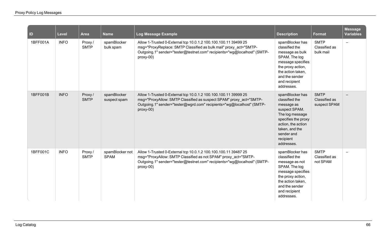| ID       | <b>Level</b> | Area                  | <b>Name</b>                    | Log Message Example                                                                                                                                                                                                           | <b>Description</b>                                                                                                                                                                          | Format                                       | <b>Message</b><br><b>Variables</b> |
|----------|--------------|-----------------------|--------------------------------|-------------------------------------------------------------------------------------------------------------------------------------------------------------------------------------------------------------------------------|---------------------------------------------------------------------------------------------------------------------------------------------------------------------------------------------|----------------------------------------------|------------------------------------|
| 1BFF001A | <b>INFO</b>  | Proxy/<br><b>SMTP</b> | spamBlocker<br>bulk spam       | Allow 1-Trusted 0-External tcp 10.0.1.2 100.100.100.11 39499 25<br>msg="ProxyReplace: SMTP Classified as bulk mail" proxy_act="SMTP-<br>Outgoing.1" sender="tester@testnet.com" recipients="wg@localhost" (SMTP-<br>proxy-00) | spamBlocker has<br>classified the<br>message as bulk<br>SPAM. The log<br>message specifies<br>the proxy action,<br>the action taken,<br>and the sender<br>and recipient<br>addresses.       | <b>SMTP</b><br>Classified as<br>bulk mail    | $\overline{\phantom{0}}$           |
| 1BFF001B | <b>INFO</b>  | Proxy/<br><b>SMTP</b> | spamBlocker<br>suspect spam    | Allow 1-Trusted 0-External tcp 10.0.1.2 100.100.100.11 39999 25<br>msg="ProxyAllow: SMTP Classified as suspect SPAM" proxy act="SMTP-<br>Outgoing.1" sender="tester@wgrd.com" recipients="wg@localhost" (SMTP-<br>proxy-00)   | spamBlocker has<br>classified the<br>message as<br>suspect SPAM.<br>The log message<br>specifies the proxy<br>action, the action<br>taken, and the<br>sender and<br>recipient<br>addresses. | <b>SMTP</b><br>Classified as<br>suspect SPAM |                                    |
| 1BFF001C | <b>INFO</b>  | Proxy/<br><b>SMTP</b> | spamBlocker not<br><b>SPAM</b> | Allow 1-Trusted 0-External tcp 10.0.1.2 100.100.100.11 39487 25<br>msg="ProxyAllow: SMTP Classified as not SPAM" proxy_act="SMTP-<br>Outgoing.1" sender="tester@testnet.com" recipients="wg@localhost" (SMTP-<br>$proxy-00$   | spamBlocker has<br>classified the<br>message as not<br>SPAM. The log<br>message specifies<br>the proxy action,<br>the action taken,<br>and the sender<br>and recipient<br>addresses.        | <b>SMTP</b><br>Classified as<br>not SPAM     |                                    |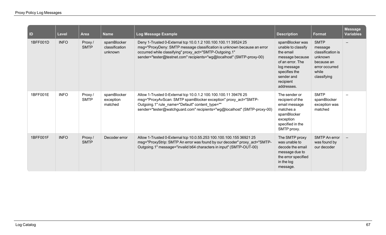| $\blacksquare$ | <b>Level</b> | <b>Area</b>            | <b>Name</b>                              | Log Message Example                                                                                                                                                                                                                                                           | <b>Description</b>                                                                                                                                                 | <b>Format</b>                                                                                                  | <b>Message</b><br><b>Variables</b> |
|----------------|--------------|------------------------|------------------------------------------|-------------------------------------------------------------------------------------------------------------------------------------------------------------------------------------------------------------------------------------------------------------------------------|--------------------------------------------------------------------------------------------------------------------------------------------------------------------|----------------------------------------------------------------------------------------------------------------|------------------------------------|
| 1BFF001D       | <b>INFO</b>  | Proxy/<br><b>SMTP</b>  | spamBlocker<br>classification<br>unknown | Deny 1-Trusted 0-External tcp 10.0.1.2 100.100.100.11 39524 25<br>msg="ProxyDeny: SMTP message classification is unknown because an error<br>occurred while classifying" proxy_act="SMTP-Outgoing.1"<br>sender="tester@testnet.com" recipients="wg@localhost" (SMTP-proxy-00) | spamBlocker was<br>unable to classify<br>the email<br>message because<br>of an error. The<br>log message<br>specifies the<br>sender and<br>recipient<br>addresses. | <b>SMTP</b><br>message<br>classification is<br>unknown<br>because an<br>error occurred<br>while<br>classifying |                                    |
| 1BFF001E       | <b>INFO</b>  | Proxy /<br><b>SMTP</b> | spamBlocker<br>exception<br>matched      | Allow 1-Trusted 0-External tcp 10.0.1.2 100.100.100.11 39476 25<br>msg="ProxyAvScan: SMTP spamBlocker exception" proxy_act="SMTP-<br>Outgoing.1" rule_name="Default" content_type=""<br>sender="tester@watchguard.com" recipients="wg@localhost" (SMTP-proxy-00)              | The sender or<br>recipient of the<br>email message<br>matches a<br>spamBlocker<br>exception<br>specified in the<br>SMTP proxy.                                     | <b>SMTP</b><br>spamBlocker<br>exception was<br>matched                                                         |                                    |
| 1BFF001F       | <b>INFO</b>  | Proxy/<br><b>SMTP</b>  | Decoder error                            | Allow 1-Trusted 0-External tcp 10.0.55.253 100.100.100.155 36921 25<br>msg="ProxyStrip: SMTP An error was found by our decoder" proxy_act="SMTP-<br>Outgoing.1" message="invalid b64 characters in input" (SMTP-OUT-00)                                                       | The SMTP proxy<br>was unable to<br>decode the email<br>message due to<br>the error specified<br>in the log<br>message.                                             | <b>SMTP An error</b><br>was found by<br>our decoder                                                            |                                    |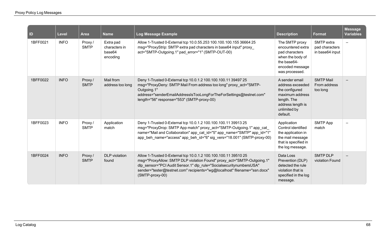| $\blacksquare$ | <b>Level</b> | <b>Area</b>            | <b>Name</b>                                      | Log Message Example                                                                                                                                                                                                                                                                                              | <b>Description</b>                                                                                                                      | <b>Format</b>                                   | <b>Message</b><br><b>Variables</b> |
|----------------|--------------|------------------------|--------------------------------------------------|------------------------------------------------------------------------------------------------------------------------------------------------------------------------------------------------------------------------------------------------------------------------------------------------------------------|-----------------------------------------------------------------------------------------------------------------------------------------|-------------------------------------------------|------------------------------------|
| 1BFF0021       | <b>INFO</b>  | Proxy/<br><b>SMTP</b>  | Extra pad<br>characters in<br>base64<br>encoding | Allow 1-Trusted 0-External tcp 10.0.55.253 100.100.100.155 36664 25<br>msg="ProxyStrip: SMTP extra pad characters in base64 input" proxy<br>act="SMTP-Outgoing.1" pad error="1" (SMTP-OUT-00)                                                                                                                    | The SMTP proxy<br>encountered extra<br>pad characters<br>when the body of<br>the base64-<br>encoded message<br>was processed.           | SMTP extra<br>pad characters<br>in base64 input | $\overline{\phantom{0}}$           |
| 1BFF0022       | <b>INFO</b>  | Proxy/<br><b>SMTP</b>  | Mail from<br>address too long                    | Deny 1-Trusted 0-External tcp 10.0.1.2 100.100.100.11 39497 25<br>msg="ProxyDeny: SMTP Mail From address too long" proxy_act="SMTP-<br>Outgoing.1"<br>address="senderEmailAddressIsTooLongForTheForSettings@testnet.com"<br>length="56" response="553" (SMTP-proxy-00)                                           | A sender email<br>address exceeded<br>the configured<br>maximum address<br>length. The<br>address length is<br>unlimited by<br>default. | <b>SMTP Mail</b><br>From address<br>too long    |                                    |
| 1BFF0023       | <b>INFO</b>  | Proxy /<br><b>SMTP</b> | Application<br>match                             | Deny 1-Trusted 0-External tcp 10.0.1.2 100.100.100.11 39913 25<br>msg="ProxyDrop: SMTP App match" proxy_act="SMTP-Outgoing.1" app_cat_<br>name="Mail and Collaboration" app_cat_id="5" app_name="SMTP" app_id="1"<br>app beh name="access" app beh id="6" sig vers="18.001" (SMTP-proxy-00)                      | Application<br>Control identified<br>the application in<br>the mail message<br>that is specified in<br>the log message.                 | <b>SMTP App</b><br>match                        | $\qquad \qquad$                    |
| 1BFF0024       | <b>INFO</b>  | Proxy /<br><b>SMTP</b> | <b>DLP</b> violation<br>found                    | Allow 1-Trusted 0-External tcp 10.0.1.2 100.100.100.11 39510 25<br>msg="ProxyAllow: SMTP DLP violation Found" proxy_act="SMTP-Outgoing.1"<br>dlp sensor="PCI Audit Sensor.1" dlp rule="SocialsecuritynumbersUSA"<br>sender="tester@testnet.com" recipients="wg@localhost" filename="ssn.docx"<br>(SMTP-proxy-00) | Data Loss<br>Prevention (DLP)<br>detected the rule<br>violation that is<br>specified in the log<br>message.                             | <b>SMTP DLP</b><br>violation Found              |                                    |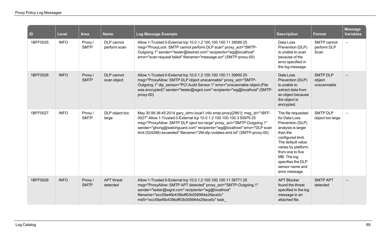| $\vert$ ID | Level       | <b>Area</b>            | <b>Name</b>                   | Log Message Example                                                                                                                                                                                                                                                                                                                                                                    | <b>Description</b>                                                                                                                                                                                                                                      | <b>Format</b>                            | <b>Message</b><br><b>Variables</b> |
|------------|-------------|------------------------|-------------------------------|----------------------------------------------------------------------------------------------------------------------------------------------------------------------------------------------------------------------------------------------------------------------------------------------------------------------------------------------------------------------------------------|---------------------------------------------------------------------------------------------------------------------------------------------------------------------------------------------------------------------------------------------------------|------------------------------------------|------------------------------------|
| 1BFF0025   | <b>INFO</b> | Proxy/<br><b>SMTP</b>  | DLP cannot<br>perform scan    | Allow 1-Trusted 0-External tcp 10.0.1.2 100.100.100.11 39589 25<br>msg="ProxyLock: SMTP cannot perform DLP scan" proxy act="SMTP-<br>Outgoing.1" sender="tester@testnet.com" recipients="wg@localhost"<br>error="scan request failed" filename="message.scr" (SMTP-proxy-00)                                                                                                           | Data Loss<br>Prevention (DLP)<br>is unable to scan<br>because of the<br>error specified in<br>the log message.                                                                                                                                          | SMTP cannot<br>perform DLP<br>Scan       | $\qquad \qquad -$                  |
| 1BFF0026   | <b>INFO</b> | Proxy /<br><b>SMTP</b> | DLP cannot<br>scan object     | Allow 1-Trusted 0-External tcp 10.0.1.2 100.100.100.11 39900 25<br>msg="ProxyAllow: SMTP DLP object unscannable" proxy_act="SMTP-<br>Outgoing.1" dlp sensor="PCI Audit Sensor.1" error="unscannable object (File<br>was encrypted)" sender="tester@wgrd.com" recipients="wg@localhost" (SMTP-<br>proxy-00)                                                                             | Data Loss<br>Prevention (DLP)<br>is unable to<br>extract data from<br>an object because<br>the object is<br>encrypted.                                                                                                                                  | <b>SMTP DLP</b><br>object<br>unscannable |                                    |
| 1BFF0027   | <b>INFO</b> | Proxy /<br><b>SMTP</b> | DLP object too<br>large       | May 30 06:36:45 2014 gary_xtmv local1.info smtp-proxy[2861]: msg_id="1BFF-<br>0027" Allow 1-Trusted 0-External tcp 10.0.1.2 100.100.100.3 50976 25<br>msg="ProxyAllow: SMTP DLP oject too large" proxy_act="SMTP-Outgoing.1"<br>sender="ghong@watchguard.com" recipients="wg@localhost" error="DLP scan<br>limit (524288) exceeded" filename="2M-dlp-violates-end.txt" (SMTP-proxy-00) | The file requested<br>for Data Loss<br>Prevention (DLP)<br>analysis is larger<br>than the<br>configured limit.<br>The default value<br>varies by platform,<br>from one to five<br>MB. The log<br>specifies the DLP<br>sensor name and<br>error message. | <b>SMTP DLP</b><br>object too large      |                                    |
| 1BFF0028   | <b>INFO</b> | Proxy /<br><b>SMTP</b> | <b>APT</b> threat<br>detected | Allow 1-Trusted 0-External tcp 10.0.1.2 100.100.100.11 39771 25<br>msg="ProxyAllow: SMTP APT detected" proxy act="SMTP-Outgoing.1"<br>sender="tester@wgrd.com" recipients="wg@localhost"<br>filename="ecc59a46b439bdf63b058964e29ace0c"<br>md5="ecc59a46b439bdf63b058964e29ace0c" task                                                                                                 | <b>APT Blocker</b><br>found the threat<br>specified in the log<br>message in an<br>attached file.                                                                                                                                                       | <b>SMTP APT</b><br>detected              |                                    |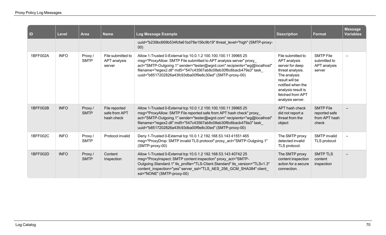| <b>ID</b> | Level       | Area                   | <b>Name</b>                                  | Log Message Example                                                                                                                                                                                                                                                                                                                                | <b>Description</b>                                                                                                                                                                            | <b>Format</b>                                               | <b>Message</b><br><b>Variables</b> |
|-----------|-------------|------------------------|----------------------------------------------|----------------------------------------------------------------------------------------------------------------------------------------------------------------------------------------------------------------------------------------------------------------------------------------------------------------------------------------------------|-----------------------------------------------------------------------------------------------------------------------------------------------------------------------------------------------|-------------------------------------------------------------|------------------------------------|
|           |             |                        |                                              | uuid="b239bc669b534fcfa61bd78e156c9b19" threat_level="high" (SMTP-proxy-<br>00)                                                                                                                                                                                                                                                                    |                                                                                                                                                                                               |                                                             |                                    |
| 1BFF002A  | <b>INFO</b> | Proxy/<br><b>SMTP</b>  | File submitted to<br>APT analysis<br>server  | Allow 1-Trusted 0-External tcp 10.0.1.2 100.100.100.11 39965 25<br>msg="ProxyAllow: SMTP File submitted to APT analysis server" proxy<br>act="SMTP-Outgoing.1" sender="tester@wgrd.com" recipients="wg@localhost"<br>filename="regex2.dll" md5="547c43567ab8c08eb30f6c6bacb479a3" task<br>uuid="b8517202826a43fc93dba00f9e8c30ed" (SMTP-proxy-00)  | File submitted to<br>APT analysis<br>server for deep<br>threat analysis.<br>The analysis<br>result will be<br>notified when the<br>analysis result is<br>fetched from APT<br>analysis server. | <b>SMTP File</b><br>submitted to<br>APT analysis<br>server  |                                    |
| 1BFF002B  | <b>INFO</b> | Proxy/<br><b>SMTP</b>  | File reported<br>safe from APT<br>hash check | Allow 1-Trusted 0-External tcp 10.0.1.2 100.100.100.11 39965 25<br>msg="ProxyAllow: SMTP File reported safe from APT hash check" proxy<br>act="SMTP-Outgoing.1" sender="tester@wgrd.com" recipients="wg@localhost"<br>filename="regex2.dll" md5="547c43567ab8c08eb30f6c6bacb479a3" task<br>uuid="b8517202826a43fc93dba00f9e8c30ed" (SMTP-proxy-00) | APT hash check<br>did not report a<br>threat from the<br>object                                                                                                                               | <b>SMTP File</b><br>reported safe<br>from APT hash<br>check |                                    |
| 1BFF002C  | <b>INFO</b> | Proxy /<br><b>SMTP</b> | Protocol invalid                             | Deny 1-Trusted 0-External tcp 10.0.1.2 192.168.53.143 41551 465<br>msg="ProxyDrop: SMTP invalid TLS protocol" proxy act="SMTP-Outgoing.1"<br>(SMTP-proxy-00)                                                                                                                                                                                       | The SMTP proxy<br>detected invalid<br>TLS protocol.                                                                                                                                           | SMTP invalid<br>TLS protocol                                | $\overline{\phantom{0}}$           |
| 1BFF002D  | <b>INFO</b> | Proxy/<br><b>SMTP</b>  | Content<br>Inspection                        | Allow 1-Trusted 0-External tcp 10.0.1.2 192.168.53.143 40742 25<br>msg="ProxyInspect: SMTP content inspection" proxy act="SMTP-<br>Outgoing.Standard.1" tls_profile="TLS-Client.Standard" tls_version="TLSv1.3"<br>content inspection="yes" server ssl="TLS AES 256 GCM SHA384" client<br>ssl="NONE" (SMTP-proxy-00)                               | The SMTP proxy<br>content inspection<br>action for a secure<br>connection.                                                                                                                    | <b>SMTP TLS</b><br>content<br>inspection                    |                                    |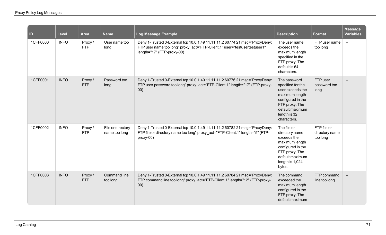| <b>ID</b> | <b>Level</b> | Area                  | <b>Name</b>                        | Log Message Example                                                                                                                                                                    | <b>Description</b>                                                                                                                                               | <b>Format</b>                             | <b>Message</b><br><b>Variables</b> |
|-----------|--------------|-----------------------|------------------------------------|----------------------------------------------------------------------------------------------------------------------------------------------------------------------------------------|------------------------------------------------------------------------------------------------------------------------------------------------------------------|-------------------------------------------|------------------------------------|
| 1CFF0000  | <b>INFO</b>  | Proxy/<br><b>FTP</b>  | User name too<br>long              | Deny 1-Trusted 0-External tcp 10.0.1.49 11.11.11.2 60774 21 msg="ProxyDeny:<br>FTP user name too long" proxy_act="FTP-Client.1" user="testusertestuser1"<br>length="17" (FTP-proxy-00) | The user name<br>exceeds the<br>maximum length<br>specified in the<br>FTP proxy. The<br>default is 64<br>characters.                                             | FTP user name<br>too long                 | $\overline{\phantom{a}}$           |
| 1CFF0001  | <b>INFO</b>  | Proxy/<br><b>FTP</b>  | Password too<br>long               | Deny 1-Trusted 0-External tcp 10.0.1.49 11.11.11.2 60776 21 msg="ProxyDeny:<br>FTP user password too long" proxy act="FTP-Client.1" length="17" (FTP-proxy-<br>00)                     | The password<br>specified for the<br>user exceeds the<br>maximum length<br>configured in the<br>FTP proxy. The<br>default maximum<br>length is 32<br>characters. | FTP user<br>password too<br>long          |                                    |
| 1CFF0002  | <b>INFO</b>  | Proxy /<br><b>FTP</b> | File or directory<br>name too long | Deny 1-Trusted 0-External tcp 10.0.1.49 11.11.11.2 60782 21 msg="ProxyDeny:<br>FTP file or directory name too long" proxy_act="FTP-Client.1" length="5" (FTP-<br>proxy-00)             | The file or<br>directory name<br>exceeds the<br>maximum length<br>configured in the<br>FTP proxy. The<br>default maximum<br>length is 1,024<br>bytes.            | FTP file or<br>directory name<br>too long |                                    |
| 1CFF0003  | <b>INFO</b>  | Proxy/<br><b>FTP</b>  | <b>Command line</b><br>too long    | Deny 1-Trusted 0-External tcp 10.0.1.49 11.11.11.2 60784 21 msg="ProxyDeny:<br>FTP command line too long" proxy_act="FTP-Client.1" length="12" (FTP-proxy-<br>00)                      | The command<br>exceeded the<br>maximum length<br>configured in the<br>FTP proxy. The<br>default maximum                                                          | FTP command<br>line too long              |                                    |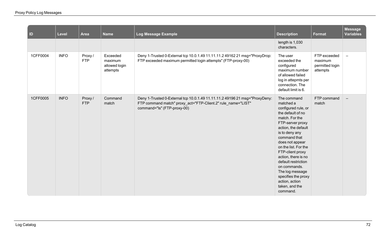| $\vert$ ID | Level       | <b>Area</b>           | <b>Name</b>                                      | Log Message Example                                                                                                                                                        | <b>Description</b>                                                                                                                                                                                                                                                                                                                                                                         | <b>Format</b>                                          | <b>Message</b><br><b>Variables</b> |
|------------|-------------|-----------------------|--------------------------------------------------|----------------------------------------------------------------------------------------------------------------------------------------------------------------------------|--------------------------------------------------------------------------------------------------------------------------------------------------------------------------------------------------------------------------------------------------------------------------------------------------------------------------------------------------------------------------------------------|--------------------------------------------------------|------------------------------------|
|            |             |                       |                                                  |                                                                                                                                                                            | length is 1,030<br>characters.                                                                                                                                                                                                                                                                                                                                                             |                                                        |                                    |
| 1CFF0004   | <b>INFO</b> | Proxy /<br><b>FTP</b> | Exceeded<br>maximum<br>allowed login<br>attempts | Deny 1-Trusted 0-External tcp 10.0.1.49 11.11.11.2 49162 21 msg="ProxyDrop:<br>FTP exceeded maximum permitted login attempts" (FTP-proxy-00)                               | The user<br>exceeded the<br>configured<br>maximum number<br>of allowed failed<br>log in attepmts per<br>connection. The<br>default limit is 6.                                                                                                                                                                                                                                             | FTP exceeded<br>maximum<br>permitted login<br>attempts | $\equiv$                           |
| 1CFF0005   | <b>INFO</b> | Proxy/<br><b>FTP</b>  | Command<br>match                                 | Deny 1-Trusted 0-External tcp 10.0.1.49 11.11.11.2 49196 21 msg="ProxyDeny:<br>FTP command match" proxy_act="FTP-Client.2" rule_name="LIST"<br>command="ls" (FTP-proxy-00) | The command<br>matched a<br>configured rule, or<br>the default of no<br>match. For the<br>FTP-server proxy<br>action, the default<br>is to deny any<br>command that<br>does not appear<br>on the list. For the<br>FTP-client proxy<br>action, there is no<br>default restriction<br>on commands.<br>The log message<br>specifies the proxy<br>action, action<br>taken, and the<br>command. | FTP command<br>match                                   | $\qquad \qquad -$                  |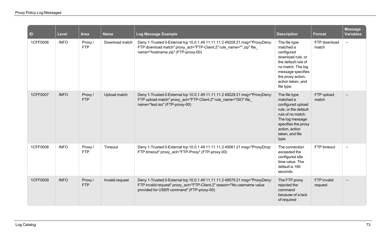| ID       | <b>Level</b> | <b>Area</b>          | <b>Name</b>     | Log Message Example                                                                                                                                                                                 | <b>Description</b>                                                                                                                                                                     | <b>Format</b>          | <b>Message</b><br><b>Variables</b> |
|----------|--------------|----------------------|-----------------|-----------------------------------------------------------------------------------------------------------------------------------------------------------------------------------------------------|----------------------------------------------------------------------------------------------------------------------------------------------------------------------------------------|------------------------|------------------------------------|
| 1CFF0006 | <b>INFO</b>  | Proxy/<br><b>FTP</b> | Download match  | Deny 1-Trusted 0-External tcp 10.0.1.49 11.11.11.2 49208 21 msg="ProxyDeny:<br>FTP download match" proxy_act="FTP-Client.2" rule_name="*.zip" file_<br>name="hostname.zip" (FTP-proxy-00)           | The file type<br>matched a<br>configured<br>download rule, or<br>the default rule of<br>no match. The log<br>message specifies<br>the proxy action,<br>action taken, and<br>file type. | FTP download<br>match  | $-$                                |
| 1CFF0007 | <b>INFO</b>  | Proxy/<br><b>FTP</b> | Upload match    | Deny 1-Trusted 0-External tcp 10.0.1.49 11.11.11.2 49228 21 msg="ProxyDeny:<br>FTP upload match" proxy_act="FTP-Client.2" rule_name="ISO" file_<br>name="test.iso" (FTP-proxy-00)                   | The file type<br>matched a<br>configured upload<br>rule, or the default<br>rule of no match.<br>The log message<br>specifies the proxy<br>action, action<br>taken, and file<br>type.   | FTP upload<br>match    |                                    |
| 1CFF0008 | <b>INFO</b>  | Proxy/<br><b>FTP</b> | Timeout         | Deny 1-Trusted 0-External tcp 10.0.1.49 11.11.11.2 49561 21 msg="ProxyDrop:<br>FTP timeout" proxy act="FTP-Proxy" (FTP-proxy-00)                                                                    | The connection<br>exceeded the<br>configured idle<br>time value. The<br>default is 180<br>seconds.                                                                                     | FTP timeout            |                                    |
| 1CFF0009 | <b>INFO</b>  | Proxy/<br>FTP        | Invalid request | Deny 1-Trusted 0-External tcp 10.0.1.49 11.11.11.2 49579 21 msg="ProxyDeny:<br>FTP invalid request" proxy_act="FTP-Client.2" reason="No username value<br>provided for USER command" (FTP-proxy-00) | The FTP proxy<br>rejected the<br>command<br>because of a lack<br>of required                                                                                                           | FTP invalid<br>request |                                    |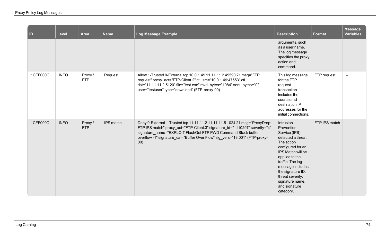| ID       | Level       | <b>Area</b>          | <b>Name</b> | <b>Log Message Example</b>                                                                                                                                                                                                                                                                                        | <b>Description</b>                                                                                                                                                                                                                                                         | Format        | <b>Message</b><br><b>Variables</b> |
|----------|-------------|----------------------|-------------|-------------------------------------------------------------------------------------------------------------------------------------------------------------------------------------------------------------------------------------------------------------------------------------------------------------------|----------------------------------------------------------------------------------------------------------------------------------------------------------------------------------------------------------------------------------------------------------------------------|---------------|------------------------------------|
|          |             |                      |             |                                                                                                                                                                                                                                                                                                                   | arguments, such<br>as a user name.<br>The log message<br>specifies the proxy<br>action and<br>command.                                                                                                                                                                     |               |                                    |
| 1CFF000C | <b>INFO</b> | Proxy/<br><b>FTP</b> | Request     | Allow 1-Trusted 0-External tcp 10.0.1.49 11.11.11.2 49590 21 msg="FTP<br>request" proxy_act="FTP-Client.2" ctl_src="10.0.1.49:47553" ctl_<br>dst="11.11.11.2:5120" file="test.exe" rcvd_bytes="1084" sent_bytes="0"<br>user="testuser" type="download" (FTP-proxy-00)                                             | This log message<br>for the FTP<br>request<br>transaction<br>includes the<br>source and<br>destination IP<br>addresses for the<br>initial connections.                                                                                                                     | FTP request   | $\overline{\phantom{m}}$           |
| 1CFF000D | <b>INFO</b> | Proxy/<br><b>FTP</b> | IPS match   | Deny 0-External 1-Trusted tcp 11.11.11.2 11.11.11.5 1024 21 msg="ProxyDrop:<br>FTP IPS match" proxy_act="FTP-Client.3" signature_id="1110297" severity="4"<br>signature_name="EXPLOIT FlashGet FTP PWD Command Stack buffer<br>overflow -1" signature_cat="Buffer Over Flow" sig_vers="18.001" (FTP-proxy-<br>00) | Intrusion<br>Prevention<br>Service (IPS)<br>detected a threat.<br>The action<br>configured for an<br>IPS Match will be<br>applied to the<br>traffic. The log<br>message includes<br>the signature ID,<br>threat severity,<br>signature name,<br>and signature<br>category. | FTP IPS match | $\overline{\phantom{m}}$           |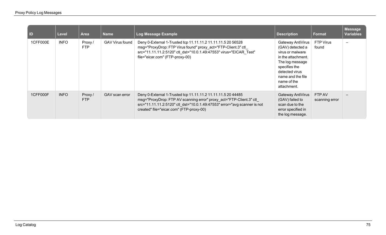| $\vert$ ID | <b>Level</b> | Area                  | <b>Name</b>            | Log Message Example                                                                                                                                                                                                                                           | <b>Description</b>                                                                                                                                                                       | <b>Format</b>            | <b>Message</b><br><b>Variables</b> |
|------------|--------------|-----------------------|------------------------|---------------------------------------------------------------------------------------------------------------------------------------------------------------------------------------------------------------------------------------------------------------|------------------------------------------------------------------------------------------------------------------------------------------------------------------------------------------|--------------------------|------------------------------------|
| 1CFF000E   | <b>INFO</b>  | Proxy /<br><b>FTP</b> | <b>GAV Virus found</b> | Deny 0-External 1-Trusted tcp 11.11.11.2 11.11.11.5 20 56528<br>msg="ProxyDrop: FTP Virus found" proxy_act="FTP-Client.3" ctl_<br>src="11.11.11.2:5120" ctl_dst="10.0.1.49:47553" virus="EICAR_Test"<br>file="eicar.com" (FTP-proxy-00)                       | Gateway AntiVirus<br>(GAV) detected a<br>virus or malware<br>in the attachment.<br>The log message<br>specifies the<br>detected virus<br>name and the file<br>name of the<br>attachment. | FTP Virus<br>found       | $\overline{\phantom{0}}$           |
| 1CFF000F   | <b>INFO</b>  | Proxy /<br><b>FTP</b> | GAV scan error         | Deny 0-External 1-Trusted tcp 11.11.11.2 11.11.11.5 20 44485<br>msg="ProxyDrop: FTP AV scanning error" proxy_act="FTP-Client.3" ctl_<br>src="11.11.11.2:5120" ctl dst="10.0.1.49:47553" error="avg scanner is not<br>created" file="eicar.com" (FTP-proxy-00) | Gateway AntiVirus<br>(GAV) failed to<br>scan due to the<br>error specified in<br>the log message.                                                                                        | FTP AV<br>scanning error |                                    |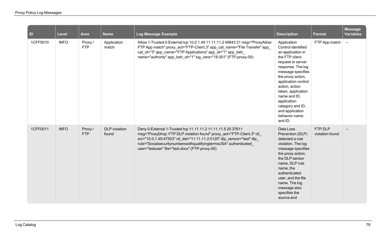| <b>ID</b> | <b>Level</b> | Area                 | <b>Name</b>                   | Log Message Example                                                                                                                                                                                                                                                                                                                     | <b>Description</b>                                                                                                                                                                                                                                                                                                            | <b>Format</b>              | <b>Message</b><br><b>Variables</b> |
|-----------|--------------|----------------------|-------------------------------|-----------------------------------------------------------------------------------------------------------------------------------------------------------------------------------------------------------------------------------------------------------------------------------------------------------------------------------------|-------------------------------------------------------------------------------------------------------------------------------------------------------------------------------------------------------------------------------------------------------------------------------------------------------------------------------|----------------------------|------------------------------------|
| 1CFF0010  | <b>INFO</b>  | Proxy/<br><b>FTP</b> | Application<br>match          | Allow 1-Trusted 0-External tcp 10.0.1.49 11.11.11.2 49843 21 msg="ProxyAllow:<br>FTP App match" proxy_act="FTP-Client.3" app_cat_name="File Transfer" app_<br>cat_id="3" app_name="FTP Applications" app_id="1" app_beh_<br>name="authority" app_beh_id="1" sig_vers="18.001" (FTP-proxy-00)                                            | Application<br>Control identified<br>an application in<br>the FTP client<br>request or server<br>response. The log<br>message specifies<br>the proxy action,<br>application control<br>action, action<br>taken, application<br>name and ID,<br>application<br>category and ID,<br>and application<br>behavior name<br>and ID. | FTP App match              | $\equiv$                           |
| 1CFF0011  | <b>INFO</b>  | Proxy/<br><b>FTP</b> | <b>DLP</b> violation<br>found | Deny 0-External 1-Trusted tcp 11.11.11.2 11.11.11.5 20 37611<br>msg="ProxyDrop: FTP DLP violation found" proxy_act="FTP-Client.3" ctl_<br>src="10.0.1.49:47553" ctl_dst="11.11.11.2:5120" dlp_sensor="test" dlp_<br>rule="SocialsecuritynumberswithqualifyingtermsUSA" authenticated<br>user="testuser" file="test.docx" (FTP-proxy-00) | Data Loss<br>Prevention (DLP)<br>detected a rule<br>violation. The log<br>message specifies<br>the proxy action,<br>the DLP sensor<br>name, DLP rule<br>name, the<br>authenticated<br>user, and the file<br>name. The log<br>message also<br>specifies the<br>source and                                                      | FTP DLP<br>violation found |                                    |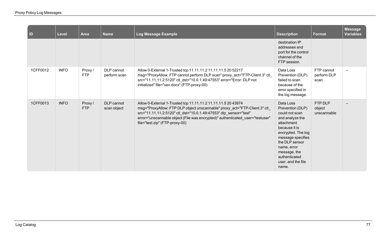| $\blacksquare$ | Level       | <b>Area</b>           | <b>Name</b>                | Log Message Example                                                                                                                                                                                                                                                                                                                 | <b>Description</b>                                                                                                                                                                                                                            | <b>Format</b>                     | <b>Message</b><br><b>Variables</b> |
|----------------|-------------|-----------------------|----------------------------|-------------------------------------------------------------------------------------------------------------------------------------------------------------------------------------------------------------------------------------------------------------------------------------------------------------------------------------|-----------------------------------------------------------------------------------------------------------------------------------------------------------------------------------------------------------------------------------------------|-----------------------------------|------------------------------------|
|                |             |                       |                            |                                                                                                                                                                                                                                                                                                                                     | destination IP<br>addresses and<br>port for the control<br>channel of the<br>FTP session.                                                                                                                                                     |                                   |                                    |
| 1CFF0012       | <b>INFO</b> | Proxy /<br><b>FTP</b> | DLP cannot<br>perform scan | Allow 0-External 1-Trusted tcp 11.11.11.2 11.11.11.5 20 52217<br>msg="ProxyAllow: FTP cannot perform DLP scan" proxy_act="FTP-Client.3" ctl_<br>src="11.11.11.2:5120" ctl_dst="10.0.1.49:47553" error="Error: DLP not<br>initialized" file="ssn.docx" (FTP-proxy-00)                                                                | Data Loss<br>Prevention (DLP)<br>failed to scan<br>because of the<br>error specified in<br>the log message.                                                                                                                                   | FTP cannot<br>perform DLP<br>scan |                                    |
| 1CFF0013       | <b>INFO</b> | Proxy/<br><b>FTP</b>  | DLP cannot<br>scan object  | Allow 0-External 1-Trusted tcp 11.11.11.2 11.11.11.5 20 43974<br>msg="ProxyAllow: FTP DLP object unscannable" proxy_act="FTP-Client.3" ctl_<br>src="11.11.11.2:5120" ctl_dst="10.0.1.49:47553" dlp_sensor="test"<br>error="unscannable object (File was encrypted)" authenticated_user="testuser"<br>file="test.zip" (FTP-proxy-00) | Data Loss<br>Prevention (DLP)<br>could not scan<br>and analyze the<br>attachment<br>because it is<br>encrypted. The log<br>message specifies<br>the DLP sensor<br>name, error<br>message, the<br>authenticated<br>user, and the file<br>name. | FTP DLP<br>object<br>unscannable  |                                    |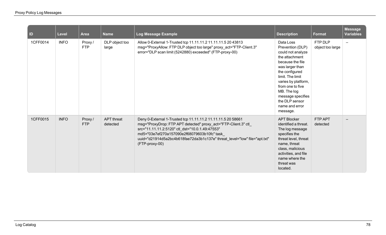| $\blacksquare$ | <b>Level</b> | <b>Area</b>           | <b>Name</b>                   | Log Message Example                                                                                                                                                                                                                                                                                                              | <b>Description</b>                                                                                                                                                                                                                                                               | <b>Format</b>               | <b>Message</b><br><b>Variables</b> |
|----------------|--------------|-----------------------|-------------------------------|----------------------------------------------------------------------------------------------------------------------------------------------------------------------------------------------------------------------------------------------------------------------------------------------------------------------------------|----------------------------------------------------------------------------------------------------------------------------------------------------------------------------------------------------------------------------------------------------------------------------------|-----------------------------|------------------------------------|
| 1CFF0014       | <b>INFO</b>  | Proxy/<br><b>FTP</b>  | DLP object too<br>large       | Allow 0-External 1-Trusted tcp 11.11.11.2 11.11.11.5 20 43813<br>msg="ProxyAllow: FTP DLP object too large" proxy_act="FTP-Client.3"<br>error="DLP scan limit (5242880) exceeded" (FTP-proxy-00)                                                                                                                                 | Data Loss<br>Prevention (DLP)<br>could not analyze<br>the attachment<br>because the file<br>was larger than<br>the configured<br>limit. The limit<br>varies by platform,<br>from one to five<br>MB. The log<br>message specifies<br>the DLP sensor<br>name and error<br>message. | FTP DLP<br>object too large | $\overline{\phantom{0}}$           |
| 1CFF0015       | <b>INFO</b>  | Proxy /<br><b>FTP</b> | <b>APT</b> threat<br>detected | Deny 0-External 1-Trusted tcp 11.11.11.2 11.11.11.5 20 58661<br>msg="ProxyDrop: FTP APT detected" proxy_act="FTP-Client.3" ctl_<br>src="11.11.11.2:5120" ctl_dst="10.0.1.49:47553"<br>md5="03e7ef270a157090e2f68079603b10fc" task<br>uuid="d21914d5a2bc4b618fae72da3b1c137e" threat_level="low" file="apt.txt"<br>(FTP-proxy-00) | <b>APT Blocker</b><br>identified a threat.<br>The log message<br>specifies the<br>threat level, threat<br>name, threat<br>class, malicious<br>activities, and file<br>name where the<br>threat was<br>located.                                                                   | FTP APT<br>detected         | $\qquad \qquad -$                  |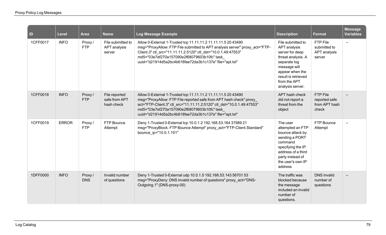| $\vert$ ID | <b>Level</b> | <b>Area</b>          | <b>Name</b>                                  | Log Message Example                                                                                                                                                                                                                                                                                                    | <b>Description</b>                                                                                                                                                                       | <b>Format</b>                                       | <b>Message</b><br><b>Variables</b> |
|------------|--------------|----------------------|----------------------------------------------|------------------------------------------------------------------------------------------------------------------------------------------------------------------------------------------------------------------------------------------------------------------------------------------------------------------------|------------------------------------------------------------------------------------------------------------------------------------------------------------------------------------------|-----------------------------------------------------|------------------------------------|
| 1CFF0017   | <b>INFO</b>  | Proxy/<br><b>FTP</b> | File submitted to<br>APT analysis<br>server  | Allow 0-External 1-Trusted tcp 11.11.11.2 11.11.11.5 20 43490<br>msg="ProxyAllow: FTP File submitted to APT analysis server" proxy_act="FTP-<br>Client.3" ctl_src="11.11.11.2:5120" ctl_dst="10.0.1.49:47553"<br>md5="03e7ef270a157090e2f68079603b10fc" task<br>uuid="d21914d5a2bc4b618fae72da3b1c137e" file="apt.txt" | File submitted to<br>APT analysis<br>server for deep<br>threat analysis. A<br>separate log<br>message will<br>appear when the<br>result is retrieved<br>from the APT<br>analysis server. | FTP File<br>submitted to<br>APT analysis<br>server  | $\qquad \qquad$                    |
| 1CFF0018   | <b>INFO</b>  | Proxy/<br><b>FTP</b> | File reported<br>safe from APT<br>hash check | Allow 0-External 1-Trusted tcp 11.11.11.2 11.11.11.5 20 43490<br>msg="ProxyAllow: FTP File reported safe from APT hash check" proxy<br>act="FTP-Client.3" ctl_src="11.11.11.2:5120" ctl_dst="10.0.1.49:47553"<br>md5="03e7ef270a157090e2f68079603b10fc" task<br>uuid="d21914d5a2bc4b618fae72da3b1c137e" file="apt.txt" | APT hash check<br>did not report a<br>threat from the<br>object                                                                                                                          | FTP File<br>reported safe<br>from APT hash<br>check |                                    |
| 1CFF0019   | <b>ERROR</b> | Proxy/<br><b>FTP</b> | FTP Bounce<br>Attempt                        | Deny 1-Trusted 0-External tcp 10.0.1.2 192.168.53.164 37989 21<br>msg="ProxyBlock: FTP Bounce Attempt" proxy_act="FTP-Client.Standard"<br>bounce_ip="10.0.1.101"                                                                                                                                                       | The user<br>attempted an FTP<br>bounce attack by<br>sending a PORT<br>command<br>specifying the IP<br>address of a third<br>party instead of<br>the user's own IP<br>address             | FTP Bounce<br>Attempt                               |                                    |
| 1DFF0000   | <b>INFO</b>  | Proxy/<br><b>DNS</b> | Invalid number<br>of questions               | Deny 1-Trusted 0-External udp 10.0.1.5 192.168.53.143 56701 53<br>msg="ProxyDeny: DNS invalid number of questions" proxy_act="DNS-<br>Outgoing.1" (DNS-proxy-00)                                                                                                                                                       | The traffic was<br>blocked because<br>the message<br>included an invalid<br>number of<br>questions.                                                                                      | <b>DNS</b> invalid<br>number of<br>questions        |                                    |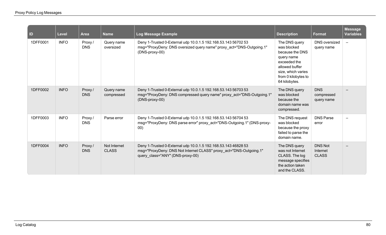| $\vert$ ID | Level       | <b>Area</b>          | <b>Name</b>                  | Log Message Example                                                                                                                                                      | <b>Description</b>                                                                                                                                            | <b>Format</b>                              | <b>Message</b><br><b>Variables</b> |
|------------|-------------|----------------------|------------------------------|--------------------------------------------------------------------------------------------------------------------------------------------------------------------------|---------------------------------------------------------------------------------------------------------------------------------------------------------------|--------------------------------------------|------------------------------------|
| 1DFF0001   | <b>INFO</b> | Proxy/<br><b>DNS</b> | Query name<br>oversized      | Deny 1-Trusted 0-External udp 10.0.1.5 192.168.53.143 56702 53<br>msg="ProxyDeny: DNS oversized query name" proxy_act="DNS-Outgoing.1"<br>(DNS-proxy-00)                 | The DNS query<br>was blocked<br>because the DNS<br>query name<br>exceeded the<br>allowed buffer<br>size, which varies<br>from 0 kilobytes to<br>64 kilobytes. | DNS oversized<br>query name                | $\overline{\phantom{m}}$           |
| 1DFF0002   | <b>INFO</b> | Proxy/<br><b>DNS</b> | Query name<br>compressed     | Deny 1-Trusted 0-External udp 10.0.1.5 192.168.53.143 56703 53<br>msg="ProxyDeny: DNS compressed query name" proxy act="DNS-Outgoing.1"<br>(DNS-proxy-00)                | The DNS query<br>was blocked<br>because the<br>domain name was<br>compressed.                                                                                 | <b>DNS</b><br>compressed<br>query name     |                                    |
| 1DFF0003   | <b>INFO</b> | Proxy/<br><b>DNS</b> | Parse error                  | Deny 1-Trusted 0-External udp 10.0.1.5 192.168.53.143 56704 53<br>msg="ProxyDeny: DNS parse error" proxy_act="DNS-Outgoing.1" (DNS-proxy-<br>00)                         | The DNS request<br>was blocked<br>because the proxy<br>failed to parse the<br>domain name.                                                                    | <b>DNS Parse</b><br>error                  |                                    |
| 1DFF0004   | <b>INFO</b> | Proxy/<br><b>DNS</b> | Not Internet<br><b>CLASS</b> | Deny 1-Trusted 0-External udp 10.0.1.5 192.168.53.143 46828 53<br>msg="ProxyDeny: DNS Not Internet CLASS" proxy_act="DNS-Outgoing.1"<br>query class="ANY" (DNS-proxy-00) | The DNS query<br>was not Internet<br>CLASS. The log<br>message specifies<br>the action taken<br>and the CLASS.                                                | <b>DNS Not</b><br>Internet<br><b>CLASS</b> |                                    |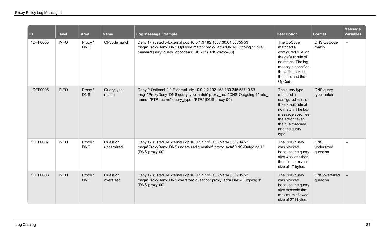| $\vert$ ID | <b>Level</b> | <b>Area</b>           | <b>Name</b>            | Log Message Example                                                                                                                                                                              | <b>Description</b>                                                                                                                                                                      | <b>Format</b>                        | <b>Message</b><br><b>Variables</b> |
|------------|--------------|-----------------------|------------------------|--------------------------------------------------------------------------------------------------------------------------------------------------------------------------------------------------|-----------------------------------------------------------------------------------------------------------------------------------------------------------------------------------------|--------------------------------------|------------------------------------|
| 1DFF0005   | <b>INFO</b>  | Proxy/<br><b>DNS</b>  | OPcode match           | Deny 1-Trusted 0-External udp 10.0.1.3 192.168.130.81 36755 53<br>msg="ProxyDeny: DNS OpCode match" proxy_act="DNS-Outgoing.1" rule_<br>name="Query" query_opcode="QUERY" (DNS-proxy-00)         | The OpCode<br>matched a<br>configured rule, or<br>the default rule of<br>no match. The log<br>message specifies<br>the action taken,<br>the rule, and the<br>OpCode.                    | DNS OpCode<br>match                  | $\equiv$                           |
| 1DFF0006   | <b>INFO</b>  | Proxy/<br><b>DNS</b>  | Query type<br>match    | Deny 2-Optional-1 0-External udp 10.0.2.2 192.168.130.245 53710 53<br>msg="ProxyDeny: DNS query type match" proxy_act="DNS-Outgoing.1" rule<br>name="PTR record" query type="PTR" (DNS-proxy-00) | The query type<br>matched a<br>configured rule, or<br>the default rule of<br>no match. The log<br>message specifies<br>the action taken,<br>the rule matched,<br>and the query<br>type. | DNS query<br>type match              |                                    |
| 1DFF0007   | <b>INFO</b>  | Proxy /<br><b>DNS</b> | Question<br>undersized | Deny 1-Trusted 0-External udp 10.0.1.5 192.168.53.143 56704 53<br>msg="ProxyDeny: DNS undersized question" proxy_act="DNS-Outgoing.1"<br>(DNS-proxy-00)                                          | The DNS query<br>was blocked<br>because the query<br>size was less than<br>the minimum valid<br>size of 17 bytes.                                                                       | <b>DNS</b><br>undersized<br>question | $\sim$                             |
| 1DFF0008   | <b>INFO</b>  | Proxy/<br><b>DNS</b>  | Question<br>oversized  | Deny 1-Trusted 0-External udp 10.0.1.5 192.168.53.143 56705 53<br>msg="ProxyDeny: DNS oversized question" proxy act="DNS-Outgoing.1"<br>(DNS-proxy-00)                                           | The DNS query<br>was blocked<br>because the query<br>size exceeds the<br>maximum allowed<br>size of 271 bytes.                                                                          | <b>DNS</b> oversized<br>question     |                                    |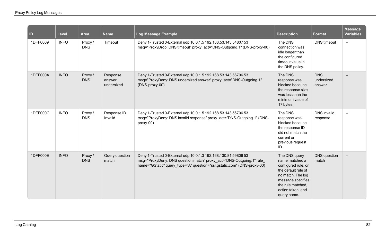| $\vert$ ID | Level       | Area                  | <b>Name</b>                      | Log Message Example                                                                                                                                                                                              | <b>Description</b>                                                                                                                                                               | Format                             | <b>Message</b><br><b>Variables</b> |
|------------|-------------|-----------------------|----------------------------------|------------------------------------------------------------------------------------------------------------------------------------------------------------------------------------------------------------------|----------------------------------------------------------------------------------------------------------------------------------------------------------------------------------|------------------------------------|------------------------------------|
| 1DFF0009   | <b>INFO</b> | Proxy/<br><b>DNS</b>  | Timeout                          | Deny 1-Trusted 0-External udp 10.0.1.5 192.168.53.143 54807 53<br>msg="ProxyDrop: DNS timeout" proxy act="DNS-Outgoing.1" (DNS-proxy-00)                                                                         | The DNS<br>connection was<br>idle longer than<br>the configured<br>timeout value in<br>the DNS policy.                                                                           | <b>DNS</b> timeout                 | $\overline{\phantom{0}}$           |
| 1DFF000A   | <b>INFO</b> | Proxy/<br><b>DNS</b>  | Response<br>answer<br>undersized | Deny 1-Trusted 0-External udp 10.0.1.5 192.168.53.143 56706 53<br>msg="ProxyDeny: DNS undersized answer" proxy_act="DNS-Outgoing.1"<br>(DNS-proxy-00)                                                            | The DNS<br>response was<br>blocked because<br>the response size<br>was less than the<br>minimum value of<br>17 bytes.                                                            | <b>DNS</b><br>undersized<br>answer |                                    |
| 1DFF000C   | <b>INFO</b> | Proxy /<br><b>DNS</b> | Response ID<br>Invalid           | Deny 1-Trusted 0-External udp 10.0.1.5 192.168.53.143 56706 53<br>msg="ProxyDeny: DNS invalid response" proxy act="DNS-Outgoing.1" (DNS-<br>proxy-00)                                                            | The DNS<br>response was<br>blocked because<br>the response ID<br>did not match the<br>current or<br>previous request<br>ID.                                                      | <b>DNS</b> invalid<br>response     | $\overline{\phantom{0}}$           |
| 1DFF000E   | <b>INFO</b> | Proxy/<br><b>DNS</b>  | Query question<br>match          | Deny 1-Trusted 0-External udp 10.0.1.3 192.168.130.81 59806 53<br>msg="ProxyDeny: DNS question match" proxy_act="DNS-Outgoing.1" rule<br>name="GStatic" query type="A" question="ssl.gstatic.com" (DNS-proxy-00) | The DNS query<br>name matched a<br>configured rule, or<br>the default rule of<br>no match. The log<br>message specifies<br>the rule matched,<br>action taken, and<br>query name. | <b>DNS</b> question<br>match       |                                    |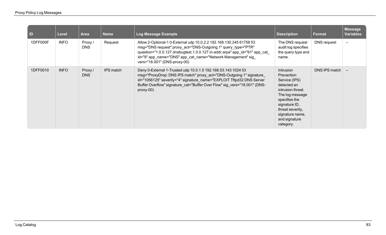| l ID     | Level       | Area                 | <b>Name</b>      | Log Message Example                                                                                                                                                                                                                                                                                                | <b>Description</b>                                                                                                                                                                                            | Format        | <b>Message</b><br><b>Variables</b> |
|----------|-------------|----------------------|------------------|--------------------------------------------------------------------------------------------------------------------------------------------------------------------------------------------------------------------------------------------------------------------------------------------------------------------|---------------------------------------------------------------------------------------------------------------------------------------------------------------------------------------------------------------|---------------|------------------------------------|
| 1DFF000F | <b>INFO</b> | Proxy/<br><b>DNS</b> | Request          | Allow 2-Optional-1 0-External udp 10.0.2.2 192.168.130.245 61758 53<br>msg="DNS request" proxy_act="DNS-Outgoing.1" query_type="PTR"<br>question="1.0.0.127.dnsbugtest.1.0.0.127.in-addr.arpa" app_id="61" app_cat_<br>id="9" app_name="DNS" app_cat_name="Network Management" sig<br>vers="18.001" (DNS-proxy-00) | The DNS request<br>audit log specifies<br>the query type and<br>name.                                                                                                                                         | DNS request   | $\overline{\phantom{m}}$           |
| 1DFF0010 | <b>INFO</b> | Proxy/<br><b>DNS</b> | <b>IPS</b> match | Deny 0-External 1-Trusted udp 10.0.1.5 192.168.53.143 1024 53<br>msg="ProxyDrop: DNS IPS match" proxy_act="DNS-Outgoing.1" signature_<br>id="1056125" severity="4" signature name="EXPLOIT Tftpd32 DNS Server<br>Buffer Overflow" signature cat="Buffer Over Flow" sig vers="18.001" (DNS-<br>$proxy-00$           | <b>Intrusion</b><br>Prevention<br>Service (IPS)<br>detected an<br>intrusion threat.<br>The log message<br>specifies the<br>signature ID,<br>threat severity,<br>signature name,<br>and signature<br>category. | DNS IPS match | $\overline{\phantom{m}}$           |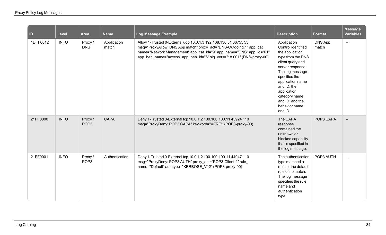| ID       | <b>Level</b> | Area                       | <b>Name</b>          | <b>Log Message Example</b>                                                                                                                                                                                                                                                             | <b>Description</b>                                                                                                                                                                                                                                                      | Format           | <b>Message</b><br><b>Variables</b> |
|----------|--------------|----------------------------|----------------------|----------------------------------------------------------------------------------------------------------------------------------------------------------------------------------------------------------------------------------------------------------------------------------------|-------------------------------------------------------------------------------------------------------------------------------------------------------------------------------------------------------------------------------------------------------------------------|------------------|------------------------------------|
| 1DFF0012 | <b>INFO</b>  | Proxy/<br><b>DNS</b>       | Application<br>match | Allow 1-Trusted 0-External udp 10.0.1.3 192.168.130.81 36755 53<br>msg="ProxyAllow: DNS App match" proxy_act="DNS-Outgoing.1" app_cat_<br>name="Network Management" app_cat_id="9" app_name="DNS" app_id="61"<br>app_beh_name="access" app_beh_id="6" sig_vers="18.001" (DNS-proxy-00) | Application<br>Control identified<br>the application<br>type from the DNS<br>client query and<br>server response.<br>The log message<br>specifies the<br>application name<br>and ID, the<br>application<br>category name<br>and ID, and the<br>behavior name<br>and ID. | DNS App<br>match | $\overline{\phantom{m}}$           |
| 21FF0000 | <b>INFO</b>  | Proxy/<br>POP <sub>3</sub> | <b>CAPA</b>          | Deny 1-Trusted 0-External tcp 10.0.1.2 100.100.100.11 43924 110<br>msg="ProxyDeny: POP3 CAPA" keyword="VERF": (POP3-proxy-00)                                                                                                                                                          | The CAPA<br>response<br>contained the<br>unknown or<br>blocked capability<br>that is specified in<br>the log message.                                                                                                                                                   | POP3 CAPA        |                                    |
| 21FF0001 | <b>INFO</b>  | Proxy/<br>POP <sub>3</sub> | Authentication       | Deny 1-Trusted 0-External tcp 10.0.1.2 100.100.100.11 44047 110<br>msg="ProxyDeny: POP3 AUTH" proxy act="POP3-Client.2" rule<br>name="Default" authtype="KERBOSE V12" (POP3-proxy-00)                                                                                                  | The authentication<br>type matched a<br>rule, or the default<br>rule of no match.<br>The log message<br>specifies the rule<br>name and<br>authentication<br>type.                                                                                                       | POP3 AUTH        | $\overline{\phantom{0}}$           |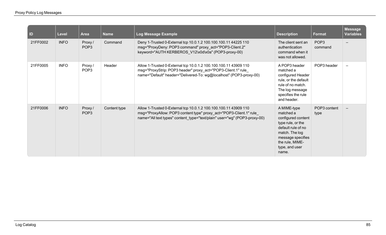| ID       | <b>Level</b> | <b>Area</b>                   | <b>Name</b>  | Log Message Example                                                                                                                                                                                                  | <b>Description</b>                                                                                                                                                             | <b>Format</b>               | <b>Message</b><br><b>Variables</b> |
|----------|--------------|-------------------------------|--------------|----------------------------------------------------------------------------------------------------------------------------------------------------------------------------------------------------------------------|--------------------------------------------------------------------------------------------------------------------------------------------------------------------------------|-----------------------------|------------------------------------|
| 21FF0002 | <b>INFO</b>  | Proxy /<br>POP <sub>3</sub>   | Command      | Deny 1-Trusted 0-External tcp 10.0.1.2 100.100.100.11 44225 110<br>msg="ProxyDeny: POP3 command" proxy_act="POP3-Client.2"<br>keyword="AUTH KERBEROS_V12\x0d\x0a" (POP3-proxy-00)                                    | The client sent an<br>authentication<br>command when it<br>was not allowed.                                                                                                    | POP <sub>3</sub><br>command |                                    |
| 21FF0005 | <b>INFO</b>  | Proxy /<br>POP <sub>3</sub>   | Header       | Allow 1-Trusted 0-External tcp 10.0.1.2 100.100.100.11 43909 110<br>msg="ProxyStrip: POP3 header" proxy_act="POP3-Client.1" rule_<br>name="Default" header="Delivered-To: wg@localhost" (POP3-proxy-00)              | A POP3 header<br>matched a<br>configured Header<br>rule, or the default<br>rule of no match.<br>The log message<br>specifies the rule<br>and header.                           | POP3 header                 |                                    |
| 21FF0006 | <b>INFO</b>  | Proxy $/$<br>POP <sub>3</sub> | Content type | Allow 1-Trusted 0-External tcp 10.0.1.2 100.100.100.11 43909 110<br>msg="ProxyAllow: POP3 content type" proxy_act="POP3-Client.1" rule_<br>name="All text types" content type="text/plain" user="wg" (POP3-proxy-00) | A MIME-type<br>matched a<br>configured content<br>type rule, or the<br>default rule of no<br>match. The log<br>message specifies<br>the rule, MIME-<br>type, and user<br>name. | POP3 content<br>type        |                                    |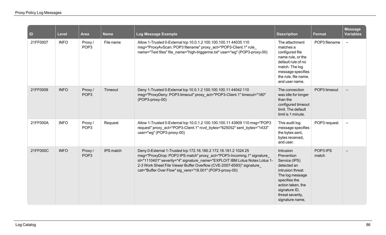| ID       | Level       | <b>Area</b>                 | <b>Name</b> | Log Message Example                                                                                                                                                                                                                                                                                                                                         | <b>Description</b>                                                                                                                                                                            | <b>Format</b>     | <b>Message</b><br><b>Variables</b> |
|----------|-------------|-----------------------------|-------------|-------------------------------------------------------------------------------------------------------------------------------------------------------------------------------------------------------------------------------------------------------------------------------------------------------------------------------------------------------------|-----------------------------------------------------------------------------------------------------------------------------------------------------------------------------------------------|-------------------|------------------------------------|
| 21FF0007 | <b>INFO</b> | Proxy/<br>POP <sub>3</sub>  | File name   | Allow 1-Trusted 0-External tcp 10.0.1.2 100.100.100.11 44035 110<br>msg="ProxyAvScan: POP3 filename" proxy act="POP3-Client.1" rule<br>name="Text files" file name="high-triggerme.txt" user="wg" (POP3-proxy-00)                                                                                                                                           | The attachment<br>matches a<br>configured file<br>name rule, or the<br>default rule of no<br>match. The log<br>message specifies<br>the rule, file name,<br>and user name.                    | POP3 filename     | $\equiv$                           |
| 21FF0009 | <b>INFO</b> | Proxy/<br>POP <sub>3</sub>  | Timeout     | Deny 1-Trusted 0-External tcp 10.0.1.2 100.100.100.11 44042 110<br>msg="ProxyDeny: POP3 timeout" proxy_act="POP3-Client.1" timeout="180"<br>(POP3-proxy-00)                                                                                                                                                                                                 | The connection<br>was idle for longer<br>than the<br>configured timeout<br>limit. The default<br>limit is 1 minute.                                                                           | POP3 timeout      |                                    |
| 21FF000A | <b>INFO</b> | Proxy /<br>POP <sub>3</sub> | Request     | Allow 1-Trusted 0-External tcp 10.0.1.2 100.100.100.11 43909 110 msg="POP3<br>request" proxy_act="POP3-Client.1" rcvd_bytes="625052" sent_bytes="1433"<br>user="wg" (POP3-proxy-00)                                                                                                                                                                         | This audit log<br>message specifies<br>the bytes sent,<br>bytes received,<br>and user.                                                                                                        | POP3 request      | ÷                                  |
| 21FF000C | <b>INFO</b> | Proxy /<br>POP <sub>3</sub> | IPS match   | Deny 0-External 1-Trusted tcp 172.16.180.2 172.16.181.2 1024 25<br>msg="ProxyDrop: POP3 IPS match" proxy_act="POP3-Incoming.1" signature<br>id="1110401" severity="4" signature_name="EXPLOIT IBM Lotus Notes Lotus 1-<br>2-3 Work Sheet File Viewer Buffer Overflow (CVE-2007-6593)" signature<br>cat="Buffer Over Flow" sig_vers="18.001" (POP3-proxy-00) | Intrusion<br>Prevention<br>Service (IPS)<br>detected an<br>intrusion threat.<br>The log message<br>specifies the<br>action taken, the<br>signature ID,<br>threat severity,<br>signature name, | POP3 IPS<br>match |                                    |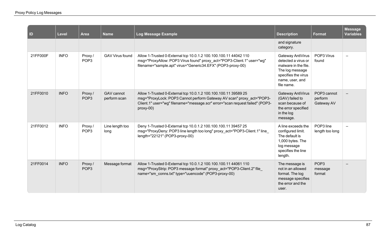| ID       | <b>Level</b> | <b>Area</b>                | <b>Name</b>                | Log Message Example                                                                                                                                                                                                                    | <b>Description</b>                                                                                                                          | <b>Format</b>                         | <b>Message</b><br><b>Variables</b> |
|----------|--------------|----------------------------|----------------------------|----------------------------------------------------------------------------------------------------------------------------------------------------------------------------------------------------------------------------------------|---------------------------------------------------------------------------------------------------------------------------------------------|---------------------------------------|------------------------------------|
|          |              |                            |                            |                                                                                                                                                                                                                                        | and signature<br>category.                                                                                                                  |                                       |                                    |
| 21FF000F | <b>INFO</b>  | Proxy/<br>POP <sub>3</sub> | <b>GAV Virus found</b>     | Allow 1-Trusted 0-External tcp 10.0.1.2 100.100.100.11 44042 110<br>msg="ProxyAllow: POP3 Virus found" proxy_act="POP3-Client.1" user="wg"<br>filename="sample.apt" virus="Generic34.EFX" (POP3-proxy-00)                              | Gateway AntiVirus<br>detected a virus or<br>malware in the file.<br>The log message<br>specifies the virus<br>name, user, and<br>file name. | POP3 Virus<br>found                   |                                    |
| 21FF0010 | <b>INFO</b>  | Proxy/<br>POP <sub>3</sub> | GAV cannot<br>perform scan | Allow 1-Trusted 0-External tcp 10.0.1.2 100.100.100.11 39589 25<br>msg="ProxyLock: POP3 Cannot perform Gateway AV scan" proxy act="POP3-<br>Client.1" user="wg" filename="message.scr" error="scan request failed" (POP3-<br>proxy-00) | Gateway AntiVirus<br>(GAV) failed to<br>scan because of<br>the error specified<br>in the log<br>message.                                    | POP3 cannot<br>perform<br>Gateway AV  |                                    |
| 21FF0012 | <b>INFO</b>  | Proxy/<br>POP <sub>3</sub> | Line length too<br>long    | Deny 1-Trusted 0-External tcp 10.0.1.2 100.100.100.11 39457 25<br>msg="ProxyDeny: POP3 line length too long" proxy act="POP3-Client.1" line<br>length="22121" (POP3-proxy-00)                                                          | A line exceeds the<br>configured limit.<br>The default is<br>1,000 bytes. The<br>log message<br>specifies the line<br>length.               | POP3 line<br>length too long          |                                    |
| 21FF0014 | <b>INFO</b>  | Proxy/<br>POP <sub>3</sub> | Message format             | Allow 1-Trusted 0-External tcp 10.0.1.2 100.100.100.11 44061 110<br>msg="ProxyStrip: POP3 message format" proxy_act="POP3-Client.2" file<br>name="sm_conns.txt" type="uuencode" (POP3-proxy-00)                                        | The message is<br>not in an allowed<br>format. The log<br>message specifies<br>the error and the<br>user.                                   | POP <sub>3</sub><br>message<br>format |                                    |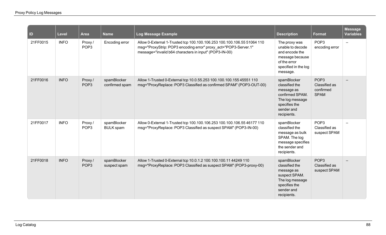| ID       | <b>Level</b> | <b>Area</b>                 | <b>Name</b>                     | Log Message Example                                                                                                                                                                                  | <b>Description</b>                                                                                                              | <b>Format</b>                                                 | <b>Message</b><br><b>Variables</b> |
|----------|--------------|-----------------------------|---------------------------------|------------------------------------------------------------------------------------------------------------------------------------------------------------------------------------------------------|---------------------------------------------------------------------------------------------------------------------------------|---------------------------------------------------------------|------------------------------------|
| 21FF0015 | <b>INFO</b>  | Proxy /<br>POP <sub>3</sub> | Encoding error                  | Allow 0-External 1-Trusted tcp 100.100.106.253 100.100.106.55 51064 110<br>msg="ProxyStrip: POP3 encoding error" proxy_act="POP3-Server.1"<br>message="invalid b64 characters in input" (POP3-IN-00) | The proxy was<br>unable to decode<br>and encode the<br>message because<br>of the error<br>specified in the log<br>message.      | POP <sub>3</sub><br>encoding error                            | $\qquad \qquad$                    |
| 21FF0016 | <b>INFO</b>  | Proxy/<br>POP <sub>3</sub>  | spamBlocker<br>confirmed spam   | Allow 1-Trusted 0-External tcp 10.0.55.253 100.100.100.155 45551 110<br>msg="ProxyReplace: POP3 Classified as confirmed SPAM" (POP3-OUT-00)                                                          | spamBlocker<br>classified the<br>message as<br>confirmed SPAM.<br>The log message<br>specifies the<br>sender and<br>recipients. | POP <sub>3</sub><br>Classified as<br>confirmed<br><b>SPAM</b> |                                    |
| 21FF0017 | <b>INFO</b>  | Proxy/<br>POP <sub>3</sub>  | spamBlocker<br><b>BULK</b> spam | Allow 0-External 1-Trusted tcp 100.100.106.253 100.100.106.55 46177 110<br>msg="ProxyReplace: POP3 Classified as suspect SPAM" (POP3-IN-00)                                                          | spamBlocker<br>classified the<br>message as bulk<br>SPAM. The log<br>message specifies<br>the sender and<br>recipients.         | POP <sub>3</sub><br>Classified as<br>suspect SPAM             |                                    |
| 21FF0018 | <b>INFO</b>  | Proxy/<br>POP <sub>3</sub>  | spamBlocker<br>suspect spam     | Allow 1-Trusted 0-External tcp 10.0.1.2 100.100.100.11 44249 110<br>msg="ProxyReplace: POP3 Classified as suspect SPAM" (POP3-proxy-00)                                                              | spamBlocker<br>classified the<br>message as<br>suspect SPAM.<br>The log message<br>specifies the<br>sender and<br>recipients.   | POP <sub>3</sub><br>Classified as<br>suspect SPAM             |                                    |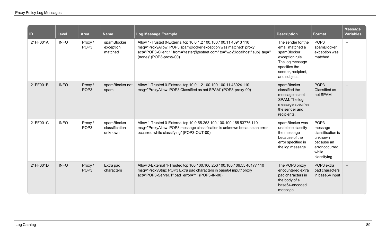| $\vert$ ID | <b>Level</b> | <b>Area</b>                | <b>Name</b>                              | Log Message Example                                                                                                                                                                                                                         | <b>Description</b>                                                                                                                                | <b>Format</b>                                                                                                       | <b>Message</b><br><b>Variables</b> |
|------------|--------------|----------------------------|------------------------------------------|---------------------------------------------------------------------------------------------------------------------------------------------------------------------------------------------------------------------------------------------|---------------------------------------------------------------------------------------------------------------------------------------------------|---------------------------------------------------------------------------------------------------------------------|------------------------------------|
| 21FF001A   | <b>INFO</b>  | Proxy/<br>POP <sub>3</sub> | spamBlocker<br>exception<br>matched      | Allow 1-Trusted 0-External tcp 10.0.1.2 100.100.100.11 43913 110<br>msg="ProxyAllow: POP3 spamBlocker exception was matched" proxy<br>act="POP3-Client.1" from="tester@testnet.com" to="wg@localhost" subj tag="<br>(none)" (POP3-proxy-00) | The sender for the<br>email matched a<br>spamBlocker<br>exception rule.<br>The log message<br>specifies the<br>sender, recipient,<br>and subject. | POP <sub>3</sub><br>spamBlocker<br>exception was<br>matched                                                         |                                    |
| 21FF001B   | <b>INFO</b>  | Proxy/<br>POP <sub>3</sub> | spamBlocker not<br>spam                  | Allow 1-Trusted 0-External tcp 10.0.1.2 100.100.100.11 43924 110<br>msg="ProxyAllow: POP3 Classified as not SPAM" (POP3-proxy-00)                                                                                                           | spamBlocker<br>classified the<br>message as not<br>SPAM. The log<br>message specifies<br>the sender and<br>recipients.                            | POP <sub>3</sub><br>Classified as<br>not SPAM                                                                       |                                    |
| 21FF001C   | <b>INFO</b>  | Proxy/<br>POP <sub>3</sub> | spamBlocker<br>classification<br>unknown | Allow 1-Trusted 0-External tcp 10.0.55.253 100.100.100.155 53776 110<br>msg="ProxyAllow: POP3 message classification is unknown because an error<br>occurred while classifying" (POP3-OUT-00)                                               | spamBlocker was<br>unable to classify<br>the message<br>because of the<br>error specified in<br>the log message.                                  | POP <sub>3</sub><br>message<br>classification is<br>unknown<br>because an<br>error occurred<br>while<br>classifying |                                    |
| 21FF001D   | <b>INFO</b>  | Proxy/<br>POP <sub>3</sub> | Extra pad<br>characters                  | Allow 0-External 1-Trusted tcp 100.100.106.253 100.100.106.55 46177 110<br>msg="ProxyStrip: POP3 Extra pad characters in base64 input" proxy<br>act="POP3-Server.1" pad error="1" (POP3-IN-00)                                              | The POP3 proxy<br>encountered extra<br>pad characters in<br>the body of a<br>base64-encoded<br>message.                                           | POP3 extra<br>pad characters<br>in base64 input                                                                     |                                    |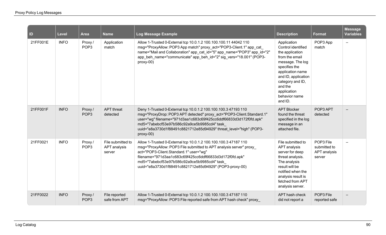| $\vert$ ID | Level       | Area                       | <b>Name</b>                                 | Log Message Example                                                                                                                                                                                                                                                                                                                                  | <b>Description</b>                                                                                                                                                                                                               | <b>Format</b>                                       | <b>Message</b><br><b>Variables</b> |
|------------|-------------|----------------------------|---------------------------------------------|------------------------------------------------------------------------------------------------------------------------------------------------------------------------------------------------------------------------------------------------------------------------------------------------------------------------------------------------------|----------------------------------------------------------------------------------------------------------------------------------------------------------------------------------------------------------------------------------|-----------------------------------------------------|------------------------------------|
| 21FF001E   | <b>INFO</b> | Proxy/<br>POP <sub>3</sub> | Application<br>match                        | Allow 1-Trusted 0-External tcp 10.0.1.2 100.100.100.11 44042 110<br>msg="ProxyAllow: POP3 App match" proxy act="POP3-Client.1" app cat<br>name="Mail and Collaboration" app_cat_id="5" app_name="POP3" app_id="2"<br>app beh name="communicate" app beh id="2" sig vers="18.001" (POP3-<br>proxy-00)                                                 | Application<br>Control identified<br>the application<br>from the email<br>message. The log<br>specifies the<br>application name<br>and ID, application<br>category and ID,<br>and the<br>application<br>behavior name<br>and ID. | POP3 App<br>match                                   | $\overline{\phantom{m}}$           |
| 21FF001F   | <b>INFO</b> | Proxy/<br>POP <sub>3</sub> | <b>APT</b> threat<br>detected               | Deny 1-Trusted 0-External tcp 10.0.1.2 100.100.100.3 47193 110<br>msg="ProxyDrop: POP3 APT detected" proxy_act="POP3-Client.Standard.1"<br>user="wg" filename="971d3aa1c683c69f425cc6ddf66833d3d172f0fd.apk"<br>md5="7abebcf53e97b586c92a9ce5b9985cd4" task<br>uuid="e8a3730d1f88491c8821712e85d94929" threat level="high" (POP3-<br>proxy-00)       | <b>APT Blocker</b><br>found the threat<br>specified in the log<br>message in an<br>attached file.                                                                                                                                | POP3 APT<br>detected                                |                                    |
| 21FF0021   | <b>INFO</b> | Proxy/<br>POP <sub>3</sub> | File submitted to<br>APT analysis<br>server | Allow 1-Trusted 0-External tcp 10.0.1.2 100.100.100.3 47187 110<br>msg="ProxyAllow: POP3 File submitted to APT analysis server" proxy<br>act="POP3-Client.Standard.1" user="wg"<br>filename="971d3aa1c683c69f425cc6ddf66833d3d172f0fd.apk"<br>md5="7abebcf53e97b586c92a9ce5b9985cd4" task<br>uuid="e8a3730d1f88491c8821712e85d94929" (POP3-proxy-00) | File submitted to<br>APT analysis<br>server for deep<br>threat analysis.<br>The analysis<br>result will be<br>notified when the<br>analysis result is<br>fetched from APT<br>analysis server.                                    | POP3 File<br>submitted to<br>APT analysis<br>server |                                    |
| 21FF0022   | <b>INFO</b> | Proxy/<br>POP <sub>3</sub> | File reported<br>safe from APT              | Allow 1-Trusted 0-External tcp 10.0.1.2 100.100.100.3 47187 110<br>msg="ProxyAllow: POP3 File reported safe from APT hash check" proxy                                                                                                                                                                                                               | APT hash check<br>did not report a                                                                                                                                                                                               | POP3 File<br>reported safe                          |                                    |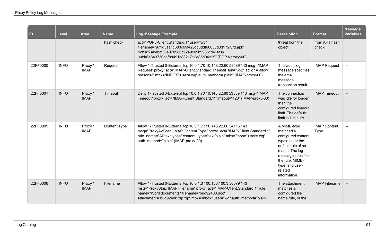| $\vert$ ID | Level       | Area                   | <b>Name</b>         | Log Message Example                                                                                                                                                                                                                                                    | <b>Description</b>                                                                                                                                                                                | <b>Format</b>                      | <b>Message</b><br><b>Variables</b> |
|------------|-------------|------------------------|---------------------|------------------------------------------------------------------------------------------------------------------------------------------------------------------------------------------------------------------------------------------------------------------------|---------------------------------------------------------------------------------------------------------------------------------------------------------------------------------------------------|------------------------------------|------------------------------------|
|            |             |                        | hash check          | act="POP3-Client.Standard.1" user="wg"<br>filename="971d3aa1c683c69f425cc6ddf66833d3d172f0fd.apk"<br>md5="7abebcf53e97b586c92a9ce5b9985cd4" task<br>uuid="e8a3730d1f88491c8821712e85d94929" (POP3-proxy-00)                                                            | threat from the<br>object                                                                                                                                                                         | from APT hash<br>check             |                                    |
| 22FF0000   | <b>INFO</b> | Proxy /<br><b>IMAP</b> | Request             | Allow 1-Trusted 0-External tcp 10.0.1.70 10.148.22.60 53589 143 msg="IMAP<br>Request" proxy_act="IMAP-Client.Standard.1" email len="652" action="allow"<br>reason="" mbx="INBOX" user="wg" auth method="plain" (IMAP-proxy-00)                                         | This audit log<br>message specifies<br>the email<br>message<br>transaction result.                                                                                                                | <b>IMAP Request</b>                | $\qquad \qquad -$                  |
| 22FF0001   | <b>INFO</b> | Proxy/<br><b>IMAP</b>  | Timeout             | Deny 1-Trusted 0-External tcp 10.0.1.70 10.148.22.60 53589 143 msg="IMAP<br>Timeout" proxy act="IMAP-Client.Standard.1" timeout="120" (IMAP-proxy-00)                                                                                                                  | The connection<br>was idle for longer<br>than the<br>configured timeout<br>limit. The default<br>limit is 1 minute.                                                                               | <b>IMAP Timeout</b>                |                                    |
| 22FF0005   | <b>INFO</b> | Proxy /<br><b>IMAP</b> | <b>Content Type</b> | Allow 1-Trusted 0-External tcp 10.0.1.73 10.148.22.60 54116 143<br>msg="ProxyAvScan: IMAP Content Type" proxy_act="IMAP-Client.Standard.1"<br>rule name="All text types" content type="text/plain" mbx="inbox" user="wg"<br>auth_method="plain" (IMAP-proxy-00)        | A MIME-type<br>matched a<br>configured content<br>type rule, or the<br>default rule of no<br>match. The log<br>message specifies<br>the rule, MIME-<br>type, and user-<br>related<br>information. | <b>IMAP Content</b><br><b>Type</b> | $\overline{\phantom{0}}$           |
| 22FF0006   | <b>INFO</b> | Proxy/<br><b>IMAP</b>  | Filename            | Allow 1-Trusted 0-External tcp 10.0.1.3 100.100.100.3 56079 143<br>msg="ProxyStrip: IMAP Filename" proxy_act="IMAP-Client.Standard.1" rule<br>name="Word documents" filename="bug92408.doc"<br>attachment="bug92408.zip.zip" mbx="inbox" user="wg" auth method="plain" | The attachment<br>matches a<br>configured file<br>name rule, or the                                                                                                                               | <b>IMAP Filename</b>               | $\overline{\phantom{m}}$           |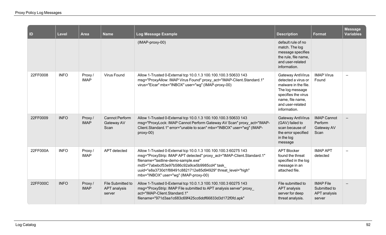| $\blacksquare$ | Level       | Area                   | <b>Name</b>                                 | Log Message Example                                                                                                                                                                                                                                                                                                                     | <b>Description</b>                                                                                                                                                 | <b>Format</b>                                              | <b>Message</b><br><b>Variables</b> |
|----------------|-------------|------------------------|---------------------------------------------|-----------------------------------------------------------------------------------------------------------------------------------------------------------------------------------------------------------------------------------------------------------------------------------------------------------------------------------------|--------------------------------------------------------------------------------------------------------------------------------------------------------------------|------------------------------------------------------------|------------------------------------|
|                |             |                        |                                             | (IMAP-proxy-00)                                                                                                                                                                                                                                                                                                                         | default rule of no<br>match. The log<br>message specifies<br>the rule, file name,<br>and user-related<br>information.                                              |                                                            |                                    |
| 22FF0008       | <b>INFO</b> | Proxy /<br><b>IMAP</b> | <b>Virus Found</b>                          | Allow 1-Trusted 0-External tcp 10.0.1.3 100.100.100.3 50633 143<br>msg="ProxyAllow: IMAP Virus Found" proxy_act="IMAP-Client.Standard.1"<br>virus="Eicar" mbx="INBOX" user="wg" (IMAP-proxy-00)                                                                                                                                         | Gateway AntiVirus<br>detected a virus or<br>malware in the file.<br>The log message<br>specifies the virus<br>name, file name,<br>and user-related<br>information. | <b>IMAP Virus</b><br>Found                                 |                                    |
| 22FF0009       | <b>INFO</b> | Proxy/<br><b>IMAP</b>  | <b>Cannot Perform</b><br>Gateway AV<br>Scan | Allow 1-Trusted 0-External tcp 10.0.1.3 100.100.100.3 50633 143<br>msg="ProxyLock: IMAP Cannot Perform Gateway AV Scan" proxy_act="IMAP-<br>Client.Standard.1" error="unable to scan" mbx="INBOX" user="wg" (IMAP-<br>proxy-00)                                                                                                         | Gateway AntiVirus<br>(GAV) failed to<br>scan because of<br>the error specified<br>in the log<br>message                                                            | <b>IMAP Cannot</b><br>Perform<br>Gateway AV<br>Scan        |                                    |
| 22FF000A       | <b>INFO</b> | Proxy /<br><b>IMAP</b> | APT detected                                | Allow 1-Trusted 0-External tcp 10.0.1.3 100.100.100.3 60275 143<br>msg="ProxyStrip: IMAP APT detected" proxy_act="IMAP-Client.Standard.1"<br>filename="lastline-demo-sample.exe"<br>md5="7abebcf53e97b586c92a9ce5b9985cd4" task<br>uuid="e8a3730d1f88491c8821712e85d94929" threat level="high"<br>mbx="INBOX" user="wg" (IMAP-proxy-00) | <b>APT Blocker</b><br>found the threat<br>specified in the log<br>message in an<br>attached file.                                                                  | <b>IMAP APT</b><br>detected                                |                                    |
| 22FF000C       | <b>INFO</b> | Proxy/<br><b>IMAP</b>  | File Submitted to<br>APT analysis<br>server | Allow 1-Trusted 0-External tcp 10.0.1.3 100.100.100.3 60275 143<br>msg="ProxyStrip: IMAP File submitted to APT analysis server" proxy<br>act="IMAP-Client.Standard.1"<br>filename="971d3aa1c683c69f425cc6ddf66833d3d172f0fd.apk"                                                                                                        | File submitted to<br>APT analysis<br>server for deep<br>threat analysis.                                                                                           | <b>IMAP File</b><br>Submitted to<br>APT analysis<br>server |                                    |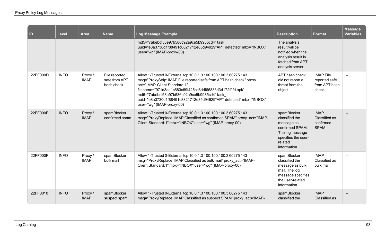| $\vert$ ID | <b>Level</b> | <b>Area</b>            | <b>Name</b>                                  | Log Message Example                                                                                                                                                                                                                                                                                                                                                               | <b>Description</b>                                                                                                                 | <b>Format</b>                                               | <b>Message</b><br><b>Variables</b> |
|------------|--------------|------------------------|----------------------------------------------|-----------------------------------------------------------------------------------------------------------------------------------------------------------------------------------------------------------------------------------------------------------------------------------------------------------------------------------------------------------------------------------|------------------------------------------------------------------------------------------------------------------------------------|-------------------------------------------------------------|------------------------------------|
|            |              |                        |                                              | md5="7abebcf53e97b586c92a9ce5b9985cd4" task<br>uuid="e8a3730d1f88491c8821712e85d94929"APT detected" mbx="INBOX"<br>user="wg" (IMAP-proxy-00)                                                                                                                                                                                                                                      | The analysis<br>result will be<br>notified when the<br>analysis result is<br>fetched from APT<br>analysis server.                  |                                                             |                                    |
| 22FF000D   | <b>INFO</b>  | Proxy /<br><b>IMAP</b> | File reported<br>safe from APT<br>hash check | Allow 1-Trusted 0-External tcp 10.0.1.3 100.100.100.3 60275 143<br>msg="ProxyStrip: IMAP File reported safe from APT hash check" proxy<br>act="IMAP-Client.Standard.1"<br>filename="971d3aa1c683c69f425cc6ddf66833d3d172f0fd.apk"<br>md5="7abebcf53e97b586c92a9ce5b9985cd4" task<br>uuid="e8a3730d1f88491c8821712e85d94929"APT detected" mbx="INBOX"<br>user="wg" (IMAP-proxy-00) | APT hash check<br>did not report a<br>threat from the<br>object.                                                                   | <b>IMAP File</b><br>reported safe<br>from APT hash<br>check |                                    |
| 22FF000E   | <b>INFO</b>  | Proxy/<br><b>IMAP</b>  | spamBlocker<br>confirmed spam                | Allow 1-Trusted 0-External tcp 10.0.1.3 100.100.100.3 60275 143<br>msg="ProxyReplace: IMAP Classified as confirmed SPAM" proxy_act="IMAP-<br>Client.Standard.1" mbx="INBOX" user="wg" (IMAP-proxy-00)                                                                                                                                                                             | spamBlocker<br>classified the<br>message as<br>confirmed SPAM.<br>The log message<br>specifies the user-<br>related<br>information | <b>IMAP</b><br>Classified as<br>confirmed<br><b>SPAM</b>    |                                    |
| 22FF000F   | <b>INFO</b>  | Proxy/<br><b>IMAP</b>  | spamBlocker<br>bulk mail                     | Allow 1-Trusted 0-External tcp 10.0.1.3 100.100.100.3 60275 143<br>msg="ProxyReplace: IMAP Classified as bulk mail" proxy act="IMAP-<br>Client.Standard.1" mbx="INBOX" user="wg" (IMAP-proxy-00)                                                                                                                                                                                  | spamBlocker<br>classified the<br>message as bulk<br>mail. The log<br>message specifies<br>the user-related<br>information          | <b>IMAP</b><br>Classified as<br>bulk mail                   |                                    |
| 22FF0010   | <b>INFO</b>  | Proxy/<br><b>IMAP</b>  | spamBlocker<br>suspect spam                  | Allow 1-Trusted 0-External tcp 10.0.1.3 100.100.100.3 60275 143<br>msg="ProxyReplace: IMAP Classified as suspect SPAM" proxy_act="IMAP-                                                                                                                                                                                                                                           | spamBlocker<br>classified the                                                                                                      | <b>IMAP</b><br>Classified as                                |                                    |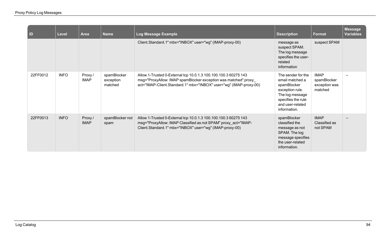| $\overline{D}$ | Level       | <b>Area</b>            | <b>Name</b>                         | Log Message Example                                                                                                                                                                                      | <b>Description</b>                                                                                                                                   | Format                                                 | <b>Message</b><br><b>Variables</b> |
|----------------|-------------|------------------------|-------------------------------------|----------------------------------------------------------------------------------------------------------------------------------------------------------------------------------------------------------|------------------------------------------------------------------------------------------------------------------------------------------------------|--------------------------------------------------------|------------------------------------|
|                |             |                        |                                     | Client.Standard.1" mbx="INBOX" user="wg" (IMAP-proxy-00)                                                                                                                                                 | message as<br>suspect SPAM.<br>The log message<br>specifies the user-<br>related<br>information                                                      | suspect SPAM                                           |                                    |
| 22FF0012       | <b>INFO</b> | Proxy /<br><b>IMAP</b> | spamBlocker<br>exception<br>matched | Allow 1-Trusted 0-External tcp 10.0.1.3 100.100.100.3 60275 143<br>msg="ProxyAllow: IMAP spamBlocker exception was matched" proxy_<br>act="IMAP-Client.Standard.1" mbx="INBOX" user="wg" (IMAP-proxy-00) | The sender for the<br>email matched a<br>spamBlocker<br>exception rule.<br>The log message<br>specifies the rule<br>and user-related<br>information. | <b>IMAP</b><br>spamBlocker<br>exception was<br>matched |                                    |
| 22FF0013       | <b>INFO</b> | Proxy/<br><b>IMAP</b>  | spamBlocker not<br>spam             | Allow 1-Trusted 0-External tcp 10.0.1.3 100.100.100.3 60275 143<br>msg="ProxyAllow: IMAP Classified as not SPAM" proxy_act="IMAP-<br>Client.Standard.1" mbx="INBOX" user="wg" (IMAP-proxy-00)            | spamBlocker<br>classified the<br>message as not<br>SPAM. The log<br>message specifies<br>the user-related<br>information.                            | <b>IMAP</b><br>Classified as<br>not SPAM               |                                    |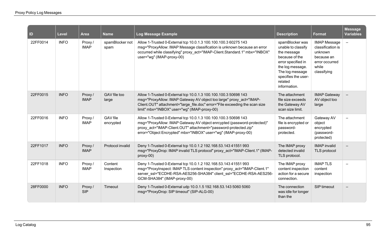| <b>ID</b> | <b>Level</b> | Area                  | <b>Name</b>                  | Log Message Example                                                                                                                                                                                                                                                             | <b>Description</b>                                                                                                                                                                    | <b>Format</b>                                                                                               | <b>Message</b><br><b>Variables</b> |
|-----------|--------------|-----------------------|------------------------------|---------------------------------------------------------------------------------------------------------------------------------------------------------------------------------------------------------------------------------------------------------------------------------|---------------------------------------------------------------------------------------------------------------------------------------------------------------------------------------|-------------------------------------------------------------------------------------------------------------|------------------------------------|
| 22FF0014  | <b>INFO</b>  | Proxy/<br><b>IMAP</b> | spamBlocker not<br>spam      | Allow 1-Trusted 0-External tcp 10.0.1.3 100.100.100.3 60275 143<br>msg="ProxyAllow: IMAP Message classification is unknown because an error<br>occurred while classifying" proxy act="IMAP-Client.Standard.1" mbx="INBOX"<br>user="wg" (IMAP-proxy-00)                          | spamBlocker was<br>unable to classify<br>the message<br>because of the<br>error specified in<br>the log message.<br>The log message<br>specifies the user-<br>related<br>information. | <b>IMAP Message</b><br>classification is<br>unknown<br>because an<br>error occurred<br>while<br>classifying | $\equiv$                           |
| 22FF0015  | <b>INFO</b>  | Proxy/<br><b>IMAP</b> | GAV file too<br>large        | Allow 1-Trusted 0-External tcp 10.0.1.3 100.100.100.3 50698 143<br>msg="ProxyAllow: IMAP Gateway AV object too large" proxy act="IMAP-<br>Client.OUT" attachment="large file.doc" error="File exceeding the scan size<br>limit" mbx="INBOX" user="wg" (IMAP-proxy-00)           | The attachment<br>file size exceeds<br>the Gateway AV<br>scan size limit.                                                                                                             | <b>IMAP Gateway</b><br>AV object too<br>large                                                               |                                    |
| 22FF0016  | <b>INFO</b>  | Proxy/<br><b>IMAP</b> | <b>GAV</b> file<br>encrypted | Allow 1-Trusted 0-External tcp 10.0.1.3 100.100.100.3 50698 143<br>msg="ProxyAllow: IMAP Gateway AV object enrcypted (password-protected)"<br>proxy act="IMAP-Client.OUT" attachment="password-protected.zip"<br>error="Object Encrypted" mbx="INBOX" user="wg" (IMAP-proxy-00) | The attachment<br>file is encrypted or<br>password-<br>protected.                                                                                                                     | Gateway AV<br>object<br>encrypted<br>(password-<br>protected)                                               | $\overline{\phantom{a}}$           |
| 22FF1017  | <b>INFO</b>  | Proxy/<br><b>IMAP</b> | Protocol invalid             | Deny 1-Trusted 0-External tcp 10.0.1.2 192.168.53.143 41551 993<br>msg="ProxyDrop: IMAP invalid TLS protocol" proxy act="IMAP-Client.1" (IMAP-<br>proxy-00)                                                                                                                     | The IMAP proxy<br>detected invalid<br>TLS protocol.                                                                                                                                   | <b>IMAP</b> invalid<br>TLS protocol                                                                         |                                    |
| 22FF1018  | <b>INFO</b>  | Proxy/<br><b>IMAP</b> | Content<br>Inspection        | Deny 1-Trusted 0-External tcp 10.0.1.2 192.168.53.143 41551 993<br>msg="ProxyInspect: IMAP TLS content inspection" proxy_act="IMAP-Client.1"<br>server_ssl="ECDHE-RSA-AES256-SHA384" client_ssl="ECDHE-RSA-AES256-<br>GCM-SHA384" (IMAP-proxy-00)                               | The IMAP proxy<br>content inspection<br>action for a secure<br>connection.                                                                                                            | <b>IMAPTLS</b><br>content<br>inspection                                                                     |                                    |
| 28FF0000  | <b>INFO</b>  | Proxy/<br><b>SIP</b>  | Timeout                      | Deny 1-Trusted 0-External udp 10.0.1.5 192.168.53.143 5060 5060<br>msg="ProxyDrop: SIP timeout" (SIP-ALG-00)                                                                                                                                                                    | The connection<br>was idle for longer<br>than the                                                                                                                                     | SIP timeout                                                                                                 |                                    |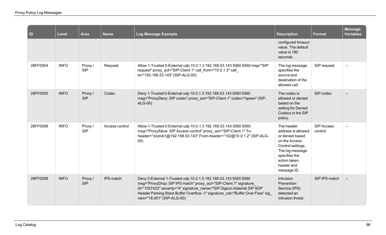| ID       | Level       | <b>Area</b>           | <b>Name</b>    | Log Message Example                                                                                                                                                                                                                                                                                                           | <b>Description</b>                                                                                                                                                          | <b>Format</b>                | <b>Message</b><br><b>Variables</b> |
|----------|-------------|-----------------------|----------------|-------------------------------------------------------------------------------------------------------------------------------------------------------------------------------------------------------------------------------------------------------------------------------------------------------------------------------|-----------------------------------------------------------------------------------------------------------------------------------------------------------------------------|------------------------------|------------------------------------|
|          |             |                       |                |                                                                                                                                                                                                                                                                                                                               | configured timeout<br>value. The default<br>value is 180<br>seconds.                                                                                                        |                              |                                    |
| 28FF0004 | <b>INFO</b> | Proxy /<br><b>SIP</b> | Request        | Allow 1-Trusted 0-External udp 10.0.1.3 192.168.53.143 5060 5060 msg="SIP<br>request" proxy_act="SIP-Client.1" call_from="10.0.1.3" call_<br>to="192.168.53.143" (SIP-ALG-00)                                                                                                                                                 | The log message<br>specifies the<br>source and<br>destination of the<br>allowed call.                                                                                       | SIP request                  | $\overline{\phantom{0}}$           |
| 28FF0005 | <b>INFO</b> | Proxy/<br><b>SIP</b>  | Codec          | Deny 1-Trusted 0-External udp 10.0.1.3 192.168.53.143 5060 5060<br>msg="ProxyDeny: SIP codec" proxy act="SIP-Client.1" codec="speex" (SIP-<br>ALG-00)                                                                                                                                                                         | The codec is<br>allowed or denied<br>based on the<br>setting for Denied<br>Codecs in the SIP<br>policy.                                                                     | SIP codec                    |                                    |
| 28FF0006 | <b>INFO</b> | Proxy /<br><b>SIP</b> | Access control | Allow 1-Trusted 0-External udp 10.0.1.3 192.168.53.143 5060 5060<br>msg="ProxyAllow: SIP Access control" proxy_act="SIP-Client.1" To-<br>header="zoolvb1@192.168.53.143" From-header="102@10.0.1.2" (SIP-ALG-<br>00)                                                                                                          | The header<br>address is allowed<br>or denied based<br>on the Access<br>Control settings.<br>The log message<br>specifies the<br>action taken,<br>header and<br>message ID. | <b>SIP Access</b><br>control | $\overline{\phantom{0}}$           |
| 28FF0008 | <b>INFO</b> | Proxy/<br><b>SIP</b>  | IPS match      | Deny 0-External 1-Trusted udp 10.0.1.5 192.168.53.143 5060 5060<br>msg="ProxyDrop: SIP IPS match" proxy act="SIP-Client.1" signature<br>id="1057422" severity="4" signature name="SIP Digium Asterisk SIP SDP<br>Header Parsing Stack Buffer Overflow -1" signature_cat="Buffer Over Flow" sig_<br>vers="18.001" (SIP-ALG-00) | Intrusion<br>Prevention<br>Service (IPS)<br>detected an<br>intrusion threat.                                                                                                | SIP IPS match                |                                    |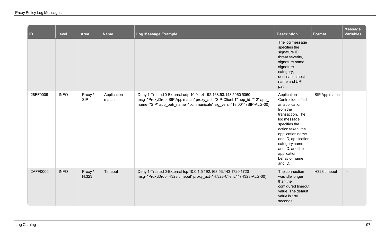| $\vert$ ID | Level       | Area                 | <b>Name</b>          | Log Message Example                                                                                                                                                                                                 | <b>Description</b>                                                                                                                                                                                                                                                 | <b>Format</b> | <b>Message</b><br><b>Variables</b> |
|------------|-------------|----------------------|----------------------|---------------------------------------------------------------------------------------------------------------------------------------------------------------------------------------------------------------------|--------------------------------------------------------------------------------------------------------------------------------------------------------------------------------------------------------------------------------------------------------------------|---------------|------------------------------------|
|            |             |                      |                      |                                                                                                                                                                                                                     | The log message<br>specifies the<br>signature ID,<br>threat severity,<br>signature name,<br>signature<br>category,<br>destination host<br>name and URI<br>path.                                                                                                    |               |                                    |
| 28FF0009   | <b>INFO</b> | Proxy/<br><b>SIP</b> | Application<br>match | Deny 1-Trusted 0-External udp 10.0.1.4 192.168.53.143 5060 5060<br>msg="ProxyDrop: SIP App match" proxy_act="SIP-Client.1" app_id="12" app_<br>name="SIP" app_beh_name="communicate" sig_vers="18.001" (SIP-ALG-00) | Application<br>Control identified<br>an application<br>from the<br>transaction. The<br>log message<br>specifies the<br>action taken, the<br>application name<br>and ID, application<br>category name<br>and ID, and the<br>application<br>behavior name<br>and ID. | SIP App match | $\equiv$                           |
| 2AFF0000   | <b>INFO</b> | Proxy/<br>H.323      | Timeout              | Deny 1-Trusted 0-External tcp 10.0.1.5 192.168.53.143 1720 1720<br>msg="ProxyDrop: H323 timeout" proxy_act="H.323-Client.1" (H323-ALG-00)                                                                           | The connection<br>was idle longer<br>than the<br>configured timeout<br>value. The default<br>value is 180<br>seconds.                                                                                                                                              | H323 timeout  | $\overline{\phantom{m}}$           |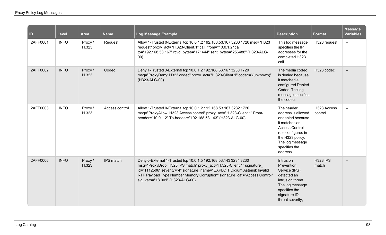| ID       | Level       | <b>Area</b>      | <b>Name</b>    | Log Message Example                                                                                                                                                                                                                                                                                                                  | <b>Description</b>                                                                                                                                                                        | <b>Format</b>            | <b>Message</b><br><b>Variables</b> |
|----------|-------------|------------------|----------------|--------------------------------------------------------------------------------------------------------------------------------------------------------------------------------------------------------------------------------------------------------------------------------------------------------------------------------------|-------------------------------------------------------------------------------------------------------------------------------------------------------------------------------------------|--------------------------|------------------------------------|
| 2AFF0001 | <b>INFO</b> | Proxy /<br>H.323 | Request        | Allow 1-Trusted 0-External tcp 10.0.1.2 192.168.53.167 3233 1720 msg="H323<br>request" proxy_act="H.323-Client.1" call_from="10.0.1.2" call_<br>to="192.168.53.167" rcvd_bytes="171444" sent_bytes="256488" (H323-ALG-<br>00)                                                                                                        | This log message<br>specifies the IP<br>addresses for the<br>completed H323<br>call.                                                                                                      | H323 request             | $\overline{\phantom{0}}$           |
| 2AFF0002 | <b>INFO</b> | Proxy /<br>H.323 | Codec          | Deny 1-Trusted 0-External tcp 10.0.1.2 192.168.53.167 3230 1720<br>msg="ProxyDeny: H323 codec" proxy_act="H.323-Client.1" codec="(unknown)"<br>(H323-ALG-00)                                                                                                                                                                         | The media codec<br>is denied because<br>it matched a<br>configured Denied<br>Codec. The log<br>message specifies<br>the codec.                                                            | H323 codec               |                                    |
| 2AFF0003 | <b>INFO</b> | Proxy /<br>H.323 | Access control | Allow 1-Trusted 0-External tcp 10.0.1.2 192.168.53.167 3232 1720<br>msg="ProxyAllow: H323 Access control" proxy_act="H.323-Client.1" From-<br>header="10.0.1.2" To-header="192.168.53.143" (H323-ALG-00)                                                                                                                             | The header<br>address is allowed<br>or denied because<br>it matches an<br><b>Access Control</b><br>rule configured in<br>the H323 policy.<br>The log message<br>specifies the<br>address. | H323 Access<br>control   | $\overline{\phantom{0}}$           |
| 2AFF0006 | <b>INFO</b> | Proxy/<br>H.323  | IPS match      | Deny 0-External 1-Trusted tcp 10.0.1.5 192.168.53.143 3234 3230<br>msg="ProxyDrop: H323 IPS match" proxy_act="H.323-Client.1" signature<br>id="1112506" severity="4" signature_name="EXPLOIT Digium Asterisk Invalid<br>RTP Payload Type Number Memory Corruption" signature_cat="Access Control"<br>sig vers="18.001" (H323-ALG-00) | Intrusion<br>Prevention<br>Service (IPS)<br>detected an<br>intrusion threat.<br>The log message<br>specifies the<br>signature ID,<br>threat severity,                                     | <b>H323 IPS</b><br>match |                                    |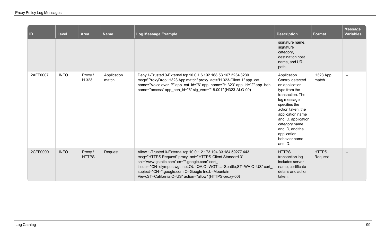| $\vert$ ID | Level       | <b>Area</b>             | <b>Name</b>          | Log Message Example                                                                                                                                                                                                                                                                                                                                                  | <b>Description</b>                                                                                                                                                                                                                                                    | <b>Format</b>           | <b>Message</b><br><b>Variables</b> |
|------------|-------------|-------------------------|----------------------|----------------------------------------------------------------------------------------------------------------------------------------------------------------------------------------------------------------------------------------------------------------------------------------------------------------------------------------------------------------------|-----------------------------------------------------------------------------------------------------------------------------------------------------------------------------------------------------------------------------------------------------------------------|-------------------------|------------------------------------|
|            |             |                         |                      |                                                                                                                                                                                                                                                                                                                                                                      | signature name,<br>signature<br>category,<br>destination host<br>name, and URI<br>path.                                                                                                                                                                               |                         |                                    |
| 2AFF0007   | <b>INFO</b> | Proxy /<br>H.323        | Application<br>match | Deny 1-Trusted 0-External tcp 10.0.1.6 192.168.53.167 3234 3230<br>msg="ProxyDrop: H323 App match" proxy_act="H.323-Client.1" app_cat_<br>name="Voice over IP" app_cat_id="6" app_name="H.323" app_id="2" app_beh_<br>name="access" app_beh_id="6" sig_vers="18.001" (H323-ALG-00)                                                                                   | Application<br>Control detected<br>an application<br>type from the<br>transaction. The<br>log message<br>specifies the<br>action taken, the<br>application name<br>and ID, application<br>category name<br>and ID, and the<br>application<br>behavior name<br>and ID. | H323 App<br>match       | $\overline{\phantom{0}}$           |
| 2CFF0000   | <b>INFO</b> | Proxy /<br><b>HTTPS</b> | Request              | Allow 1-Trusted 0-External tcp 10.0.1.2 173.194.33.184 59277 443<br>msg="HTTPS Request" proxy act="HTTPS-Client.Standard.3"<br>sni="www.gstatic.com" cn="*.google.com" cert<br>issuer="CN=olympus.wgti.net,OU=QA,O=WGTI,L=Seattle,ST=WA,C=US" cert<br>subject="CN=*.google.com,O=Google Inc,L=Mountain<br>View, ST=California, C=US" action="allow" (HTTPS-proxy-00) | <b>HTTPS</b><br>transaction log<br>includes server<br>name, certificate<br>details and action<br>taken.                                                                                                                                                               | <b>HTTPS</b><br>Request |                                    |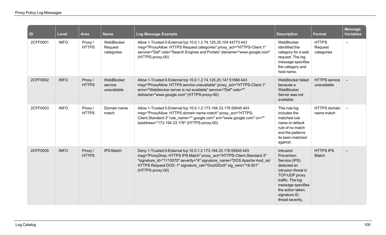| ID       | Level       | Area                    | <b>Name</b>                          | Log Message Example                                                                                                                                                                                                                                                                                        | <b>Description</b>                                                                                                                                                                                 | Format                                | Message<br><b>Variables</b> |
|----------|-------------|-------------------------|--------------------------------------|------------------------------------------------------------------------------------------------------------------------------------------------------------------------------------------------------------------------------------------------------------------------------------------------------------|----------------------------------------------------------------------------------------------------------------------------------------------------------------------------------------------------|---------------------------------------|-----------------------------|
| 2CFF0001 | <b>INFO</b> | Proxy/<br><b>HTTPS</b>  | WebBlocker<br>Request<br>categories  | Allow 1-Trusted 0-External tcp 10.0.1.2 74.125.25.104 44773 443<br>msg="ProxyAllow: HTTPS Request categories" proxy_act="HTTPS-Client.1"<br>service="Def" cats="Search Engines and Portals" dstname="www.google.com"<br>(HTTPS-proxy-00)                                                                   | WebBlocker<br>identified the<br>category for a web<br>request. The log<br>message specifies<br>the category and<br>host name.                                                                      | <b>HTTPS</b><br>Request<br>categories | $\qquad \qquad -$           |
| 2CFF0002 | <b>INFO</b> | Proxy /<br><b>HTTPS</b> | WebBlocker<br>service<br>unavailable | Allow 1-Trusted 0-External tcp 10.0.1.2 74.125.25.147 51566 443<br>msg="ProxyAllow: HTTPS service unavailable" proxy_act="HTTPS-Client.1"<br>error="Webblocker server is not available" service="Def" cats=""<br>dstname="www.google.com" (HTTPS-proxy-00)                                                 | WebBlocker failed<br>because a<br>WebBlocker<br>Server was not<br>available.                                                                                                                       | <b>HTTPS</b> service<br>unavailable   |                             |
| 2CFF0003 | <b>INFO</b> | Proxy /<br><b>HTTPS</b> | Domain name<br>match                 | Allow 1-Trusted 0-External tcp 10.0.1.2 173.194.33.176 59545 443<br>msg="ProxyAllow: HTTPS domain name match" proxy act="HTTPS-<br>Client.Standard.3" rule_name="*.google.com" sni="www.google.com" cn=""<br>ipaddress="173.194.33.176" (HTTPS-proxy-00)                                                   | This rule log<br>includes the<br>matched rule<br>name or default<br>rule of no match<br>and the patterns<br>its been matched<br>against.                                                           | <b>HTTPS</b> domain<br>name match     | $\overline{\phantom{a}}$    |
| 2CFF0005 | <b>INFO</b> | Proxy /<br><b>HTTPS</b> | <b>IPS Match</b>                     | Deny 1-Trusted 0-External tcp 10.0.1.2 173.194.33.176 59545 443<br>msg="ProxyDrop: HTTPS IPS Match" proxy_act="HTTPS-Client.Standard.3"<br>"signature id="1110070" severity="4" signature name="DOS Apache mod ssl<br>HTTPS Request DOS -1" signature_cat="Dos/DDoS" sig_vers="18.001"<br>(HTTPS-proxy-00) | Intrusion<br>Prevention<br>Service (IPS)<br>detected an<br>intrusion threat in<br>TCP-UDP proxy<br>traffic. The log<br>message specifies<br>the action taken,<br>signature ID,<br>threat severity, | <b>HTTPS IPS</b><br>Match             |                             |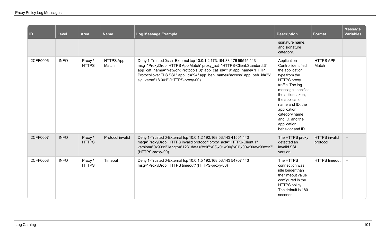| ID       | <b>Level</b> | <b>Area</b>             | <b>Name</b>               | Log Message Example                                                                                                                                                                                                                                                                                                                 | <b>Description</b>                                                                                                                                                                                                                                                                     | <b>Format</b>                    | <b>Message</b><br><b>Variables</b> |
|----------|--------------|-------------------------|---------------------------|-------------------------------------------------------------------------------------------------------------------------------------------------------------------------------------------------------------------------------------------------------------------------------------------------------------------------------------|----------------------------------------------------------------------------------------------------------------------------------------------------------------------------------------------------------------------------------------------------------------------------------------|----------------------------------|------------------------------------|
|          |              |                         |                           |                                                                                                                                                                                                                                                                                                                                     | signature name,<br>and signature<br>category.                                                                                                                                                                                                                                          |                                  |                                    |
| 2CFF0006 | <b>INFO</b>  | Proxy /<br><b>HTTPS</b> | <b>HTTPS App</b><br>Match | Deny 1-Trusted 0ssh - External tcp 10.0.1.2 173.194.33.176 59545 443<br>msg="ProxyDrop: HTTPS App Match" proxy_act="HTTPS-Client.Standard.3"<br>app_cat_name="Network Protocols(3)" app_cat_id="19" app_name="HTTP<br>Protocol over TLS SSL" app_id="94" app_beh_name="access" app_beh_id="6"<br>sig vers="18.001" (HTTPS-proxy-00) | Application<br>Control identified<br>the application<br>type from the<br><b>HTTPS</b> proxy<br>traffic. The log<br>message specifies<br>the action taken,<br>the application<br>name and ID, the<br>application<br>category name<br>and ID, and the<br>application<br>behavior and ID. | <b>HTTPS APP</b><br>Match        | $\qquad \qquad \longleftarrow$     |
| 2CFF0007 | <b>INFO</b>  | Proxy/<br><b>HTTPS</b>  | Protocol invalid          | Deny 1-Trusted 0-External tcp 10.0.1.2 192.168.53.143 41551 443<br>msg="ProxyDrop: HTTPS invalid protocol" proxy_act="HTTPS-Client.1"<br>version="0x9999" length="123" data="\x16\x03\x01\x00{\x01\x00\x00w\x99\x99'<br>(HTTPS-proxy-00)                                                                                            | The HTTPS proxy<br>detected an<br>invalid SSL<br>version.                                                                                                                                                                                                                              | <b>HTTPS</b> invalid<br>protocol |                                    |
| 2CFF0008 | <b>INFO</b>  | Proxy /<br><b>HTTPS</b> | Timeout                   | Deny 1-Trusted 0-External tcp 10.0.1.5 192.168.53.143 54707 443<br>msg="ProxyDrop: HTTPS timeout" (HTTPS-proxy-00)                                                                                                                                                                                                                  | The HTTPS<br>connection was<br>idle longer than<br>the timeout value<br>configured in the<br>HTTPS policy.<br>The default is 180<br>seconds.                                                                                                                                           | <b>HTTPS</b> timeout             | $\overline{\phantom{a}}$           |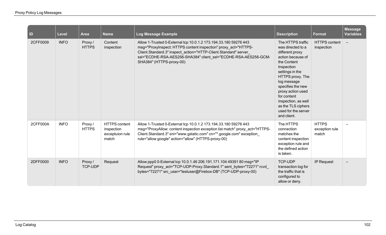| ID       | <b>Level</b> | <b>Area</b>              | <b>Name</b>                                                    | Log Message Example                                                                                                                                                                                                                                                                                  | <b>Description</b>                                                                                                                                                                                                                                                                                            | <b>Format</b>                           | <b>Message</b><br><b>Variables</b> |
|----------|--------------|--------------------------|----------------------------------------------------------------|------------------------------------------------------------------------------------------------------------------------------------------------------------------------------------------------------------------------------------------------------------------------------------------------------|---------------------------------------------------------------------------------------------------------------------------------------------------------------------------------------------------------------------------------------------------------------------------------------------------------------|-----------------------------------------|------------------------------------|
| 2CFF0009 | <b>INFO</b>  | Proxy/<br><b>HTTPS</b>   | Content<br>inspection                                          | Allow 1-Trusted 0-External tcp 10.0.1.2 173.194.33.180 59276 443<br>msg="Proxylnspect: HTTPS content inspection" proxy_act="HTTPS-<br>Client.Standard.3" inspect action="HTTP-Client.Standard" server<br>ssl="ECDHE-RSA-AES256-SHA384" client ssl="ECDHE-RSA-AES256-GCM-<br>SHA384" (HTTPS-proxy-00) | The HTTPS traffic<br>was directed to a<br>different proxy<br>action because of<br>the Content<br>Inspection<br>settings in the<br>HTTPS proxy. The<br>log message<br>specifies the new<br>proxy action used<br>for content<br>inspection, as well<br>as the TLS ciphers<br>used for the server<br>and client. | <b>HTTPS</b> content<br>inspection      | $\overline{\phantom{a}}$           |
| 2CFF000A | <b>INFO</b>  | Proxy /<br><b>HTTPS</b>  | <b>HTTPS</b> content<br>inspection<br>exceptuion rule<br>match | Allow 1-Trusted 0-External tcp 10.0.1.2 173.194.33.180 59276 443<br>msg="ProxyAllow: content inspection exception list match" proxy_act="HTTPS-<br>Client.Standard.3" sni="www.gstatic.com" cn="*.google.com" exception<br>rule="allow google" action="allow" (HTTPS-proxy-00)                       | The HTTPS<br>connection<br>matches the<br>content inspection<br>exception rule and<br>the defined action<br>is taken.                                                                                                                                                                                         | <b>HTTPS</b><br>exception rule<br>match | $\qquad \qquad$                    |
| 2DFF0000 | <b>INFO</b>  | Proxy/<br><b>TCP-UDP</b> | Request                                                        | Allow ppp0 0-External tcp 10.0.1.46 206.191.171.104 49391 80 msg="IP<br>Request" proxy_act="TCP-UDP-Proxy.Standard.1" sent_bytes="72271" rcvd_<br>bytes="72271" src user="testuser@Firebox-DB" (TCP-UDP-proxy-00)                                                                                    | TCP-UDP<br>transaction log for<br>the traffic that is<br>configured to<br>allow or deny.                                                                                                                                                                                                                      | <b>IP Request</b>                       | $\qquad \qquad -$                  |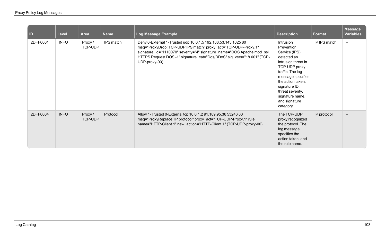| ID       | <b>Level</b> | <b>Area</b>        | <b>Name</b> | Log Message Example                                                                                                                                                                                                                                                                                  | <b>Description</b>                                                                                                                                                                                                                                  | <b>Format</b> | <b>Message</b><br><b>Variables</b> |
|----------|--------------|--------------------|-------------|------------------------------------------------------------------------------------------------------------------------------------------------------------------------------------------------------------------------------------------------------------------------------------------------------|-----------------------------------------------------------------------------------------------------------------------------------------------------------------------------------------------------------------------------------------------------|---------------|------------------------------------|
| 2DFF0001 | <b>INFO</b>  | Proxy /<br>TCP-UDP | IPS match   | Deny 0-External 1-Trusted udp 10.0.1.5 192.168.53.143 1025 80<br>msg="ProxyDrop: TCP-UDP IPS match" proxy_act="TCP-UDP-Proxy.1"<br>signature_id="1110070" severity="4" signature_name="DOS Apache mod_ssl<br>HTTPS Request DOS -1" signature_cat="Dos/DDoS" sig_vers="18.001" (TCP-<br>UDP-proxy-00) | Intrusion<br>Prevention<br>Service (IPS)<br>detected an<br>intrusion threat in<br>TCP-UDP proxy<br>traffic. The log<br>message specifies<br>the action taken,<br>signature ID,<br>threat severity,<br>signature name,<br>and signature<br>category. | IP IPS match  | $\qquad \qquad -$                  |
| 2DFF0004 | <b>INFO</b>  | Proxy /<br>TCP-UDP | Protocol    | Allow 1-Trusted 0-External tcp 10.0.1.2 91.189.95.36 53246 80<br>msg="ProxyReplace: IP protocol" proxy_act="TCP-UDP-Proxy.1" rule<br>name="HTTP-Client.1" new_action="HTTP-Client.1" (TCP-UDP-proxy-00)                                                                                              | The TCP-UDP<br>proxy recognized<br>the protocol. The<br>log message<br>specifies the<br>action taken, and<br>the rule name.                                                                                                                         | IP protocol   | $\overline{\phantom{m}}$           |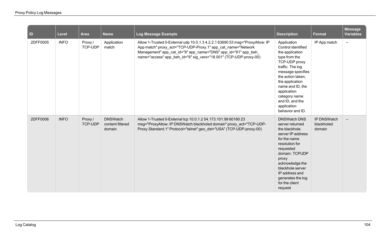| $\vert$ ID | Level       | Area                     | <b>Name</b>                                   | Log Message Example                                                                                                                                                                                                                                                                 | <b>Description</b>                                                                                                                                                                                                                                                                | Format                              | <b>Message</b><br><b>Variables</b> |
|------------|-------------|--------------------------|-----------------------------------------------|-------------------------------------------------------------------------------------------------------------------------------------------------------------------------------------------------------------------------------------------------------------------------------------|-----------------------------------------------------------------------------------------------------------------------------------------------------------------------------------------------------------------------------------------------------------------------------------|-------------------------------------|------------------------------------|
| 2DFF0005   | <b>INFO</b> | Proxy /<br>TCP-UDP       | Application<br>match                          | Allow 1-Trusted 0-External udp 10.0.1.3 4.2.2.1 63690 53 msg="ProxyAllow: IP<br>App match" proxy_act="TCP-UDP-Proxy.1" app_cat_name="Network<br>Management" app_cat_id="9" app_name="DNS" app_id="61" app_beh_<br>name="access" app_beh_id="6" sig_vers="18.001" (TCP-UDP-proxy-00) | Application<br>Control identified<br>the application<br>type from the<br>TCP-UDP proxy<br>traffic. The log<br>message specifies<br>the action taken,<br>the application<br>name and ID, the<br>application<br>category name<br>and ID, and the<br>application<br>behavior and ID. | IP App match                        | $\overline{\phantom{m}}$           |
| 2DFF0006   | <b>INFO</b> | Proxy/<br><b>TCP-UDP</b> | <b>DNSWatch</b><br>content filtered<br>domain | Allow 1-Trusted 0-External tcp 10.0.1.2 54.173.101.99 60180 23<br>msg="ProxyAllow: IP DNSWatch blackholed domain" proxy_act="TCP-UDP-<br>Proxy.Standard.1" Protocol="telnet" geo dst="USA" (TCP-UDP-proxy-00)                                                                       | <b>DNSWatch DNS</b><br>server returned<br>the blackhole<br>server IP address<br>for the name<br>resolution for<br>requested<br>domain. TCPUDP<br>proxy<br>acknowledge the<br>blackhole server<br>IP address and<br>generates the log<br>for the client<br>request                 | IP DNSWatch<br>blackholed<br>domain |                                    |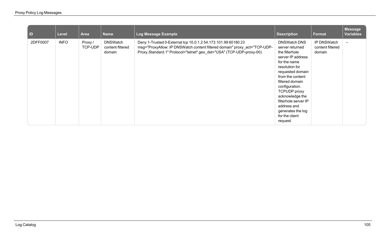| ID       | <b>Level</b> | Area               | <b>Name</b>                                   | Log Message Example                                                                                                                                                                                                | <b>Description</b>                                                                                                                                                                                                                                                                                                              | <b>Format</b>                             | <b>Message</b><br><b>Variables</b> |
|----------|--------------|--------------------|-----------------------------------------------|--------------------------------------------------------------------------------------------------------------------------------------------------------------------------------------------------------------------|---------------------------------------------------------------------------------------------------------------------------------------------------------------------------------------------------------------------------------------------------------------------------------------------------------------------------------|-------------------------------------------|------------------------------------|
| 2DFF0007 | <b>INFO</b>  | Proxy /<br>TCP-UDP | <b>DNSWatch</b><br>content filtered<br>domain | Deny 1-Trusted 0-External tcp 10.0.1.2 54.173.101.99 60180 23<br>msg="ProxyAllow: IP DNSWatch content filtered domain" proxy_act="TCP-UDP-<br>Proxy.Standard.1" Protocol="telnet" geo_dst="USA" (TCP-UDP-proxy-00) | <b>DNSWatch DNS</b><br>server returned<br>the filterhole<br>server IP address<br>for the name<br>resolution for<br>requested domain<br>from the content<br>filtered domain<br>configuration.<br><b>TCPUDP</b> proxy<br>acknowledge the<br>filterhole server IP<br>address and<br>generates the log<br>for the client<br>request | IP DNSWatch<br>content filtered<br>domain | $\overline{\phantom{0}}$           |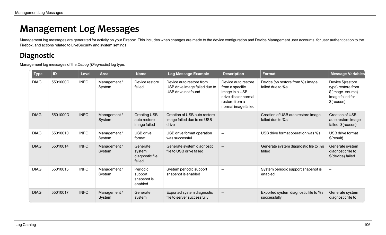## **Management Log Messages**

Management log messages are generated for activity on your Firebox. This includes when changes are made to the device configuration and Device Management user accounts, for user authentication to the Firebox, and actions related to LiveSecurity and system settings.

## **Diagnostic**

Management log messages of the *Debug (Diagnostic)* log type.

| <b>Type</b> | ID       | <b>Level</b> | <b>Area</b>            | <b>Name</b>                                         | Log Message Example                                                              | <b>Description</b>                                                                                                        | <b>Format</b>                                          | <b>Message Variables</b>                                                                       |
|-------------|----------|--------------|------------------------|-----------------------------------------------------|----------------------------------------------------------------------------------|---------------------------------------------------------------------------------------------------------------------------|--------------------------------------------------------|------------------------------------------------------------------------------------------------|
| <b>DIAG</b> | 5501000C | <b>INFO</b>  | Management /<br>System | Device restore<br>failed                            | Device auto restore from<br>USB drive image failed due to<br>USB drive not found | Device auto restore<br>from a specific<br>image in a USB<br>drive disc or normal<br>restore from a<br>normal image failed | Device %s restore from %s image<br>failed due to %s    | Device \${restore_<br>type} restore from<br>\${image_source}<br>image failed for<br>\${reason} |
| <b>DIAG</b> | 5501000D | <b>INFO</b>  | Management /<br>System | <b>Creating USB</b><br>auto restore<br>image failed | Creation of USB auto restore<br>image failed due to no USB<br>drive              | $-$                                                                                                                       | Creation of USB auto restore image<br>failed due to %s | Creation of USB<br>auto restore image<br>failed: \${reason}                                    |
| <b>DIAG</b> | 55010010 | <b>INFO</b>  | Management /<br>System | USB drive<br>format                                 | USB drive format operation<br>was successful                                     |                                                                                                                           | USB drive format operation was %s                      | USB drive format<br>$\{result\}$                                                               |
| <b>DIAG</b> | 55010014 | <b>INFO</b>  | Management /<br>System | Generate<br>system<br>diagnostic file<br>failed     | Generate system diagnostic<br>file to USB drive failed                           | $\qquad \qquad -$                                                                                                         | Generate system diagnostic file to %s<br>failed        | Generate system<br>diagnostic file to<br>\${device} failed                                     |
| <b>DIAG</b> | 55010015 | <b>INFO</b>  | Management /<br>System | Periodic<br>support<br>snapshot is<br>enabled       | System periodic support<br>snapshot is enabled                                   | $\equiv$                                                                                                                  | System periodic support snapshot is<br>enabled         | $\equiv$                                                                                       |
| <b>DIAG</b> | 55010017 | <b>INFO</b>  | Management /<br>System | Generate<br>system                                  | Exported system diagnostic<br>file to server successfully                        | $\overline{\phantom{m}}$                                                                                                  | Exported system diagnostic file to %s<br>successfully  | Generate system<br>diagnostic file to                                                          |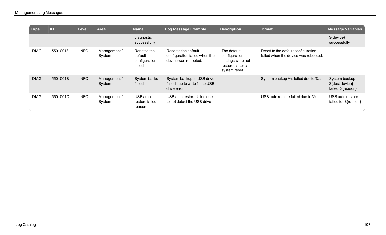| │ Type      | ID       | <b>Level</b> | Area                   | <b>Name</b>                                        | Log Message Example                                                           | <b>Description</b>                                                                     | Format                                                                     | <b>Message Variables</b>                               |
|-------------|----------|--------------|------------------------|----------------------------------------------------|-------------------------------------------------------------------------------|----------------------------------------------------------------------------------------|----------------------------------------------------------------------------|--------------------------------------------------------|
|             |          |              |                        | diagnostic<br>successfully                         |                                                                               |                                                                                        |                                                                            | \${device}<br>successfully                             |
| <b>DIAG</b> | 55010018 | <b>INFO</b>  | Management /<br>System | Reset to the<br>default<br>configuration<br>failed | Reset to the default<br>configuration failed when the<br>device was rebooted. | The default<br>configuration<br>settings were not<br>restored after a<br>system reset. | Reset to the default configuration<br>failed when the device was rebooted. | $\overline{\phantom{0}}$                               |
| <b>DIAG</b> | 5501001B | <b>INFO</b>  | Management /<br>System | System backup<br>failed                            | System backup to USB drive<br>failed due to write file to USB<br>drive error  | $-$                                                                                    | System backup %s failed due to %s.                                         | System backup<br>\${dest device}<br>failed: \${reason} |
| <b>DIAG</b> | 5501001C | <b>INFO</b>  | Management /<br>System | USB auto<br>restore failed<br>reason               | USB auto restore failed due<br>to not detect the USB drive                    | $\overline{\phantom{0}}$                                                               | USB auto restore failed due to %s                                          | USB auto restore<br>failed for \${reason}              |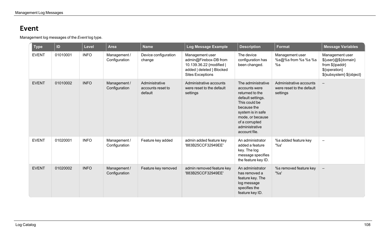#### **Event**

Management log messages of the *Event* log type.

| <b>Type</b>  | ID       | <b>Level</b> | <b>Area</b>                   | <b>Name</b>                                    | Log Message Example                                                                                                          | <b>Description</b>                                                                                                                                                                                        | <b>Format</b>                                                    | <b>Message Variables</b>                                                                               |
|--------------|----------|--------------|-------------------------------|------------------------------------------------|------------------------------------------------------------------------------------------------------------------------------|-----------------------------------------------------------------------------------------------------------------------------------------------------------------------------------------------------------|------------------------------------------------------------------|--------------------------------------------------------------------------------------------------------|
| <b>EVENT</b> | 01010001 | <b>INFO</b>  | Management /<br>Configuration | Device configuration<br>change                 | Management user<br>admin@Firebox-DB from<br>10.139.36.22 {modified  <br>added   deleted } Blocked<br><b>Sites Exceptions</b> | The device<br>configuration has<br>been changed.                                                                                                                                                          | Management user<br>%s@%s from %s %s %s<br>%s                     | Management user<br>\${user}@\${domain}<br>from \${ipaddr}<br>\${operation}<br>\${subsystem} \${object} |
| <b>EVENT</b> | 01010002 | <b>INFO</b>  | Management /<br>Configuration | Administrative<br>accounts reset to<br>default | Administrative accounts<br>were reset to the default<br>settings                                                             | The administrative<br>accounts were<br>returned to the<br>default settings.<br>This could be<br>because the<br>system is in safe<br>mode, or because<br>of a corrupted<br>administrative<br>account file. | Administrative accounts<br>were reset to the default<br>settings | $\overline{\phantom{m}}$                                                                               |
| <b>EVENT</b> | 01020001 | <b>INFO</b>  | Management /<br>Configuration | Feature key added                              | admin added feature key<br>'883B25CCF32949EE'                                                                                | An administrator<br>added a feature<br>key. The log<br>message specifies<br>the feature key ID.                                                                                                           | %s added feature key<br>'%s'                                     | $\overline{\phantom{m}}$                                                                               |
| <b>EVENT</b> | 01020002 | <b>INFO</b>  | Management /<br>Configuration | Feature key removed                            | admin removed feature key<br>'883B25CCF32949EE'                                                                              | An administrator<br>has removed a<br>feature key. The<br>log message<br>specifies the<br>feature key ID.                                                                                                  | %s removed feature key<br>'%s'                                   | $\overline{\phantom{m}}$                                                                               |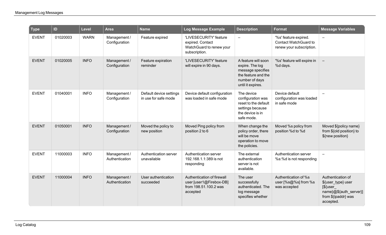| <b>Type</b>  | ID       | Level       | <b>Area</b>                    | <b>Name</b>                                     | Log Message Example                                                                        | <b>Description</b>                                                                                                        | <b>Format</b>                                                              | <b>Message Variables</b>                                                                                             |
|--------------|----------|-------------|--------------------------------|-------------------------------------------------|--------------------------------------------------------------------------------------------|---------------------------------------------------------------------------------------------------------------------------|----------------------------------------------------------------------------|----------------------------------------------------------------------------------------------------------------------|
| <b>EVENT</b> | 01020003 | <b>WARN</b> | Management /<br>Configuration  | Feature expired                                 | 'LIVESECURITY' feature<br>expired. Contact<br>WatchGuard to renew your<br>subscription.    | $\qquad \qquad \blacksquare$                                                                                              | '%s' feature expired.<br>Contact WatchGuard to<br>renew your subscription. | $\overline{\phantom{0}}$                                                                                             |
| <b>EVENT</b> | 01020005 | <b>INFO</b> | Management /<br>Configuration  | Feature expiration<br>reminder                  | 'LIVESECURITY' feature<br>will expire in 90 days.                                          | A feature will soon<br>expire. The log<br>message specifies<br>the feature and the<br>number of days<br>until it expires. | '%s' feature will expire in<br>%d days.                                    | $\equiv$                                                                                                             |
| <b>EVENT</b> | 01040001 | <b>INFO</b> | Management /<br>Configuration  | Default device settings<br>in use for safe mode | Device default configuration<br>was loaded in safe mode                                    | The device<br>configuration was<br>reset to the default<br>settings because<br>the device is in<br>safe mode.             | Device default<br>configuration was loaded<br>in safe mode                 | $\qquad \qquad -$                                                                                                    |
| <b>EVENT</b> | 01050001 | <b>INFO</b> | Management /<br>Configuration  | Moved the policy to<br>new position             | Moved Ping policy from<br>position 2 to 6                                                  | When change the<br>policy order, there<br>will be move<br>operation to move<br>the policies.                              | Moved %s policy from<br>position %d to %d                                  | Moved \${policy name}<br>from \${old position} to<br>\${new position}                                                |
| <b>EVENT</b> | 11000003 | <b>INFO</b> | Management /<br>Authentication | Authentication server<br>unavailable            | Authentication server<br>192.168.1.1:389 is not<br>responding                              | The external<br>authentication<br>server is not<br>available.                                                             | Authentication server<br>%s:%d is not responding                           | $\qquad \qquad -$                                                                                                    |
| <b>EVENT</b> | 11000004 | <b>INFO</b> | Management /<br>Authentication | User authentication<br>succeeded                | Authentication of firewall<br>user [user1@Firebox-DB]<br>from 198.51.100.2 was<br>accepted | The user<br>successfully<br>authenticated. The<br>log message<br>specifies whether                                        | Authentication of %s<br>user [%s@%s] from %s<br>was accepted               | Authentication of<br>\${user_type} user<br>$[$$ {user_<br>name}@\${auth_server}]<br>from \${ipaddr} was<br>accepted. |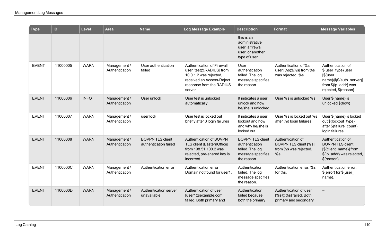| <b>Type</b>  | ID       | Level       | <b>Area</b>                    | <b>Name</b>                                      | Log Message Example                                                                                                                                | <b>Description</b>                                                                               | Format                                                                    | <b>Message Variables</b>                                                                                                          |
|--------------|----------|-------------|--------------------------------|--------------------------------------------------|----------------------------------------------------------------------------------------------------------------------------------------------------|--------------------------------------------------------------------------------------------------|---------------------------------------------------------------------------|-----------------------------------------------------------------------------------------------------------------------------------|
|              |          |             |                                |                                                  |                                                                                                                                                    | this is an<br>administrative<br>user, a firewall<br>user, or another<br>type of user.            |                                                                           |                                                                                                                                   |
| <b>EVENT</b> | 11000005 | <b>WARN</b> | Management /<br>Authentication | User authentication<br>failed                    | Authentication of Firewall<br>user [test@RADIUS] from<br>10.0.1.2 was rejected,<br>received an Access-Reject<br>response from the RADIUS<br>server | <b>User</b><br>authentication<br>failed. The log<br>message specifies<br>the reason.             | Authentication of %s<br>user [%s@%s] from %s<br>was rejected, %s          | Authentication of<br>\${user_type} user<br>$[$ \${user_<br>name}@\${auth_server}]<br>from \${ip_addr} was<br>rejected, \${reason} |
| <b>EVENT</b> | 11000006 | <b>INFO</b> | Management /<br>Authentication | User unlock                                      | User test is unlocked<br>automatically                                                                                                             | It indicates a user<br>unlock and how<br>he/she is unlocked                                      | User %s is unlocked %s                                                    | User \${name} is<br>unlocked \${how}                                                                                              |
| <b>EVENT</b> | 11000007 | <b>WARN</b> | Management /<br>Authentication | user lock                                        | User test is locked out<br>briefly after 3 login failures                                                                                          | It indicates a user<br>lockout and how<br>and why he/she is<br>locked out                        | User %s is locked out %s<br>after %d login failures                       | User \${name} is locked<br>out \${lockout_type}<br>after \${failure count}<br>login failures                                      |
| <b>EVENT</b> | 11000008 | <b>WARN</b> | Management /<br>Authentication | <b>BOVPN TLS client</b><br>authentication failed | Authentication of BOVPN<br>TLS client [EasternOffice]<br>from 198.51.100.2 was<br>rejected, pre-shared key is<br>incorrect                         | <b>BOVPN TLS client</b><br>authentication<br>failed. The log<br>message specifies<br>the reason. | Authentication of<br>BOVPN TLS client [%s]<br>from %s was rejected,<br>%s | Authentication of<br><b>BOVPN TLS client</b><br>[\${client name}] from<br>\${ip_addr} was rejected,<br>\${reason}                 |
| <b>EVENT</b> | 1100000C | <b>WARN</b> | Management /<br>Authentication | Authentication error                             | Authentication error.<br>Domain not found for user1.                                                                                               | Authentication<br>failed. The log<br>message specifies<br>the reason.                            | Authentication error, %s<br>for %s.                                       | Authentication error.<br>\${error} for \${user<br>name}.                                                                          |
| <b>EVENT</b> | 1100000D | <b>WARN</b> | Management /<br>Authentication | Authentication server<br>unavailable             | Authentication of user<br>[user1@example.com]<br>failed. Both primary and                                                                          | Authentication<br>failed because<br>both the primary                                             | Authentication of user<br>[%s@%s] failed. Both<br>primary and secondary   | $\qquad \qquad -$                                                                                                                 |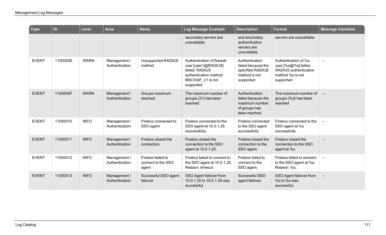| $\mid$ Type  | ID       | <b>Level</b> | <b>Area</b>                    | <b>Name</b>                                      | Log Message Example                                                                                                            | <b>Description</b>                                                                       | <b>Format</b>                                                                                           | <b>Message Variables</b> |
|--------------|----------|--------------|--------------------------------|--------------------------------------------------|--------------------------------------------------------------------------------------------------------------------------------|------------------------------------------------------------------------------------------|---------------------------------------------------------------------------------------------------------|--------------------------|
|              |          |              |                                |                                                  | secondary servers are<br>unavailable.                                                                                          | and secondary<br>authentication<br>servers are<br>unavailable.                           | servers are unavailable.                                                                                |                          |
| <b>EVENT</b> | 1100000E | <b>WARN</b>  | Management /<br>Authentication | <b>Unsupported RADIUS</b><br>method              | Authentication of firewall<br>user [user1@RADIUS]<br>failed, RADIUS<br>authentication method<br>MSCHAP_V1 is not<br>supported. | Authentication<br>failed because the<br>specified RADIUS<br>method is not<br>supported.  | Authentication of %s<br>user [%s@%s] failed.<br>RADIUS authentication<br>method %s is not<br>supported. | $\equiv$                 |
| <b>EVENT</b> | 1100000F | <b>WARN</b>  | Management /<br>Authentication | Groups maximum<br>reached                        | The maximum number of<br>groups (31) has been<br>reached                                                                       | Authentication<br>failed because the<br>maximum number<br>of groups has<br>been reached. | The maximum number of<br>groups (%d) has been<br>reached                                                | $\overline{\phantom{m}}$ |
| <b>EVENT</b> | 11000010 | <b>INFO</b>  | Management /<br>Authentication | Firebox connected to<br>SSO agent                | Firebox connected to the<br>SSO agent at 10.0.1.25<br>successfully.                                                            | Firebox connected<br>to the SSO agent<br>successfully                                    | Firebox connected to the<br>SSO agent at %s<br>successfully.                                            | $\qquad \qquad -$        |
| <b>EVENT</b> | 11000011 | <b>INFO</b>  | Management /<br>Authentication | Firebox closed the<br>connection                 | Firebox closed the<br>connection to the SSO<br>agent at 10.0.1.25.                                                             | Firebox closed the<br>connection to the<br>SSO agent.                                    | Firebox closed the<br>connection to the SSO<br>agent at %s.                                             |                          |
| <b>EVENT</b> | 11000012 | <b>INFO</b>  | Management /<br>Authentication | Firebox failed to<br>connect to the SSO<br>agent | Firebox failed to connect to<br>the SSO agent at 10.0.1.25.<br>Reason: timeout.                                                | Firebox failed to<br>connect to the<br>SSO agent.                                        | Firebox failed to connect<br>to the SSO agent at %s.<br>Reason: %s.                                     | $\qquad \qquad -$        |
| <b>EVENT</b> | 11000013 | <b>INFO</b>  | Management /<br>Authentication | Successful SSO agent<br>failover                 | SSO Agent failover from<br>10.0.1.25 to 10.0.1.26 was<br>successful.                                                           | Successful SSO<br>agent failover.                                                        | SSO Agent failover from<br>%s to %s was<br>successful.                                                  | $\overline{\phantom{m}}$ |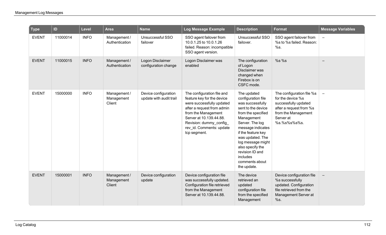| <b>Type</b>  | ID       | <b>Level</b> | <b>Area</b>                          | <b>Name</b>                                     | Log Message Example                                                                                                                                                                                                                          | <b>Description</b>                                                                                                                                                                                                                                                                                         | <b>Format</b>                                                                                                                                         | <b>Message Variables</b> |
|--------------|----------|--------------|--------------------------------------|-------------------------------------------------|----------------------------------------------------------------------------------------------------------------------------------------------------------------------------------------------------------------------------------------------|------------------------------------------------------------------------------------------------------------------------------------------------------------------------------------------------------------------------------------------------------------------------------------------------------------|-------------------------------------------------------------------------------------------------------------------------------------------------------|--------------------------|
| <b>EVENT</b> | 11000014 | <b>INFO</b>  | Management /<br>Authentication       | Unsuccessful SSO<br>failover                    | SSO agent failover from<br>10.0.1.25 to 10.0.1.26<br>failed. Reason: incompatible<br>SSO agent version.                                                                                                                                      | Unsuccessful SSO<br>failover.                                                                                                                                                                                                                                                                              | SSO agent failover from<br>%s to %s failed. Reason:<br>%s.                                                                                            | $\overline{\phantom{m}}$ |
| <b>EVENT</b> | 11000015 | <b>INFO</b>  | Management /<br>Authentication       | Logon Disclaimer<br>configuration change        | Logon Disclaimer was<br>enabled                                                                                                                                                                                                              | The configuration<br>of Logon<br>Disclaimer was<br>changed when<br>Firebox is on<br>CSFC mode.                                                                                                                                                                                                             | $%s$ %s                                                                                                                                               |                          |
| <b>EVENT</b> | 15000000 | <b>INFO</b>  | Management /<br>Management<br>Client | Device configuration<br>update with audit trail | The configuration file and<br>feature key for the device<br>were successfully updated<br>after a request from admin<br>from the Management<br>Server at 10.139.44.88.<br>Revision: dummy_config_<br>rev_id. Comments: update<br>tcp segment. | The updated<br>configuration file<br>was successfully<br>sent to the device<br>from the specified<br>Management<br>Server. The log<br>message indicates<br>if the feature key<br>was updated. The<br>log message might<br>also specify the<br>revision ID and<br>includes<br>comments about<br>the update. | The configuration file %s<br>for the device %s<br>successfully updated<br>after a request from %s<br>from the Management<br>Server at<br>%s.%s%s%s%s. | $\overline{\phantom{m}}$ |
| <b>EVENT</b> | 15000001 | <b>INFO</b>  | Management /<br>Management<br>Client | Device configuration<br>update                  | Device configuration file<br>was successfully updated.<br>Configuration file retrieved<br>from the Management<br>Server at 10.139.44.88.                                                                                                     | The device<br>retrieved an<br>updated<br>configuration file<br>from the specified<br>Management                                                                                                                                                                                                            | Device configuration file<br>%s successfully<br>updated. Configuration<br>file retrieved from the<br>Management Server at<br>%s.                      | $\overline{\phantom{m}}$ |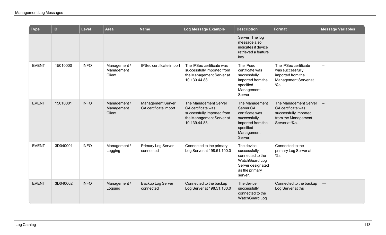| <b>Type</b>  | ID       | <b>Level</b> | <b>Area</b>                          | <b>Name</b>                                       | Log Message Example                                                                                                    | <b>Description</b>                                                                                                        | <b>Format</b>                                                                                                | <b>Message Variables</b> |
|--------------|----------|--------------|--------------------------------------|---------------------------------------------------|------------------------------------------------------------------------------------------------------------------------|---------------------------------------------------------------------------------------------------------------------------|--------------------------------------------------------------------------------------------------------------|--------------------------|
|              |          |              |                                      |                                                   |                                                                                                                        | Server. The log<br>message also<br>indicates if device<br>retrieved a feature<br>key.                                     |                                                                                                              |                          |
| <b>EVENT</b> | 15010000 | <b>INFO</b>  | Management /<br>Management<br>Client | IPSec certificate import                          | The IPSec certificate was<br>successfully imported from<br>the Management Server at<br>10.139.44.88.                   | The IPsec<br>certificate was<br>successfully<br>imported from the<br>specified<br>Management<br>Server.                   | The IPSec certificate<br>was successfully<br>imported from the<br>Management Server at<br>%s.                | $\overline{\phantom{0}}$ |
| <b>EVENT</b> | 15010001 | <b>INFO</b>  | Management /<br>Management<br>Client | <b>Management Server</b><br>CA certificate import | The Management Server<br>CA certificate was<br>successfully imported from<br>the Management Server at<br>10.139.44.88. | The Management<br>Server CA<br>certificate was<br>successfully<br>imported from the<br>specified<br>Management<br>Server. | The Management Server<br>CA certificate was<br>successfully imported<br>from the Management<br>Server at %s. | $\overline{\phantom{a}}$ |
| <b>EVENT</b> | 3D040001 | <b>INFO</b>  | Management /<br>Logging              | Primary Log Server<br>connected                   | Connected to the primary<br>Log Server at 198.51.100.0                                                                 | The device<br>successfully<br>connected to the<br>WatchGuard Log<br>Server designated<br>as the primary<br>server.        | Connected to the<br>primary Log Server at<br>%s                                                              |                          |
| <b>EVENT</b> | 3D040002 | <b>INFO</b>  | Management /<br>Logging              | Backup Log Server<br>connected                    | Connected to the backup<br>Log Server at 198.51.100.0                                                                  | The device<br>successfully<br>connected to the<br><b>WatchGuard Log</b>                                                   | Connected to the backup<br>Log Server at %s                                                                  | $\overline{\phantom{0}}$ |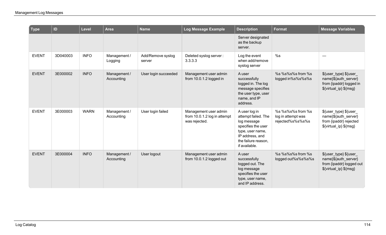| Type         | ID       | Level       | <b>Area</b>                | <b>Name</b>                 | <b>Log Message Example</b>                                             | <b>Description</b>                                                                                                                                       | Format                                                  | <b>Message Variables</b>                                                                             |
|--------------|----------|-------------|----------------------------|-----------------------------|------------------------------------------------------------------------|----------------------------------------------------------------------------------------------------------------------------------------------------------|---------------------------------------------------------|------------------------------------------------------------------------------------------------------|
|              |          |             |                            |                             |                                                                        | Server designated<br>as the backup<br>server.                                                                                                            |                                                         |                                                                                                      |
| <b>EVENT</b> | 3D040003 | <b>INFO</b> | Management /<br>Logging    | Add/Remove syslog<br>server | Deleted syslog server:<br>3.3.3.3                                      | Log the event<br>when add/remove<br>syslog server                                                                                                        | %s                                                      |                                                                                                      |
| <b>EVENT</b> | 3E000002 | <b>INFO</b> | Management /<br>Accounting | User login succeeded        | Management user admin<br>from 10.0.1.2 logged in                       | A user<br>successfully<br>logged in. The log<br>message specifies<br>the user type, user<br>name, and IP<br>address.                                     | %s%s%s from%s<br>logged in%s%s%s%s                      | \${user_type} \${user_<br>name}\${auth_server}<br>from {ipaddr} logged in<br>\${virtual_ip} \${msg}  |
| <b>EVENT</b> | 3E000003 | <b>WARN</b> | Management /<br>Accounting | User login failed           | Management user admin<br>from 10.0.1.2 log in attempt<br>was rejected. | A user log in<br>attempt failed. The<br>log message<br>specifies the user<br>type, user name,<br>IP address, and<br>the failure reason,<br>if available. | %s%s%s from%s<br>log in attempt was<br>rejected%s%s%s%s | \${user_type} \${user_<br>name}\${auth_server}<br>from {ipaddr} rejected<br>\${virtual_ip} \${msg}   |
| <b>EVENT</b> | 3E000004 | <b>INFO</b> | Management /<br>Accounting | User logout                 | Management user admin<br>from 10.0.1.2 logged out                      | A user<br>successfully<br>logged out. The<br>log message<br>specifies the user<br>type, user name,<br>and IP address.                                    | %s%s%s from%s<br>logged out%s%s%s%s                     | \${user_type} \${user_<br>name}\${auth_server}<br>from {ipaddr} logged out<br>\${virtual_ip} \${msg} |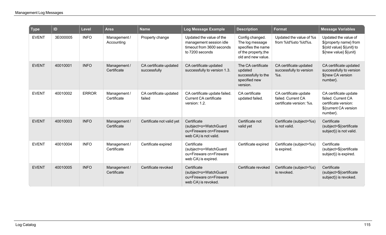| <b>Type</b>  | ID       | <b>Level</b> | <b>Area</b>                 | <b>Name</b>                            | Log Message Example                                                                                 | <b>Description</b>                                                                                     | <b>Format</b>                                                           | <b>Message Variables</b>                                                                                 |
|--------------|----------|--------------|-----------------------------|----------------------------------------|-----------------------------------------------------------------------------------------------------|--------------------------------------------------------------------------------------------------------|-------------------------------------------------------------------------|----------------------------------------------------------------------------------------------------------|
| <b>EVENT</b> | 3E000005 | <b>INFO</b>  | Management /<br>Accounting  | Property change                        | Updated the value of the<br>management session idle<br>timeout from 3600 seconds<br>to 7200 seconds | Config changed.<br>The log message<br>specifies the name<br>of the property, the<br>old and new value. | Updated the value of %s<br>from %ld%sto %ld%s.                          | Updated the value of<br>\${property name} from<br>\${old value} \${unit} to<br>\${new value} \${unit}    |
| <b>EVENT</b> | 40010001 | <b>INFO</b>  | Management /<br>Certificate | CA certificate updated<br>successfully | CA certificate updated<br>successfully to version 1.3.                                              | The CA certificate<br>updated<br>successfully to the<br>specified new<br>version.                      | CA certificate updated<br>successfully to version<br>%s.                | CA certificate updated<br>successfully to version<br>\${new CA version<br>number}.                       |
| <b>EVENT</b> | 40010002 | <b>ERROR</b> | Management /<br>Certificate | CA certificate updated<br>failed       | CA certificate update failed.<br><b>Current CA certificate</b><br>version: 1.2.                     | CA certificate<br>updated failed.                                                                      | CA certificate update<br>failed. Current CA<br>certificate version: %s. | CA certificate update<br>failed. Current CA<br>certificate version:<br>\${current CA version<br>number}. |
| <b>EVENT</b> | 40010003 | <b>INFO</b>  | Management /<br>Certificate | Certificate not valid yet              | Certificate<br>(subject=o=WatchGuard<br>ou=Fireware cn=Fireware<br>web CA) is not valid.            | Certificate not<br>valid yet                                                                           | Certificate (subject=%s)<br>is not valid.                               | Certificate<br>(subject=\${certificate<br>subject}) is not valid.                                        |
| <b>EVENT</b> | 40010004 | <b>INFO</b>  | Management /<br>Certificate | Certificate expired                    | Certificate<br>(subject=o=WatchGuard<br>ou=Fireware cn=Fireware<br>web CA) is expired.              | Certificate expired                                                                                    | Certificate (subject=%s)<br>is expired.                                 | Certificate<br>(subject=\${certificate<br>subject}) is expired.                                          |
| <b>EVENT</b> | 40010005 | <b>INFO</b>  | Management /<br>Certificate | Certificate revoked                    | Certificate<br>(subject=o=WatchGuard<br>ou=Fireware cn=Fireware<br>web CA) is revoked.              | Certificate revoked                                                                                    | Certificate (subject=%s)<br>is revoked.                                 | Certificate<br>(subject=\${certificate<br>subject}) is revoked.                                          |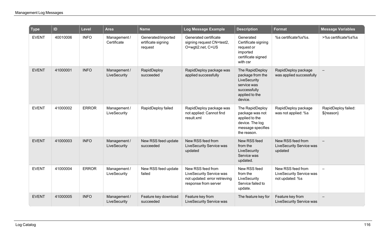| <b>Type</b>  | ID       | Level        | <b>Area</b>                  | <b>Name</b>                                         | <b>Log Message Example</b>                                                                             | <b>Description</b>                                                                                              | <b>Format</b>                                                    | <b>Message Variables</b>          |
|--------------|----------|--------------|------------------------------|-----------------------------------------------------|--------------------------------------------------------------------------------------------------------|-----------------------------------------------------------------------------------------------------------------|------------------------------------------------------------------|-----------------------------------|
| <b>EVENT</b> | 40010006 | <b>INFO</b>  | Management /<br>Certificate  | Generated/imported<br>ertificate signing<br>request | Generated certificate<br>signing request CN=test2,<br>O=wgti2.net, C=US                                | Generated<br>Certificate signing<br>request or<br>imported<br>certificate signed<br>with csr                    | %s certificate%s%s.                                              | >%s certificate%s%s               |
| <b>EVENT</b> | 41000001 | <b>INFO</b>  | Management /<br>LiveSecurity | RapidDeploy<br>succeeded                            | RapidDeploy package was<br>applied successfully                                                        | The RapidDeploy<br>package from the<br>LiveSecurity<br>service was<br>successfully<br>applied to the<br>device. | RapidDeploy package<br>was applied successfully                  |                                   |
| <b>EVENT</b> | 41000002 | <b>ERROR</b> | Management /<br>LiveSecurity | RapidDeploy failed                                  | RapidDeploy package was<br>not applied: Cannot find<br>result.xml                                      | The RapidDeploy<br>package was not<br>applied to the<br>device. The log<br>message specifies<br>the reason.     | RapidDeploy package<br>was not applied: %s                       | RapidDeploy failed:<br>\${reason} |
| <b>EVENT</b> | 41000003 | <b>INFO</b>  | Management /<br>LiveSecurity | New RSS feed update<br>succeeded                    | New RSS feed from<br>LiveSecurity Service was<br>updated                                               | New RSS feed<br>from the<br>LiveSecurity<br>Service was<br>updated.                                             | New RSS feed from<br>LiveSecurity Service was<br>updated         |                                   |
| <b>EVENT</b> | 41000004 | <b>ERROR</b> | Management /<br>LiveSecurity | New RSS feed update<br>failed                       | New RSS feed from<br>LiveSecurity Service was<br>not updated: error retrieving<br>response from server | New RSS feed<br>from the<br>LiveSecurity<br>Service failed to<br>update.                                        | New RSS feed from<br>LiveSecurity Service was<br>not updated: %s | $\overline{\phantom{a}}$          |
| <b>EVENT</b> | 41000005 | <b>INFO</b>  | Management /<br>LiveSecurity | Feature key download<br>succeeded                   | Feature key from<br>LiveSecurity Service was                                                           | The feature key for                                                                                             | Feature key from<br>LiveSecurity Service was                     |                                   |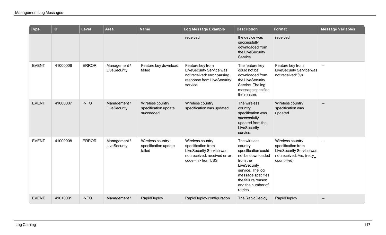| <b>Type</b>  | ID       | <b>Level</b> | <b>Area</b>                  | <b>Name</b>                                           | Log Message Example                                                                                                         | <b>Description</b>                                                                                                                                                                              | <b>Format</b>                                                                                                      | <b>Message Variables</b> |
|--------------|----------|--------------|------------------------------|-------------------------------------------------------|-----------------------------------------------------------------------------------------------------------------------------|-------------------------------------------------------------------------------------------------------------------------------------------------------------------------------------------------|--------------------------------------------------------------------------------------------------------------------|--------------------------|
|              |          |              |                              |                                                       | received                                                                                                                    | the device was<br>successfully<br>downloaded from<br>the LiveSecurity<br>Service.                                                                                                               | received                                                                                                           |                          |
| <b>EVENT</b> | 41000006 | <b>ERROR</b> | Management /<br>LiveSecurity | Feature key download<br>failed                        | Feature key from<br>LiveSecurity Service was<br>not received: error parsing<br>response from LiveSecurity<br>service        | The feature key<br>could not be<br>downloaded from<br>the LiveSecurity<br>Service. The log<br>message specifies<br>the reason.                                                                  | Feature key from<br><b>LiveSecurity Service was</b><br>not received: %s                                            | $\overline{\phantom{m}}$ |
| <b>EVENT</b> | 41000007 | <b>INFO</b>  | Management /<br>LiveSecurity | Wireless country<br>specification update<br>succeeded | Wireless country<br>specification was updated                                                                               | The wireless<br>country<br>specification was<br>successfully<br>updated from the<br>LiveSecurity<br>service.                                                                                    | Wireless country<br>specification was<br>updated                                                                   | $\overline{\phantom{m}}$ |
| <b>EVENT</b> | 41000008 | <b>ERROR</b> | Management /<br>LiveSecurity | Wireless country<br>specification update<br>failed    | Wireless country<br>specification from<br>LiveSecurity Service was<br>not received: received error<br>code <n> from LSS</n> | The wireless<br>country<br>specification could<br>not be downloaded<br>from the<br>LiveSecurity<br>service. The log<br>message specifies<br>the failure reason<br>and the number of<br>retries. | Wireless country<br>specification from<br><b>LiveSecurity Service was</b><br>not received: %s, (retry<br>count=%d) | $\qquad \qquad -$        |
| <b>EVENT</b> | 41010001 | <b>INFO</b>  | Management /                 | RapidDeploy                                           | RapidDeploy configuration                                                                                                   | The RapidDeploy                                                                                                                                                                                 | RapidDeploy                                                                                                        | $\qquad \qquad$          |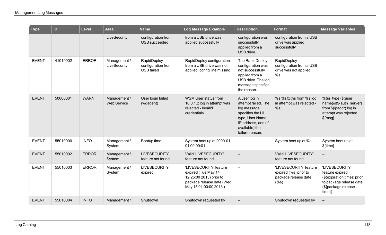| <b>Type</b>  | ID       | <b>Level</b> | <b>Area</b>                        | <b>Name</b>                                     | Log Message Example                                                                                                            | <b>Description</b>                                                                                                                                      | <b>Format</b>                                                                      | <b>Message Variables</b>                                                                                                        |
|--------------|----------|--------------|------------------------------------|-------------------------------------------------|--------------------------------------------------------------------------------------------------------------------------------|---------------------------------------------------------------------------------------------------------------------------------------------------------|------------------------------------------------------------------------------------|---------------------------------------------------------------------------------------------------------------------------------|
|              |          |              | LiveSecurity                       | configuration from<br><b>USB</b> succeeded      | from a USB drive was<br>applied successfully                                                                                   | configuration was<br>successfully<br>applied from a<br>USB drive.                                                                                       | configuration from a USB<br>drive was applied<br>successfully                      |                                                                                                                                 |
| <b>EVENT</b> | 41010002 | <b>ERROR</b> | Management /<br>LiveSecurity       | RapidDeploy<br>configuration from<br>USB failed | RapidDeploy configuration<br>from a USB drive was not<br>applied: config line missing                                          | The RapidDeploy<br>configuration was<br>not successfully<br>applied from a<br>USB drive. The log<br>message specifies<br>the reason.                    | RapidDeploy<br>configuration from a USB<br>drive was not applied:<br>%s            |                                                                                                                                 |
| <b>EVENT</b> | 50000001 | <b>WARN</b>  | Management /<br><b>Web Service</b> | User login failed<br>(wgagent)                  | <b>WSM User status from</b><br>10.0.1.2 log in attempt was<br>rejected - Invalid<br>credentials.                               | A user log in<br>attempt failed. The<br>log message<br>specifies the UI<br>type, User Name,<br>IP address, and (if<br>available) the<br>failure reason. | %s %s@%s from %s log<br>in attempt was rejected -<br>%s.                           | %{ui_type} \${user_<br>name}@\${auth_server}<br>from \${ipaddr} log in<br>attempt was rejected<br>$$$ {msg}.                    |
| <b>EVENT</b> | 55010000 | <b>INFO</b>  | Management /<br>System             | Bootup time                                     | System boot up at 2000-01-<br>01 00:00:01                                                                                      | $\overline{\phantom{a}}$                                                                                                                                | System boot up at %s                                                               | System boot up at<br>$${time}$                                                                                                  |
| <b>EVENT</b> | 55010002 | <b>ERROR</b> | Management /<br>System             | <b>LIVESECURITY</b><br>feature not found        | Valid 'LIVESECURITY'<br>feature not found                                                                                      |                                                                                                                                                         | Valid 'LIVESECURITY'<br>feature not found                                          | $\overline{\phantom{0}}$                                                                                                        |
| <b>EVENT</b> | 55010003 | <b>ERROR</b> | Management /<br>System             | <b>LIVESECURITY</b><br>expired                  | 'LIVESECURITY' feature<br>expired (Tue May 14<br>12:25:00 2013) prior to<br>package release date (Wed<br>May 15 01:00:00 2013) |                                                                                                                                                         | 'LIVESECURITY' feature<br>expired (%s) prior to<br>package release date<br>$(\%s)$ | 'LIVESECURITY'<br>feature expired<br>(\${expiration time}) prior<br>to package release date<br>(\${package release<br>$time\})$ |
| <b>EVENT</b> | 55010004 | <b>INFO</b>  | Management /                       | Shutdown                                        | Shutdown requested by                                                                                                          |                                                                                                                                                         | Shutdown requested by                                                              | $\overline{\phantom{m}}$                                                                                                        |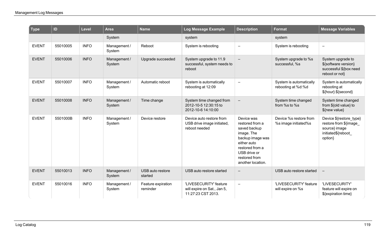| <b>Type</b>  | ID       | Level       | <b>Area</b>            | <b>Name</b>                    | Log Message Example                                                         | <b>Description</b>                                                                                                                                                      | <b>Format</b>                                  | <b>Message Variables</b>                                                                             |
|--------------|----------|-------------|------------------------|--------------------------------|-----------------------------------------------------------------------------|-------------------------------------------------------------------------------------------------------------------------------------------------------------------------|------------------------------------------------|------------------------------------------------------------------------------------------------------|
|              |          |             | System                 |                                | system                                                                      |                                                                                                                                                                         | system                                         |                                                                                                      |
| <b>EVENT</b> | 55010005 | <b>INFO</b> | Management /<br>System | Reboot                         | System is rebooting                                                         | $\overline{\phantom{0}}$                                                                                                                                                | System is rebooting                            | $\qquad \qquad -$                                                                                    |
| <b>EVENT</b> | 55010006 | <b>INFO</b> | Management /<br>System | Upgrade succeeded              | System upgrade to 11.9<br>successful, system needs to<br>reboot             |                                                                                                                                                                         | System upgrade to %s<br>successful, %s         | System upgrade to<br>\${software version}<br>successful \${box need<br>reboot or not}                |
| <b>EVENT</b> | 55010007 | <b>INFO</b> | Management /<br>System | Automatic reboot               | System is automatically<br>rebooting at 12:09                               | $\equiv$                                                                                                                                                                | System is automatically<br>rebooting at %d:%d  | System is automatically<br>rebooting at<br>\${hour}:\${second}                                       |
| <b>EVENT</b> | 55010008 | <b>INFO</b> | Management /<br>System | Time change                    | System time changed from<br>2012-10-5 12:30:15 to<br>2012-10-6 14:10:00     |                                                                                                                                                                         | System time changed<br>from %s to %s           | System time changed<br>from \${old value} to<br>\${new value}                                        |
| <b>EVENT</b> | 5501000B | <b>INFO</b> | Management /<br>System | Device restore                 | Device auto restore from<br>USB drive image initiated,<br>reboot needed     | Device was<br>restored from a<br>saved backup<br>image. The<br>backup image was<br>either auto<br>restored from a<br>USB drive or<br>restored from<br>another location. | Device %s restore from<br>%s image initiated%s | Device \${restore_type}<br>restore from \${image_<br>source} image<br>initiated\${reboot_<br>option} |
| <b>EVENT</b> | 55010013 | <b>INFO</b> | Management /<br>System | USB auto restore<br>started    | USB auto restore started                                                    | $\qquad \qquad -$                                                                                                                                                       | USB auto restore started                       | $\overline{\phantom{a}}$                                                                             |
| <b>EVENT</b> | 55010016 | <b>INFO</b> | Management /<br>System | Feature expiration<br>reminder | 'LIVESECURITY' feature<br>will expire on Sat., Jan 5,<br>11:27:23 CST 2013. | $\equiv$                                                                                                                                                                | 'LIVESECURITY' feature<br>will expire on %s    | 'LIVESECURITY'<br>feature will expire on<br>\${expiration time}                                      |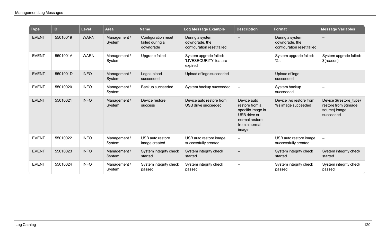| <b>Type</b>  | ID       | <b>Level</b> | <b>Area</b>            | <b>Name</b>                                         | Log Message Example                                             | <b>Description</b>                                                                                             | <b>Format</b>                                                   | <b>Message Variables</b>                                                       |
|--------------|----------|--------------|------------------------|-----------------------------------------------------|-----------------------------------------------------------------|----------------------------------------------------------------------------------------------------------------|-----------------------------------------------------------------|--------------------------------------------------------------------------------|
| <b>EVENT</b> | 55010019 | <b>WARN</b>  | Management /<br>System | Configuration reset<br>failed during a<br>downgrade | During a system<br>downgrade, the<br>configuration reset failed |                                                                                                                | During a system<br>downgrade, the<br>configuration reset failed |                                                                                |
| <b>EVENT</b> | 5501001A | <b>WARN</b>  | Management /<br>System | Upgrade failed                                      | System upgrade failed:<br>'LIVESECURITY' feature<br>expired     | $\qquad \qquad -$                                                                                              | System upgrade failed:<br>%s                                    | System upgrade failed:<br>\${reason}                                           |
| <b>EVENT</b> | 5501001D | <b>INFO</b>  | Management /<br>System | Logo upload<br>succeeded                            | Upload of logo succeeded                                        | $\qquad \qquad -$                                                                                              | Upload of logo<br>succeeded                                     | $\qquad \qquad -$                                                              |
| <b>EVENT</b> | 55010020 | <b>INFO</b>  | Management /<br>System | Backup succeeded                                    | System backup succeeded                                         |                                                                                                                | System backup<br>succeeded                                      | $\overline{\phantom{0}}$                                                       |
| <b>EVENT</b> | 55010021 | <b>INFO</b>  | Management /<br>System | Device restore<br>success                           | Device auto restore from<br>USB drive succeeded                 | Device auto<br>restore from a<br>specific image in<br>USB drive or<br>normal restore<br>from a normal<br>image | Device %s restore from<br>%s image succeeded                    | Device \${restore_type}<br>restore from \${image<br>source} image<br>succeeded |
| <b>EVENT</b> | 55010022 | <b>INFO</b>  | Management /<br>System | USB auto restore<br>image created                   | USB auto restore image<br>successfully created                  | $\equiv$                                                                                                       | USB auto restore image<br>successfully created                  | $\overline{\phantom{m}}$                                                       |
| <b>EVENT</b> | 55010023 | <b>INFO</b>  | Management /<br>System | System integrity check<br>started                   | System integrity check<br>started                               |                                                                                                                | System integrity check<br>started                               | System integrity check<br>started                                              |
| <b>EVENT</b> | 55010024 | <b>INFO</b>  | Management /<br>System | System integrity check<br>passed                    | System integrity check<br>passed                                | $\overline{\phantom{0}}$                                                                                       | System integrity check<br>passed                                | System integrity check<br>passed                                               |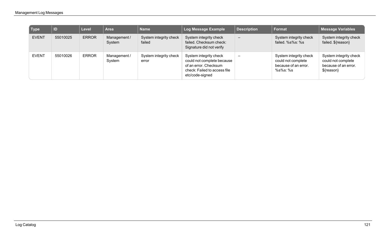| $\sqrt{ }$ Type | ID       | <b>Level</b> | <b>Area</b>            | <b>Name</b>                      | Log Message Example                                                                                                              | <b>Description</b> | <b>Format</b>                                                                    | <b>Message Variables</b>                                                           |
|-----------------|----------|--------------|------------------------|----------------------------------|----------------------------------------------------------------------------------------------------------------------------------|--------------------|----------------------------------------------------------------------------------|------------------------------------------------------------------------------------|
| <b>EVENT</b>    | 55010025 | <b>ERROR</b> | Management /<br>System | System integrity check<br>failed | System integrity check<br>failed. Checksum check:<br>Signature did not verify                                                    |                    | System integrity check<br>failed. %s%s: %s                                       | System integrity check<br>failed. \${reason}                                       |
| <b>EVENT</b>    | 55010026 | <b>ERROR</b> | Management /<br>System | System integrity check<br>error  | System integrity check<br>could not complete because<br>of an error. Checksum<br>check: Failed to access file<br>etc/code-signed |                    | System integrity check<br>could not complete<br>because of an error.<br>%s%s: %s | System integrity check<br>could not complete<br>because of an error.<br>\${reason} |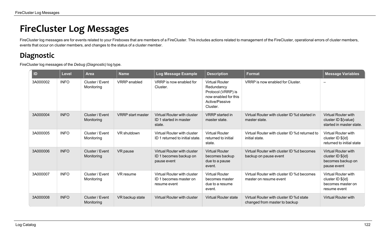# **FireCluster Log Messages**

FireCluster log messages are for events related to your Fireboxes that are members of a FireCluster. This includes actions related to management of the FireCluster, operational errors of cluster members, events that occur on cluster members, and changes to the status of a cluster member.

## **Diagnostic**

FireCluster log messages of the *Debug (Diagnostic)* log type.

| ID       | <b>Level</b> | <b>Area</b>                   | <b>Name</b>              | Log Message Example                                                          | <b>Description</b>                                                                                              | <b>Format</b>                                                            | <b>Message Variables</b>                                                              |
|----------|--------------|-------------------------------|--------------------------|------------------------------------------------------------------------------|-----------------------------------------------------------------------------------------------------------------|--------------------------------------------------------------------------|---------------------------------------------------------------------------------------|
| 3A000002 | <b>INFO</b>  | Cluster / Event<br>Monitoring | <b>VRRP</b> enabled      | VRRP is now enabled for<br>Cluster.                                          | <b>Virtual Router</b><br>Redundancy<br>Protocol (VRRP) is<br>now enabled for this<br>Active/Passive<br>Cluster. | VRRP is now enabled for Cluster.                                         |                                                                                       |
| 3A000004 | <b>INFO</b>  | Cluster / Event<br>Monitoring | <b>VRRP</b> start master | Virtual Router with cluster<br>ID 1 started in master<br>state.              | <b>VRRP</b> started in<br>master state.                                                                         | Virtual Router with cluster ID %d started in<br>master state.            | <b>Virtual Router with</b><br>cluster ID \${value}<br>started in master state.        |
| 3A000005 | <b>INFO</b>  | Cluster / Event<br>Monitoring | VR shutdown              | Virtual Router with cluster<br>ID 1 returned to initial state.               | <b>Virtual Router</b><br>returned to initial<br>state.                                                          | Virtual Router with cluster ID %d returned to<br>initial state.          | <b>Virtual Router with</b><br>cluster ID \${id}<br>returned to initial state          |
| 3A000006 | <b>INFO</b>  | Cluster / Event<br>Monitoring | VR pause                 | Virtual Router with cluster<br>ID 1 becomes backup on<br>pause event         | <b>Virtual Router</b><br>becomes backup<br>due to a pause<br>event.                                             | Virtual Router with cluster ID % dbecomes<br>backup on pause event       | <b>Virtual Router with</b><br>cluster $ID \$ {id}<br>becomes backup on<br>pause event |
| 3A000007 | <b>INFO</b>  | Cluster / Event<br>Monitoring | VR resume                | <b>Virtual Router with cluster</b><br>ID 1 becomes master on<br>resume event | <b>Virtual Router</b><br>becomes master<br>due to a resume<br>event.                                            | Virtual Router with cluster ID % dbecomes<br>master on resume event      | <b>Virtual Router with</b><br>cluster ID \${id}<br>becomes master on<br>resume event  |
| 3A000008 | <b>INFO</b>  | Cluster / Event<br>Monitoring | VR backup state          | <b>Virtual Router with cluster</b>                                           | <b>Virtual Router state</b>                                                                                     | Virtual Router with cluster ID %d state<br>changed from master to backup | <b>Virtual Router with</b>                                                            |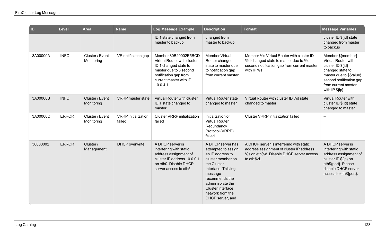| $\overline{a}$ | Level        | <b>Area</b>                   | <b>Name</b>                          | <b>Log Message Example</b>                                                                                                                                            | <b>Description</b>                                                                                                                                                                                                                     | <b>Format</b>                                                                                                                                 | <b>Message Variables</b>                                                                                                                                                         |
|----------------|--------------|-------------------------------|--------------------------------------|-----------------------------------------------------------------------------------------------------------------------------------------------------------------------|----------------------------------------------------------------------------------------------------------------------------------------------------------------------------------------------------------------------------------------|-----------------------------------------------------------------------------------------------------------------------------------------------|----------------------------------------------------------------------------------------------------------------------------------------------------------------------------------|
|                |              |                               |                                      | ID 1 state changed from<br>master to backup                                                                                                                           | changed from<br>master to backup                                                                                                                                                                                                       |                                                                                                                                               | cluster ID \${id} state<br>changed from master<br>to backup                                                                                                                      |
| 3A00000A       | <b>INFO</b>  | Cluster / Event<br>Monitoring | VR notification gap                  | Member 80B20002E5BCD<br>Virtual Router with cluster<br>ID 1 changed state to<br>master due to 3 second<br>notification gap from<br>current master with IP<br>10.0.4.1 | <b>Member Virtual</b><br>Router changed<br>state to master due<br>to notification gap<br>from current master                                                                                                                           | Member %s Virtual Router with cluster ID<br>%d changed state to master due to %d<br>second notification gap from current master<br>with IP %s | Member \${member}<br>Virtual Router with<br>cluster ID \${id}<br>changed state to<br>master due to \${value}<br>second notification gap<br>from current master<br>with IP \${ip} |
| 3A00000B       | <b>INFO</b>  | Cluster / Event<br>Monitoring | <b>VRRP</b> master state             | <b>Virtual Router with cluster</b><br>ID 1 state changed to<br>master                                                                                                 | <b>Virtual Router state</b><br>changed to master                                                                                                                                                                                       | Virtual Router with cluster ID %d state<br>changed to master                                                                                  | <b>Virtual Router with</b><br>cluster ID \${id} state<br>changed to master                                                                                                       |
| 3A00000C       | <b>ERROR</b> | Cluster / Event<br>Monitoring | <b>VRRP</b> initialization<br>failed | <b>Cluster VRRP initialization</b><br>failed                                                                                                                          | Initialization of<br><b>Virtual Router</b><br>Redundancy<br>Protocol (VRRP)<br>failed.                                                                                                                                                 | <b>Cluster VRRP</b> initialization failed                                                                                                     | $\overline{\phantom{0}}$                                                                                                                                                         |
| 38000002       | <b>ERROR</b> | Cluster /<br>Management       | <b>DHCP</b> overwrite                | A DHCP server is<br>interfering with static<br>address assignment of<br>cluster IP address 10.0.0.1<br>on eth0. Disable DHCP<br>server access to eth5.                | A DHCP server has<br>attempted to assign<br>an IP address to<br>cluster member on<br>the Cluster<br>Interface. This log<br>message<br>recommends the<br>admin isolate the<br>Cluster interface<br>network from the<br>DHCP server, and | A DHCP server is interfering with static<br>address assignment of cluster IP address<br>%s on eth%d. Disable DHCP server access<br>to eth%d.  | A DHCP server is<br>interfering with static<br>address assignment of<br>cluster IP \${ip} on<br>eth\${port}. Please<br>disable DHCP server<br>access to eth\${port}.             |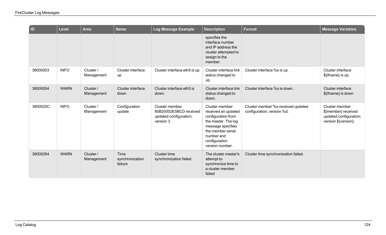| $\blacksquare$ | Level       | <b>Area</b>             | <b>Name</b>                        | Log Message Example                                                              | <b>Description</b>                                                                                                                                                             | <b>Format</b>                                                    | <b>Message Variables</b>                                                                |
|----------------|-------------|-------------------------|------------------------------------|----------------------------------------------------------------------------------|--------------------------------------------------------------------------------------------------------------------------------------------------------------------------------|------------------------------------------------------------------|-----------------------------------------------------------------------------------------|
|                |             |                         |                                    |                                                                                  | specifies the<br>interface number<br>and IP address the<br>cluster attempted to<br>assign to the<br>member.                                                                    |                                                                  |                                                                                         |
| 38000003       | <b>INFO</b> | Cluster /<br>Management | Cluster interface<br>up            | Cluster interface eth5 is up.                                                    | Cluster interface link<br>status changed to<br>up.                                                                                                                             | Cluster interface %s is up.                                      | Cluster interface<br>\${ifname} is up.                                                  |
| 38000004       | <b>WARN</b> | Cluster /<br>Management | <b>Cluster interface</b><br>down   | Cluster interface eth5 is<br>down.                                               | Cluster interface link<br>status changed to<br>down.                                                                                                                           | Cluster interface %s is down.                                    | <b>Cluster interface</b><br>\${ifname} is down                                          |
| 3800025C       | <b>INFO</b> | Cluster /<br>Management | Configuration<br>update            | Cluster member<br>80B20002E5BCD received<br>updated configuration;<br>version 3. | Cluster member<br>received an updated<br>configuration from<br>the master. The log<br>message specifies<br>the member serial<br>number and<br>configuration<br>version number. | Cluster member %s received updated<br>configuration; version %d. | Cluster member<br>\${member} received<br>updated configuration;<br>version \${version}. |
| 38000264       | <b>WARN</b> | Cluster /<br>Management | Time<br>synchronization<br>failure | Cluster time<br>synchronization failed.                                          | The cluster master's<br>attempt to<br>synchronize time to<br>a cluster member<br>failed                                                                                        | Cluster time synchronization failed.                             |                                                                                         |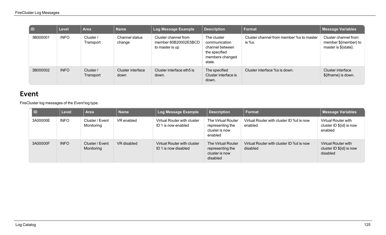| I ID     | Level       | <b>Area</b>            | <b>Name</b>               | Log Message Example                                             | <b>Description</b>                                                                            | Format                                             | <b>Message Variables</b>                                             |
|----------|-------------|------------------------|---------------------------|-----------------------------------------------------------------|-----------------------------------------------------------------------------------------------|----------------------------------------------------|----------------------------------------------------------------------|
| 3B000001 | <b>INFO</b> | Cluster /<br>Transport | Channel status<br>change  | Cluster channel from<br>member 80B20002E5BCD<br>to master is up | The cluster<br>communication<br>channel between<br>the specified<br>members changed<br>state. | Cluster channel from member %s to master<br>is %s. | Cluster channel from<br>member \${member} to<br>master is \${state}. |
| 3B000002 | <b>INFO</b> | Cluster /<br>Transport | Cluster interface<br>down | Cluster interface eth5 is<br>down.                              | The specified<br>Cluster interface is<br>down.                                                | Cluster interface %s is down.                      | Cluster interface<br>\${ifname} is down.                             |

#### **Event**

FireCluster log messages of the *Event* log type.

| <b>ID</b> | <b>Level</b> | <b>Area</b>                   | <b>Name</b> | Log Message Example                                 | <b>Description</b>                                                   | Format                                               | <b>Message Variables</b>                                    |
|-----------|--------------|-------------------------------|-------------|-----------------------------------------------------|----------------------------------------------------------------------|------------------------------------------------------|-------------------------------------------------------------|
| 3A00000E  | <b>INFO</b>  | Cluster / Event<br>Monitoring | VR enabled  | Virtual Router with cluster<br>ID 1 is now enabled  | The Virtual Router<br>representing the<br>cluster is now<br>enabled  | Virtual Router with cluster ID %d is now<br>enabled  | Virtual Router with<br>cluster ID \${id} is now<br>enabled  |
| 3A00000F  | <b>INFO</b>  | Cluster / Event<br>Monitoring | VR disabled | Virtual Router with cluster<br>ID 1 is now disabled | The Virtual Router<br>representing the<br>cluster is now<br>disabled | Virtual Router with cluster ID %d is now<br>disabled | Virtual Router with<br>cluster ID \${id} is now<br>disabled |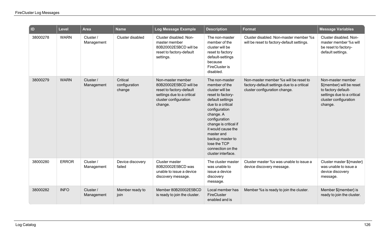| $\overline{a}$ | Level        | <b>Area</b>             | <b>Name</b>                         | Log Message Example                                                                                                                      | <b>Description</b>                                                                                                                                                                                                                                                                                          | Format                                                                                                               | <b>Message Variables</b>                                                                                                               |
|----------------|--------------|-------------------------|-------------------------------------|------------------------------------------------------------------------------------------------------------------------------------------|-------------------------------------------------------------------------------------------------------------------------------------------------------------------------------------------------------------------------------------------------------------------------------------------------------------|----------------------------------------------------------------------------------------------------------------------|----------------------------------------------------------------------------------------------------------------------------------------|
| 38000278       | <b>WARN</b>  | Cluster /<br>Management | Cluster disabled                    | Cluster disabled, Non-<br>master member<br>80B20002E5BCD will be<br>reset to factory-default<br>settings.                                | The non-master<br>member of the<br>cluster will be<br>reset to factory<br>default-settings<br>because<br><b>FireCluster is</b><br>disabled.                                                                                                                                                                 | Cluster disabled. Non-master member %s<br>will be reset to factory-default settings.                                 | Cluster disabled. Non-<br>master member %s will<br>be reset to factory-<br>default settings.                                           |
| 38000279       | <b>WARN</b>  | Cluster /<br>Management | Critical<br>configuration<br>change | Non-master member<br>80B20002E5BCD will be<br>reset to factory-default<br>settings due to a critical<br>cluster configuration<br>change. | The non-master<br>member of the<br>cluster will be<br>reset to factory-<br>default settings<br>due to a critical<br>configuration<br>change. A<br>configuration<br>change is critical if<br>it would cause the<br>master and<br>backup master to<br>lose the TCP<br>connection on the<br>cluster interface. | Non-master member %s will be reset to<br>factory-default settings due to a critical<br>cluster configuration change. | Non-master member<br>\${member} will be reset<br>to factory default-<br>settings due to a critical<br>cluster configuration<br>change. |
| 38000280       | <b>ERROR</b> | Cluster /<br>Management | Device discovery<br>failed          | Cluster master<br>80B20002E5BCD was<br>unable to issue a device<br>discovery message.                                                    | The cluster master<br>was unable to<br>issue a device<br>discovery<br>message.                                                                                                                                                                                                                              | Cluster master %s was unable to issue a<br>device discovery message.                                                 | Cluster master \${master}<br>was unable to issue a<br>device discovery<br>message.                                                     |
| 38000282       | <b>INFO</b>  | Cluster /<br>Management | Member ready to<br>join             | Member 80B20002E5BCD<br>is ready to join the cluster.                                                                                    | Local member has<br>FireCluster<br>enabled and is                                                                                                                                                                                                                                                           | Member %s is ready to join the cluster.                                                                              | Member \${member} is<br>ready to join the cluster.                                                                                     |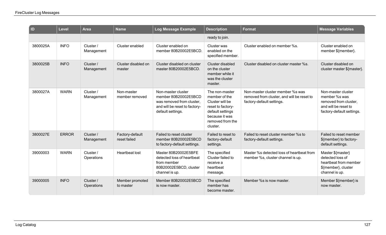| $\vert$ ID | Level        | <b>Area</b>             | <b>Name</b>                     | Log Message Example                                                                                                           | <b>Description</b>                                                                                                                            | <b>Format</b>                                                                                               | <b>Message Variables</b>                                                                                          |
|------------|--------------|-------------------------|---------------------------------|-------------------------------------------------------------------------------------------------------------------------------|-----------------------------------------------------------------------------------------------------------------------------------------------|-------------------------------------------------------------------------------------------------------------|-------------------------------------------------------------------------------------------------------------------|
|            |              |                         |                                 |                                                                                                                               | ready to join.                                                                                                                                |                                                                                                             |                                                                                                                   |
| 3800025A   | <b>INFO</b>  | Cluster /<br>Management | Cluster enabled                 | Cluster enabled on<br>member 80B20002E5BCD.                                                                                   | Cluster was<br>enabled on the<br>specified member.                                                                                            | Cluster enabled on member %s.                                                                               | Cluster enabled on<br>member \${member}.                                                                          |
| 3800025B   | <b>INFO</b>  | Cluster/<br>Management  | Cluster disabled on<br>master   | Cluster disabled on cluster<br>master 80B20002E5BCD.                                                                          | Cluster disabled<br>on the cluster<br>member while it<br>was the cluster<br>master.                                                           | Cluster disabled on cluster master %s.                                                                      | Cluster disabled on<br>cluster master \${master}.                                                                 |
| 3800027A   | <b>WARN</b>  | Cluster /<br>Management | Non-master<br>member removed    | Non-master cluster<br>member 80B20002E5BCD<br>was removed from cluster.<br>and will be reset to factory-<br>default settings. | The non-master<br>member of the<br>Cluster will be<br>reset to factory-<br>default settings<br>because it was<br>removed from the<br>cluster. | Non-master cluster member %s was<br>removed from cluster, and will be reset to<br>factory-default settings. | Non-master cluster<br>member %s was<br>removed from cluster,<br>and will be reset to<br>factory-default settings. |
| 3800027E   | <b>ERROR</b> | Cluster /<br>Management | Factory-default<br>reset failed | Failed to reset cluster<br>member 80B20002E5BCD<br>to factory-default settings.                                               | Failed to reset to<br>factory-default<br>settings.                                                                                            | Failed to reset cluster member %s to<br>factory-default settings.                                           | Failed to reset member<br>\${member} to factory-<br>default settings.                                             |
| 39000003   | <b>WARN</b>  | Cluster/<br>Operations  | <b>Heartbeat lost</b>           | Master 80B20002E5BFE<br>detected loss of heartbeat<br>from member<br>80B20002E5BCD, cluster<br>channel is up.                 | The specified<br>Cluster failed to<br>receive a<br>heartbeat<br>message.                                                                      | Master %s detected loss of heartbeat from<br>member %s, cluster channel is up.                              | Master \${master}<br>detected loss of<br>heartbeat from member<br>\${member}, cluster<br>channel is up.           |
| 39000005   | <b>INFO</b>  | Cluster /<br>Operations | Member promoted<br>to master    | Member 80B20002E5BCD<br>is now master.                                                                                        | The specified<br>member has<br>become master.                                                                                                 | Member %s is now master.                                                                                    | Member \${member} is<br>now master.                                                                               |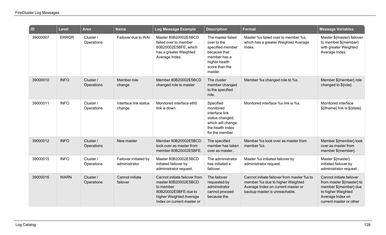| $\overline{a}$ | Level        | <b>Area</b>             | <b>Name</b>                            | Log Message Example                                                                                                                                 | <b>Description</b>                                                                                                                 | <b>Format</b>                                                                                                                                         | <b>Message Variables</b>                                                                                                                            |
|----------------|--------------|-------------------------|----------------------------------------|-----------------------------------------------------------------------------------------------------------------------------------------------------|------------------------------------------------------------------------------------------------------------------------------------|-------------------------------------------------------------------------------------------------------------------------------------------------------|-----------------------------------------------------------------------------------------------------------------------------------------------------|
| 39000007       | <b>ERROR</b> | Cluster /<br>Operations | Failover due to WAI                    | Master 80B20002E5BCD<br>failed over to member<br>80B20002E5BFE, which<br>has a greater Weighted<br>Average Index.                                   | The master failed<br>over to the<br>specified member<br>because that<br>member has a<br>higher health<br>score than the<br>master. | Master %s failed over to member %s,<br>which has a greater Weighted Average<br>Index.                                                                 | Master \${master} failover<br>to member \${member}<br>with greater Weighted<br>Average Index.                                                       |
| 39000010       | <b>INFO</b>  | Cluster /<br>Operations | Member role<br>change                  | Member 80B20002E5BCD<br>changed role to master                                                                                                      | The cluster<br>member changed<br>to the specified<br>role.                                                                         | Member %s changed role to %s.                                                                                                                         | Member \${member} role<br>changed to \${role}.                                                                                                      |
| 39000011       | <b>INFO</b>  | Cluster /<br>Operations | Interface link status<br>change        | Monitored interface eth0<br>link is down.                                                                                                           | Specified<br>monitored<br>interface link<br>status changed,<br>which will change<br>the health index<br>for the member.            | Monitored interface %s link is %s.                                                                                                                    | Monitored interface<br>\${ifname} link is \${state}.                                                                                                |
| 39000012       | <b>INFO</b>  | Cluster /<br>Operations | New master                             | Member 80B20002E5BCD<br>took over as master from<br>member 80B20002E5BFE.                                                                           | The specified<br>member has taken<br>over as master                                                                                | Member %s took over as master from<br>member %s.                                                                                                      | Member \${member} took<br>over as master from<br>member \${member}.                                                                                 |
| 39000015       | <b>INFO</b>  | Cluster/<br>Operations  | Failover initiated by<br>administrator | Master 80B20002E5BCD<br>initiated failover by<br>administrator request.                                                                             | The administrator<br>has initiated a<br>failover.                                                                                  | Master %s initiated failover by<br>administrator request.                                                                                             | Master \${master}<br>initiated failover by<br>administrator request                                                                                 |
| 39000016       | <b>WARN</b>  | Cluster /<br>Operations | Cannot initiate<br>failover            | Cannot initiate failover from<br>master 80B20002E5BCD<br>to member<br>80B20002E5BFE due to<br>higher Weighted Average<br>Index on current master or | The failover<br>requested by<br>administrator<br>cannot proceed<br>because the                                                     | Cannot initiate failover from master %s to<br>member %s due to higher Weighted<br>Average Index on current master or<br>backup master is unreachable. | Cannot initiate failover<br>from master \${master} to<br>member \${member} due<br>to higher Weighted<br>Average Index on<br>current master or other |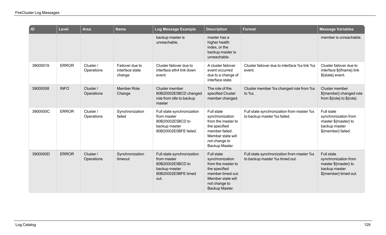| $\vert$ ID | Level        | <b>Area</b>             | <b>Name</b>                                  | Log Message Example                                                                                           | <b>Description</b>                                                                                                                                       | <b>Format</b>                                                               | <b>Message Variables</b>                                                                                    |
|------------|--------------|-------------------------|----------------------------------------------|---------------------------------------------------------------------------------------------------------------|----------------------------------------------------------------------------------------------------------------------------------------------------------|-----------------------------------------------------------------------------|-------------------------------------------------------------------------------------------------------------|
|            |              |                         |                                              | backup master is<br>unreachable.                                                                              | master has a<br>higher health<br>index, or the<br>backup master is<br>unreachable.                                                                       |                                                                             | member is unreachable.                                                                                      |
| 39000019   | <b>ERROR</b> | Cluster /<br>Operations | Failover due to<br>interface state<br>change | Cluster failover due to<br>interface eth4 link down<br>event.                                                 | A cluster failover<br>event occurred<br>due to a change of<br>interface state.                                                                           | Cluster failover due to interface %s link %s<br>event.                      | Cluster failover due to<br>interface \${ifname} link<br>\${state} event.                                    |
| 39000058   | <b>INFO</b>  | Cluster /<br>Operations | <b>Member Role</b><br>Change                 | Cluster member<br>80B20002E5BCD changed<br>role from idle to backup<br>master                                 | The role of the<br>specified Cluster<br>member changed.                                                                                                  | Cluster member %s changed role from %s<br>to $%s.$                          | Cluster member<br>\${member} changed role<br>from \${role} to \${role}.                                     |
| 3900000C   | <b>ERROR</b> | Cluster /<br>Operations | Synchronization<br>failed                    | Full state synchronization<br>from master<br>80B20002E5BCD to<br>backup master<br>80B20002E5BFE failed.       | Full state<br>synchronization<br>from the master to<br>the specified<br>member failed.<br>Member state will<br>not change to<br>Backup Master.           | Full state synchronization from master %s<br>to backup master %s failed.    | Full state<br>synchronization from<br>master \${master} to<br>backup master<br>\${member} failed.           |
| 3900000D   | <b>ERROR</b> | Cluster /<br>Operations | Synchronization<br>timeout                   | Full state synchronization<br>from master<br>80B20002E5BCD to<br>backup master<br>80B20002E5BFE timed<br>out. | <b>Full state</b><br>synchronization<br>from the master to<br>the specified<br>member timed out.<br>Member state will<br>not change to<br>Backup Master. | Full state synchronization from master %s<br>to backup master %s timed out. | <b>Full state</b><br>synchronization from<br>master \${master} to<br>backup master<br>\${member} timed out. |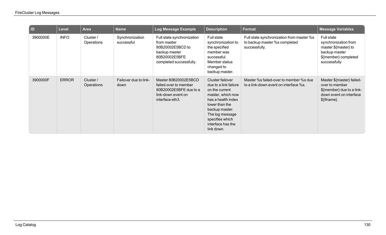| D        | <b>Level</b> | <b>Area</b>             | <b>Name</b>                   | Log Message Example                                                                                                        | <b>Description</b>                                                                                                                                                                                                  | <b>Format</b>                                                                               | <b>Message Variables</b>                                                                                            |
|----------|--------------|-------------------------|-------------------------------|----------------------------------------------------------------------------------------------------------------------------|---------------------------------------------------------------------------------------------------------------------------------------------------------------------------------------------------------------------|---------------------------------------------------------------------------------------------|---------------------------------------------------------------------------------------------------------------------|
| 3900000E | <b>INFO</b>  | Cluster /<br>Operations | Synchronization<br>successful | Full state synchronization<br>from master<br>80B20002E5BCD to<br>backup master<br>80B20002E5BFE<br>completed successfully. | Full state<br>synchronization to<br>the specified<br>member was<br>successful.<br>Member status<br>changed to<br>backup master.                                                                                     | Full state synchronization from master %s<br>to backup master %s completed<br>successfully. | Full state<br>synchronization from<br>master \${master} to<br>backup master<br>\${member} completed<br>successfully |
| 3900000F | <b>ERROR</b> | Cluster /<br>Operations | Failover due to link-<br>down | Master 80B20002E5BCD<br>failed-over to member<br>80B20002E5BFE due to a<br>link-down event on<br>interface eth3.           | Cluster failover<br>due to a link failure<br>on the current<br>master, which now<br>has a health index<br>lower than the<br>backup master.<br>The log message<br>specifies which<br>interface has the<br>link down. | Master %s failed-over to member %s due<br>to a link-down event on interface %s.             | Master \${master} failed-<br>over to member<br>\${member} due to a link-<br>down event on interface<br>\${ifname}.  |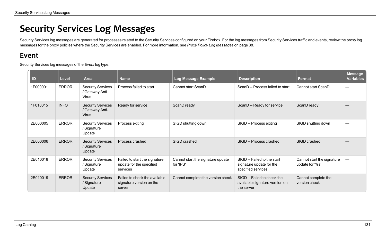## **Security Services Log Messages**

Security Services log messages are generated for processes related to the Security Services configured on your Firebox. For the log messages from Security Services traffic and events, review the proxy log messages for the proxy policies where the Security Services are enabled. For more information, see *Proxy Policy Log [Messages](#page-40-0)* on page 38.

#### **Event**

Security Services log messages of the *Event* log type.

| ID       | <b>Level</b> | <b>Area</b>                                          | <b>Name</b>                                                           | Log Message Example                            | <b>Description</b>                                                            | <b>Format</b>                                 | <b>Message</b><br><b>Variables</b> |
|----------|--------------|------------------------------------------------------|-----------------------------------------------------------------------|------------------------------------------------|-------------------------------------------------------------------------------|-----------------------------------------------|------------------------------------|
| 1F000001 | <b>ERROR</b> | <b>Security Services</b><br>/ Gateway Anti-<br>Virus | Process failed to start                                               | Cannot start ScanD                             | ScanD -- Process failed to start                                              | Cannot start ScanD                            |                                    |
| 1F010015 | <b>INFO</b>  | <b>Security Services</b><br>/ Gateway Anti-<br>Virus | Ready for service                                                     | ScanD ready                                    | ScanD -- Ready for service                                                    | ScanD ready                                   |                                    |
| 2E000005 | <b>ERROR</b> | <b>Security Services</b><br>/ Signature<br>Update    | Process exiting                                                       | SIGD shutting down                             | SIGD -- Process exiting                                                       | SIGD shutting down                            | سند ا                              |
| 2E000006 | <b>ERROR</b> | <b>Security Services</b><br>/ Signature<br>Update    | Process crashed                                                       | SIGD crashed                                   | SIGD -- Process crashed                                                       | SIGD crashed                                  |                                    |
| 2E010018 | <b>ERROR</b> | <b>Security Services</b><br>/ Signature<br>Update    | Failed to start the signature<br>update for the specified<br>services | Cannot start the signature update<br>for 'IPS' | SIGD -- Failed to the start<br>signature update for the<br>specified services | Cannot start the signature<br>update for '%s' |                                    |
| 2E010019 | <b>ERROR</b> | <b>Security Services</b><br>/ Signature<br>Update    | Failed to check the available<br>signature version on the<br>server   | Cannot complete the version check              | SIGD -- Failed to check the<br>available signature version on<br>the server   | Cannot complete the<br>version check          |                                    |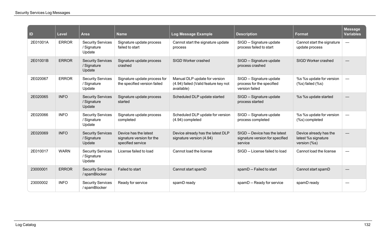| $\mathsf{ID}$ | <b>Level</b> | <b>Area</b>                                       | <b>Name</b>                                                             | <b>Log Message Example</b>                                                          | <b>Description</b>                                                          | <b>Format</b>                                                                           | <b>Message</b><br><b>Variables</b> |
|---------------|--------------|---------------------------------------------------|-------------------------------------------------------------------------|-------------------------------------------------------------------------------------|-----------------------------------------------------------------------------|-----------------------------------------------------------------------------------------|------------------------------------|
| 2E01001A      | <b>ERROR</b> | <b>Security Services</b><br>/ Signature<br>Update | Signature update process<br>failed to start                             | Cannot start the signature update<br>process                                        | SIGD -- Signature update<br>process failed to start                         | Cannot start the signature<br>update process                                            | $\overline{\phantom{m}}$           |
| 2E01001B      | <b>ERROR</b> | <b>Security Services</b><br>/ Signature<br>Update | Signature update process<br>crashed                                     | SIGD Worker crashed                                                                 | SIGD -- Signature update<br>process crashed                                 | SIGD Worker crashed                                                                     |                                    |
| 2E020067      | <b>ERROR</b> | <b>Security Services</b><br>/ Signature<br>Update | Signature update process for<br>the specified version failed            | Manual DLP update for version<br>(4.94) failed (Valid feature key not<br>available) | SIGD -- Signature update<br>process for the specified<br>version failed     | %s %s update for version<br>$(% \mathcal{L}(\mathcal{C},\mathcal{C}))$ (%s) failed (%s) | $\overline{\phantom{m}}$           |
| 2E020065      | <b>INFO</b>  | <b>Security Services</b><br>/ Signature<br>Update | Signature update process<br>started                                     | Scheduled DLP update started                                                        | SIGD -- Signature update<br>process started                                 | %s %s update started                                                                    |                                    |
| 2E020066      | <b>INFO</b>  | <b>Security Services</b><br>/ Signature<br>Update | Signature update process<br>completed                                   | Scheduled DLP update for version<br>(4.94) completed                                | SIGD -- Signature update<br>process completed                               | %s %s update for version<br>(%s) completed                                              | $\overline{\phantom{m}}$           |
| 2E020069      | <b>INFO</b>  | <b>Security Services</b><br>/ Signature<br>Update | Device has the latest<br>signature version for the<br>specified service | Device already has the latest DLP<br>signature version (4.94)                       | SIGD -- Device has the latest<br>signature version for specified<br>service | Device already has the<br>latest %s signature<br>version (%s)                           |                                    |
| 2E010017      | <b>WARN</b>  | <b>Security Services</b><br>/ Signature<br>Update | License failed to load                                                  | Cannot load the license                                                             | SIGD -- License failed to load                                              | Cannot load the license                                                                 |                                    |
| 23000001      | <b>ERROR</b> | <b>Security Services</b><br>/ spamBlocker         | Failed to start                                                         | Cannot start spamD                                                                  | spamD -- Failed to start                                                    | Cannot start spamD                                                                      |                                    |
| 23000002      | <b>INFO</b>  | <b>Security Services</b><br>/spamBlocker          | Ready for service                                                       | spamD ready                                                                         | spamD -- Ready for service                                                  | spamD ready                                                                             |                                    |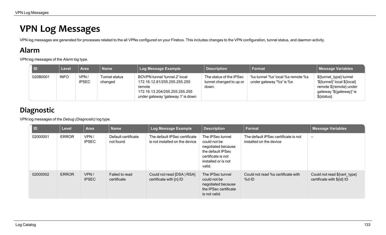## **VPN Log Messages**

VPN log messages are generated for processes related to the all VPNs configured on your Firebox. This includes changes to the VPN configuration, tunnel status, and daemon activity.

### **Alarm**

VPN log messages of the *Alarm* log type.

| <b>ID</b> | Level       | <b>Area</b>          | Name                     | Log Message Example                                                                                                                           | <b>Description</b>                                          | Format                                                        | <b>Message Variables</b>                                                                                                    |
|-----------|-------------|----------------------|--------------------------|-----------------------------------------------------------------------------------------------------------------------------------------------|-------------------------------------------------------------|---------------------------------------------------------------|-----------------------------------------------------------------------------------------------------------------------------|
| 020B0001  | <b>INFO</b> | VPN/<br><b>IPSEC</b> | Tunnel status<br>changed | BOVPN tunnel 'tunnel.2' local<br>172.16.12.81/255.255.255.255<br>remote<br>172.16.13.204/255.255.255.255<br>under gateway 'gateway.1' is down | The status of the IPSec<br>tunnel changed to up or<br>down. | %s tunnel '%s' local %s remote %s<br>under gateway '%s' is %s | \${tunnel_type} tunnel<br>'\${tunnel}' local \${local}<br>remote \${remote} under<br>gateway '\$(gateway}' is<br>\${status} |

## **Diagnostic**

VPN log messages of the *Debug (Diagnostic)* log type.

| ID       | <b>Level</b> | <b>Area</b>          | <b>Name</b>                      | <b>Log Message Example</b>                                      | <b>Description</b>                                                                                                                 | <b>Format</b>                                                   | <b>Message Variables</b>                                   |
|----------|--------------|----------------------|----------------------------------|-----------------------------------------------------------------|------------------------------------------------------------------------------------------------------------------------------------|-----------------------------------------------------------------|------------------------------------------------------------|
| 02000001 | <b>ERROR</b> | VPN/<br><b>IPSEC</b> | Default certificate<br>not found | The default IPSec certificate<br>is not installed on the device | The IPSec tunnel<br>could not be<br>negotiated because<br>the default IPSec<br>certificate is not<br>installed or is not<br>valid. | The default IPSec certificate is not<br>installed on the device | $\overline{\phantom{0}}$                                   |
| 02000002 | <b>ERROR</b> | VPN/<br><b>IPSEC</b> | Failed to read<br>certificate    | Could not read [DSA   RSA]<br>certificate with [n] ID           | The IPSec tunnel<br>could not be<br>negotiated because<br>the IPSec certificate<br>is not valid.                                   | Could not read %s certificate with<br>%d ID                     | Could not read \${cert_type}<br>certificate with \${id} ID |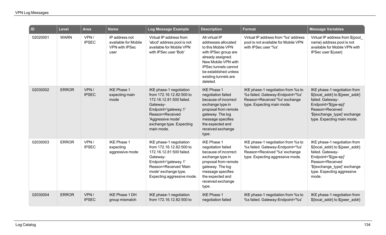| $\blacksquare$ | Level        | <b>Area</b>          | <b>Name</b>                                                             | <b>Log Message Example</b>                                                                                                                                                                            | <b>Description</b>                                                                                                                                                                                                          | <b>Format</b>                                                                                                                               | <b>Message Variables</b>                                                                                                                                                                              |
|----------------|--------------|----------------------|-------------------------------------------------------------------------|-------------------------------------------------------------------------------------------------------------------------------------------------------------------------------------------------------|-----------------------------------------------------------------------------------------------------------------------------------------------------------------------------------------------------------------------------|---------------------------------------------------------------------------------------------------------------------------------------------|-------------------------------------------------------------------------------------------------------------------------------------------------------------------------------------------------------|
| 02020001       | <b>WARN</b>  | VPN/<br><b>IPSEC</b> | IP address not<br>available for Mobile<br><b>VPN with IPSec</b><br>user | Virtual IP address from<br>'abcd' address pool is not<br>available for Mobile VPN<br>with IPSec user 'Bob'                                                                                            | All virtual IP<br>addresses allocated<br>to this Mobile VPN<br>with IPSec group are<br>already assigned.<br>New Mobile VPN with<br><b>IPSec tunnels cannot</b><br>be established unless<br>existing tunnels are<br>deleted. | Virtual IP address from '%s' address<br>pool is not available for Mobile VPN<br>with IPSec user '%s'                                        | Virtual IP address from \${pool_<br>name} address pool is not<br>available for Mobile VPN with<br>IPSec user \${user}                                                                                 |
| 02030002       | <b>ERROR</b> | VPN/<br><b>IPSEC</b> | <b>IKE Phase 1</b><br>expecting main<br>mode                            | IKE phase-1 negotiation<br>from 172.16.12.82:500 to<br>172.16.12.81:500 failed.<br>Gateway-<br>Endpoint='gateway.1'<br>Reason=Received<br>'Aggressive mode'<br>exchange type. Expecting<br>main mode. | <b>IKE Phase 1</b><br>negotiation failed<br>because of incorrect<br>exchange type in<br>proposal from remote<br>gateway. The log<br>message specifies<br>the expected and<br>received exchange<br>type.                     | IKE phase-1 negotiation from %s to<br>%s failed. Gateway-Endpoint='%s'<br>Reason=Received '%s' exchange<br>type. Expecting main mode.       | IKE phase-1 negotiation from<br>\${local_addr} to \${peer_addr}<br>failed. Gateway-<br>Endpoint='\${gw-ep}'<br>Reason=Received<br>'\${exchange_type}' exchange<br>type. Expecting main mode.          |
| 02030003       | <b>ERROR</b> | VPN/<br><b>IPSEC</b> | <b>IKE Phase 1</b><br>expecting<br>aggressive mode                      | IKE phase-1 negotiation<br>from 172.16.12.82:500 to<br>172.16.12.81:500 failed.<br>Gateway-<br>Endpoint='gateway.1'<br>Reason=Received 'Main<br>mode' exchange type.<br>Expecting aggressive mode.    | <b>IKE Phase 1</b><br>negotiation failed<br>because of incorrect<br>exchange type in<br>proposal from remote<br>gateway. The log<br>message specifies<br>the expected and<br>received exchange<br>type.                     | IKE phase-1 negotiation from %s to<br>%s failed. Gateway-Endpoint='%s'<br>Reason=Received '%s' exchange<br>type. Expecting aggressive mode. | IKE phase-1 negotiation from<br>\${local_addr} to \${peer_addr}<br>failed. Gateway-<br>Endpoint='\${gw-ep}'<br>Reason=Received<br>'\${exchange type}' exchange<br>type. Expecting aggressive<br>mode. |
| 02030004       | <b>ERROR</b> | VPN/<br><b>IPSEC</b> | <b>IKE Phase 1 DH</b><br>group mismatch                                 | IKE phase-1 negotiation<br>from 172.16.12.82:500 to                                                                                                                                                   | <b>IKE Phase 1</b><br>negotiation failed                                                                                                                                                                                    | IKE phase-1 negotiation from %s to<br>%s failed. Gateway-Endpoint='%s'                                                                      | IKE phase-1 negotiation from<br>\${local_addr} to \${peer_addr}                                                                                                                                       |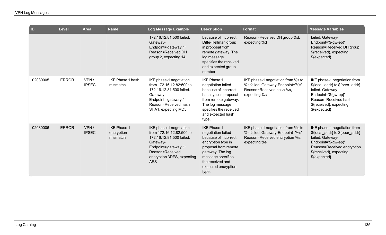| $\overline{\mathsf{I}}$ | Level        | Area                 | <b>Name</b>                                  | Log Message Example                                                                                                                                                                | <b>Description</b>                                                                                                                                                                                          | <b>Format</b>                                                                                                            | <b>Message Variables</b>                                                                                                                                                               |
|-------------------------|--------------|----------------------|----------------------------------------------|------------------------------------------------------------------------------------------------------------------------------------------------------------------------------------|-------------------------------------------------------------------------------------------------------------------------------------------------------------------------------------------------------------|--------------------------------------------------------------------------------------------------------------------------|----------------------------------------------------------------------------------------------------------------------------------------------------------------------------------------|
|                         |              |                      |                                              | 172.16.12.81:500 failed.<br>Gateway-<br>Endpoint='gateway.1'<br>Reason=Received DH<br>group 2, expecting 14                                                                        | because of incorrect<br>Diffe-Hellman group<br>in proposal from<br>remote gateway. The<br>log message<br>specifies the received<br>and expected group<br>number.                                            | Reason=Received DH group %d,<br>expecting %d                                                                             | failed. Gateway-<br>Endpoint='\${gw-ep}'<br>Reason=Received DH group<br>\${received}, expecting<br>\${expected}                                                                        |
| 02030005                | <b>ERROR</b> | VPN/<br><b>IPSEC</b> | <b>IKE Phase 1 hash</b><br>mismatch          | IKE phase-1 negotiation<br>from 172.16.12.82:500 to<br>172.16.12.81:500 failed.<br>Gateway-<br>Endpoint='gateway.1'<br>Reason=Received hash<br>SHA1, expecting MD5                 | <b>IKE Phase 1</b><br>negotiation failed<br>because of incorrect<br>hash type in proposal<br>from remote gateway.<br>The log message<br>specifies the received<br>and expected hash<br>type.                | IKE phase-1 negotiation from %s to<br>%s failed. Gateway-Endpoint='%s'<br>Reason=Received hash %s,<br>expecting %s       | IKE phase-1 negotiation from<br>\${local addr} to \${peer addr}<br>failed. Gateway-<br>Endpoint='\${gw-ep}'<br>Reason=Received hash<br>\${received}, expecting<br>\${expected}         |
| 02030006                | <b>ERROR</b> | VPN/<br><b>IPSEC</b> | <b>IKE Phase 1</b><br>encryption<br>mismatch | IKE phase-1 negotiation<br>from 172.16.12.82:500 to<br>172.16.12.81:500 failed.<br>Gateway-<br>Endpoint='gateway.1'<br>Reason=Received<br>encryption 3DES, expecting<br><b>AES</b> | <b>IKE Phase 1</b><br>negotiation failed<br>because of incorrect<br>encryption type in<br>proposal from remote<br>gateway. The log<br>message specifies<br>the received and<br>expected encryption<br>type. | IKE phase-1 negotiation from %s to<br>%s failed. Gateway-Endpoint='%s'<br>Reason=Received encryption %s,<br>expecting %s | IKE phase-1 negotiation from<br>\${local_addr} to \${peer_addr}<br>failed. Gateway-<br>Endpoint='\${gw-ep}'<br>Reason=Received encryption<br>\${received}, expecting<br>$$$ {expected} |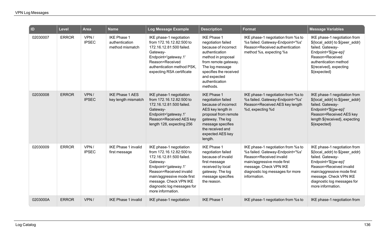| $\overline{a}$ | <b>Level</b> | <b>Area</b>          | <b>Name</b>                                             | <b>Log Message Example</b>                                                                                                                                                                                                                                 | <b>Description</b>                                                                                                                                                                                                          | <b>Format</b>                                                                                                                                                                                                 | <b>Message Variables</b>                                                                                                                                                                                                                           |
|----------------|--------------|----------------------|---------------------------------------------------------|------------------------------------------------------------------------------------------------------------------------------------------------------------------------------------------------------------------------------------------------------------|-----------------------------------------------------------------------------------------------------------------------------------------------------------------------------------------------------------------------------|---------------------------------------------------------------------------------------------------------------------------------------------------------------------------------------------------------------|----------------------------------------------------------------------------------------------------------------------------------------------------------------------------------------------------------------------------------------------------|
| 02030007       | <b>ERROR</b> | VPN/<br><b>IPSEC</b> | <b>IKE Phase 1</b><br>authentication<br>method mismatch | IKE phase-1 negotiation<br>from 172.16.12.82:500 to<br>172.16.12.81:500 failed.<br>Gateway-<br>Endpoint='gateway.1'<br>Reason=Received<br>authentication method PSK,<br>expecting RSA certificate                                                          | <b>IKE Phase 1</b><br>negotiation failed<br>because of incorrect<br>authentication<br>method in proposal<br>from remote gateway.<br>The log message<br>specifies the received<br>and expected<br>authentication<br>methods. | IKE phase-1 negotiation from %s to<br>%s failed. Gateway-Endpoint='%s'<br>Reason=Received authentication<br>method %s, expecting %s                                                                           | IKE phase-1 negotiation from<br>\${local_addr} to \${peer_addr}<br>failed. Gateway-<br>Endpoint='\${gw-ep}'<br>Reason=Received<br>authentication method<br>\${received}, expecting<br>\${expected}                                                 |
| 02030008       | <b>ERROR</b> | VPN/<br><b>IPSEC</b> | <b>IKE Phase 1 AES</b><br>key length mismatch           | IKE phase-1 negotiation<br>from 172.16.12.82:500 to<br>172.16.12.81:500 failed.<br>Gateway-<br>Endpoint='gateway.1'<br>Reason=Received AES key<br>length 128, expecting 256                                                                                | <b>IKE Phase 1</b><br>negotiation failed<br>because of incorrect<br>AES key length in<br>proposal from remote<br>gateway. The log<br>message specifies<br>the received and<br>expected AES key<br>length.                   | IKE phase-1 negotiation from %s to<br>%s failed. Gateway-Endpoint='%s'<br>Reason=Received AES key length<br>%d, expecting %d                                                                                  | IKE phase-1 negotiation from<br>\${local_addr} to \${peer_addr}<br>failed. Gateway-<br>Endpoint='\${gw-ep}'<br>Reason=Received AES key<br>length \${received}, expecting<br>\${expected}                                                           |
| 02030009       | <b>ERROR</b> | VPN/<br><b>IPSEC</b> | <b>IKE Phase 1 invalid</b><br>first message             | IKE phase-1 negotiation<br>from 172.16.12.82:500 to<br>172.16.12.81:500 failed.<br>Gateway-<br>Endpoint='gateway.1'<br>Reason=Received invalid<br>main/aggressive mode first<br>message. Check VPN IKE<br>diagnostic log messages for<br>more information. | <b>IKE Phase 1</b><br>negotiation failed<br>because of invalid<br>first message<br>received by local<br>gateway. The log<br>message specifies<br>the reason.                                                                | IKE phase-1 negotiation from %s to<br>%s failed. Gateway-Endpoint='%s'<br>Reason=Received invalid<br>main/aggressive mode first<br>message. Check VPN IKE<br>diagnostic log messages for more<br>information. | IKE phase-1 negotiation from<br>\${local_addr} to \${peer_addr}<br>failed. Gateway-<br>Endpoint='\${gw-ep}'<br>Reason=Received invalid<br>main/aggressive mode first<br>message. Check VPN IKE<br>diagnostic log messages for<br>more information. |
| 0203000A       | <b>ERROR</b> | VPN/                 | <b>IKE Phase 1 invalid</b>                              | IKE phase-1 negotiation                                                                                                                                                                                                                                    | <b>IKE Phase 1</b>                                                                                                                                                                                                          | IKE phase-1 negotiation from %s to                                                                                                                                                                            | IKE phase-1 negotiation from                                                                                                                                                                                                                       |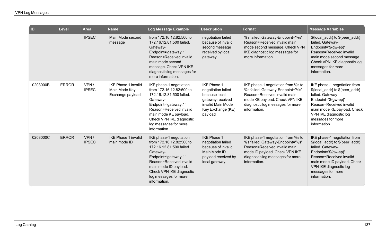| D        | <b>Level</b> | <b>Area</b>          | <b>Name</b>                                                     | <b>Log Message Example</b>                                                                                                                                                                                                                   | <b>Description</b>                                                                                                                 | Format                                                                                                                                                                                       | <b>Message Variables</b>                                                                                                                                                                                                             |
|----------|--------------|----------------------|-----------------------------------------------------------------|----------------------------------------------------------------------------------------------------------------------------------------------------------------------------------------------------------------------------------------------|------------------------------------------------------------------------------------------------------------------------------------|----------------------------------------------------------------------------------------------------------------------------------------------------------------------------------------------|--------------------------------------------------------------------------------------------------------------------------------------------------------------------------------------------------------------------------------------|
|          |              | <b>IPSEC</b>         | Main Mode second<br>message                                     | from 172.16.12.82:500 to<br>172.16.12.81:500 failed.<br>Gateway-<br>Endpoint='gateway.1'<br>Reason=Received invalid<br>main mode second<br>message. Check VPN IKE<br>diagnostic log messages for<br>more information.                        | negotiation failed<br>because of invalid<br>second message<br>received by local<br>gateway.                                        | %s failed. Gateway-Endpoint='%s'<br>Reason=Received invalid main<br>mode second message. Check VPN<br>IKE diagnostic log messages for<br>more information.                                   | \${local_addr} to \${peer_addr}<br>failed. Gateway-<br>Endpoint='\${gw-ep}'<br>Reason=Received invalid<br>main mode second message.<br>Check VPN IKE diagnostic log<br>messages for more<br>information.                             |
| 0203000B | <b>ERROR</b> | VPN/<br><b>IPSEC</b> | <b>IKE Phase 1 invalid</b><br>Main Mode Key<br>Exchange payload | IKE phase-1 negotiation<br>from 172.16.12.82:500 to<br>172.16.12.81:500 failed.<br>Gateway-<br>Endpoint='gateway.1'<br>Reason=Received invalid<br>main mode KE payload.<br>Check VPN IKE diagnostic<br>log messages for more<br>information. | <b>IKE Phase 1</b><br>negotiation failed<br>because local<br>gateway received<br>invalid Main Mode<br>Key Exchange (KE)<br>payload | IKE phase-1 negotiation from %s to<br>%s failed. Gateway-Endpoint='%s'<br>Reason=Received invalid main<br>mode KE payload. Check VPN IKE<br>diagnostic log messages for more<br>information. | IKE phase-1 negotiation from<br>\${local_addr} to \${peer_addr}<br>failed. Gateway-<br>Endpoint='\${gw-ep}'<br>Reason=Received invalid<br>main mode KE payload. Check<br>VPN IKE diagnostic log<br>messages for more<br>information. |
| 0203000C | <b>ERROR</b> | VPN/<br><b>IPSEC</b> | <b>IKE Phase 1 invalid</b><br>main mode ID                      | IKE phase-1 negotiation<br>from 172.16.12.82:500 to<br>172.16.12.81:500 failed.<br>Gateway-<br>Endpoint='gateway.1'<br>Reason=Received invalid<br>main mode ID payload.<br>Check VPN IKE diagnostic<br>log messages for more<br>information. | <b>IKE Phase 1</b><br>negotiation failed<br>because of invalid<br>Main Mode ID<br>payload received by<br>local gateway.            | IKE phase-1 negotiation from %s to<br>%s failed. Gateway-Endpoint='%s'<br>Reason=Received invalid main<br>mode ID payload. Check VPN IKE<br>diagnostic log messages for more<br>information. | IKE phase-1 negotiation from<br>\${local_addr} to \${peer_addr}<br>failed. Gateway-<br>Endpoint='\${gw-ep}'<br>Reason=Received invalid<br>main mode ID payload. Check<br>VPN IKE diagnostic log<br>messages for more<br>information. |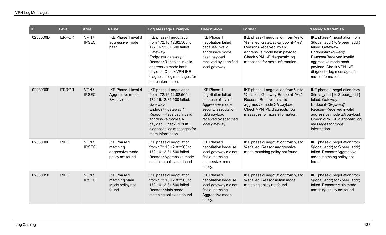| ID       | <b>Level</b> | <b>Area</b>          | <b>Name</b>                                                           | Log Message Example                                                                                                                                                                                                                                  | <b>Description</b>                                                                                                                                                   | Format                                                                                                                                                                                               | <b>Message Variables</b>                                                                                                                                                                                                                     |
|----------|--------------|----------------------|-----------------------------------------------------------------------|------------------------------------------------------------------------------------------------------------------------------------------------------------------------------------------------------------------------------------------------------|----------------------------------------------------------------------------------------------------------------------------------------------------------------------|------------------------------------------------------------------------------------------------------------------------------------------------------------------------------------------------------|----------------------------------------------------------------------------------------------------------------------------------------------------------------------------------------------------------------------------------------------|
| 0203000D | <b>ERROR</b> | VPN/<br><b>IPSEC</b> | <b>IKE Phase 1 invalid</b><br>aggressive mode<br>hash                 | IKE phase-1 negotiation<br>from 172.16.12.82:500 to<br>172.16.12.81:500 failed.<br>Gateway-<br>Endpoint='gateway.1'<br>Reason=Received invalid<br>aggressive mode hash<br>payload. Check VPN IKE<br>diagnostic log messages for<br>more information. | <b>IKE Phase 1</b><br>negotiation failed<br>because invalid<br>aggressive mode<br>hash payload<br>received by specified<br>local gateway.                            | IKE phase-1 negotiation from %s to<br>%s failed. Gateway-Endpoint='%s'<br>Reason=Received invalid<br>aggressive mode hash payload.<br>Check VPN IKE diagnostic log<br>messages for more information. | IKE phase-1 negotiation from<br>\${local_addr} to \${peer_addr}<br>failed. Gateway-<br>Endpoint='\${gw-ep}'<br>Reason=Received invalid<br>aggressive mode hash<br>payload. Check VPN IKE<br>diagnostic log messages for<br>more information. |
| 0203000E | <b>ERROR</b> | VPN/<br><b>IPSEC</b> | <b>IKE Phase 1 invalid</b><br>Aggressive mode<br>SA payload           | IKE phase-1 negotiation<br>from 172.16.12.82:500 to<br>172.16.12.81:500 failed.<br>Gateway-<br>Endpoint='gateway.1'<br>Reason=Received invalid<br>aggressive mode SA<br>payload. Check VPN IKE<br>diagnostic log messages for<br>more information.   | <b>IKE Phase 1</b><br>negotiation failed<br>because of invalid<br>Aggressive mode<br>security association<br>(SA) payload<br>received by specified<br>local gateway. | IKE phase-1 negotiation from %s to<br>%s failed. Gateway-Endpoint='%s'<br>Reason=Received invalid<br>aggressive mode SA payload.<br>Check VPN IKE diagnostic log<br>messages for more information.   | IKE phase-1 negotiation from<br>\${local_addr} to \${peer_addr}<br>failed. Gateway-<br>Endpoint='\${gw-ep}'<br>Reason=Received invalid<br>aggressive mode SA payload.<br>Check VPN IKE diagnostic log<br>messages for more<br>information.   |
| 0203000F | <b>INFO</b>  | VPN/<br><b>IPSEC</b> | <b>IKE Phase 1</b><br>matching<br>aggressive mode<br>policy not found | IKE phase-1 negotiation<br>from 172.16.12.82:500 to<br>172.16.12.81:500 failed.<br>Reason=Aggressive mode<br>matching policy not found                                                                                                               | <b>IKE Phase 1</b><br>negotiation because<br>local gateway did not<br>find a matching<br>aggressive mode<br>policy.                                                  | IKE phase-1 negotiation from %s to<br>%s failed. Reason=Aggressive<br>mode matching policy not found                                                                                                 | IKE phase-1 negotiation from<br>\${local_addr} to \${peer_addr}<br>failed. Reason=Aggressive<br>mode matching policy not<br>found                                                                                                            |
| 02030010 | <b>INFO</b>  | VPN/<br><b>IPSEC</b> | <b>IKE Phase 1</b><br>matching Main<br>Mode policy not<br>found       | IKE phase-1 negotiation<br>from 172.16.12.82:500 to<br>172.16.12.81:500 failed.<br>Reason=Main mode<br>matching policy not found                                                                                                                     | <b>IKE Phase 1</b><br>negotiation because<br>local gateway did not<br>find a matching<br>Aggressive mode<br>policy.                                                  | IKE phase-1 negotiation from %s to<br>%s failed. Reason=Main mode<br>matching policy not found                                                                                                       | IKE phase-1 negotiation from<br>\${local_addr} to \${peer_addr}<br>failed. Reason=Main mode<br>matching policy not found                                                                                                                     |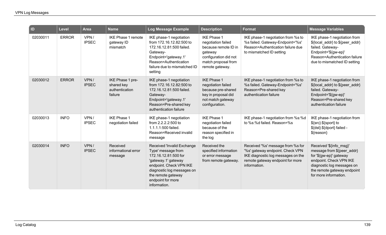| $\overline{\phantom{a}}$ ID | Level        | Area                 | <b>Name</b>                                                 | Log Message Example                                                                                                                                                                                                 | <b>Description</b>                                                                                                                             | <b>Format</b>                                                                                                                                                   | <b>Message Variables</b>                                                                                                                                                                          |
|-----------------------------|--------------|----------------------|-------------------------------------------------------------|---------------------------------------------------------------------------------------------------------------------------------------------------------------------------------------------------------------------|------------------------------------------------------------------------------------------------------------------------------------------------|-----------------------------------------------------------------------------------------------------------------------------------------------------------------|---------------------------------------------------------------------------------------------------------------------------------------------------------------------------------------------------|
| 02030011                    | <b>ERROR</b> | VPN/<br><b>IPSEC</b> | <b>IKE Phase 1 remote</b><br>gateway ID<br>mismatch         | IKE phase-1 negotiation<br>from 172.16.12.82:500 to<br>172.16.12.81:500 failed.<br>Gateway-<br>Endpoint='gateway.1'<br>Reason=Authentication<br>failure due to mismatched ID<br>setting                             | <b>IKE Phase 1</b><br>negotiation failed<br>because remote ID in<br>gateway<br>configuration did not<br>match proposal from<br>remote gateway. | IKE phase-1 negotiation from %s to<br>%s failed. Gateway-Endpoint='%s'<br>Reason=Authentication failure due<br>to mismatched ID setting                         | IKE phase-1 negotiation from<br>\${local_addr} to \${peer_addr}<br>failed. Gateway-<br>Endpoint='\${gw-ep}'<br>Reason=Authentication failure<br>due to mismatched ID setting                      |
| 02030012                    | <b>ERROR</b> | VPN/<br><b>IPSEC</b> | IKE Phase 1 pre-<br>shared key<br>authentication<br>failure | IKE phase-1 negotiation<br>from 172.16.12.82:500 to<br>172.16.12.81:500 failed.<br>Gateway-<br>Endpoint='gateway.1'<br>Reason=Pre-shared key<br>authentication failure                                              | <b>IKE Phase 1</b><br>negotiation failed<br>because pre-shared<br>key in proposal did<br>not match gateway<br>configuration.                   | IKE phase-1 negotiation from %s to<br>%s failed. Gateway-Endpoint='%s'<br>Reason=Pre-shared key<br>authentication failure                                       | IKE phase-1 negotiation from<br>\${local_addr} to \${peer_addr}<br>failed. Gateway-<br>Endpoint='\${gw-ep}'<br>Reason=Pre-shared key<br>authentication failure                                    |
| 02030013                    | <b>INFO</b>  | VPN/<br><b>IPSEC</b> | <b>IKE Phase 1</b><br>negotiation failed                    | IKE phase-1 negotiation<br>from 2.2.2.2:500 to<br>1.1.1.1:500 failed.<br>Reason=Received invalid<br>message                                                                                                         | <b>IKE Phase 1</b><br>negotiation failed<br>because of the<br>reason specified in<br>the log                                                   | IKE phase-1 negotiation from %s:%d<br>to %s:%d failed. Reason=%s                                                                                                | IKE phase-1 negotiation from<br>\${src}:\${sport} to<br>\${dst}:\${dport} failed -<br>\${reason}                                                                                                  |
| 02030014                    | <b>INFO</b>  | VPN/<br><b>IPSEC</b> | Received<br>informational error<br>message                  | Received 'Invalid Exchange<br>Type' message from<br>172.16.12.81:500 for<br>'gateway.1' gateway<br>endpoint. Check VPN IKE<br>diagnostic log messages on<br>the remote gateway<br>endpoint for more<br>information. | Received the<br>specified information<br>or error message<br>from remote gateway.                                                              | Received '%s' message from %s for<br>'%s' gateway endpoint. Check VPN<br>IKE diagnostic log messages on the<br>remote gateway endpoint for more<br>information. | Received '\${info_msg}'<br>message from \${peer_addr}<br>for '\${gw-ep}' gateway<br>endpoint. Check VPN IKE<br>diagnostic log messages on<br>the remote gateway endpoint<br>for more information. |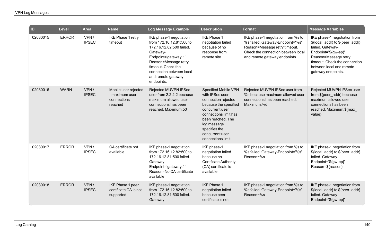| $\vert$ ID | <b>Level</b> | <b>Area</b>          | <b>Name</b>                                                      | Log Message Example                                                                                                                                                                                                               | <b>Description</b>                                                                                                                                                                                                                | <b>Format</b>                                                                                                                                                                  | <b>Message Variables</b>                                                                                                                                                                                               |
|------------|--------------|----------------------|------------------------------------------------------------------|-----------------------------------------------------------------------------------------------------------------------------------------------------------------------------------------------------------------------------------|-----------------------------------------------------------------------------------------------------------------------------------------------------------------------------------------------------------------------------------|--------------------------------------------------------------------------------------------------------------------------------------------------------------------------------|------------------------------------------------------------------------------------------------------------------------------------------------------------------------------------------------------------------------|
| 02030015   | <b>ERROR</b> | VPN/<br><b>IPSEC</b> | IKE Phase 1 retry<br>timeout                                     | IKE phase-1 negotiation<br>from 172.16.12.81:500 to<br>172.16.12.82:500 failed.<br>Gateway-<br>Endpoint='gateway.1'<br>Reason=Message retry<br>timeout. Check the<br>connection between local<br>and remote gateway<br>endpoints. | <b>IKE Phase 1</b><br>negotiation failed<br>because of no<br>response from<br>remote site.                                                                                                                                        | IKE phase-1 negotiation from %s to<br>%s failed. Gateway-Endpoint='%s'<br>Reason=Message retry timeout.<br>Check the connection between local<br>and remote gateway endpoints. | IKE phase-1 negotiation from<br>\${local_addr} to \${peer_addr}<br>failed. Gateway-<br>Endpoint='\${gw-ep}'<br>Reason=Message retry<br>timeout. Check the connection<br>between local and remote<br>gateway endpoints. |
| 02030016   | <b>WARN</b>  | VPN/<br><b>IPSEC</b> | Mobile user rejected<br>- maximum user<br>connections<br>reached | Rejected MUVPN IPSec<br>user from 2.2.2.2 because<br>maximum allowed user<br>connections has been<br>reached. Maximum:50                                                                                                          | Specified Mobile VPN<br>with IPSec user<br>connection rejected<br>because the specified<br>concurrent user<br>connections limit has<br>been reached. The<br>log message<br>specifies the<br>concurrent user<br>connections limit. | Rejected MUVPN IPSec user from<br>%s because maximum allowed user<br>connections has been reached.<br>Maximum:%d                                                               | Rejected MUVPN IPSec user<br>from \${peer_addr} because<br>maximum allowed user<br>connections has been<br>reached. Maximum:\${max_<br>value}                                                                          |
| 02030017   | <b>ERROR</b> | VPN/<br><b>IPSEC</b> | CA certificate not<br>available                                  | IKE phase-1 negotiation<br>from 172.16.12.82:500 to<br>172.16.12.81:500 failed.<br>Gateway-<br>Endpoint='gateway.1'<br>Reason=No CA certificate<br>available                                                                      | IKE phase-1<br>negotiation failed<br>because no<br><b>Certificate Authority</b><br>(CA) certificate is<br>available.                                                                                                              | IKE phase-1 negotiation from %s to<br>%s failed. Gateway-Endpoint='%s'<br>Reason=%s                                                                                            | IKE phase-1 negotiation from<br>\${local_addr} to \${peer_addr}<br>failed. Gateway-<br>Endpoint='\${gw-ep}'<br>Reason=\${reason}                                                                                       |
| 02030018   | <b>ERROR</b> | VPN/<br><b>IPSEC</b> | IKE Phase 1 peer<br>certificate CA is not<br>supported           | IKE phase-1 negotiation<br>from 172.16.12.82:500 to<br>172.16.12.81:500 failed.<br>Gateway-                                                                                                                                       | <b>IKE Phase 1</b><br>negotiation failed<br>because peer<br>certificate is not                                                                                                                                                    | IKE phase-1 negotiation from %s to<br>%s failed. Gateway-Endpoint='%s'<br>Reason=%s                                                                                            | IKE phase-1 negotiation from<br>\${local_addr} to \${peer_addr}<br>failed. Gateway-<br>Endpoint='\${gw-ep}'                                                                                                            |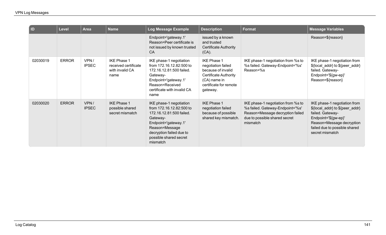| $\overline{a}$ | <b>Level</b> | <b>Area</b>          | <b>Name</b>                                                           | Log Message Example                                                                                                                                                                                     | <b>Description</b>                                                                                                                                   | <b>Format</b>                                                                                                                                           | <b>Message Variables</b>                                                                                                                                                                     |
|----------------|--------------|----------------------|-----------------------------------------------------------------------|---------------------------------------------------------------------------------------------------------------------------------------------------------------------------------------------------------|------------------------------------------------------------------------------------------------------------------------------------------------------|---------------------------------------------------------------------------------------------------------------------------------------------------------|----------------------------------------------------------------------------------------------------------------------------------------------------------------------------------------------|
|                |              |                      |                                                                       | Endpoint='gateway.1'<br>Reason=Peer certificate is<br>not issued by known trusted<br><b>CA</b>                                                                                                          | issued by a known<br>and trusted<br><b>Certificate Authority</b><br>$(CA)$ .                                                                         |                                                                                                                                                         | Reason=\${reason}                                                                                                                                                                            |
| 02030019       | <b>ERROR</b> | VPN/<br><b>IPSEC</b> | <b>IKE Phase 1</b><br>received certificate<br>with invalid CA<br>name | IKE phase-1 negotiation<br>from 172.16.12.82:500 to<br>172.16.12.81:500 failed.<br>Gateway-<br>Endpoint='gateway.1'<br>Reason=Received<br>certificate with invalid CA<br>name                           | <b>IKE Phase 1</b><br>negotiation failed<br>because of invalid<br><b>Certificate Authority</b><br>(CA) name in<br>certificate for remote<br>gateway. | IKE phase-1 negotiation from %s to<br>%s failed. Gateway-Endpoint='%s'<br>Reason=%s                                                                     | IKE phase-1 negotiation from<br>\${local_addr} to \${peer_addr}<br>failed. Gateway-<br>Endpoint='\${gw-ep}'<br>Reason=\${reason}                                                             |
| 02030020       | <b>ERROR</b> | VPN/<br><b>IPSEC</b> | <b>IKE Phase 1</b><br>possible shared<br>secret mismatch              | IKE phase-1 negotiation<br>from 172.16.12.82:500 to<br>172.16.12.81:500 failed.<br>Gateway-<br>Endpoint='gateway.1'<br>Reason=Message<br>decryption failed due to<br>possible shared secret<br>mismatch | <b>IKE Phase 1</b><br>negotiation failed<br>because of possible<br>shared key mismatch.                                                              | IKE phase-1 negotiation from %s to<br>%s failed. Gateway-Endpoint='%s'<br>Reason=Message decryption failed<br>due to possible shared secret<br>mismatch | IKE phase-1 negotiation from<br>\${local_addr} to \${peer_addr}<br>failed. Gateway-<br>Endpoint='\${gw-ep}'<br>Reason=Message decryption<br>failed due to possible shared<br>secret mismatch |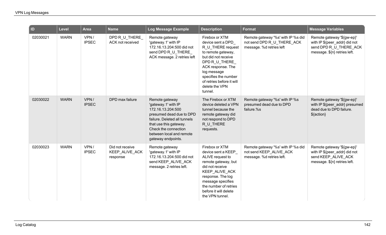| ID       | <b>Level</b> | <b>Area</b>          | <b>Name</b>                                   | Log Message Example                                                                                                                                                                                                        | <b>Description</b>                                                                                                                                                                                                                           | <b>Format</b>                                                                                | <b>Message Variables</b>                                                                                              |
|----------|--------------|----------------------|-----------------------------------------------|----------------------------------------------------------------------------------------------------------------------------------------------------------------------------------------------------------------------------|----------------------------------------------------------------------------------------------------------------------------------------------------------------------------------------------------------------------------------------------|----------------------------------------------------------------------------------------------|-----------------------------------------------------------------------------------------------------------------------|
| 02030021 | <b>WARN</b>  | VPN/<br><b>IPSEC</b> | DPD R_U_THERE<br>ACK not received             | Remote gateway<br>'gateway.1' with IP<br>172.16.13.204:500 did not<br>send DPD R U_THERE<br>ACK message. 2 retries left                                                                                                    | Firebox or XTM<br>device sent a DPD<br>R_U_THERE request<br>to remote gateway,<br>but did not receive<br>DPD R_U_THERE<br>ACK response. The<br>log message<br>specifies the number<br>of retries before it will<br>delete the VPN<br>tunnel. | Remote gateway '%s' with IP %s did<br>not send DPD R_U_THERE_ACK<br>message. %d retries left | Remote gateway '\${gw-ep}'<br>with IP \${peer_addr} did not<br>send DPD R U THERE ACK<br>message. \${n} retries left. |
| 02030022 | <b>WARN</b>  | VPN/<br><b>IPSEC</b> | DPD max failure                               | Remote gateway<br>'gateway.1' with IP<br>172.16.13.204:500<br>presumed dead due to DPD<br>failure. Deleted all tunnels<br>that use this gateway.<br>Check the connection<br>between local and remote<br>gateway endpoints. | The Firebox or XTM<br>device deleted a VPN<br>tunnel because the<br>remote gateway did<br>not respond to DPD<br>R_U_THERE<br>requests.                                                                                                       | Remote gateway '%s' with IP %s<br>presumed dead due to DPD<br>failure.%s                     | Remote gateway '\${gw-ep}'<br>with IP \${peer_addr} presumed<br>dead due to DPD failure.<br>\${action}                |
| 02030023 | <b>WARN</b>  | VPN/<br><b>IPSEC</b> | Did not receive<br>KEEP_ALIVE_ACK<br>response | Remote gateway<br>'gateway.1' with IP<br>172.16.13.204:500 did not<br>send KEEP_ALIVE_ACK<br>message. 2 retries left.                                                                                                      | Firebox or XTM<br>device sent a KEEP<br>ALIVE request to<br>remote gateway, but<br>did not receive<br>KEEP_ALIVE_ACK<br>response. The log<br>message specifies<br>the number of retries<br>before it will delete<br>the VPN tunnel.          | Remote gateway '%s' with IP %s did<br>not send KEEP ALIVE ACK<br>message. %d retries left.   | Remote gateway '\${gw-ep}'<br>with IP \${peer_addr} did not<br>send KEEP_ALIVE_ACK<br>message. \${n} retries left.    |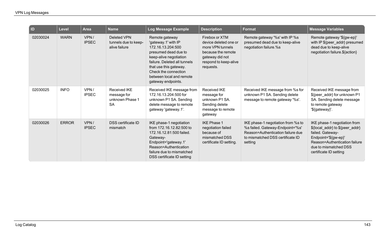| <b>ID</b> | Level        | <b>Area</b>          | <b>Name</b>                                                 | Log Message Example                                                                                                                                                                                                                              | <b>Description</b>                                                                                                                         | <b>Format</b>                                                                                                                                              | <b>Message Variables</b>                                                                                                                                                                        |
|-----------|--------------|----------------------|-------------------------------------------------------------|--------------------------------------------------------------------------------------------------------------------------------------------------------------------------------------------------------------------------------------------------|--------------------------------------------------------------------------------------------------------------------------------------------|------------------------------------------------------------------------------------------------------------------------------------------------------------|-------------------------------------------------------------------------------------------------------------------------------------------------------------------------------------------------|
| 02030024  | <b>WARN</b>  | VPN/<br><b>IPSEC</b> | Deleted VPN<br>tunnels due to keep-<br>alive failure        | Remote gateway<br>'gateway.1' with IP<br>172.16.13.204:500<br>presumed dead due to<br>keep-alive negotiation<br>failure. Deleted all tunnels<br>that use this gateway.<br>Check the connection<br>between local and remote<br>gateway endpoints. | Firebox or XTM<br>device deleted one or<br>more VPN tunnels<br>because the remote<br>gateway did not<br>respond to keep-alive<br>requests. | Remote gateway '%s' with IP %s<br>presumed dead due to keep-alive<br>negotiation failure.%s                                                                | Remote gateway '\${gw-ep}'<br>with IP \${peer_addr} presumed<br>dead due to keep-alive<br>negotiation failure.\${action}                                                                        |
| 02030025  | <b>INFO</b>  | VPN/<br><b>IPSEC</b> | Received IKE<br>message for<br>unknown Phase 1<br><b>SA</b> | Received IKE message from<br>172.16.13.204:500 for<br>unknown P1 SA. Sending<br>delete message to remote<br>gateway 'gateway.1'.                                                                                                                 | <b>Received IKE</b><br>message for<br>unknown P1 SA.<br>Sending delete<br>message to remote<br>gateway                                     | Received IKE message from %s for<br>unknown P1 SA. Sending delete<br>message to remote gateway '%s'.                                                       | Received IKE message from<br>\${peer_addr} for unknown P1<br>SA. Sending delete message<br>to remote gateway<br>'\${gateway}'.                                                                  |
| 02030026  | <b>ERROR</b> | VPN/<br><b>IPSEC</b> | <b>DSS</b> certificate ID<br>mismatch                       | IKE phase-1 negotiation<br>from 172.16.12.82:500 to<br>172.16.12.81:500 failed.<br>Gateway-<br>Endpoint='gateway.1'<br>Reason=Authentication<br>failure due to mismatched<br>DSS certificate ID setting                                          | <b>IKE Phase 1</b><br>negotiation failed<br>because of<br>mismatched DSS<br>certificate ID setting.                                        | IKE phase-1 negotiation from %s to<br>%s failed. Gateway-Endpoint='%s'<br>Reason=Authentication failure due<br>to mismatched DSS certificate ID<br>setting | IKE phase-1 negotiation from<br>\${local_addr} to \${peer_addr}<br>failed. Gateway-<br>Endpoint='\${gw-ep}'<br>Reason=Authentication failure<br>due to mismatched DSS<br>certificate ID setting |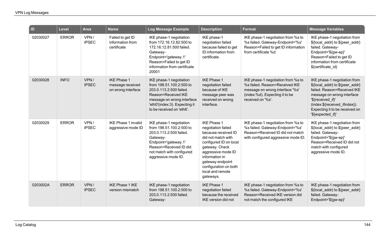| ID       | <b>Level</b> | <b>Area</b>          | <b>Name</b>                                                  | Log Message Example                                                                                                                                                                               | <b>Description</b>                                                                                                                                                                                                                                      | Format                                                                                                                                                         | <b>Message Variables</b>                                                                                                                                                                                                                  |
|----------|--------------|----------------------|--------------------------------------------------------------|---------------------------------------------------------------------------------------------------------------------------------------------------------------------------------------------------|---------------------------------------------------------------------------------------------------------------------------------------------------------------------------------------------------------------------------------------------------------|----------------------------------------------------------------------------------------------------------------------------------------------------------------|-------------------------------------------------------------------------------------------------------------------------------------------------------------------------------------------------------------------------------------------|
| 02030027 | <b>ERROR</b> | VPN/<br><b>IPSEC</b> | Failed to get ID<br>information from<br>certificate          | IKE phase-1 negotiation<br>from 172.16.12.82:500 to<br>172.16.12.81:500 failed.<br>Gateway-<br>Endpoint='gateway.1'<br>Reason=Failed to get ID<br>information from certificate<br>20001           | IKE phase-1<br>negotiation failed<br>because failed to get<br>ID information from<br>certificate.                                                                                                                                                       | IKE phase-1 negotiation from %s to<br>%s failed. Gateway-Endpoint='%s'<br>Reason=Failed to get ID information<br>from certificate %d                           | IKE phase-1 negotiation from<br>\${local_addr} to \${peer_addr}<br>failed. Gateway-<br>Endpoint='\${gw-ep}'<br>Reason=Failed to get ID<br>information from certificate<br>\${certificate_id}                                              |
| 02030028 | <b>INFO</b>  | VPN/<br><b>IPSEC</b> | <b>IKE Phase 1</b><br>message received<br>on wrong interface | IKE phase-1 negotiation<br>from 198.51.100.2:500 to<br>203.0.113.2:500 failed.<br>Reason=Received IKE<br>message on wrong interface<br>'eth0'(index:3). Expecting it<br>to be received on 'eth6'. | <b>IKE Phase 1</b><br>negotiation failed<br>because of IKE<br>message peer was<br>received on wrong<br>interface.                                                                                                                                       | IKE phase-1 negotiation from %s to<br>%s failed. Reason=Received IKE<br>message on wrong interface '%s'<br>(index:%d). Expecting it to be<br>received on '%s'. | IKE phase-1 negotiation from<br>\${local_addr} to \${peer_addr}<br>failed. Reason=Received IKE<br>message on wrong interface<br>'\${received if}'<br>(index:\${received_ifindex}).<br>Expecting it to be received on<br>'\${expected_if}' |
| 02030029 | <b>ERROR</b> | VPN/<br><b>IPSEC</b> | <b>IKE Phase 1 invalid</b><br>aggressive mode ID             | IKE phase-1 negotiation<br>from 198.51.100.2:500 to<br>203.0.113.2:500 failed.<br>Gateway-<br>Endpoint='gateway.1'<br>Reason=Received ID did<br>not match with configured<br>aggressive mode ID.  | <b>IKE Phase 1</b><br>negotiation failed<br>because received ID<br>did not match with<br>configured ID on local<br>gateway. Check<br>aggressive mode ID<br>information in<br>gateway endpoint<br>configuration on both<br>local and remote<br>gateways. | IKE phase-1 negotiation from %s to<br>%s failed. Gateway-Endpoint='%s'<br>Reason=Received ID did not match<br>with configured aggressive mode ID.              | IKE phase-1 negotiation from<br>\${local_addr} to \${peer_addr}<br>failed. Gateway-<br>Endpoint='\${gw-ep}'<br>Reason=Received ID did not<br>match with configured<br>aggressive mode ID.                                                 |
| 0203002A | <b>ERROR</b> | VPN/<br><b>IPSEC</b> | <b>IKE Phase 1 IKE</b><br>version mismatch                   | IKE phase-1 negotiation<br>from 198.51.100.2:500 to<br>203.0.113.2:500 failed.<br>Gateway-                                                                                                        | <b>IKE Phase 1</b><br>negotiation failed<br>because the received<br>IKE version did not                                                                                                                                                                 | IKE phase-1 negotiation from %s to<br>%s failed. Gateway-Endpoint='%s'<br>Reason=Received IKE version did<br>not match the configured IKE                      | IKE phase-1 negotiation from<br>\${local_addr} to \${peer_addr}<br>failed. Gateway-<br>Endpoint='\${gw-ep}'                                                                                                                               |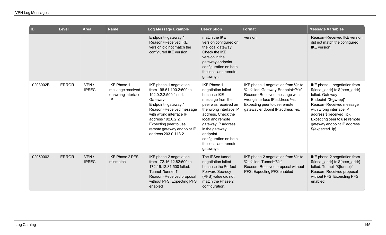| $\blacksquare$ | Level        | <b>Area</b>          | <b>Name</b>                                                        | Log Message Example                                                                                                                                                                                                                                                         | <b>Description</b>                                                                                                                                                                                                                                                                        | <b>Format</b>                                                                                                                                                                                               | <b>Message Variables</b>                                                                                                                                                                                                                                                         |
|----------------|--------------|----------------------|--------------------------------------------------------------------|-----------------------------------------------------------------------------------------------------------------------------------------------------------------------------------------------------------------------------------------------------------------------------|-------------------------------------------------------------------------------------------------------------------------------------------------------------------------------------------------------------------------------------------------------------------------------------------|-------------------------------------------------------------------------------------------------------------------------------------------------------------------------------------------------------------|----------------------------------------------------------------------------------------------------------------------------------------------------------------------------------------------------------------------------------------------------------------------------------|
|                |              |                      |                                                                    | Endpoint='gateway.1'<br>Reason=Received IKE<br>version did not match the<br>configured IKE version.                                                                                                                                                                         | match the IKE<br>version configured on<br>the local gateway.<br>Check the IKE<br>version in the<br>gateway endpoint<br>configuration on both<br>the local and remote<br>gateways.                                                                                                         | version.                                                                                                                                                                                                    | Reason=Received IKE version<br>did not match the configured<br>IKE version.                                                                                                                                                                                                      |
| 0203002B       | <b>ERROR</b> | VPN/<br><b>IPSEC</b> | <b>IKE Phase 1</b><br>message received<br>on wrong interface<br>IP | IKE phase-1 negotiation<br>from 198.51.100.2:500 to<br>192.0.2.2:500 failed.<br>Gateway-<br>Endpoint='gateway.1'<br>Reason=Received message<br>with wrong interface IP<br>address 192.0.2.2.<br>Expecting peer to use<br>remote gateway endpoint IP<br>address 203.0.113.2. | <b>IKE Phase 1</b><br>negotiation failed<br>because IKE<br>message from the<br>peer was received on<br>the wrong interface IP<br>address. Check the<br>local and remote<br>gateway IP address<br>in the gateway<br>endpoint<br>configuration on both<br>the local and remote<br>gateways. | IKE phase-1 negotiation from %s to<br>%s failed. Gateway-Endpoint='%s'<br>Reason=Received message with<br>wrong interface IP address %s.<br>Expecting peer to use remote<br>gateway endpoint IP address %s. | IKE phase-1 negotiation from<br>\${local_addr} to \${peer_addr}<br>failed. Gateway-<br>Endpoint='\${gw-ep}'<br>Reason=Received message<br>with wrong interface IP<br>address \${received_ip}.<br>Expecting peer to use remote<br>gateway endpoint IP address<br>\${expected_ip}. |
| 02050002       | <b>ERROR</b> | VPN/<br><b>IPSEC</b> | <b>IKE Phase 2 PFS</b><br>mismatch                                 | IKE phase-2 negotiation<br>from 172.16.12.82:500 to<br>172.16.12.81:500 failed.<br>Tunnel='tunnel.1'<br>Reason=Received proposal<br>without PFS, Expecting PFS<br>enabled                                                                                                   | The IPSec tunnel<br>negotiation failed<br>because the Perfect<br><b>Forward Secrecy</b><br>(PFS) value did not<br>match the Phase 2<br>configuration.                                                                                                                                     | IKE phase-2 negotiation from %s to<br>%s failed. Tunnel='%s'<br>Reason=Received proposal without<br>PFS, Expecting PFS enabled                                                                              | IKE phase-2 negotiation from<br>\${local_addr} to \${peer_addr}<br>failed. Tunnel='\${tunnel}'<br>Reason=Received proposal<br>without PFS, Expecting PFS<br>enabled                                                                                                              |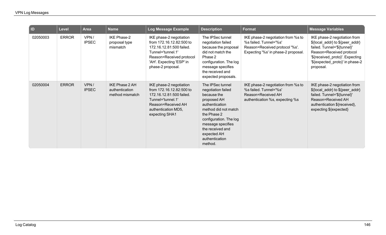| ID.      | <b>Level</b> | <b>Area</b>          | <b>Name</b>                                         | Log Message Example                                                                                                                                                               | <b>Description</b>                                                                                                                                                                                                                           | <b>Format</b>                                                                                                                         | <b>Message Variables</b>                                                                                                                                                                                      |
|----------|--------------|----------------------|-----------------------------------------------------|-----------------------------------------------------------------------------------------------------------------------------------------------------------------------------------|----------------------------------------------------------------------------------------------------------------------------------------------------------------------------------------------------------------------------------------------|---------------------------------------------------------------------------------------------------------------------------------------|---------------------------------------------------------------------------------------------------------------------------------------------------------------------------------------------------------------|
| 02050003 | <b>ERROR</b> | VPN/<br><b>IPSEC</b> | <b>IKE Phase-2</b><br>proposal type<br>mismatch     | IKE phase-2 negotiation<br>from 172.16.12.82:500 to<br>172.16.12.81:500 failed.<br>Tunnel='tunnel.1'<br>Reason=Received protocol<br>'AH'. Expecting 'ESP' in<br>phase-2 proposal. | The IPSec tunnel<br>negotiation failed<br>because the proposal<br>did not match the<br>Phase 2<br>configuration. The log<br>message specifies<br>the received and<br>expected proposals.                                                     | IKE phase-2 negotiation from %s to<br>%s failed. Tunnel='%s'<br>Reason=Received protocol '%s'.<br>Expecting '%s' in phase-2 proposal. | IKE phase-2 negotiation from<br>\${local_addr} to \${peer_addr}<br>failed. Tunnel='\${tunnel}'<br>Reason=Received protocol<br>'\${received_proto}'. Expecting<br>'\${expected_proto}' in phase-2<br>proposal. |
| 02050004 | <b>ERROR</b> | VPN/<br><b>IPSEC</b> | IKE Phase 2 AH<br>authentication<br>method mismatch | IKE phase-2 negotiation<br>from 172.16.12.82:500 to<br>172.16.12.81:500 failed.<br>Tunnel='tunnel.1'<br>Reason=Received AH<br>authentication MD5,<br>expecting SHA1               | The IPSec tunnel<br>negotiation failed<br>because the<br>proposed AH<br>authentication<br>method did not match<br>the Phase 2<br>configuration. The log<br>message specifies<br>the received and<br>expected AH<br>authentication<br>method. | IKE phase-2 negotiation from %s to<br>%s failed. Tunnel='%s'<br>Reason=Received AH<br>authentication %s, expecting %s                 | IKE phase-2 negotiation from<br>\${local_addr} to \${peer_addr}<br>failed. Tunnel='\${tunnel}'<br>Reason=Received AH<br>authentication \${received},<br>expecting \${expected}                                |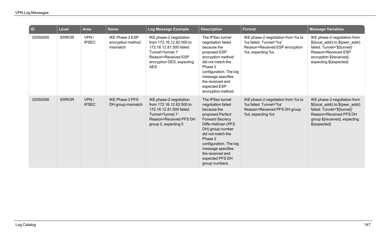| $\overline{D}$ | <b>Level</b> | <b>Area</b>          | <b>Name</b>                                      | Log Message Example                                                                                                                                                    | <b>Description</b>                                                                                                                                                                                                                                                                    | <b>Format</b>                                                                                                      | <b>Message Variables</b>                                                                                                                                                    |
|----------------|--------------|----------------------|--------------------------------------------------|------------------------------------------------------------------------------------------------------------------------------------------------------------------------|---------------------------------------------------------------------------------------------------------------------------------------------------------------------------------------------------------------------------------------------------------------------------------------|--------------------------------------------------------------------------------------------------------------------|-----------------------------------------------------------------------------------------------------------------------------------------------------------------------------|
| 02050005       | <b>ERROR</b> | VPN/<br><b>IPSEC</b> | IKE Phase 2 ESP<br>encryption method<br>mismatch | IKE phase-2 negotiation<br>from 172.16.12.82:500 to<br>172.16.12.81:500 failed.<br>Tunnel='tunnel.1'<br>Reason=Received ESP<br>encryption DES, expecting<br><b>AES</b> | The IPSec tunnel<br>negotiation failed<br>because the<br>proposed ESP<br>encryption method<br>did not match the<br>Phase 2<br>configuration. The log<br>message specifies<br>the received and<br>expected ESP<br>encryption method.                                                   | IKE phase-2 negotiation from %s to<br>%s failed. Tunnel='%s'<br>Reason=Received ESP encryption<br>%s, expecting %s | IKE phase-2 negotiation from<br>\${local_addr} to \${peer_addr}<br>failed. Tunnel='\${tunnel}'<br>Reason=Received ESP<br>encryption \${received},<br>expecting \${expected} |
| 02050006       | <b>ERROR</b> | VPN/<br><b>IPSEC</b> | <b>IKE Phase 2 PFS</b><br>DH group mismatch      | IKE phase-2 negotiation<br>from 172.16.12.82:500 to<br>172.16.12.81:500 failed.<br>Tunnel='tunnel.1'<br>Reason=Received PFS DH<br>group 2, expecting 5                 | The IPSec tunnel<br>negotiation failed<br>because the<br>proposed Perfect<br><b>Forward Secrecy</b><br>Diffe-Hellman (PFS<br>DH) group number<br>did not match the<br>Phase 2<br>configuration. The log<br>message specifies<br>the received and<br>expected PFS DH<br>group numbers. | IKE phase-2 negotiation from %s to<br>%s failed. Tunnel='%s'<br>Reason=Received PFS DH group<br>%d, expecting %d   | IKE phase-2 negotiation from<br>\${local_addr} to \${peer_addr}<br>failed. Tunnel='\${tunnel}'<br>Reason=Received PFS DH<br>group \${received}, expecting<br>\${expected}   |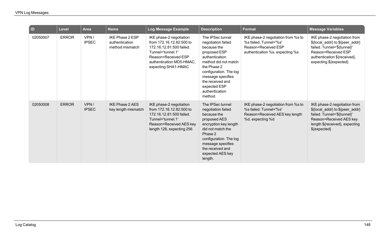| ID       | <b>Level</b> | <b>Area</b>          | <b>Name</b>                                                 | Log Message Example                                                                                                                                                            | <b>Description</b>                                                                                                                                                                                                                             | <b>Format</b>                                                                                                          | <b>Message Variables</b>                                                                                                                                                        |
|----------|--------------|----------------------|-------------------------------------------------------------|--------------------------------------------------------------------------------------------------------------------------------------------------------------------------------|------------------------------------------------------------------------------------------------------------------------------------------------------------------------------------------------------------------------------------------------|------------------------------------------------------------------------------------------------------------------------|---------------------------------------------------------------------------------------------------------------------------------------------------------------------------------|
| 02050007 | <b>ERROR</b> | VPN/<br><b>IPSEC</b> | <b>IKE Phase 2 ESP</b><br>authentication<br>method mismatch | IKE phase-2 negotiation<br>from 172.16.12.82:500 to<br>172.16.12.81:500 failed.<br>Tunnel='tunnel.1'<br>Reason=Received ESP<br>authentication MD5-HMAC,<br>expecting SHA1-HMAC | The IPSec tunnel<br>negotiation failed<br>because the<br>proposed ESP<br>authentication<br>method did not match<br>the Phase 2<br>configuration. The log<br>message specifies<br>the received and<br>expected ESP<br>authentication<br>method. | IKE phase-2 negotiation from %s to<br>%s failed. Tunnel='%s'<br>Reason=Received ESP<br>authentication %s, expecting %s | IKE phase-2 negotiation from<br>\${local_addr} to \${peer_addr}<br>failed. Tunnel='\${tunnel}'<br>Reason=Received ESP<br>authentication \${received},<br>expecting \${expected} |
| 02050008 | <b>ERROR</b> | VPN/<br><b>IPSEC</b> | <b>IKE Phase 2 AES</b><br>key length mismatch               | IKE phase-2 negotiation<br>from 172.16.12.82:500 to<br>172.16.12.81:500 failed.<br>Tunnel='tunnel.1'<br>Reason=Received AES key<br>length 128, expecting 256                   | The IPSec tunnel<br>negotiation failed<br>because the<br>proposed AES<br>encryption key length<br>did not match the<br>Phase 2<br>configuration. The log<br>message specifies<br>the received and<br>expected AES key<br>length.               | IKE phase-2 negotiation from %s to<br>%s failed. Tunnel='%s'<br>Reason=Received AES key length<br>%d, expecting %d     | IKE phase-2 negotiation from<br>\${local_addr} to \${peer_addr}<br>failed. Tunnel='\${tunnel}'<br>Reason=Received AES key<br>length \${received}, expecting<br>\${expected}     |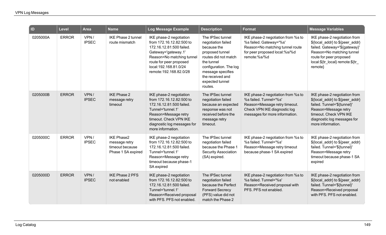| $\overline{a}$ | Level        | <b>Area</b>          | <b>Name</b>                                                                 | <b>Log Message Example</b>                                                                                                                                                                                         | <b>Description</b>                                                                                                                                                                                              | <b>Format</b>                                                                                                                                                   | <b>Message Variables</b>                                                                                                                                                                                |
|----------------|--------------|----------------------|-----------------------------------------------------------------------------|--------------------------------------------------------------------------------------------------------------------------------------------------------------------------------------------------------------------|-----------------------------------------------------------------------------------------------------------------------------------------------------------------------------------------------------------------|-----------------------------------------------------------------------------------------------------------------------------------------------------------------|---------------------------------------------------------------------------------------------------------------------------------------------------------------------------------------------------------|
| 0205000A       | <b>ERROR</b> | VPN/<br><b>IPSEC</b> | IKE Phase 2 tunnel<br>route mismatch                                        | IKE phase-2 negotiation<br>from 172.16.12.82:500 to<br>172.16.12.81:500 failed.<br>Gateway='gateway.1'<br>Reason=No matching tunnel<br>route for peer proposed<br>local:192.168.81.0/24<br>remote: 192.168.82.0/28 | The IPSec tunnel<br>negotiation failed<br>because the<br>proposed tunnel<br>routes did not match<br>the tunnel<br>configuration. The log<br>message specifies<br>the received and<br>expected tunnel<br>routes. | IKE phase-2 negotiation from %s to<br>%s failed. Gateway='%s'<br>Reason=No matching tunnel route<br>for peer proposed local:%s/%d<br>remote:%s/%d               | IKE phase-2 negotiation from<br>\${local_addr} to \${peer_addr}<br>failed. Gateway='\${gateway}'<br>Reason=No matching tunnel<br>route for peer proposed<br>local:\${tr_local} remote:\${tr_<br>remote} |
| 0205000B       | <b>ERROR</b> | VPN/<br><b>IPSEC</b> | <b>IKE Phase 2</b><br>message retry<br>timeout                              | IKE phase-2 negotiation<br>from 172.16.12.82:500 to<br>172.16.12.81:500 failed.<br>Tunnel='tunnel.1'<br>Reason=Message retry<br>timeout. Check VPN IKE<br>diagnostic log messages for<br>more information.         | The IPSec tunnel<br>negotiation failed<br>because an expected<br>response was not<br>received before the<br>message retry<br>timeout.                                                                           | IKE phase-2 negotiation from %s to<br>%s failed. Tunnel='%s'<br>Reason=Message retry timeout.<br>Check VPN IKE diagnostic log<br>messages for more information. | IKE phase-2 negotiation from<br>\${local_addr} to \${peer_addr}<br>failed. Tunnel='\${tunnel}'<br>Reason=Message retry<br>timeout. Check VPN IKE<br>diagnostic log messages for<br>more information.    |
| 0205000C       | <b>ERROR</b> | VPN/<br><b>IPSEC</b> | <b>IKE Phase2</b><br>message retry<br>timeout because<br>Phase 1 SA expired | IKE phase-2 negotiation<br>from 172.16.12.82:500 to<br>172.16.12.81:500 failed.<br>Tunnel='tunnel.1'<br>Reason=Message retry<br>timeout because phase-1<br>SA expired                                              | The IPSec tunnel<br>negotiation failed<br>because the Phase 1<br>Security Association<br>(SA) expired.                                                                                                          | IKE phase-2 negotiation from %s to<br>%s failed. Tunnel='%s'<br>Reason=Message retry timeout<br>because phase-1 SA expired                                      | IKE phase-2 negotiation from<br>\${local_addr} to \${peer_addr}<br>failed. Tunnel='\${tunnel}'<br>Reason=Message retry<br>timeout because phase-1 SA<br>expired                                         |
| 0205000D       | <b>ERROR</b> | VPN/<br><b>IPSEC</b> | <b>IKE Phase 2 PFS</b><br>not enabled                                       | IKE phase-2 negotiation<br>from 172.16.12.82:500 to<br>172.16.12.81:500 failed.<br>Tunnel='tunnel.1'<br>Reason=Received proposal<br>with PFS. PFS not enabled.                                                     | The IPSec tunnel<br>negotiation failed<br>because the Perfect<br><b>Forward Secrecy</b><br>(PFS) value did not<br>match the Phase 2                                                                             | IKE phase-2 negotiation from %s to<br>%s failed. Tunnel='%s'<br>Reason=Received proposal with<br>PFS. PFS not enabled.                                          | IKE phase-2 negotiation from<br>\${local addr} to \${peer addr}<br>failed. Tunnel='\${tunnel}'<br>Reason=Received proposal<br>with PFS. PFS not enabled.                                                |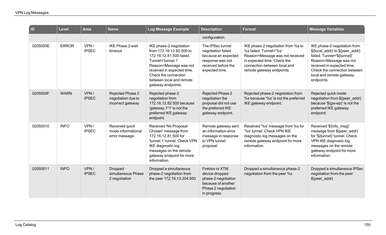| $\blacksquare$ | Level        | <b>Area</b>          | <b>Name</b>                                                 | Log Message Example                                                                                                                                                                                                                    | <b>Description</b>                                                                                                         | <b>Format</b>                                                                                                                                                                               | <b>Message Variables</b>                                                                                                                                                                                                         |
|----------------|--------------|----------------------|-------------------------------------------------------------|----------------------------------------------------------------------------------------------------------------------------------------------------------------------------------------------------------------------------------------|----------------------------------------------------------------------------------------------------------------------------|---------------------------------------------------------------------------------------------------------------------------------------------------------------------------------------------|----------------------------------------------------------------------------------------------------------------------------------------------------------------------------------------------------------------------------------|
|                |              |                      |                                                             |                                                                                                                                                                                                                                        | configuration.                                                                                                             |                                                                                                                                                                                             |                                                                                                                                                                                                                                  |
| 0205000E       | <b>ERROR</b> | VPN/<br><b>IPSEC</b> | <b>IKE Phase 2 wait</b><br>timeout                          | IKE phase-2 negotiation<br>from 172.16.12.82:500 to<br>172.16.12.81:500 failed.<br>Tunnel='tunnel.1'<br>Reason=Message was not<br>received in expected time.<br>Check the connection<br>between local and remote<br>gateway endpoints. | The IPSec tunnel<br>negotiation failed<br>because an expected<br>response was not<br>received before the<br>expected time. | IKE phase-2 negotiation from %s to<br>%s failed. Tunnel='%s'<br>Reason=Message was not received<br>in expected time. Check the<br>connection between local and<br>remote gateway endpoints. | IKE phase-2 negotiation from<br>\${local_addr} to \${peer_addr}<br>failed. Tunnel='\${tunnel}'<br>Reason=Message was not<br>received in expected time.<br>Check the connection between<br>local and remote gateway<br>endpoints. |
| 0205000F       | <b>WARN</b>  | VPN/<br><b>IPSEC</b> | Rejected Phase 2<br>negotiation due to<br>incorrect gateway | Rejected phase-2<br>negotiation from<br>172.16.12.82:500 because<br>'gateway.1*1' is not the<br>preferred IKE gateway<br>endpoint.                                                                                                     | Rejected Phase 2<br>negotiation the<br>proposal did not use<br>the preferred IKE<br>gateway endpoint.                      | Rejected phase-2 negotiation from<br>%s because '%s' is not the preferred<br>IKE gateway endpoint.                                                                                          | Rejected quick mode<br>negotiation from \${peer_addr}<br>because '\${gw-ep}' is not the<br>preferred IKE gateway<br>endpoint.                                                                                                    |
| 02050010       | <b>INFO</b>  | VPN/<br><b>IPSEC</b> | Received quick<br>mode informational<br>error message       | Received 'No Proposal<br>Chosen' message from<br>172.16.12.81:500 for<br>'tunnel.1' tunnel. Check VPN<br>IKE diagnostic log<br>messages on the remote<br>gateway endpoint for more<br>information.                                     | Remote gateway sent<br>an information error<br>message in response<br>to VPN tunnel<br>proposal.                           | Received '%s' message from %s for<br>'%s' tunnel. Check VPN IKE<br>diagnostic log messages on the<br>remote gateway endpoint for more<br>information.                                       | Received '\${info_msg}'<br>message from \${peer_addr}<br>for '\${tunnel}' tunnel. Check<br>VPN IKE diagnostic log<br>messages on the remote<br>gateway endpoint for more<br>information.                                         |
| 02050011       | <b>INFO</b>  | VPN/<br><b>IPSEC</b> | <b>Dropped</b><br>simultaneous Phase<br>2 negotiation       | Dropped a simultaneous<br>phase-2 negotiation from<br>the peer 172.16.13.204:500                                                                                                                                                       | Firebox or XTM<br>device dropped<br>phase-2 negotiation<br>because of another<br>Phase 2 negotiation<br>in progress.       | Dropped a simultaneous phase-2<br>negotiation from the peer %s                                                                                                                              | Dropped a simultaneous IPSec<br>negotiation from the peer<br>\${peer_addr}                                                                                                                                                       |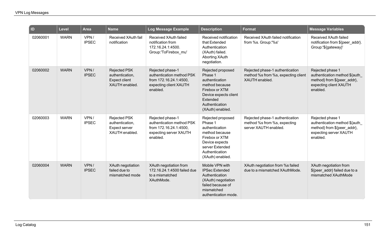| $\vert$ ID | <b>Level</b> | <b>Area</b>          | <b>Name</b>                                                               | <b>Log Message Example</b>                                                                                    | <b>Description</b>                                                                                                                                            | <b>Format</b>                                                                            | <b>Message Variables</b>                                                                                               |
|------------|--------------|----------------------|---------------------------------------------------------------------------|---------------------------------------------------------------------------------------------------------------|---------------------------------------------------------------------------------------------------------------------------------------------------------------|------------------------------------------------------------------------------------------|------------------------------------------------------------------------------------------------------------------------|
| 02060001   | <b>WARN</b>  | VPN/<br><b>IPSEC</b> | Received XAuth fail<br>notification                                       | Received XAuth failed<br>notification from<br>172.16.24.1:4500.<br>Group:'ToFirebox_mu'                       | Received notification<br>that Extended<br>Authentication<br>(XAuth) failed.<br><b>Aborting XAuth</b><br>negotiation.                                          | Received XAuth failed notification<br>from %s. Group:'%s'                                | Received XAuth failed<br>notification from \${peer_addr}.<br>Group:'\${gateway}'                                       |
| 02060002   | <b>WARN</b>  | VPN/<br><b>IPSEC</b> | <b>Rejected PSK</b><br>authentication,<br>Expect client<br>XAUTH enabled. | Rejected phase-1<br>authentication method PSK<br>from 172.16.24.1:4500,<br>expecting client XAUTH<br>enabled. | Rejected proposed<br>Phase 1<br>authentication<br>method because<br>Firebox or XTM<br>Device expects client<br>Extended<br>Authentication<br>(XAuth) enabled. | Rejected phase-1 authentication<br>method %s from %s, expecting client<br>XAUTH enabled. | Rejected phase 1<br>authentication method \${auth<br>method} from \${peer_addr},<br>expecting client XAUTH<br>enabled. |
| 02060003   | <b>WARN</b>  | VPN/<br><b>IPSEC</b> | <b>Rejected PSK</b><br>authentication,<br>Expect server<br>XAUTH enabled. | Rejected phase-1<br>authentication method PSK<br>from 172.16.24.1:4500,<br>expecting server XAUTH<br>enabled. | Rejected proposed<br>Phase 1<br>authentication<br>method because<br>Firebox or XTM<br>Device expects<br>server Extended<br>Authentication<br>(XAuth) enabled. | Rejected phase-1 authentication<br>method %s from %s, expecting<br>server XAUTH enabled. | Rejected phase 1<br>authentication method \${auth<br>method} from \${peer_addr},<br>expecting server XAUTH<br>enabled. |
| 02060004   | <b>WARN</b>  | VPN/<br><b>IPSEC</b> | <b>XAuth negotiation</b><br>failed due to<br>mismatched mode              | XAuth negotiation from<br>172.16.24.1:4500 failed due<br>to a mismatched<br>XAuthMode.                        | Mobile VPN with<br><b>IPSec Extended</b><br>Authentication<br>(XAuth) negotiation<br>failed because of<br>mismatched<br>authentication mode.                  | XAuth negotiation from %s failed<br>due to a mismatched XAuthMode.                       | XAuth negotiation from<br>\${peer_addr} failed due to a<br>mismatched XAuthMode                                        |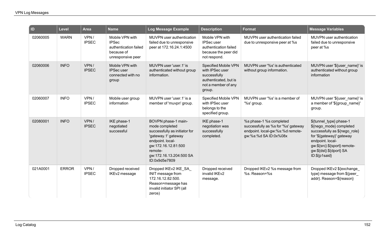| ID       | <b>Level</b> | <b>Area</b>          | <b>Name</b>                                                                                 | <b>Log Message Example</b>                                                                                                                                                                      | <b>Description</b>                                                                                                       | <b>Format</b>                                                                                                               | <b>Message Variables</b>                                                                                                                                                                                         |
|----------|--------------|----------------------|---------------------------------------------------------------------------------------------|-------------------------------------------------------------------------------------------------------------------------------------------------------------------------------------------------|--------------------------------------------------------------------------------------------------------------------------|-----------------------------------------------------------------------------------------------------------------------------|------------------------------------------------------------------------------------------------------------------------------------------------------------------------------------------------------------------|
| 02060005 | <b>WARN</b>  | VPN/<br><b>IPSEC</b> | Mobile VPN with<br><b>IPSec</b><br>authentication failed<br>because of<br>unresponsive peer | MUVPN user authentication<br>failed due to unresponsive<br>peer at 172.16.24.1:4500                                                                                                             | Mobile VPN with<br><b>IPSecuser</b><br>authentication failed<br>because the peer did<br>not respond.                     | MUVPN user authentication failed<br>due to unresponsive peer at %s                                                          | MUVPN user authentication<br>failed due to unresponsive<br>peer at %s                                                                                                                                            |
| 02060006 | <b>INFO</b>  | VPN/<br><b>IPSEC</b> | Mobile VPN with<br>IPSec user<br>connected with no<br>group                                 | MUVPN user 'user.1' is<br>authenticated without group<br>information.                                                                                                                           | <b>Specified Mobile VPN</b><br>with IPSec user<br>successfully<br>authenticated, but is<br>not a member of any<br>group. | MUVPN user '%s' is authenticated<br>without group information.                                                              | MUVPN user '\${user_name}' is<br>authenticated without group<br>information                                                                                                                                      |
| 02060007 | <b>INFO</b>  | VPN/<br><b>IPSEC</b> | Mobile user group<br>information                                                            | MUVPN user 'user.1' is a<br>member of 'muvpn' group.                                                                                                                                            | Specified Mobile VPN<br>with IPSec user<br>belongs to the<br>specified group.                                            | MUVPN user '%s' is a member of<br>'%s' group.                                                                               | MUVPN user '\${user_name}' is<br>a member of '\${group name}'<br>group.                                                                                                                                          |
| 02080001 | <b>INFO</b>  | VPN/<br><b>IPSEC</b> | IKE phase-1<br>negotiated<br>successful                                                     | BOVPN phase-1 main-<br>mode completed<br>successfully as initiator for<br>'gateway.1' gateway<br>endpoint. local-<br>gw:172.16.12.81:500<br>remote-<br>gw:172.16.13.204:500 SA<br>ID:0x9d5e7809 | IKE phase-1<br>negotiation was<br>successfully<br>completed.                                                             | %s phase-1 %s completed<br>successfully as %s for '%s' gateway<br>endpoint. local-gw:%s:%d remote-<br>gw:%s:%d SA ID:0x%08x | \${tunnel_type} phase-1<br>\${nego_mode} completed<br>successfully as \${nego_role}<br>for '\${gateway}' gateway<br>endpoint. local-<br>gw:\${src}:\${sport} remote-<br>gw:\${dst}:\${dport} SA<br>ID:\${p1said} |
| 021A0001 | <b>ERROR</b> | VPN/<br><b>IPSEC</b> | Dropped received<br>IKEv2 message                                                           | Dropped IKEv2 IKE_SA_<br>INIT message from<br>172.16.12.82:500.<br>Reason=message has<br>invalid initiator SPI (all<br>zeros)                                                                   | Dropped received<br>invalid IKEv2<br>message.                                                                            | Dropped IKEv2 %s message from<br>%s. Reason=%s                                                                              | Dropped IKEv2 \${exchange<br>type} message from \${peer_<br>addr}. Reason=\${reason}                                                                                                                             |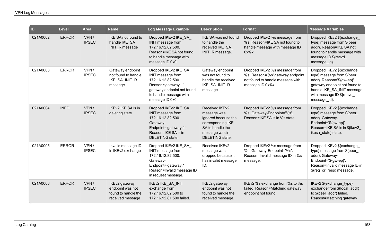| $\overline{\mathsf{I}}$ | Level        | <b>Area</b>          | <b>Name</b>                                                                  | Log Message Example                                                                                                                                              | <b>Description</b>                                                                                                                        | <b>Format</b>                                                                                                             | <b>Message Variables</b>                                                                                                                                                                        |
|-------------------------|--------------|----------------------|------------------------------------------------------------------------------|------------------------------------------------------------------------------------------------------------------------------------------------------------------|-------------------------------------------------------------------------------------------------------------------------------------------|---------------------------------------------------------------------------------------------------------------------------|-------------------------------------------------------------------------------------------------------------------------------------------------------------------------------------------------|
| 021A0002                | <b>ERROR</b> | VPN/<br><b>IPSEC</b> | IKE SA not found to<br>handle IKE SA<br><b>INIT R</b> message                | Dropped IKEv2 IKE_SA<br>INIT message from<br>172.16.12.82:500.<br>Reason=IKE SA not found<br>to handle message with<br>message ID 0x0.                           | IKE SA was not found<br>to handle the<br>received IKE SA<br>INIT R message.                                                               | Dropped IKEv2 %s message from<br>%s. Reason=IKE SA not found to<br>handle message with message ID<br>$0x\%x$ .            | Dropped IKEv2 \${exchange<br>type} message from \${peer<br>addr}. Reason=IKE SA not<br>found to handle message with<br>message ID \${recvd<br>message_id}.                                      |
| 021A0003                | <b>ERROR</b> | VPN/<br><b>IPSEC</b> | Gateway endpoint<br>not found to handle<br>IKE_SA_INIT_R<br>message          | Dropped IKEv2 IKE_SA_<br>INIT message from<br>172.16.12.82:500.<br>Reason='gateway.1'<br>gateway endpoint not found<br>to handle message with<br>message ID 0x0. | Gateway endpoint<br>was not found to<br>handle the received<br>IKE_SA_INIT_R<br>message                                                   | Dropped IKEv2 %s message from<br>%s. Reason='%s' gateway endpoint<br>not found to handle message with<br>message ID 0x%x. | Dropped IKEv2 \${exchange<br>type} message from \${peer<br>addr}. Reason='\${gw-ep}'<br>gateway endpoint not found to<br>handle IKE_SA_INIT message<br>with message ID \${recvd<br>message_id}. |
| 021A0004                | <b>INFO</b>  | VPN/<br><b>IPSEC</b> | IKEv2 IKE SA is in<br>deleting state                                         | Dropped IKEv2 IKE_SA<br>INIT message from<br>172.16.12.82:500.<br>Gateway-<br>Endpoint='gateway.1'.<br>Reason=IKE SA is in<br>DELETING state.                    | Received IKEv2<br>message was<br>ignored because the<br>corresponding IKE<br>SA to handle the<br>message was in<br><b>DELETING</b> state. | Dropped IKEv2 %s message from<br>%s. Gateway-Endpoint='%s'.<br>Reason=IKE SA is in %s state.                              | Dropped IKEv2 \${exchange<br>type} message from \${peer_<br>addr}. Gateway-<br>Endpoint='\${gw-ep}'<br>Reason=IKE SA is in \${ikev2<br>ikesa state} state.                                      |
| 021A0005                | <b>ERROR</b> | VPN/<br><b>IPSEC</b> | Invalid message ID<br>in IKEv2 exchange                                      | Dropped IKEv2 IKE SA<br>INIT message from<br>172.16.12.82:500.<br>Gateway-<br>Endpoint='gateway.1'.<br>Reason=Invalid message ID<br>in request message.          | Received IKEv2<br>message was<br>dropped because it<br>has invalid message<br>ID.                                                         | Dropped IKEv2 %s message from<br>%s. Gateway-Endpoint='%s'.<br>Reason=Invalid message ID in %s<br>message.                | Dropped IKEv2 \${exchange<br>type} message from \${peer_<br>addr}. Gateway-<br>Endpoint='\${gw-ep}'.<br>Reason=Invalid message ID in<br>\${req_or_resp} message.                                |
| 021A0006                | <b>ERROR</b> | VPN/<br><b>IPSEC</b> | IKEv2 gateway<br>endpoint was not<br>found to handle the<br>received message | <b>IKEv2 IKE SA INIT</b><br>exchange from<br>172.16.12.82:500 to<br>172.16.12.81:500 failed.                                                                     | IKEv2 gateway<br>endpoint was not<br>found to handle the<br>received message.                                                             | IKEv2 %s exchange from %s to %s<br>failed. Reason=Matching gateway<br>endpoint not found.                                 | IKEv2 \${exchange type}<br>exchange from \${local addr}<br>to \${peer_addr} failed.<br>Reason=Matching gateway                                                                                  |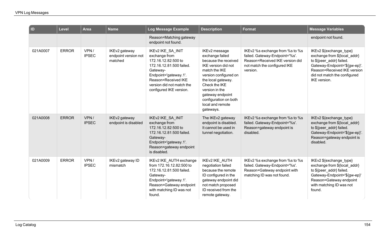| ID       | Level        | <b>Area</b>          | <b>Name</b>                                      | Log Message Example                                                                                                                                                                                       | <b>Description</b>                                                                                                                                                                                                                                               | <b>Format</b>                                                                                                                                    | <b>Message Variables</b>                                                                                                                                                                            |
|----------|--------------|----------------------|--------------------------------------------------|-----------------------------------------------------------------------------------------------------------------------------------------------------------------------------------------------------------|------------------------------------------------------------------------------------------------------------------------------------------------------------------------------------------------------------------------------------------------------------------|--------------------------------------------------------------------------------------------------------------------------------------------------|-----------------------------------------------------------------------------------------------------------------------------------------------------------------------------------------------------|
|          |              |                      |                                                  | Reason=Matching gateway<br>endpoint not found.                                                                                                                                                            |                                                                                                                                                                                                                                                                  |                                                                                                                                                  | endpoint not found.                                                                                                                                                                                 |
| 021A0007 | <b>ERROR</b> | VPN/<br><b>IPSEC</b> | IKEv2 gateway<br>endpoint version not<br>matched | IKEv2 IKE_SA_INIT<br>exchange from<br>172.16.12.82:500 to<br>172.16.12.81:500 failed.<br>Gateway-<br>Endpoint='gateway.1'.<br>Reason=Received IKE<br>version did not match the<br>configured IKE version. | IKEv2 message<br>exchange failed<br>because the received<br>IKE version did not<br>match the IKE<br>version configured on<br>the local gateway.<br>Check the IKE<br>version in the<br>gateway endpoint<br>configuration on both<br>local and remote<br>gateways. | IKEv2 %s exchange from %s to %s<br>failed. Gateway-Endpoint='%s'.<br>Reason=Received IKE version did<br>not match the configured IKE<br>version. | IKEv2 \${exchange_type}<br>exchange from \${local_addr}<br>to \${peer_addr} failed.<br>Gateway-Endpoint='\${gw-ep}'.<br>Reason=Received IKE version<br>did not match the configured<br>IKE version. |
| 021A0008 | <b>ERROR</b> | VPN/<br><b>IPSEC</b> | IKEv2 gateway<br>endpoint is disabled            | IKEv2 IKE_SA_INIT<br>exchange from<br>172.16.12.82:500 to<br>172.16.12.81:500 failed.<br>Gateway-<br>Endpoint='gateway.1'.<br>Reason=gateway endpoint<br>is disabled.                                     | The IKEv2 gateway<br>endpoint is disabled.<br>It cannot be used in<br>tunnel negotiation.                                                                                                                                                                        | IKEv2 %s exchange from %s to %s<br>failed. Gateway-Endpoint='%s'.<br>Reason=gateway endpoint is<br>disabled.                                     | IKEv2 \${exchange_type}<br>exchange from \${local addr}<br>to \${peer_addr} failed.<br>Gateway-Endpoint='\${gw-ep}'.<br>Reason=gateway endpoint is<br>disabled.                                     |
| 021A0009 | <b>ERROR</b> | VPN/<br><b>IPSEC</b> | IKEv2 gateway ID<br>mismatch                     | IKEv2 IKE_AUTH exchange<br>from 172.16.12.82:500 to<br>172.16.12.81:500 failed.<br>Gateway-<br>Endpoint='gateway.1'.<br>Reason=Gateway endpoint<br>with matching ID was not<br>found.                     | IKEv2 IKE_AUTH<br>negotiation failed<br>because the remote<br>ID configured in the<br>gateway endpoint did<br>not match proposed<br>ID received from the<br>remote gateway.                                                                                      | IKEv2 %s exchange from %s to %s<br>failed. Gateway-Endpoint='%s'.<br>Reason=Gateway endpoint with<br>matching ID was not found.                  | IKEv2 \${exchange_type}<br>exchange from \${local_addr}<br>to \${peer addr} failed.<br>Gateway-Endpoint='\${gw-ep}'<br>Reason=Gateway endpoint<br>with matching ID was not<br>found.                |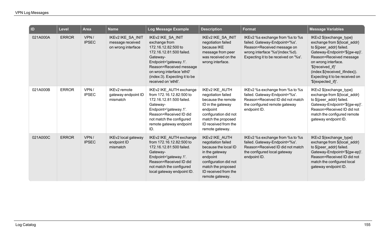| D        | <b>Level</b> | <b>Area</b>          | <b>Name</b>                                                 | <b>Log Message Example</b>                                                                                                                                                                                                                 | <b>Description</b>                                                                                                                                                                    | <b>Format</b>                                                                                                                                                              | <b>Message Variables</b>                                                                                                                                                                                                                                                             |
|----------|--------------|----------------------|-------------------------------------------------------------|--------------------------------------------------------------------------------------------------------------------------------------------------------------------------------------------------------------------------------------------|---------------------------------------------------------------------------------------------------------------------------------------------------------------------------------------|----------------------------------------------------------------------------------------------------------------------------------------------------------------------------|--------------------------------------------------------------------------------------------------------------------------------------------------------------------------------------------------------------------------------------------------------------------------------------|
| 021A000A | <b>ERROR</b> | VPN/<br><b>IPSEC</b> | IKEv2 IKE_SA_INIT<br>message received<br>on wrong interface | IKEv2 IKE_SA_INIT<br>exchange from<br>172.16.12.82:500 to<br>172.16.12.81:500 failed.<br>Gateway-<br>Endpoint='gateway.1'.<br>Reason=Received message<br>on wrong interface 'eth0'<br>(index:3). Expecting it to be<br>received on 'eth6'. | IKEv2 IKE_SA_INIT<br>negotiation failed<br>because IKE<br>message from peer<br>was received on the<br>wrong interface.                                                                | IKEv2 %s exchange from %s to %s<br>failed. Gateway-Endpoint='%s'.<br>Reason=Received message on<br>wrong interface '%s'(index:%d).<br>Expecting it to be received on '%s'. | IKEv2 \${exchange_type}<br>exchange from \${local_addr}<br>to \${peer addr} failed.<br>Gateway-Endpoint='\${gw-ep}'.<br>Reason=Received message<br>on wrong interface.<br>'\${received_if}'<br>(index:\${received_ifindex}).<br>Expecting it to be received on<br>'\${expected if}'. |
| 021A000B | <b>ERROR</b> | VPN/<br><b>IPSEC</b> | IKEv2 remote<br>gateway endpoint ID<br>mismatch             | IKEv2 IKE_AUTH exchange<br>from 172.16.12.82:500 to<br>172.16.12.81:500 failed.<br>Gateway-<br>Endpoint='gateway.1'.<br>Reason=Received ID did<br>not match the configured<br>remote gateway endpoint<br>ID.                               | IKEv2 IKE_AUTH<br>negotiation failed<br>because the remote<br>ID in the gateway<br>endpoint<br>configuration did not<br>match the proposed<br>ID received from the<br>remote gateway. | IKEv2 %s exchange from %s to %s<br>failed. Gateway-Endpoint='%s'.<br>Reason=Received ID did not match<br>the configured remote gateway<br>endpoint ID.                     | IKEv2 \${exchange_type}<br>exchange from \${local_addr}<br>to \${peer_addr} failed.<br>Gateway-Endpoint='\${gw-ep}'.<br>Reason=Received ID did not<br>match the configured remote<br>gateway endpoint ID.                                                                            |
| 021A000C | <b>ERROR</b> | VPN/<br><b>IPSEC</b> | IKEv2 local gateway<br>endpoint ID<br>mismatch              | IKEv2 IKE_AUTH exchange<br>from 172.16.12.82:500 to<br>172.16.12.81:500 failed.<br>Gateway-<br>Endpoint='gateway.1'.<br>Reason=Received ID did<br>not match the configured<br>local gateway endpoint ID.                                   | IKEv2 IKE_AUTH<br>negotiation failed<br>because the local ID<br>in the gateway<br>endpoint<br>configuration did not<br>match the proposed<br>ID received from the<br>remote gateway.  | IKEv2 %s exchange from %s to %s<br>failed. Gateway-Endpoint='%s'.<br>Reason=Received ID did not match<br>the configured local gateway<br>endpoint ID.                      | IKEv2 \${exchange_type}<br>exchange from \${local_addr}<br>to \${peer_addr} failed.<br>Gateway-Endpoint='\${gw-ep}'.<br>Reason=Received ID did not<br>match the configured local<br>gateway endpoint ID.                                                                             |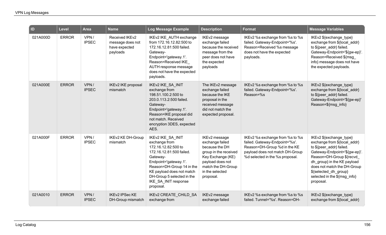| ID       | <b>Level</b> | <b>Area</b>          | <b>Name</b>                                                     | Log Message Example                                                                                                                                                                                                                                     | <b>Description</b>                                                                                                                                                         | <b>Format</b>                                                                                                                                                           | <b>Message Variables</b>                                                                                                                                                                                                                                                             |
|----------|--------------|----------------------|-----------------------------------------------------------------|---------------------------------------------------------------------------------------------------------------------------------------------------------------------------------------------------------------------------------------------------------|----------------------------------------------------------------------------------------------------------------------------------------------------------------------------|-------------------------------------------------------------------------------------------------------------------------------------------------------------------------|--------------------------------------------------------------------------------------------------------------------------------------------------------------------------------------------------------------------------------------------------------------------------------------|
| 021A000D | <b>ERROR</b> | VPN/<br><b>IPSEC</b> | Received IKEv2<br>message does not<br>have expected<br>payloads | IKEv2 IKE_AUTH exchange<br>from 172.16.12.82:500 to<br>172.16.12.81:500 failed.<br>Gateway-<br>Endpoint='gateway.1'.<br>Reason=Received IKE<br>AUTH response message<br>does not have the expected<br>payloads.                                         | IKEv2 message<br>exchange failed<br>because the received<br>message from the<br>peer does not have<br>the expected<br>payloads                                             | IKEv2 %s exchange from %s to %s<br>failed. Gateway-Endpoint='%s'.<br>Reason=Received %s message<br>does not have the expected<br>payloads.                              | IKEv2 \${exchange_type}<br>exchange from \${local_addr}<br>to \${peer addr} failed.<br>Gateway-Endpoint='\${gw-ep}'.<br>Reason=Received \${msg<br>info} message does not have<br>the expected payloads.                                                                              |
| 021A000E | <b>ERROR</b> | VPN/<br><b>IPSEC</b> | IKEv2 IKE proposal<br>mismatch                                  | IKEv2 IKE_SA_INIT<br>exchange from<br>198.51.100.2:500 to<br>203.0.113.2:500 failed.<br>Gateway-<br>Endpoint='gateway.1'.<br>Reason=IKE proposal did<br>not match. Received<br>encryption 3DES, expected<br>AES.                                        | The IKEv2 message<br>exchange failed<br>because the IKE<br>proposal in the<br>received message<br>did not match the<br>expected proposal.                                  | IKEv2 %s exchange from %s to %s<br>failed. Gateway-Endpoint='%s'.<br>Reason=%s                                                                                          | IKEv2 \${exchange_type}<br>exchange from \${local_addr}<br>to \${peer addr} failed.<br>Gateway-Endpoint='\${gw-ep}'<br>Reason=\${msg_info}                                                                                                                                           |
| 021A000F | <b>ERROR</b> | VPN/<br><b>IPSEC</b> | <b>IKEv2 KE DH-Group</b><br>mismatch                            | IKEv2 IKE_SA_INIT<br>exchange from<br>172.16.12.82:500 to<br>172.16.12.81:500 failed.<br>Gateway-<br>Endpoint='gateway.1'.<br>Reason=DH-Group 14 in the<br>KE payload does not match<br>DH-Group 5 selected in the<br>IKE_SA_INIT response<br>proposal. | IKEv2 message<br>exchange failed<br>because the DH<br>group in the received<br>Key Exchange (KE)<br>payload does not<br>match the DH-Group<br>in the selected<br>proposal. | IKEv2 %s exchange from %s to %s<br>failed. Gateway-Endpoint='%s'.<br>Reason=DH-Group %d in the KE<br>payload does not match DH-Group<br>%d selected in the %s proposal. | IKEv2 \${exchange_type}<br>exchange from \${local addr}<br>to \${peer addr} failed.<br>Gateway-Endpoint='\${gw-ep}'.<br>Reason=DH-Group \${recvd<br>dh group} in the KE payload<br>does not match the DH-Group<br>\${selected_dh_group}<br>selected in the \${msg_info}<br>proposal. |
| 021A0010 | <b>ERROR</b> | VPN/<br><b>IPSEC</b> | <b>IKEv2 IPSec KE</b><br>DH-Group mismatch                      | IKEv2 CREATE_CHILD_SA<br>exchange from                                                                                                                                                                                                                  | IKEv2 message<br>exchange failed                                                                                                                                           | IKEv2 %s exchange from %s to %s<br>failed. Tunnel='%s'. Reason=DH-                                                                                                      | IKEv2 \${exchange_type}<br>exchange from \${local_addr}                                                                                                                                                                                                                              |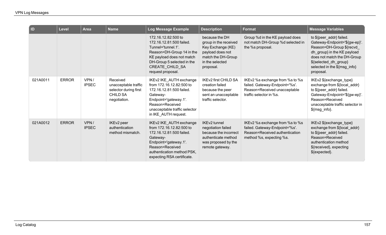| $\blacksquare$ | <b>Level</b> | <b>Area</b>          | <b>Name</b>                                                                                  | Log Message Example                                                                                                                                                                                   | <b>Description</b>                                                                                                                     | <b>Format</b>                                                                                                                   | <b>Message Variables</b>                                                                                                                                                                                                  |
|----------------|--------------|----------------------|----------------------------------------------------------------------------------------------|-------------------------------------------------------------------------------------------------------------------------------------------------------------------------------------------------------|----------------------------------------------------------------------------------------------------------------------------------------|---------------------------------------------------------------------------------------------------------------------------------|---------------------------------------------------------------------------------------------------------------------------------------------------------------------------------------------------------------------------|
|                |              |                      |                                                                                              | 172.16.12.82:500 to<br>172.16.12.81:500 failed.<br>Tunnel='tunnel.1'.<br>Reason=DH-Group 14 in the<br>KE payload does not match<br>DH-Group 5 selected in the<br>CREATE_CHILD_SA<br>request proposal. | because the DH<br>group in the received<br>Key Exchange (KE)<br>payload does not<br>match the DH-Group<br>in the selected<br>proposal. | Group %d in the KE payload does<br>not match DH-Group %d selected in<br>the %s proposal.                                        | to \${peer_addr} failed.<br>Gateway-Endpoint='\${gw-ep}'.<br>Reason=DH-Group \${recvd<br>dh_group} in the KE payload<br>does not match the DH-Group<br>\${selected_dh_group}<br>selected in the \${msg_info}<br>proposal. |
| 021A0011       | <b>ERROR</b> | VPN/<br><b>IPSEC</b> | Received<br>unacceptable traffic<br>selector during first<br><b>CHILD SA</b><br>negotiation. | IKEv2 IKE_AUTH exchange<br>from 172.16.12.82:500 to<br>172.16.12.81:500 failed.<br>Gateway-<br>Endpoint='gateway.1'.<br>Reason=Received<br>unacceptable traffic selector<br>in IKE_AUTH request.      | <b>IKEv2 first CHILD SA</b><br>creation failed<br>because the peer<br>sent an unacceptable<br>traffic selector.                        | IKEv2 %s exchange from %s to %s<br>failed. Gateway-Endpoint='%s'.<br>Reason=Received unacceptable<br>traffic selector in %s.    | IKEv2 \${exchange_type}<br>exchange from \${local_addr}<br>to \${peer_addr} failed.<br>Gateway-Endpoint='\${gw-ep}'.<br>Reason=Received<br>unacceptable traffic selector in<br>\${msg_info}.                              |
| 021A0012       | <b>ERROR</b> | VPN/<br><b>IPSEC</b> | IKEv2 peer<br>authentication<br>method mismatch.                                             | IKEv2 IKE_AUTH exchange<br>from 172.16.12.82:500 to<br>172.16.12.81:500 failed.<br>Gateway-<br>Endpoint='gateway.1'.<br>Reason=Received<br>authentication method PSK,<br>expecting RSA certificate.   | <b>IKEv2</b> tunnel<br>negotiation failed<br>because the incorrect<br>authenticate method<br>was proposed by the<br>remote gateway.    | IKEv2 %s exchange from %s to %s<br>failed. Gateway-Endpoint='%s'.<br>Reason=Received authentication<br>method %s, expecting %s. | IKEv2 \${exchange_type}<br>exchange from \${local_addr}<br>to \${peer_addr} failed.<br>Reason=Received<br>authentication method<br>\${received}, expecting<br>\${expected}.                                               |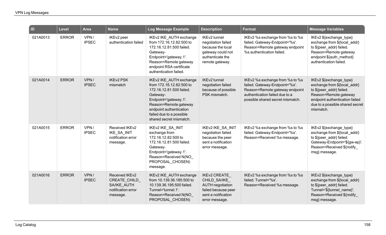| <b>ID</b> | <b>Level</b> | <b>Area</b>          | <b>Name</b>                                                                     | Log Message Example                                                                                                                                                                                                             | <b>Description</b>                                                                                                             | <b>Format</b>                                                                                                                                                             | <b>Message Variables</b>                                                                                                                                                                       |
|-----------|--------------|----------------------|---------------------------------------------------------------------------------|---------------------------------------------------------------------------------------------------------------------------------------------------------------------------------------------------------------------------------|--------------------------------------------------------------------------------------------------------------------------------|---------------------------------------------------------------------------------------------------------------------------------------------------------------------------|------------------------------------------------------------------------------------------------------------------------------------------------------------------------------------------------|
| 021A0013  | <b>ERROR</b> | VPN/<br><b>IPSEC</b> | IKEv2 peer<br>authentication failed                                             | IKEv2 IKE_AUTH exchange<br>from 172.16.12.82:500 to<br>172.16.12.81:500 failed.<br>Gateway-<br>Endpoint='gateway.1'.<br>Reason=Remote gateway<br>endpoint RSA certificate<br>authentication failed.                             | IKEv2 tunnel<br>negotiation failed<br>because the local<br>gateway could not<br>authenticate the<br>remote gateway.            | IKEv2 %s exchange from %s to %s<br>failed. Gateway-Endpoint='%s'.<br>Reason=Remote gateway endpoint<br>%s authentication failed.                                          | IKEv2 \${exchange_type}<br>exchange from \${local addr}<br>to \${peer_addr} failed.<br>Reason=Remote gateway<br>endpoint \${auth_method}<br>authentication failed.                             |
| 021A0014  | <b>ERROR</b> | VPN/<br><b>IPSEC</b> | <b>IKEv2 PSK</b><br>mismatch                                                    | IKEv2 IKE_AUTH exchange<br>from 172.16.12.82:500 to<br>172.16.12.81:500 failed.<br>Gateway-<br>Endpoint='gateway.1'.<br>Reason=Remote gateway<br>endpoint authentication<br>failed due to a possible<br>shared secret mismatch. | IKEv2 tunnel<br>negotiation failed<br>because of possible<br>PSK mismatch.                                                     | IKEv2 %s exchange from %s to %s<br>failed. Gateway-Endpoint='%s'.<br>Reason=Remote gateway endpoint<br>authentication failed due to a<br>possible shared secret mismatch. | IKEv2 \${exchange_type}<br>exchange from \${local_addr}<br>to \${peer_addr} failed.<br>Reason=Remote gateway<br>endpoint authentication failed<br>due to a possible shared secret<br>mismatch. |
| 021A0015  | <b>ERROR</b> | VPN/<br><b>IPSEC</b> | Received IKEv2<br>IKE_SA_INIT<br>notification error<br>message.                 | IKEv2 IKE SA INIT<br>exchange from<br>172.16.12.82:500 to<br>172.16.12.81:500 failed.<br>Gateway-<br>Endpoint='gateway.1'.<br>Reason=Received N(NO<br>PROPOSAL CHOSEN)<br>message.                                              | IKEv2 IKE_SA_INIT<br>negotiation failed<br>because the peer<br>sent a notification<br>error message.                           | IKEv2 %s exchange from %s to %s<br>failed. Gateway-Endpoint='%s'.<br>Reason=Received %s message.                                                                          | IKEv2 \${exchange type}<br>exchange from \${local_addr}<br>to \${peer_addr} failed.<br>Gateway-Endpoint='\${gw-ep}'.<br>Reason=Received \${notify<br>msg} message.                             |
| 021A0016  | <b>ERROR</b> | VPN/<br><b>IPSEC</b> | Received IKEv2<br>CREATE_CHILD<br>SA/IKE AUTH<br>notification error<br>message. | IKEv2 IKE_AUTH exchange<br>from 10.139.36.185:500 to<br>10.139.36.195:500 failed.<br>Tunnel='tunnel.1'.<br>Reason=Received N(NO<br>PROPOSAL_CHOSEN)                                                                             | <b>IKEv2 CREATE</b><br>CHILD_SA/IKE<br><b>AUTH negotiation</b><br>failed because peer<br>sent a notification<br>error message. | IKEv2 %s exchange from %s to %s<br>failed. Tunnel='%s'.<br>Reason=Received %s message.                                                                                    | IKEv2 \${exchange type}<br>exchange from \${local_addr}<br>to \${peer_addr} failed.<br>Tunnel='\${tunnel_name}'.<br>Reason=Received \${notify<br>msg} message.                                 |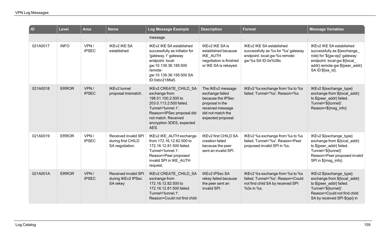| $\overline{\phantom{a}}$ ID | Level        | <b>Area</b>          | <b>Name</b>                                                   | Log Message Example                                                                                                                                                                                            | <b>Description</b>                                                                                                                          | <b>Format</b>                                                                                                                  | <b>Message Variables</b>                                                                                                                                                     |
|-----------------------------|--------------|----------------------|---------------------------------------------------------------|----------------------------------------------------------------------------------------------------------------------------------------------------------------------------------------------------------------|---------------------------------------------------------------------------------------------------------------------------------------------|--------------------------------------------------------------------------------------------------------------------------------|------------------------------------------------------------------------------------------------------------------------------------------------------------------------------|
|                             |              |                      |                                                               | message.                                                                                                                                                                                                       |                                                                                                                                             |                                                                                                                                |                                                                                                                                                                              |
| 021A0017                    | <b>INFO</b>  | VPN/<br><b>IPSEC</b> | <b>IKEv2 IKE SA</b><br>established                            | IKEv2 IKE SA established<br>successfully as initiator for<br>'gateway.1' gateway<br>endpoint. local-<br>gw:10.139.36.185:500<br>remote-<br>gw:10.139.36.195:500 SA<br>ID:0xbc2188a5.                           | <b>IKEv2 IKE SA is</b><br>established because<br><b>IKE AUTH</b><br>negotiation is finished<br>or IKE SA is rekeyed.                        | <b>IKEv2 IKE SA established</b><br>successfully as %s for '%s' gateway<br>endpoint. local-gw:%s remote-<br>gw:%s SA ID:0x%08x. | IKEv2 IKE SA established<br>successfully as \${exchange<br>role} for '\${gw-ep}' gateway<br>endpoint. local-gw:\${local_<br>addr} remote-gw:\${peer_addr}<br>SAID:\${sa_id}. |
| 021A0018                    | <b>ERROR</b> | VPN/<br><b>IPSEC</b> | <b>IKEv2</b> tunnel<br>proposal mismatch.                     | <b>IKEv2 CREATE CHILD SA</b><br>exchange from<br>198.51.100.2:500 to<br>203.0.113.2:500 failed.<br>Tunnel='tunnel.1'.<br>Reason=IPSec proposal did<br>not match. Received<br>encryption 3DES, expected<br>AES. | The IKEv2 message<br>exchange failed<br>because the IPSec<br>proposal in the<br>received message<br>did not match the<br>expected proposal. | IKEv2 %s exchange from %s to %s<br>failed. Tunnel='%s'. Reason=%s                                                              | IKEv2 \${exchange type}<br>exchange from \${local_addr}<br>to \${peer_addr} failed.<br>Tunnel='\${tunnel}'.<br>Reason=\${msg info}                                           |
| 021A0019                    | <b>ERROR</b> | VPN/<br><b>IPSEC</b> | Received invalid SPI<br>during first CHILD<br>SA negotiation. | IKEv2 IKE_AUTH exchange<br>from 172.16.12.82:500 to<br>172.16.12.81:500 failed.<br>Tunnel='tunnel.1'.<br>Reason=Peer proposed<br>invalid SPI in IKE_AUTH<br>request.                                           | <b>IKEv2 first CHILD SA</b><br>creation failed<br>because the peer<br>sent an invalid SPI.                                                  | IKEv2 %s exchange from %s to %s<br>failed. Tunnel='%s'. Reason=Peer<br>proposed invalid SPI in %s.                             | IKEv2 \${exchange_type}<br>exchange from \${local_addr}<br>to \${peer_addr} failed.<br>Tunnel='\${tunnel}'.<br>Reason=Peer proposed invalid<br>SPI in \${msg_info}.          |
| 021A001A                    | <b>ERROR</b> | VPN/<br><b>IPSEC</b> | Received invalid SPI<br>during IKEv2 IPSec<br>SA rekey        | IKEv2 CREATE_CHILD_SA<br>exchange from<br>172.16.12.82:500 to<br>172.16.12.81:500 failed.<br>Tunnel='tunnel.1'.<br>Reason=Could not find child                                                                 | <b>IKEv2 IPSec SA</b><br>rekey failed because<br>the peer sent an<br>invalid SPI.                                                           | IKEv2 %s exchange from %s to %s<br>failed. Tunnel='%s'. Reason=Could<br>not find child SA by received SPI<br>%0x in %s.        | IKEv2 \${exchange_type}<br>exchange from \${local_addr}<br>to \${peer_addr} failed.<br>Tunnel='\${tunnel}'.<br>Reason=Could not find child<br>SA by received SPI \${spi} in  |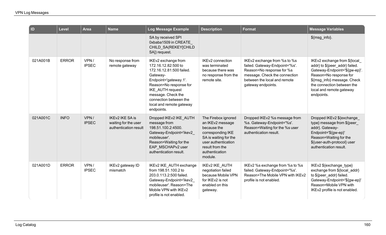| $\blacksquare$ | <b>Level</b> | <b>Area</b>          | <b>Name</b>                                                      | Log Message Example                                                                                                                                                                                                                                 | <b>Description</b>                                                                                                                                                          | Format                                                                                                                                                                             | <b>Message Variables</b>                                                                                                                                                                                                         |
|----------------|--------------|----------------------|------------------------------------------------------------------|-----------------------------------------------------------------------------------------------------------------------------------------------------------------------------------------------------------------------------------------------------|-----------------------------------------------------------------------------------------------------------------------------------------------------------------------------|------------------------------------------------------------------------------------------------------------------------------------------------------------------------------------|----------------------------------------------------------------------------------------------------------------------------------------------------------------------------------------------------------------------------------|
|                |              |                      |                                                                  | SA by received SPI<br>0xbaba1509 in CREATE<br>CHILD_SA(REKEY[CHILD<br>SA]) request.                                                                                                                                                                 |                                                                                                                                                                             |                                                                                                                                                                                    | \${msg_info}.                                                                                                                                                                                                                    |
| 021A001B       | <b>ERROR</b> | VPN/<br><b>IPSEC</b> | No response from<br>remote gateway                               | IKEv2 exchange from<br>172.16.12.82:500 to<br>172.16.12.81:500 failed.<br>Gateway-<br>Endpoint='gateway.1'.<br>Reason=No response for<br>IKE AUTH request<br>message. Check the<br>connection between the<br>local and remote gateway<br>endpoints. | IKEv2 connection<br>was terminated<br>because there was<br>no response from the<br>remote site.                                                                             | IKEv2 exchange from %s to %s<br>failed. Gateway-Endpoint='%s'.<br>Reason=No response for %s<br>message. Check the connection<br>between the local and remote<br>gateway endpoints. | IKEv2 exchange from \${local<br>addr} to \${peer_addr} failed.<br>Gateway-Endpoint='\${gw-ep}'.<br>Reason=No response for<br>\${msg_info} message. Check<br>the connection between the<br>local and remote gateway<br>endpoints. |
| 021A001C       | <b>INFO</b>  | VPN/<br><b>IPSEC</b> | IKEv2 IKE SA is<br>waiting for the user<br>authentication result | Dropped IKEv2 IKE AUTH<br>message from<br>198.51.100.2:4500.<br>Gateway-Endpoint='ikev2_<br>mobileuser'.<br>Reason=Waiting for the<br>EAP MSCHAPv2 user<br>authentication result.                                                                   | The Firebox ignored<br>an IKEv2 message<br>because the<br>corresponding IKE<br>SA is waiting for the<br>user authentication<br>result from the<br>authentication<br>module. | Dropped IKEv2 %s message from<br>%s. Gateway-Endpoint='%s'.<br>Reason=Waiting for the %s user<br>authentication result.                                                            | Dropped IKEv2 \${exchange<br>type} message from \${peer_<br>addr}. Gateway-<br>Endpoint='\${gw-ep}'<br>Reason=Waiting for the<br>\${user-auth-protocol} user<br>authentication result.                                           |
| 021A001D       | <b>ERROR</b> | VPN/<br><b>IPSEC</b> | IKEv2 gateway ID<br>mismatch                                     | IKEv2 IKE_AUTH exchange<br>from 198.51.100.2 to<br>203.0.113.2:500 failed.<br>Gateway-Endpoint='ikev2<br>mobileuser'. Reason=The<br>Mobile VPN with IKEv2<br>profile is not enabled.                                                                | IKEv2 IKE_AUTH<br>negotiation failed<br>because Mobile VPN<br>for IKEv2 is not<br>enabled on this<br>gateway.                                                               | IKEv2 %s exchange from %s to %s<br>failed. Gateway-Endpoint='%s'.<br>Reason=The Mobile VPN with IKEv2<br>profile is not enabled.                                                   | IKEv2 \${exchange_type}<br>exchange from \${local_addr}<br>to \${peer addr} failed.<br>Gateway-Endpoint='\${gw-ep}'<br>Reason=Mobile VPN with<br>IKEv2 profile is not enabled.                                                   |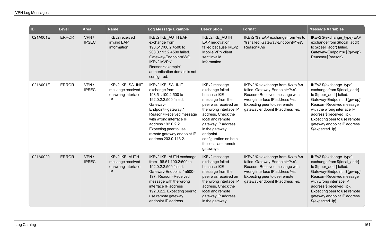| $\blacksquare$ | <b>Level</b> | <b>Area</b>          | <b>Name</b>                                                       | Log Message Example                                                                                                                                                                                                                                                                | <b>Description</b>                                                                                                                                                                                                                                                                | <b>Format</b>                                                                                                                                                                                          | <b>Message Variables</b>                                                                                                                                                                                                                                                                     |
|----------------|--------------|----------------------|-------------------------------------------------------------------|------------------------------------------------------------------------------------------------------------------------------------------------------------------------------------------------------------------------------------------------------------------------------------|-----------------------------------------------------------------------------------------------------------------------------------------------------------------------------------------------------------------------------------------------------------------------------------|--------------------------------------------------------------------------------------------------------------------------------------------------------------------------------------------------------|----------------------------------------------------------------------------------------------------------------------------------------------------------------------------------------------------------------------------------------------------------------------------------------------|
| 021A001E       | <b>ERROR</b> | VPN/<br><b>IPSEC</b> | IKEv2 received<br>invalid EAP<br>information                      | IKEv2 IKE_AUTH EAP<br>exchange from<br>198.51.100.2:4500 to<br>203.0.113.2:4500 failed.<br>Gateway-Endpoint='WG<br>IKEv2 MVPN'.<br>Reason='example'<br>authentication domain is not<br>configured.                                                                                 | IKEv2 IKE_AUTH<br>EAP negotiation<br>failed because IKEv2<br>Mobile VPN client<br>sent invalid<br>information.                                                                                                                                                                    | IKEv2 %s EAP exchange from %s to<br>%s failed. Gateway-Endpoint='%s'.<br>Reason=%s                                                                                                                     | IKEv2 \${exchange_type} EAP<br>exchange from \${local_addr}<br>to \${peer_addr} failed.<br>Gateway-Endpoint='\${gw-ep}'<br>Reason=\${reason}                                                                                                                                                 |
| 021A001F       | <b>ERROR</b> | VPN/<br><b>IPSEC</b> | IKEv2 IKE_SA_INIT<br>message received<br>on wrong interface<br>IP | IKEv2 IKE_SA_INIT<br>exchange from<br>198.51.100.2:500 to<br>192.0.2.2:500 failed.<br>Gateway-<br>Endpoint='gateway.1'.<br>Reason=Received message<br>with wrong interface IP<br>address 192.0.2.2.<br>Expecting peer to use<br>remote gateway endpoint IP<br>address 203.0.113.2. | IKEv2 message<br>exchange failed<br>because IKE<br>message from the<br>peer was received on<br>the wrong interface IP<br>address. Check the<br>local and remote<br>gateway IP address<br>in the gateway<br>endpoint<br>configuration on both<br>the local and remote<br>gateways. | IKEv2 %s exchange from %s to %s<br>failed. Gateway-Endpoint='%s'.<br>Reason=Received message with<br>wrong interface IP address %s.<br>Expecting peer to use remote<br>gateway endpoint IP address %s. | IKEv2 \${exchange_type}<br>exchange from \${local_addr}<br>to \${peer_addr} failed.<br>Gateway-Endpoint='\${gw-ep}'<br>Reason=Received message<br>with the wrong interface IP<br>address \${received_ip}.<br>Expecting peer to use remote<br>gateway endpoint IP address<br>\${expected ip}. |
| 021A0020       | <b>ERROR</b> | VPN/<br><b>IPSEC</b> | IKEv2 IKE_AUTH<br>message received<br>on wrong interface<br>IP.   | IKEv2 IKE_AUTH exchange<br>from 198.51.100.2:500 to<br>192.0.2.2:500 failed.<br>Gateway-Endpoint='m500-<br>197'. Reason=Received<br>message with the wrong<br>interface IP address<br>192.0.2.2. Expecting peer to<br>use remote gateway<br>endpoint IP address                    | IKEv2 message<br>exchange failed<br>because IKE<br>message from the<br>peer was received on<br>the wrong interface IP<br>address. Check the<br>local and remote<br>gateway IP address<br>in the gateway                                                                           | IKEv2 %s exchange from %s to %s<br>failed. Gateway-Endpoint='%s'.<br>Reason=Received message with<br>wrong interface IP address %s.<br>Expecting peer to use remote<br>gateway endpoint IP address %s. | IKEv2 \${exchange type}<br>exchange from \${local_addr}<br>to \${peer_addr} failed.<br>Gateway-Endpoint='\${gw-ep}'<br>Reason=Received message<br>with wrong interface IP<br>address \${received_ip}.<br>Expecting peer to use remote<br>gateway endpoint IP address<br>\${expected_ip}.     |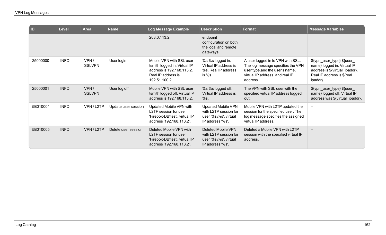| $\overline{a}$ | <b>Level</b> | <b>Area</b>           | <b>Name</b>         | Log Message Example                                                                                                          | <b>Description</b>                                                                              | <b>Format</b>                                                                                                                                            | <b>Message Variables</b>                                                                                                              |
|----------------|--------------|-----------------------|---------------------|------------------------------------------------------------------------------------------------------------------------------|-------------------------------------------------------------------------------------------------|----------------------------------------------------------------------------------------------------------------------------------------------------------|---------------------------------------------------------------------------------------------------------------------------------------|
|                |              |                       |                     | 203.0.113.2.                                                                                                                 | endpoint<br>configuration on both<br>the local and remote<br>gateways.                          |                                                                                                                                                          |                                                                                                                                       |
| 25000000       | <b>INFO</b>  | VPN/<br><b>SSLVPN</b> | User login          | Mobile VPN with SSL user<br>tsmith logged in. Virtual IP<br>address is 192.168.113.2.<br>Real IP address is<br>192.51.100.2. | %s %s logged in.<br>Virtual IP address is<br>%s. Real IP address<br>is %s.                      | A user logged in to VPN with SSL.<br>The log message specifies the VPN<br>user type, and the user's name,<br>virtual IP address, and real IP<br>address. | \${vpn_user_type} \${user_<br>name} logged in. Virtual IP<br>address is \${virtual_ipaddr}.<br>Real IP address is \${real<br>ipaddr}. |
| 25000001       | <b>INFO</b>  | VPN/<br><b>SSLVPN</b> | User log off        | Mobile VPN with SSL user<br>tsmith logged off. Virtual IP<br>address is 192.168.113.2.                                       | %s %s logged off.<br>Virtual IP address is<br>%s.                                               | The VPN with SSL user with the<br>specified virtual IP address logged<br>out.                                                                            | \${vpn_user_type} \${user_<br>name} logged off. Virtual IP<br>address was \${virtual_ipaddr}.                                         |
| 5B010004       | <b>INFO</b>  | VPN/L2TP              | Update user session | Updated Mobile VPN with<br>L2TP session for user<br>'Firebox-DB\test', virtual IP<br>address '192.168.113.2'.                | <b>Updated Mobile VPN</b><br>with L2TP session for<br>user '%s\%s', virtual<br>IP address '%s'. | Mobile VPN with L2TP updated the<br>session for the specified user. The<br>log message specifies the assigned<br>virtual IP address.                     |                                                                                                                                       |
| 5B010005       | <b>INFO</b>  | VPN/L2TP              | Delete user session | Deleted Mobile VPN with<br>L2TP session for user<br>'Firebox-DB\test', virtual IP<br>address '192.168.113.2'.                | Deleted Mobile VPN<br>with L2TP session for<br>user '%s\%s', virtual<br>IP address '%s'.        | Deleted a Mobile VPN with L2TP<br>session with the specified virtual IP<br>address.                                                                      |                                                                                                                                       |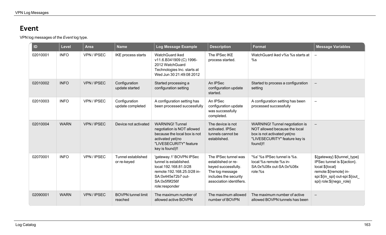## **Event**

VPN log messages of the *Event* log type.

| ID       | <b>Level</b> | <b>Area</b> | <b>Name</b>                          | Log Message Example                                                                                                                                                | <b>Description</b>                                                                                                                        | <b>Format</b>                                                                                                                                      | <b>Message Variables</b>                                                                                                                                            |
|----------|--------------|-------------|--------------------------------------|--------------------------------------------------------------------------------------------------------------------------------------------------------------------|-------------------------------------------------------------------------------------------------------------------------------------------|----------------------------------------------------------------------------------------------------------------------------------------------------|---------------------------------------------------------------------------------------------------------------------------------------------------------------------|
| 02010001 | <b>INFO</b>  | VPN / IPSEC | IKE process starts                   | WatchGuard iked<br>v11.6.B341909 (C) 1996-<br>2012 WatchGuard<br>Technologies Inc. starts at<br>Wed Jun 30 21:49:08 2012                                           | The IPSec IKE<br>process started.                                                                                                         | WatchGuard iked v%s %s starts at<br>%s                                                                                                             |                                                                                                                                                                     |
| 02010002 | <b>INFO</b>  | VPN/IPSEC   | Configuration<br>update started      | Started processing a<br>configuration setting                                                                                                                      | An IPSec<br>configuration update<br>started.                                                                                              | Started to process a configuration<br>setting                                                                                                      |                                                                                                                                                                     |
| 02010003 | <b>INFO</b>  | VPN/IPSEC   | Configuration<br>update completed    | A configuration setting has<br>been processed successfully                                                                                                         | An IPSec<br>configuration update<br>was successfully<br>completed.                                                                        | A configuration setting has been<br>processed successfully                                                                                         | $\equiv$                                                                                                                                                            |
| 02010004 | <b>WARN</b>  | VPN/IPSEC   | Device not activated                 | <b>WARNING! Tunnel</b><br>negotiation is NOT allowed<br>because the local box is not<br>activated yet(no<br>"LIVESECURITY" feature<br>key is found)!!              | The device is not<br>activated. IPSec<br>tunnels cannot be<br>established.                                                                | <b>WARNING!</b> Tunnel negotiation is<br>NOT allowed because the local<br>box is not activated yet(no<br>"LIVESECURITY" feature key is<br>found)!! |                                                                                                                                                                     |
| 02070001 | <b>INFO</b>  | VPN/IPSEC   | Tunnel established<br>or re-keyed    | 'gateway.1' BOVPN IPSec<br>tunnel is established.<br>local:192.168.81.0/28<br>remote: 192.168.25.0/28 in-<br>SA:0x445e72b7 out-<br>SA:0x5f9f256f<br>role:responder | The IPSec tunnel was<br>established or re-<br>keyed successfully.<br>The log message<br>includes the security<br>association identifiers. | '%s' %s IPSec tunnel is %s.<br>local:%s remote:%s in-<br>SA:0x%08x out-SA:0x%08x<br>role:%s                                                        | \${gateway} \${tunnel_type}<br>IPSec tunnel is \${action}.<br>local:\${local}<br>remote:\${remote} in-<br>spi:\${in_spi} out-spi:\${out_<br>spi} role:\${nego_role} |
| 02090001 | <b>WARN</b>  | VPN/IPSEC   | <b>BOVPN</b> tunnel limit<br>reached | The maximum number of<br>allowed active BOVPN                                                                                                                      | The maximum allowed<br>number of BOVPN                                                                                                    | The maximum number of active<br>allowed BOVPN tunnels has been                                                                                     |                                                                                                                                                                     |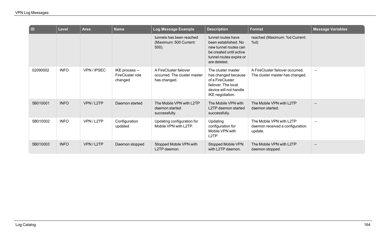| I ID     | <b>Level</b> | <b>Area</b> | <b>Name</b>                                   | Log Message Example                                                    | <b>Description</b>                                                                                                                        | <b>Format</b>                                                          | <b>Message Variables</b> |
|----------|--------------|-------------|-----------------------------------------------|------------------------------------------------------------------------|-------------------------------------------------------------------------------------------------------------------------------------------|------------------------------------------------------------------------|--------------------------|
|          |              |             |                                               | tunnels has been reached<br>(Maximum: 500 Current:<br>$500$ ).         | tunnel routes have<br>been established. No<br>new tunnel routes can<br>be created until active<br>tunnel routes expire or<br>are deleted. | reached (Maximum: %d Current:<br>%d)                                   |                          |
| 02090002 | <b>INFO</b>  | VPN/IPSEC   | IKE process --<br>FireCluster role<br>changed | A FireCluster failover<br>occurred. The cluster master<br>has changed. | The cluster master<br>has changed because<br>of a FireCluster<br>failover. The local<br>device will not handle<br>IKE negotiation.        | A FireCluster failover occurred.<br>The cluster master has changed.    | $\overline{\phantom{0}}$ |
| 5B010001 | <b>INFO</b>  | VPN/L2TP    | Daemon started                                | The Mobile VPN with L2TP<br>daemon started<br>successfully.            | The Mobile VPN with<br>L2TP daemon started<br>successfully.                                                                               | The Mobile VPN with L2TP<br>daemon started.                            |                          |
| 5B010002 | <b>INFO</b>  | VPN/L2TP    | Configuration<br>updated                      | Updating configuration for<br>Mobile VPN with L2TP.                    | Updating<br>configuration for<br>Mobile VPN with<br>L <sub>2</sub> TP.                                                                    | The Mobile VPN with L2TP<br>daemon received a configuration<br>update. |                          |
| 5B010003 | <b>INFO</b>  | VPN/L2TP    | Daemon stopped                                | Stopped Mobile VPN with<br>L2TP daemon.                                | Stopped Mobile VPN<br>with L2TP daemon.                                                                                                   | The Mobile VPN with L2TP<br>daemon stopped.                            |                          |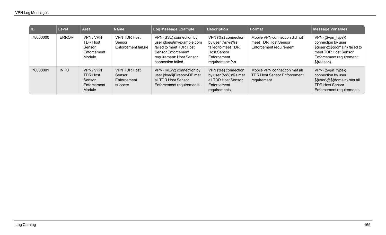| l ID     | <b>Level</b> | <b>Area</b>                                                   | <b>Name</b>                                                    | Log Message Example                                                                                                                                          | <b>Description</b>                                                                                                   | Format                                                                             | <b>Message Variables</b>                                                                                                                     |
|----------|--------------|---------------------------------------------------------------|----------------------------------------------------------------|--------------------------------------------------------------------------------------------------------------------------------------------------------------|----------------------------------------------------------------------------------------------------------------------|------------------------------------------------------------------------------------|----------------------------------------------------------------------------------------------------------------------------------------------|
| 78000000 | <b>ERROR</b> | VPN/VPN<br><b>TDR Host</b><br>Sensor<br>Enforcement<br>Module | <b>VPN TDR Host</b><br>Sensor<br>Enforcement failure           | VPN (SSL) connection by<br>user jdoe@myexample.com<br>failed to meet TDR Host<br><b>Sensor Enforcement</b><br>requirement: Host Sensor<br>connection failed. | VPN (%s) connection<br>by user %s%s%s<br>failed to meet TDR<br><b>Host Sensor</b><br>Enforcement<br>requirement: %s. | Mobile VPN connection did not<br>meet TDR Host Sensor<br>Enforcement requirement   | VPN ({\$vpn_type})<br>connection by user<br>\${user}@\${domain} failed to<br>meet TDR Host Sensor<br>Enforcement requirement:<br>\${reason}. |
| 78000001 | <b>INFO</b>  | VPN/VPN<br><b>TDR Host</b><br>Sensor<br>Enforcement<br>Module | <b>VPN TDR Host</b><br>Sensor<br>Enforcement<br><b>SUCCESS</b> | VPN (IKEv2) connection by<br>user jdoe@Firebox-DB met<br>all TDR Host Sensor<br>Enforcement requirements.                                                    | VPN (%s) connection<br>by user %s%s%s met<br>all TDR Host Sensor<br>Enforcement<br>requirements.                     | Mobile VPN connection met all<br><b>TDR Host Sensor Enforcement</b><br>requirement | VPN ({\$vpn_type})<br>connection by user<br>\${user}@\${domain} met all<br><b>TDR Host Sensor</b><br>Enforcement requirements.               |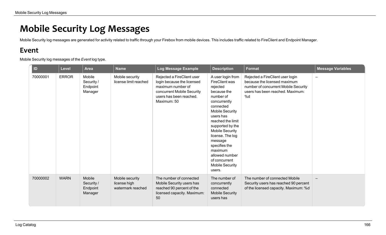## **Mobile Security Log Messages**

Mobile Security log messages are generated for activity related to traffic through your Firebox from mobile devices. This includes traffic related to FireClient and Endpoint Manager.

## **Event**

Mobile Security log messages of the *Event* log type.

| ID       | <b>Level</b> | <b>Area</b>                                 | <b>Name</b>                                          | Log Message Example                                                                                                                                   | <b>Description</b>                                                                                                                                                                                                                                                                                                                                          | <b>Format</b>                                                                                                                                      | <b>Message Variables</b> |
|----------|--------------|---------------------------------------------|------------------------------------------------------|-------------------------------------------------------------------------------------------------------------------------------------------------------|-------------------------------------------------------------------------------------------------------------------------------------------------------------------------------------------------------------------------------------------------------------------------------------------------------------------------------------------------------------|----------------------------------------------------------------------------------------------------------------------------------------------------|--------------------------|
| 70000001 | <b>ERROR</b> | Mobile<br>Security /<br>Endpoint<br>Manager | Mobile security<br>license limit reached             | Rejected a FireClient user<br>login because the licensed<br>maximum number of<br>concurrent Mobile Security<br>users has been reached.<br>Maximum: 50 | A user login from<br><b>FireClient was</b><br>rejected<br>because the<br>number of<br>concurrently<br>connected<br><b>Mobile Security</b><br>users has<br>reached the limit<br>supported by the<br><b>Mobile Security</b><br>license. The log<br>message<br>specifies the<br>maximum<br>allowed number<br>of concurrent<br><b>Mobile Security</b><br>users. | Rejected a FireClient user login<br>because the licensed maximum<br>number of concurrent Mobile Security<br>users has been reached. Maximum:<br>%d |                          |
| 70000002 | <b>WARN</b>  | Mobile<br>Security /<br>Endpoint<br>Manager | Mobile security<br>license high<br>watermark reached | The number of connected<br>Mobile Security users has<br>reached 90 percent of the<br>licensed capacity. Maximum:<br>50                                | The number of<br>concurrently<br>connected<br><b>Mobile Security</b><br>users has                                                                                                                                                                                                                                                                           | The number of connected Mobile<br>Security users has reached 90 percent<br>of the licensed capacity. Maximum: %d                                   |                          |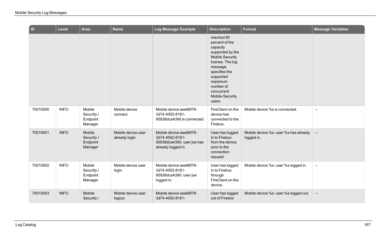| $\overline{a}$ | <b>Level</b> | <b>Area</b>                                 | <b>Name</b>                         | Log Message Example                                                                            | <b>Description</b>                                                                                                                                                                                                            | <b>Format</b>                                       | <b>Message Variables</b> |
|----------------|--------------|---------------------------------------------|-------------------------------------|------------------------------------------------------------------------------------------------|-------------------------------------------------------------------------------------------------------------------------------------------------------------------------------------------------------------------------------|-----------------------------------------------------|--------------------------|
|                |              |                                             |                                     |                                                                                                | reached 90<br>percent of the<br>capacity<br>supported by the<br><b>Mobile Security</b><br>license. The log<br>message<br>specifies the<br>supported<br>maximum<br>number of<br>concurrent<br><b>Mobile Security</b><br>users. |                                                     |                          |
| 70010000       | <b>INFO</b>  | Mobile<br>Security /<br>Endpoint<br>Manager | Mobile device<br>connect            | Mobile device eee66f78-<br>3d74-4002-8161-<br>95938dca4390 is connected.                       | FireClient on the<br>device has<br>connected to the<br>Firebox.                                                                                                                                                               | Mobile device %s is connected.                      | $\equiv$                 |
| 70010001       | <b>INFO</b>  | Mobile<br>Security /<br>Endpoint<br>Manager | Mobile device user<br>already login | Mobile device eee66f78-<br>3d74-4002-8161-<br>95938dca4390: user joe has<br>already logged in. | User has logged<br>in to Firebox<br>from the device<br>prior to the<br>connection<br>request.                                                                                                                                 | Mobile device %s: user %s has already<br>logged in. | $\overline{\phantom{0}}$ |
| 70010002       | <b>INFO</b>  | Mobile<br>Security /<br>Endpoint<br>Manager | Mobile device user<br>login         | Mobile device eee66f78-<br>3d74-4002-8161-<br>95938dca4390: user joe<br>logged in.             | User has logged<br>in to Firebox<br>through<br>FireClient on the<br>device.                                                                                                                                                   | Mobile device %s: user %s logged in.                | $\overline{\phantom{m}}$ |
| 70010003       | <b>INFO</b>  | Mobile<br>Security /                        | Mobile device user<br>logout        | Mobile device eee66f78-<br>3d74-4002-8161-                                                     | User has logged<br>out of Firebox                                                                                                                                                                                             | Mobile device %s: user %s logged out.               | $\qquad \qquad -$        |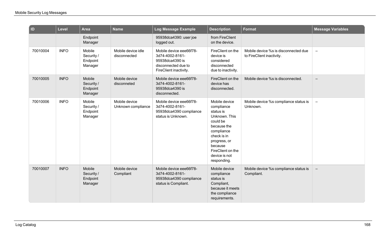| $\overline{a}$ | <b>Level</b> | Area                                        | <b>Name</b>                         | Log Message Example                                                                                            | <b>Description</b>                                                                                                                                                                                | <b>Format</b>                                                     | <b>Message Variables</b> |
|----------------|--------------|---------------------------------------------|-------------------------------------|----------------------------------------------------------------------------------------------------------------|---------------------------------------------------------------------------------------------------------------------------------------------------------------------------------------------------|-------------------------------------------------------------------|--------------------------|
|                |              | Endpoint<br>Manager                         |                                     | 95938dca4390: user joe<br>logged out.                                                                          | from FireClient<br>on the device.                                                                                                                                                                 |                                                                   |                          |
| 70010004       | <b>INFO</b>  | Mobile<br>Security /<br>Endpoint<br>Manager | Mobile device idle<br>disconnected  | Mobile device eee66f78-<br>3d74-4002-8161-<br>95938dca4390 is<br>disconnected due to<br>FireClient inactivity. | FireClient on the<br>device is<br>considered<br>disconnected<br>due to inactivity.                                                                                                                | Mobile device %s is disconnected due<br>to FireClient inactivity. | $\qquad \qquad -$        |
| 70010005       | <b>INFO</b>  | Mobile<br>Security /<br>Endpoint<br>Manager | Mobile device<br>disconneted        | Mobile device eee66f78-<br>3d74-4002-8161-<br>95938dca4390 is<br>disconnected.                                 | FireClient on the<br>device has<br>disconnected.                                                                                                                                                  | Mobile device %s is disconnected.                                 | $\overline{\phantom{0}}$ |
| 70010006       | <b>INFO</b>  | Mobile<br>Security /<br>Endpoint<br>Manager | Mobile device<br>Unknown compliance | Mobile device eee66f78-<br>3d74-4002-8161-<br>95938dca4390 compliance<br>status is Unknown.                    | Mobile device<br>compliance<br>status is<br>Unknown. This<br>could be<br>because the<br>compliance<br>check is in<br>progress, or<br>because<br>FireClient on the<br>device is not<br>responding. | Mobile device %s compliance status is<br>Unknown.                 | $\overline{\phantom{a}}$ |
| 70010007       | <b>INFO</b>  | Mobile<br>Security /<br>Endpoint<br>Manager | Mobile device<br>Compliant          | Mobile device eee66f78-<br>3d74-4002-8161-<br>95938dca4390 compliance<br>status is Compliant.                  | Mobile device<br>compliance<br>status is<br>Compliant,<br>because it meets<br>the compliance<br>requirements.                                                                                     | Mobile device %s compliance status is<br>Compliant.               |                          |